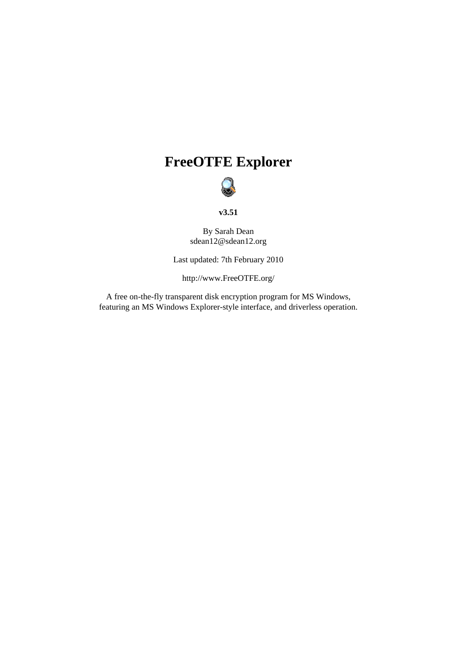# **FreeOTFE Explorer**



#### **v3.51**

By Sarah Dean sdean12@sdean12.org

Last updated: 7th February 2010

http://www.FreeOTFE.org/

A free on-the-fly transparent disk encryption program for MS Windows, featuring an MS Windows Explorer-style interface, and driverless operation.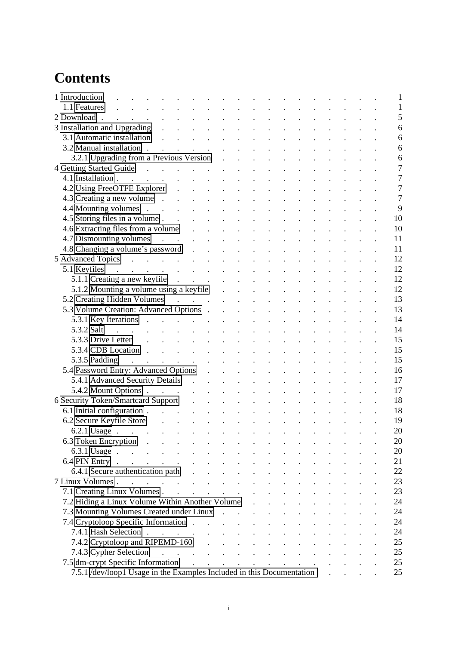# **Contents**

| 1 Introduction                                                                                                                                                                                                                                                                                                                                                                                                                                                                     |                                                                                                                                                                                                                                                      |                                            |        |                                                         |              |  | $\mathbf{1}$   |
|------------------------------------------------------------------------------------------------------------------------------------------------------------------------------------------------------------------------------------------------------------------------------------------------------------------------------------------------------------------------------------------------------------------------------------------------------------------------------------|------------------------------------------------------------------------------------------------------------------------------------------------------------------------------------------------------------------------------------------------------|--------------------------------------------|--------|---------------------------------------------------------|--------------|--|----------------|
| 1.1 Features                                                                                                                                                                                                                                                                                                                                                                                                                                                                       |                                                                                                                                                                                                                                                      |                                            |        |                                                         |              |  | $\mathbf{1}$   |
| and the contract of the contract of the contract of the contract of the contract of<br>2 Download.                                                                                                                                                                                                                                                                                                                                                                                 |                                                                                                                                                                                                                                                      |                                            |        |                                                         |              |  | $\overline{5}$ |
| 3 Installation and Upgrading (a) and (b) and (b) and (b) and (b) and (b) and (c) and (c) and (c) and (c) and (c) and (c) and (c) and (c) and (c) and (c) and (c) and (c) and (c) and (c) and (c) and (c) and (c) and (c) and (                                                                                                                                                                                                                                                     |                                                                                                                                                                                                                                                      |                                            |        |                                                         |              |  | $\overline{6}$ |
| and the contract of the contract of the contract of the<br>3.1 Automatic installation.                                                                                                                                                                                                                                                                                                                                                                                             |                                                                                                                                                                                                                                                      |                                            |        |                                                         |              |  | 6              |
| 3.2 Manual installation                                                                                                                                                                                                                                                                                                                                                                                                                                                            |                                                                                                                                                                                                                                                      | $\mathbf{r} = \mathbf{r} \cdot \mathbf{r}$ |        |                                                         |              |  | 6              |
|                                                                                                                                                                                                                                                                                                                                                                                                                                                                                    |                                                                                                                                                                                                                                                      |                                            |        |                                                         |              |  | 6              |
|                                                                                                                                                                                                                                                                                                                                                                                                                                                                                    |                                                                                                                                                                                                                                                      |                                            |        |                                                         |              |  | $\overline{7}$ |
|                                                                                                                                                                                                                                                                                                                                                                                                                                                                                    |                                                                                                                                                                                                                                                      |                                            |        |                                                         |              |  | $\overline{7}$ |
|                                                                                                                                                                                                                                                                                                                                                                                                                                                                                    |                                                                                                                                                                                                                                                      |                                            |        |                                                         |              |  | $\overline{7}$ |
| 4.3 Creating a new volume<br>4.4 Mounting volumes                                                                                                                                                                                                                                                                                                                                                                                                                                  |                                                                                                                                                                                                                                                      |                                            |        |                                                         |              |  | $\overline{7}$ |
|                                                                                                                                                                                                                                                                                                                                                                                                                                                                                    |                                                                                                                                                                                                                                                      |                                            |        |                                                         |              |  | 9              |
|                                                                                                                                                                                                                                                                                                                                                                                                                                                                                    |                                                                                                                                                                                                                                                      |                                            |        |                                                         |              |  | 10             |
| 4.6 Extracting files from a volume contained a series of the contact of the series of the contact of the contact of the contact of the contact of the contact of the contact of the contact of the contact of the contact of t                                                                                                                                                                                                                                                     |                                                                                                                                                                                                                                                      |                                            |        |                                                         |              |  | 10             |
| 4.7 Dismounting volumes expansion of the contract of the contract of the contract of the contract of the contract of the contract of the contract of the contract of the contract of the contract of the contract of the contr                                                                                                                                                                                                                                                     |                                                                                                                                                                                                                                                      |                                            |        |                                                         |              |  | 11             |
| 4.8 Changing a volume's password contained a series of the series of the series of the series of the series of the series of the series of the series of the series of the series of the series of the series of the series of                                                                                                                                                                                                                                                     |                                                                                                                                                                                                                                                      |                                            |        |                                                         |              |  | 11             |
| 5 Advanced Topics (Change Assembly 2014) and the contract of the contract of the contract of the contract of the contract of the contract of the contract of the contract of the contract of the contract of the contract of t                                                                                                                                                                                                                                                     |                                                                                                                                                                                                                                                      |                                            |        |                                                         |              |  | 12             |
|                                                                                                                                                                                                                                                                                                                                                                                                                                                                                    |                                                                                                                                                                                                                                                      |                                            |        |                                                         |              |  | 12             |
|                                                                                                                                                                                                                                                                                                                                                                                                                                                                                    |                                                                                                                                                                                                                                                      |                                            |        |                                                         |              |  | 12             |
|                                                                                                                                                                                                                                                                                                                                                                                                                                                                                    |                                                                                                                                                                                                                                                      |                                            |        |                                                         |              |  | 12             |
|                                                                                                                                                                                                                                                                                                                                                                                                                                                                                    |                                                                                                                                                                                                                                                      |                                            |        |                                                         |              |  | 13             |
| 5.2 Creating Hidden Volumes<br>5.3 Volume Creation: Advanced Options                                                                                                                                                                                                                                                                                                                                                                                                               |                                                                                                                                                                                                                                                      |                                            |        |                                                         |              |  | 13             |
|                                                                                                                                                                                                                                                                                                                                                                                                                                                                                    |                                                                                                                                                                                                                                                      |                                            |        |                                                         |              |  | 14             |
| and the contract of the contract of the contract of the contract of the contract of the contract of the contract of the contract of the contract of the contract of the contract of the contract of the contract of the contra<br>5.3.2 Salt                                                                                                                                                                                                                                       |                                                                                                                                                                                                                                                      |                                            |        |                                                         |              |  | 14             |
| 5.3.3 Drive Letter                                                                                                                                                                                                                                                                                                                                                                                                                                                                 |                                                                                                                                                                                                                                                      |                                            |        |                                                         |              |  | 15             |
| $5.3.4$ CDB Location                                                                                                                                                                                                                                                                                                                                                                                                                                                               |                                                                                                                                                                                                                                                      |                                            |        |                                                         |              |  | 15             |
|                                                                                                                                                                                                                                                                                                                                                                                                                                                                                    |                                                                                                                                                                                                                                                      |                                            |        |                                                         |              |  | 15             |
|                                                                                                                                                                                                                                                                                                                                                                                                                                                                                    |                                                                                                                                                                                                                                                      |                                            |        |                                                         |              |  | 16             |
|                                                                                                                                                                                                                                                                                                                                                                                                                                                                                    |                                                                                                                                                                                                                                                      |                                            |        |                                                         |              |  | 17             |
|                                                                                                                                                                                                                                                                                                                                                                                                                                                                                    |                                                                                                                                                                                                                                                      |                                            |        |                                                         |              |  | 17             |
|                                                                                                                                                                                                                                                                                                                                                                                                                                                                                    |                                                                                                                                                                                                                                                      |                                            |        |                                                         |              |  | 18             |
| 6 Security Token/Smartcard Support<br>6.1 Initial configuration                                                                                                                                                                                                                                                                                                                                                                                                                    |                                                                                                                                                                                                                                                      |                                            |        |                                                         |              |  | 18             |
| 6.2 Secure Keyfile Store and the contract of the contract of the contract of the contract of the contract of the contract of the contract of the contract of the contract of the contract of the contract of the contract of t                                                                                                                                                                                                                                                     |                                                                                                                                                                                                                                                      |                                            |        |                                                         |              |  | 19             |
| 6.2.1 Usage $\therefore$ $\therefore$ $\therefore$ $\therefore$ $\therefore$ $\therefore$ $\therefore$ $\therefore$ $\therefore$ $\therefore$ $\therefore$ $\therefore$ $\therefore$ $\therefore$ $\therefore$ $\therefore$ $\therefore$ $\therefore$ $\therefore$ $\therefore$ $\therefore$ $\therefore$ $\therefore$ $\therefore$ $\therefore$ $\therefore$ $\therefore$ $\therefore$ $\therefore$ $\therefore$ $\therefore$ $\therefore$ $\therefore$ $\therefore$ $\therefore$ |                                                                                                                                                                                                                                                      |                                            |        | $\mathcal{L}^{\text{max}}$ , $\mathcal{L}^{\text{max}}$ |              |  | 20             |
|                                                                                                                                                                                                                                                                                                                                                                                                                                                                                    |                                                                                                                                                                                                                                                      |                                            |        |                                                         | $\mathbf{L}$ |  |                |
| 6.3 Token Encryption<br>$6.3.1$ Usage                                                                                                                                                                                                                                                                                                                                                                                                                                              |                                                                                                                                                                                                                                                      |                                            |        |                                                         |              |  | 20<br>20       |
|                                                                                                                                                                                                                                                                                                                                                                                                                                                                                    |                                                                                                                                                                                                                                                      |                                            |        |                                                         |              |  | 21             |
|                                                                                                                                                                                                                                                                                                                                                                                                                                                                                    |                                                                                                                                                                                                                                                      |                                            |        |                                                         |              |  | 22             |
| 6.4.1 Secure authentication path<br>and the state of the state of the state of the state of the state of the state of the state of the state of the<br>7 Linux Volumes.                                                                                                                                                                                                                                                                                                            |                                                                                                                                                                                                                                                      |                                            | $\sim$ |                                                         |              |  | 23             |
| 7.1 Creating Linux Volumes                                                                                                                                                                                                                                                                                                                                                                                                                                                         |                                                                                                                                                                                                                                                      |                                            |        |                                                         |              |  | 23             |
|                                                                                                                                                                                                                                                                                                                                                                                                                                                                                    |                                                                                                                                                                                                                                                      |                                            |        |                                                         |              |  |                |
| 7.2 Hiding a Linux Volume Within Another Volume                                                                                                                                                                                                                                                                                                                                                                                                                                    |                                                                                                                                                                                                                                                      |                                            |        |                                                         |              |  | 24             |
| 7.3 Mounting Volumes Created under Linux                                                                                                                                                                                                                                                                                                                                                                                                                                           |                                                                                                                                                                                                                                                      |                                            |        |                                                         |              |  | 24             |
| 7.4 Cryptoloop Specific Information.                                                                                                                                                                                                                                                                                                                                                                                                                                               | $\mathcal{L}(\mathbf{r}) = \mathcal{L}(\mathbf{r})$ . The set of the set of the set of the set of the set of the set of the set of the set of the set of the set of the set of the set of the set of the set of the set of the set of the set of the |                                            |        |                                                         |              |  | 24             |
| 7.4.1 Hash Selection.<br>and the contract of the contract of the                                                                                                                                                                                                                                                                                                                                                                                                                   |                                                                                                                                                                                                                                                      |                                            |        |                                                         |              |  | 24             |
| 7.4.2 Cryptoloop and RIPEMD-160                                                                                                                                                                                                                                                                                                                                                                                                                                                    |                                                                                                                                                                                                                                                      |                                            |        |                                                         |              |  | 25             |
| 7.4.3 Cypher Selection<br>$\mathcal{A}$ is a set of the set of the set of $\mathcal{A}$                                                                                                                                                                                                                                                                                                                                                                                            |                                                                                                                                                                                                                                                      |                                            |        |                                                         |              |  | 25             |
|                                                                                                                                                                                                                                                                                                                                                                                                                                                                                    |                                                                                                                                                                                                                                                      |                                            |        |                                                         |              |  | 25             |
| 7.5.1 /dev/loop1 Usage in the Examples Included in this Documentation                                                                                                                                                                                                                                                                                                                                                                                                              |                                                                                                                                                                                                                                                      |                                            |        |                                                         |              |  | 25             |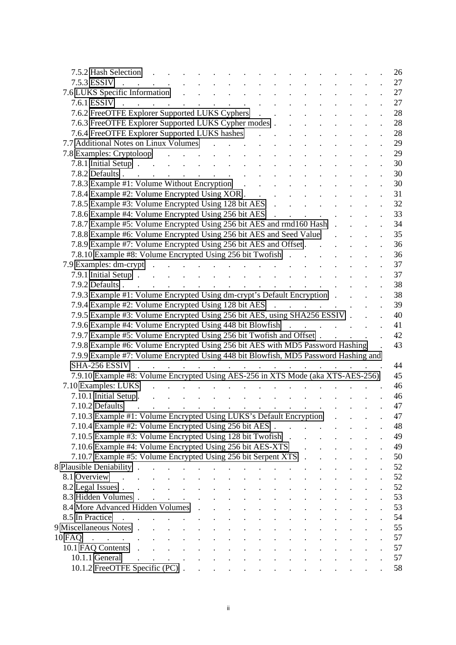| 7.5.2 Hash Selection                                                                                                                                                                                                                                                  |                                                                                                                                   |                                                                                           | 26            |
|-----------------------------------------------------------------------------------------------------------------------------------------------------------------------------------------------------------------------------------------------------------------------|-----------------------------------------------------------------------------------------------------------------------------------|-------------------------------------------------------------------------------------------|---------------|
| 7.5.3 ESSIV .                                                                                                                                                                                                                                                         |                                                                                                                                   |                                                                                           | 27            |
| 7.6 LUKS Specific Information<br>$\mathcal{L}(\mathbf{r})$ and $\mathcal{L}(\mathbf{r})$ and $\mathcal{L}(\mathbf{r})$                                                                                                                                                |                                                                                                                                   |                                                                                           | 27            |
| $7.6.1$ ESSIV $\qquad \qquad$                                                                                                                                                                                                                                         |                                                                                                                                   |                                                                                           | 27            |
| 7.6.2 FreeOTFE Explorer Supported LUKS Cyphers                                                                                                                                                                                                                        |                                                                                                                                   |                                                                                           | 28            |
| 7.6.3 FreeOTFE Explorer Supported LUKS Cypher modes                                                                                                                                                                                                                   |                                                                                                                                   |                                                                                           | 28            |
| 7.6.4 FreeOTFE Explorer Supported LUKS hashes and a series of the series of the series of the series of the series of the series of the series of the series of the series of the series of the series of the series of the se                                        |                                                                                                                                   |                                                                                           | 28            |
| 7.7 Additional Notes on Linux Volumes (a) respectively                                                                                                                                                                                                                |                                                                                                                                   |                                                                                           | 29            |
| 7.8 Examples: Cryptoloop                                                                                                                                                                                                                                              |                                                                                                                                   |                                                                                           | 29            |
|                                                                                                                                                                                                                                                                       |                                                                                                                                   |                                                                                           | 30            |
|                                                                                                                                                                                                                                                                       |                                                                                                                                   |                                                                                           | 30            |
|                                                                                                                                                                                                                                                                       |                                                                                                                                   |                                                                                           | 30            |
|                                                                                                                                                                                                                                                                       |                                                                                                                                   |                                                                                           | 31            |
| 7.8.5 Example #3: Volume Encrypted Using 128 bit AES                                                                                                                                                                                                                  |                                                                                                                                   |                                                                                           | 32            |
| 7.8.6 Example #4: Volume Encrypted Using 256 bit AES                                                                                                                                                                                                                  |                                                                                                                                   |                                                                                           | 33            |
| 7.8.7 Example #5: Volume Encrypted Using 256 bit AES and rmd160 Hash                                                                                                                                                                                                  |                                                                                                                                   |                                                                                           | 34            |
| 7.8.8 Example #6: Volume Encrypted Using 256 bit AES and Seed Value                                                                                                                                                                                                   |                                                                                                                                   |                                                                                           | 35            |
| 7.8.9 Example #7: Volume Encrypted Using 256 bit AES and Offset                                                                                                                                                                                                       |                                                                                                                                   |                                                                                           | 36            |
| 7.8.10 Example #8: Volume Encrypted Using 256 bit Twofish                                                                                                                                                                                                             |                                                                                                                                   |                                                                                           | 36            |
|                                                                                                                                                                                                                                                                       |                                                                                                                                   |                                                                                           | 37            |
|                                                                                                                                                                                                                                                                       |                                                                                                                                   |                                                                                           | 37            |
|                                                                                                                                                                                                                                                                       |                                                                                                                                   |                                                                                           | 38            |
| 7.9.3 Example #1: Volume Encrypted Using dm-crypt's Default Encryption                                                                                                                                                                                                |                                                                                                                                   |                                                                                           | 38            |
| 7.9.4 Example #2: Volume Encrypted Using 128 bit AES                                                                                                                                                                                                                  |                                                                                                                                   |                                                                                           | 39            |
| 7.9.5 Example #3: Volume Encrypted Using 256 bit AES, using SHA256 ESSIV.                                                                                                                                                                                             |                                                                                                                                   |                                                                                           | 40            |
| 7.9.6 Example #4: Volume Encrypted Using 448 bit Blowfish                                                                                                                                                                                                             |                                                                                                                                   |                                                                                           | 41<br>$\cdot$ |
| 7.9.7 Example #5: Volume Encrypted Using 256 bit Twofish and Offset                                                                                                                                                                                                   |                                                                                                                                   |                                                                                           | 42            |
| 7.9.8 Example #6: Volume Encrypted Using 256 bit AES with MD5 Password Hashing                                                                                                                                                                                        |                                                                                                                                   |                                                                                           | 43            |
| 7.9.9 Example #7: Volume Encrypted Using 448 bit Blowfish, MD5 Password Hashing and                                                                                                                                                                                   |                                                                                                                                   |                                                                                           |               |
| $SHA-256 ESSIV$<br>$\mathbf{r}^{\left(1\right)}$ , $\mathbf{r}^{\left(2\right)}$ , $\mathbf{r}^{\left(3\right)}$ , $\mathbf{r}^{\left(4\right)}$ , $\mathbf{r}^{\left(3\right)}$                                                                                      |                                                                                                                                   | $\mathbf{r} = \mathbf{r} \cdot \mathbf{r}$ and $\mathbf{r} = \mathbf{r} \cdot \mathbf{r}$ | 44            |
| 7.9.10 Example #8: Volume Encrypted Using AES-256 in XTS Mode (aka XTS-AES-256)                                                                                                                                                                                       |                                                                                                                                   |                                                                                           | 45            |
| 7.10 Examples: LUKS                                                                                                                                                                                                                                                   |                                                                                                                                   |                                                                                           | 46            |
| 7.10.1 Initial Setup.                                                                                                                                                                                                                                                 |                                                                                                                                   |                                                                                           | 46            |
| 7.10.2 Defaults                                                                                                                                                                                                                                                       |                                                                                                                                   |                                                                                           | 47            |
| 7.10.3 Example #1: Volume Encrypted Using LUKS's Default Encryption                                                                                                                                                                                                   |                                                                                                                                   |                                                                                           | 47            |
| 7.10.4 Example #2: Volume Encrypted Using 256 bit AES.                                                                                                                                                                                                                | $\mathcal{A}^{\mathcal{A}}$ , and $\mathcal{A}^{\mathcal{A}}$ , and $\mathcal{A}^{\mathcal{A}}$ , and $\mathcal{A}^{\mathcal{A}}$ |                                                                                           | 48            |
| 7.10.5 Example #3: Volume Encrypted Using 128 bit Twofish                                                                                                                                                                                                             |                                                                                                                                   |                                                                                           | 49            |
| 7.10.6 Example #4: Volume Encrypted Using 256 bit AES-XTS                                                                                                                                                                                                             |                                                                                                                                   |                                                                                           | 49            |
| 7.10.7 Example #5: Volume Encrypted Using 256 bit Serpent XTS                                                                                                                                                                                                         |                                                                                                                                   |                                                                                           | 50            |
| 8 Plausible Deniability.<br>$\mathcal{L}^{\mathcal{A}}$ . The contribution of the contribution of the contribution of the contribution of the contribution of the contribution of the contribution of the contribution of the contribution of the contribution of the |                                                                                                                                   |                                                                                           | 52            |
| and the contract of the contract of the contract of the contract of the contract of the contract of the contract of the contract of the contract of the contract of the contract of the contract of the contract of the contra<br>8.1 Overview                        |                                                                                                                                   |                                                                                           | 52            |
| 8.2 Legal Issues                                                                                                                                                                                                                                                      |                                                                                                                                   |                                                                                           | 52            |
| 8.3 Hidden Volumes                                                                                                                                                                                                                                                    |                                                                                                                                   |                                                                                           | 53            |
| 8.4 More Advanced Hidden Volumes                                                                                                                                                                                                                                      |                                                                                                                                   |                                                                                           | 53            |
| 8.5 In Practice<br>. The contribution of the contribution of the contribution of $\mathcal{O}(1)$                                                                                                                                                                     |                                                                                                                                   |                                                                                           | 54            |
|                                                                                                                                                                                                                                                                       |                                                                                                                                   |                                                                                           | 55            |
| <u>. Kanada ay kalendar as noong isang pag</u> alang ang pagalang ang pag-<br><b>10 FAQ</b>                                                                                                                                                                           |                                                                                                                                   |                                                                                           | 57            |
| 10.1 FAQ Contents                                                                                                                                                                                                                                                     |                                                                                                                                   |                                                                                           | 57            |
| 10.1.1 General $\cdots$ $\cdots$ $\cdots$ $\cdots$                                                                                                                                                                                                                    |                                                                                                                                   |                                                                                           | 57            |
| 10.1.2 FreeOTFE Specific (PC)                                                                                                                                                                                                                                         |                                                                                                                                   |                                                                                           | 58            |
|                                                                                                                                                                                                                                                                       |                                                                                                                                   |                                                                                           |               |
|                                                                                                                                                                                                                                                                       |                                                                                                                                   |                                                                                           |               |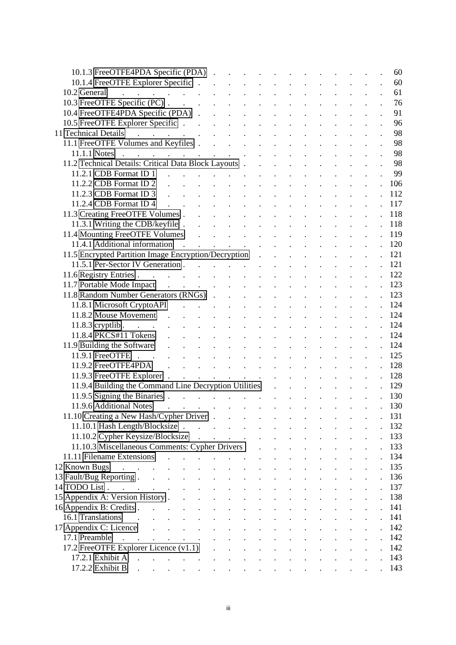| 10.1.3 FreeOTFE4PDA Specific (PDA)                                                                                                                                                                                                                                                        |                                                                                                                                                                                                                                                                                                                                                                                                                                                 |                              |  |  |  |                                                                                                                                                                                                                                |  | 60    |
|-------------------------------------------------------------------------------------------------------------------------------------------------------------------------------------------------------------------------------------------------------------------------------------------|-------------------------------------------------------------------------------------------------------------------------------------------------------------------------------------------------------------------------------------------------------------------------------------------------------------------------------------------------------------------------------------------------------------------------------------------------|------------------------------|--|--|--|--------------------------------------------------------------------------------------------------------------------------------------------------------------------------------------------------------------------------------|--|-------|
| 10.1.4 FreeOTFE Explorer Specific                                                                                                                                                                                                                                                         |                                                                                                                                                                                                                                                                                                                                                                                                                                                 |                              |  |  |  | and the contract of the contract of the contract of the contract of the contract of the contract of the contract of the contract of the contract of the contract of the contract of the contract of the contract of the contra |  | 60    |
| and the contract of the contract of the contract of the contract of the contract of<br>10.2 General                                                                                                                                                                                       |                                                                                                                                                                                                                                                                                                                                                                                                                                                 |                              |  |  |  |                                                                                                                                                                                                                                |  | 61    |
| 10.3 FreeOTFE Specific (PC)<br>10.4 FreeOTFE4PDA Specific (PDA)                                                                                                                                                                                                                           |                                                                                                                                                                                                                                                                                                                                                                                                                                                 |                              |  |  |  |                                                                                                                                                                                                                                |  | 76    |
|                                                                                                                                                                                                                                                                                           |                                                                                                                                                                                                                                                                                                                                                                                                                                                 |                              |  |  |  |                                                                                                                                                                                                                                |  | 91    |
|                                                                                                                                                                                                                                                                                           |                                                                                                                                                                                                                                                                                                                                                                                                                                                 |                              |  |  |  |                                                                                                                                                                                                                                |  | 96    |
| 11 Technical Details<br>and the contract of the contract of the contract of the contract of the contract of the contract of the contract of the contract of the contract of the contract of the contract of the contract of the contract of the contra                                    |                                                                                                                                                                                                                                                                                                                                                                                                                                                 |                              |  |  |  |                                                                                                                                                                                                                                |  | 98    |
| 11.1 FreeOTFE Volumes and Keyfiles                                                                                                                                                                                                                                                        |                                                                                                                                                                                                                                                                                                                                                                                                                                                 |                              |  |  |  |                                                                                                                                                                                                                                |  | 98    |
| $\mathcal{A}$ . The simulation of the simulation of the simulation of $\mathcal{A}$<br>11.1.1 Notes                                                                                                                                                                                       |                                                                                                                                                                                                                                                                                                                                                                                                                                                 |                              |  |  |  |                                                                                                                                                                                                                                |  | 98    |
| 11.2 Technical Details: Critical Data Block Layouts                                                                                                                                                                                                                                       |                                                                                                                                                                                                                                                                                                                                                                                                                                                 |                              |  |  |  |                                                                                                                                                                                                                                |  | 98    |
| 11.2.1 CDB Format ID 1<br>and a series of the contract of the contract of the contract of the contract of the contract of the contract of                                                                                                                                                 |                                                                                                                                                                                                                                                                                                                                                                                                                                                 |                              |  |  |  |                                                                                                                                                                                                                                |  | 99    |
| 11.2.2 CDB Format ID 2<br><u> 1990 - Jan James James James James James James James James James James James James James James James James James James James James James James James James James James James James James James James James James James James</u>                            |                                                                                                                                                                                                                                                                                                                                                                                                                                                 |                              |  |  |  |                                                                                                                                                                                                                                |  | 106   |
| 11.2.3 CDB Format ID 3                                                                                                                                                                                                                                                                    |                                                                                                                                                                                                                                                                                                                                                                                                                                                 |                              |  |  |  |                                                                                                                                                                                                                                |  | 112   |
| 11.2.4 CDB Format ID 4 $\ldots$                                                                                                                                                                                                                                                           | $\label{eq:2.1} \begin{array}{lllllllllllllllll} \mathbf{1}_{\mathbf{1}_{\mathbf{1}_{\mathbf{1}_{\mathbf{1}_{\mathbf{1}_{\mathbf{1}}}}\mathbf{1}_{\mathbf{1}_{\mathbf{1}}\mathbf{1}_{\mathbf{1}}\mathbf{1}_{\mathbf{1}}\mathbf{1}_{\mathbf{1}}\mathbf{1}_{\mathbf{1}_{\mathbf{1}}\mathbf{1}_{\mathbf{1}}\mathbf{1}_{\mathbf{1}}\mathbf{1}_{\mathbf{1}}\mathbf{1}_{\mathbf{1}}\mathbf{1}_{\mathbf{1}}\mathbf{1}_{\mathbf{1}_{\mathbf{1}}\mathbf$ |                              |  |  |  |                                                                                                                                                                                                                                |  | 117   |
|                                                                                                                                                                                                                                                                                           | the contract of the contract of the contract of                                                                                                                                                                                                                                                                                                                                                                                                 |                              |  |  |  |                                                                                                                                                                                                                                |  | 118   |
| 11.3 Creating FreeOTFE Volumes.                                                                                                                                                                                                                                                           |                                                                                                                                                                                                                                                                                                                                                                                                                                                 |                              |  |  |  |                                                                                                                                                                                                                                |  | 118   |
|                                                                                                                                                                                                                                                                                           |                                                                                                                                                                                                                                                                                                                                                                                                                                                 |                              |  |  |  |                                                                                                                                                                                                                                |  |       |
| 11.4 Mounting FreeOTFE Volumes                                                                                                                                                                                                                                                            | the contract of the contract of the contract of the                                                                                                                                                                                                                                                                                                                                                                                             |                              |  |  |  |                                                                                                                                                                                                                                |  | 119   |
| the contract of the contract of the contract of the contract of<br>11.4.1 Additional information                                                                                                                                                                                          |                                                                                                                                                                                                                                                                                                                                                                                                                                                 |                              |  |  |  |                                                                                                                                                                                                                                |  | . 120 |
| 11.5 Encrypted Partition Image Encryption/Decryption                                                                                                                                                                                                                                      |                                                                                                                                                                                                                                                                                                                                                                                                                                                 |                              |  |  |  |                                                                                                                                                                                                                                |  | . 121 |
|                                                                                                                                                                                                                                                                                           |                                                                                                                                                                                                                                                                                                                                                                                                                                                 |                              |  |  |  |                                                                                                                                                                                                                                |  | 121   |
|                                                                                                                                                                                                                                                                                           |                                                                                                                                                                                                                                                                                                                                                                                                                                                 |                              |  |  |  |                                                                                                                                                                                                                                |  | 122   |
| 11.7 Portable Mode Impact (a) a contract of the contract of the contract of the contract of the contract of the contract of the contract of the contract of the contract of the contract of the contract of the contract of th                                                            |                                                                                                                                                                                                                                                                                                                                                                                                                                                 |                              |  |  |  |                                                                                                                                                                                                                                |  | 123   |
| 11.8 Random Number Generators (RNGs)                                                                                                                                                                                                                                                      |                                                                                                                                                                                                                                                                                                                                                                                                                                                 |                              |  |  |  |                                                                                                                                                                                                                                |  | . 123 |
| 11.8.1 Microsoft CryptoAPI                                                                                                                                                                                                                                                                |                                                                                                                                                                                                                                                                                                                                                                                                                                                 |                              |  |  |  |                                                                                                                                                                                                                                |  | . 124 |
| 11.8.2 Mouse Movement                                                                                                                                                                                                                                                                     |                                                                                                                                                                                                                                                                                                                                                                                                                                                 |                              |  |  |  |                                                                                                                                                                                                                                |  | 124   |
|                                                                                                                                                                                                                                                                                           |                                                                                                                                                                                                                                                                                                                                                                                                                                                 |                              |  |  |  |                                                                                                                                                                                                                                |  | 124   |
| 11.8.4 PKCS#11 Tokens<br>and a series of the series of the series of the series of the                                                                                                                                                                                                    |                                                                                                                                                                                                                                                                                                                                                                                                                                                 |                              |  |  |  |                                                                                                                                                                                                                                |  | 124   |
| 11.9 Building the Software                                                                                                                                                                                                                                                                |                                                                                                                                                                                                                                                                                                                                                                                                                                                 |                              |  |  |  |                                                                                                                                                                                                                                |  | . 124 |
| $\mathcal{L}^{\mathcal{L}}$ . The set of the set of the set of the set of $\mathcal{L}^{\mathcal{L}}$<br>11.9.1 FreeOTFE                                                                                                                                                                  |                                                                                                                                                                                                                                                                                                                                                                                                                                                 |                              |  |  |  |                                                                                                                                                                                                                                |  | . 125 |
| $\mathcal{L}^{\mathcal{A}}$ . The set of the set of the set of the set of the set of the $\mathcal{A}$<br>11.9.2 FreeOTFE4PDA                                                                                                                                                             |                                                                                                                                                                                                                                                                                                                                                                                                                                                 |                              |  |  |  |                                                                                                                                                                                                                                |  | . 128 |
| 11.9.3 FreeOTFE Explorer example and the contract of the state of the state of the state of the state of the state of the state of the state of the state of the state of the state of the state of the state of the state of                                                             |                                                                                                                                                                                                                                                                                                                                                                                                                                                 |                              |  |  |  |                                                                                                                                                                                                                                |  | . 128 |
| 11.9.4 Building the Command Line Decryption Utilities                                                                                                                                                                                                                                     |                                                                                                                                                                                                                                                                                                                                                                                                                                                 |                              |  |  |  |                                                                                                                                                                                                                                |  | 129   |
| 11.9.5 Signing the Binaries.<br>and the contract of the contract of the contract of                                                                                                                                                                                                       |                                                                                                                                                                                                                                                                                                                                                                                                                                                 |                              |  |  |  |                                                                                                                                                                                                                                |  | 130   |
| 11.9.6 Additional Notes<br>$\mathbf{r} = \left\{ \mathbf{r} \in \mathbb{R}^d \mid \mathbf{r} \in \mathbb{R}^d \right\}$                                                                                                                                                                   |                                                                                                                                                                                                                                                                                                                                                                                                                                                 |                              |  |  |  |                                                                                                                                                                                                                                |  | 130   |
| 11.10 Creating a New Hash/Cypher Driver.                                                                                                                                                                                                                                                  |                                                                                                                                                                                                                                                                                                                                                                                                                                                 | $\sim$ 100 $\sim$ 100 $\sim$ |  |  |  |                                                                                                                                                                                                                                |  | 131   |
| 11.10.1 Hash Length/Blocksize.<br>$\sim$                                                                                                                                                                                                                                                  | and the contract of the contract of                                                                                                                                                                                                                                                                                                                                                                                                             |                              |  |  |  |                                                                                                                                                                                                                                |  | 132   |
| 11.10.2 Cypher Keysize/Blocksize                                                                                                                                                                                                                                                          |                                                                                                                                                                                                                                                                                                                                                                                                                                                 |                              |  |  |  |                                                                                                                                                                                                                                |  | 133   |
| 11.10.3 Miscellaneous Comments: Cypher Drivers                                                                                                                                                                                                                                            |                                                                                                                                                                                                                                                                                                                                                                                                                                                 |                              |  |  |  |                                                                                                                                                                                                                                |  | 133   |
| 11.11 Filename Extensions<br>and the contract of the contract of the contract of the contract of the contract of the contract of the contract of the contract of the contract of the contract of the contract of the contract of the contract of the contra                               |                                                                                                                                                                                                                                                                                                                                                                                                                                                 |                              |  |  |  |                                                                                                                                                                                                                                |  | 134   |
| 12 Known Bugs<br>$\mathcal{A}^{\mathcal{A}}$ . The set of the set of the set of the set of the set of the set of the set of the set of the set of the set of the set of the set of the set of the set of the set of the set of the set of the set of the s                                |                                                                                                                                                                                                                                                                                                                                                                                                                                                 |                              |  |  |  |                                                                                                                                                                                                                                |  | 135   |
| 13 Fault/Bug Reporting.<br>and the contract of the contract of<br>$\sim$ $\sim$                                                                                                                                                                                                           |                                                                                                                                                                                                                                                                                                                                                                                                                                                 |                              |  |  |  |                                                                                                                                                                                                                                |  | 136   |
| 14 TODO List.<br><u>na na manang mga sangayon ng mga sangayon ng mga sangayon ng mga sangayon ng mga sangayon ng mga sangayon ng mga sangayon ng mga sangayon ng mga sangayon ng mga sangayon ng mga sangayon ng mga sangayon ng mga sangayon ng </u>                                     |                                                                                                                                                                                                                                                                                                                                                                                                                                                 |                              |  |  |  |                                                                                                                                                                                                                                |  | 137   |
| 15 Appendix A: Version History.                                                                                                                                                                                                                                                           |                                                                                                                                                                                                                                                                                                                                                                                                                                                 |                              |  |  |  |                                                                                                                                                                                                                                |  | 138   |
| 16 Appendix B: Credits.<br>$\mathbf{r}$ , $\mathbf{r}$                                                                                                                                                                                                                                    |                                                                                                                                                                                                                                                                                                                                                                                                                                                 |                              |  |  |  |                                                                                                                                                                                                                                |  | 141   |
| 16.1 Translations<br>$\mathbb{R}^2$                                                                                                                                                                                                                                                       |                                                                                                                                                                                                                                                                                                                                                                                                                                                 |                              |  |  |  |                                                                                                                                                                                                                                |  | 141   |
| 17 Appendix C: Licence<br>and the contract of the contract of                                                                                                                                                                                                                             |                                                                                                                                                                                                                                                                                                                                                                                                                                                 |                              |  |  |  |                                                                                                                                                                                                                                |  | 142   |
| $\label{eq:2.1} \mathcal{L}^{(1)}\left(\mathcal{L}^{(1)}\right) = \mathcal{L}^{(1)}\left(\mathcal{L}^{(1)}\right) = \mathcal{L}^{(1)}\left(\mathcal{L}^{(1)}\right) = \mathcal{L}^{(1)}\left(\mathcal{L}^{(1)}\right) = \mathcal{L}^{(1)}\left(\mathcal{L}^{(1)}\right)$<br>17.1 Preamble |                                                                                                                                                                                                                                                                                                                                                                                                                                                 |                              |  |  |  |                                                                                                                                                                                                                                |  | 142   |
| 17.2 FreeOTFE Explorer Licence (v1.1)                                                                                                                                                                                                                                                     |                                                                                                                                                                                                                                                                                                                                                                                                                                                 |                              |  |  |  |                                                                                                                                                                                                                                |  | 142   |
| 17.2.1 Exhibit A<br>$\sim$<br>$\mathcal{L}(\mathcal{A})$ . The contribution of the $\mathcal{A}(\mathcal{A})$                                                                                                                                                                             |                                                                                                                                                                                                                                                                                                                                                                                                                                                 |                              |  |  |  |                                                                                                                                                                                                                                |  | 143   |
| 17.2.2 Exhibit B<br>the contract of the contract of the contract of the contract of the contract of                                                                                                                                                                                       |                                                                                                                                                                                                                                                                                                                                                                                                                                                 |                              |  |  |  |                                                                                                                                                                                                                                |  | 143   |
|                                                                                                                                                                                                                                                                                           |                                                                                                                                                                                                                                                                                                                                                                                                                                                 |                              |  |  |  |                                                                                                                                                                                                                                |  |       |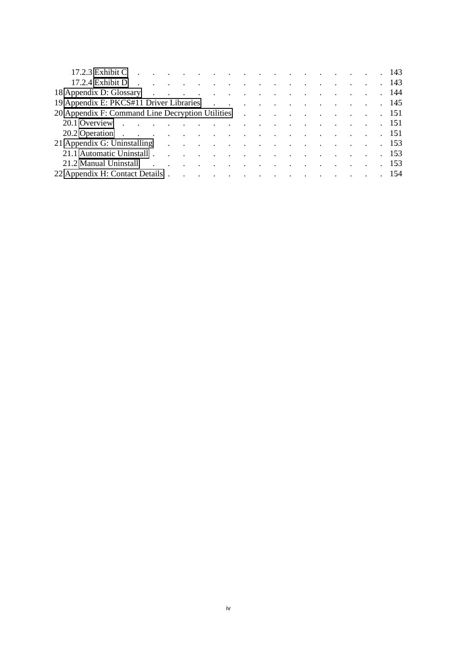| 18 Appendix D: Glossary 144                                                                                                                                                                                                    |  |  |  |  |  |  |  |  |
|--------------------------------------------------------------------------------------------------------------------------------------------------------------------------------------------------------------------------------|--|--|--|--|--|--|--|--|
| 19 Appendix E: PKCS#11 Driver Libraries 145                                                                                                                                                                                    |  |  |  |  |  |  |  |  |
| 20 Appendix F: Command Line Decryption Utilities 151                                                                                                                                                                           |  |  |  |  |  |  |  |  |
|                                                                                                                                                                                                                                |  |  |  |  |  |  |  |  |
| 20.2 Operation and the contract of the contract of the contract of the contract of the contract of the contract of the contract of the contract of the contract of the contract of the contract of the contract of the contrac |  |  |  |  |  |  |  |  |
| 21 Appendix G: Uninstalling (a) and the contract of the contract of the contract of the contract of the contract of the contract of the contract of the contract of the contract of the contract of the contract of the contra |  |  |  |  |  |  |  |  |
|                                                                                                                                                                                                                                |  |  |  |  |  |  |  |  |
| 21.2 Manual Uninstall (21.2 Manual Uninstall (21.2 Manual Uninstall (21.2 Manual Uninstall Communist)                                                                                                                          |  |  |  |  |  |  |  |  |
|                                                                                                                                                                                                                                |  |  |  |  |  |  |  |  |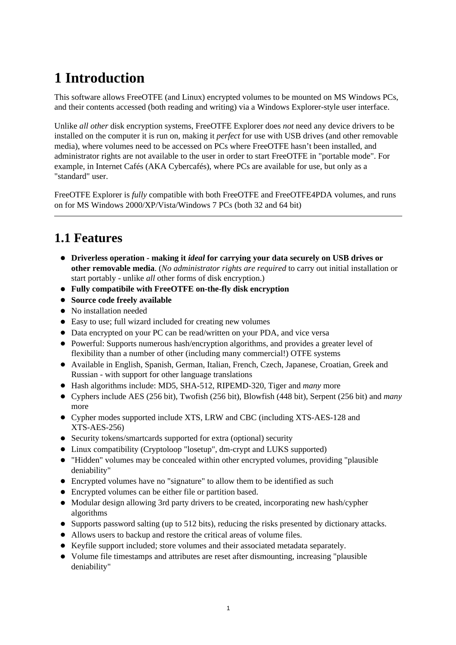# <span id="page-6-0"></span>**1 Introduction**

This software allows FreeOTFE (and Linux) encrypted volumes to be mounted on MS Windows PCs, and their contents accessed (both reading and writing) via a Windows Explorer-style user interface.

Unlike *all other* disk encryption systems, FreeOTFE Explorer does *not* need any device drivers to be installed on the computer it is run on, making it *perfect* for use with USB drives (and other removable media), where volumes need to be accessed on PCs where FreeOTFE hasn't been installed, and administrator rights are not available to the user in order to start FreeOTFE in "portable mode". For example, in Internet Cafés (AKA Cybercafés), where PCs are available for use, but only as a "standard" user.

FreeOTFE Explorer is *fully* compatible with both FreeOTFE and FreeOTFE4PDA volumes, and runs on for MS Windows 2000/XP/Vista/Windows 7 PCs (both 32 and 64 bit)

# <span id="page-6-1"></span>**1.1 Features**

- **Driverless operation making it** *ideal* **for carrying your data securely on USB drives or other removable media**. (*No administrator rights are required* to carry out initial installation or start portably - unlike *all* other forms of disk encryption.)
- **Fully compatibile with FreeOTFE on-the-fly disk encryption**
- **Source code freely available**
- No installation needed
- Easy to use; full wizard included for creating new volumes
- Data encrypted on your PC can be read/written on your PDA, and vice versa
- Powerful: Supports numerous hash/encryption algorithms, and provides a greater level of flexibility than a number of other (including many commercial!) OTFE systems
- Available in English, Spanish, German, Italian, French, Czech, Japanese, Croatian, Greek and Russian - with support for other language translations
- Hash algorithms include: MD5, SHA-512, RIPEMD-320, Tiger and *many* more
- Cyphers include AES (256 bit), Twofish (256 bit), Blowfish (448 bit), Serpent (256 bit) and *many* more
- Cypher modes supported include XTS, LRW and CBC (including XTS-AES-128 and XTS-AES-256)
- Security tokens/smartcards supported for extra (optional) security
- Linux compatibility (Cryptoloop "losetup", dm-crypt and LUKS supported)
- "Hidden" volumes may be concealed within other encrypted volumes, providing "plausible deniability"
- Encrypted volumes have no "signature" to allow them to be identified as such
- Encrypted volumes can be either file or partition based.
- Modular design allowing 3rd party drivers to be created, incorporating new hash/cypher algorithms
- $\bullet$  Supports password salting (up to 512 bits), reducing the risks presented by dictionary attacks.
- Allows users to backup and restore the critical areas of volume files.
- Keyfile support included; store volumes and their associated metadata separately.
- Volume file timestamps and attributes are reset after dismounting, increasing "plausible deniability"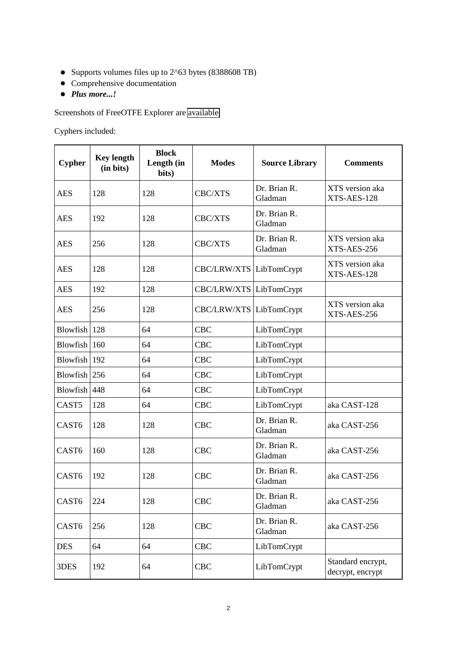- Supports volumes files up to 2^63 bytes (8388608 TB)
- Comprehensive documentation
- *Plus more...!*

Screenshots of FreeOTFE Explorer are [available](http://www.FreeOTFE.org/screenshots_pc_explorer.html) 

Cyphers included:

| <b>Cypher</b>     | <b>Key length</b><br>(in bits) | <b>Block</b><br>Length (in<br>bits) | <b>Modes</b>            | <b>Source Library</b>   | <b>Comments</b>                       |
|-------------------|--------------------------------|-------------------------------------|-------------------------|-------------------------|---------------------------------------|
| <b>AES</b>        | 128                            | 128                                 | <b>CBC/XTS</b>          | Dr. Brian R.<br>Gladman | XTS version aka<br>XTS-AES-128        |
| <b>AES</b>        | 192                            | 128                                 | <b>CBC/XTS</b>          | Dr. Brian R.<br>Gladman |                                       |
| <b>AES</b>        | 256                            | 128                                 | CBC/XTS                 | Dr. Brian R.<br>Gladman | XTS version aka<br>XTS-AES-256        |
| <b>AES</b>        | 128                            | 128                                 | CBC/LRW/XTS LibTomCrypt |                         | XTS version aka<br>XTS-AES-128        |
| <b>AES</b>        | 192                            | 128                                 | CBC/LRW/XTS LibTomCrypt |                         |                                       |
| <b>AES</b>        | 256                            | 128                                 | <b>CBC/LRW/XTS</b>      | LibTomCrypt             | XTS version aka<br>XTS-AES-256        |
| Blowfish          | 128                            | 64                                  | <b>CBC</b>              | LibTomCrypt             |                                       |
| Blowfish          | 160                            | 64                                  | <b>CBC</b>              | LibTomCrypt             |                                       |
| Blowfish 192      |                                | 64                                  | <b>CBC</b>              | LibTomCrypt             |                                       |
| Blowfish $256$    |                                | 64                                  | <b>CBC</b>              | LibTomCrypt             |                                       |
| Blowfish $ 448$   |                                | 64                                  | <b>CBC</b>              | LibTomCrypt             |                                       |
| CAST <sub>5</sub> | 128                            | 64                                  | <b>CBC</b>              | LibTomCrypt             | aka CAST-128                          |
| CAST <sub>6</sub> | 128                            | 128                                 | <b>CBC</b>              | Dr. Brian R.<br>Gladman | aka CAST-256                          |
| CAST <sub>6</sub> | 160                            | 128                                 | <b>CBC</b>              | Dr. Brian R.<br>Gladman | aka CAST-256                          |
| CAST <sub>6</sub> | 192                            | 128                                 | <b>CBC</b>              | Dr. Brian R.<br>Gladman | aka CAST-256                          |
| CAST <sub>6</sub> | 224                            | 128                                 | <b>CBC</b>              | Dr. Brian R.<br>Gladman | aka CAST-256                          |
| CAST <sub>6</sub> | 256                            | 128                                 | <b>CBC</b>              | Dr. Brian R.<br>Gladman | aka CAST-256                          |
| <b>DES</b>        | 64                             | 64                                  | <b>CBC</b>              | LibTomCrypt             |                                       |
| 3DES              | 192                            | 64                                  | CBC                     | LibTomCrypt             | Standard encrypt,<br>decrypt, encrypt |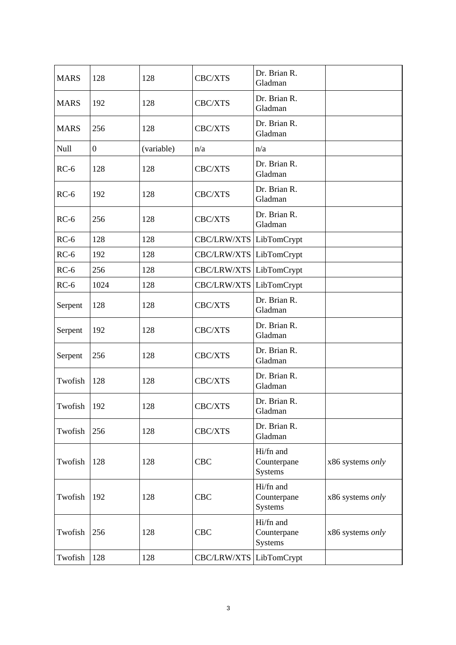| <b>MARS</b> | 128              | 128        | CBC/XTS                 | Dr. Brian R.<br>Gladman                    |                  |
|-------------|------------------|------------|-------------------------|--------------------------------------------|------------------|
| <b>MARS</b> | 192              | 128        | CBC/XTS                 | Dr. Brian R.<br>Gladman                    |                  |
| <b>MARS</b> | 256              | 128        | CBC/XTS                 | Dr. Brian R.<br>Gladman                    |                  |
| Null        | $\boldsymbol{0}$ | (variable) | n/a                     | n/a                                        |                  |
| $RC-6$      | 128              | 128        | CBC/XTS                 | Dr. Brian R.<br>Gladman                    |                  |
| $RC-6$      | 192              | 128        | CBC/XTS                 | Dr. Brian R.<br>Gladman                    |                  |
| $RC-6$      | 256              | 128        | <b>CBC/XTS</b>          | Dr. Brian R.<br>Gladman                    |                  |
| $RC-6$      | 128              | 128        | CBC/LRW/XTS LibTomCrypt |                                            |                  |
| $RC-6$      | 192              | 128        | CBC/LRW/XTS             | LibTomCrypt                                |                  |
| $RC-6$      | 256              | 128        | <b>CBC/LRW/XTS</b>      | LibTomCrypt                                |                  |
| $RC-6$      | 1024             | 128        | CBC/LRW/XTS             | LibTomCrypt                                |                  |
| Serpent     | 128              | 128        | CBC/XTS                 | Dr. Brian R.<br>Gladman                    |                  |
| Serpent     | 192              | 128        | CBC/XTS                 | Dr. Brian R.<br>Gladman                    |                  |
| Serpent     | 256              | 128        | CBC/XTS                 | Dr. Brian R.<br>Gladman                    |                  |
| Twofish     | 128              | 128        | CBC/XTS                 | Dr. Brian R.<br>Gladman                    |                  |
| Twofish     | 192              | 128        | CBC/XTS                 | Dr. Brian R.<br>Gladman                    |                  |
| Twofish     | 256              | 128        | CBC/XTS                 | Dr. Brian R.<br>Gladman                    |                  |
| Twofish     | 128              | 128        | CBC                     | Hi/fn and<br>Counterpane<br>Systems        | x86 systems only |
| Twofish     | 192              | 128        | CBC                     | Hi/fn and<br>Counterpane<br>Systems        | x86 systems only |
| Twofish     | 256              | 128        | CBC                     | Hi/fn and<br>Counterpane<br><b>Systems</b> | x86 systems only |
| Twofish     | 128              | 128        | CBC/LRW/XTS             | LibTomCrypt                                |                  |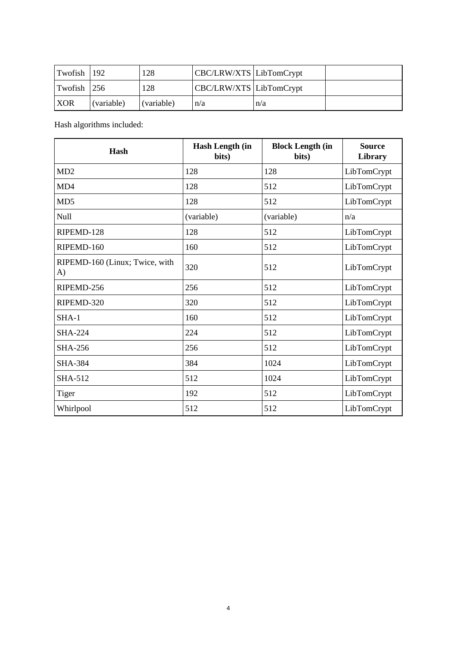| $\vert$ Twofish $\vert$ 192 |            | 128        | CBC/LRW/XTS LibTomCrypt |     |  |
|-----------------------------|------------|------------|-------------------------|-----|--|
| Twofish $ 256 $             |            | 128        | CBC/LRW/XTS LibTomCrypt |     |  |
| <b>XOR</b>                  | (variable) | (variable) | n/a                     | n/a |  |

Hash algorithms included:

| Hash                                 | <b>Hash Length (in</b><br>bits) | <b>Block Length (in</b><br>bits) | <b>Source</b><br>Library |
|--------------------------------------|---------------------------------|----------------------------------|--------------------------|
| MD2                                  | 128                             | 128                              | LibTomCrypt              |
| MD4                                  | 128                             | 512                              | LibTomCrypt              |
| MD <sub>5</sub>                      | 128                             | 512                              | LibTomCrypt              |
| Null                                 | (variable)                      | (variable)                       | n/a                      |
| RIPEMD-128                           | 128                             | 512                              | LibTomCrypt              |
| RIPEMD-160                           | 160                             | 512                              | LibTomCrypt              |
| RIPEMD-160 (Linux; Twice, with<br>A) | 320                             | 512                              | LibTomCrypt              |
| RIPEMD-256                           | 256                             | 512                              | LibTomCrypt              |
| RIPEMD-320                           | 320                             | 512                              | LibTomCrypt              |
| $SHA-1$                              | 160                             | 512                              | LibTomCrypt              |
| <b>SHA-224</b>                       | 224                             | 512                              | LibTomCrypt              |
| <b>SHA-256</b>                       | 256                             | 512                              | LibTomCrypt              |
| <b>SHA-384</b>                       | 384                             | 1024                             | LibTomCrypt              |
| <b>SHA-512</b>                       | 512                             | 1024                             | LibTomCrypt              |
| Tiger                                | 192                             | 512                              | LibTomCrypt              |
| Whirlpool                            | 512                             | 512                              | LibTomCrypt              |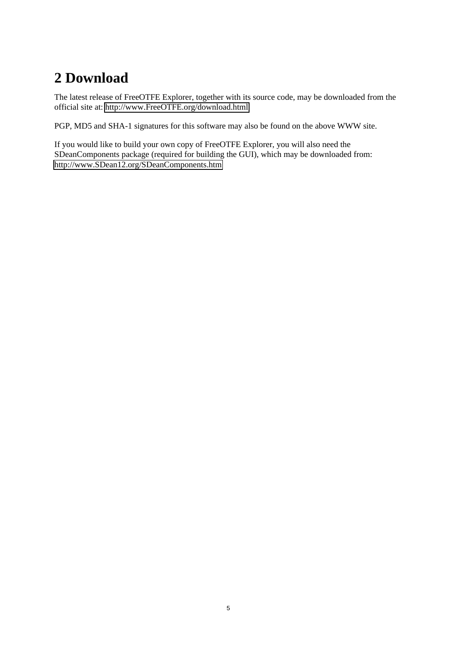# <span id="page-10-0"></span>**2 Download**

The latest release of FreeOTFE Explorer, together with its source code, may be downloaded from the official site at:<http://www.FreeOTFE.org/download.html>

PGP, MD5 and SHA-1 signatures for this software may also be found on the above WWW site.

If you would like to build your own copy of FreeOTFE Explorer, you will also need the SDeanComponents package (required for building the GUI), which may be downloaded from: <http://www.SDean12.org/SDeanComponents.htm>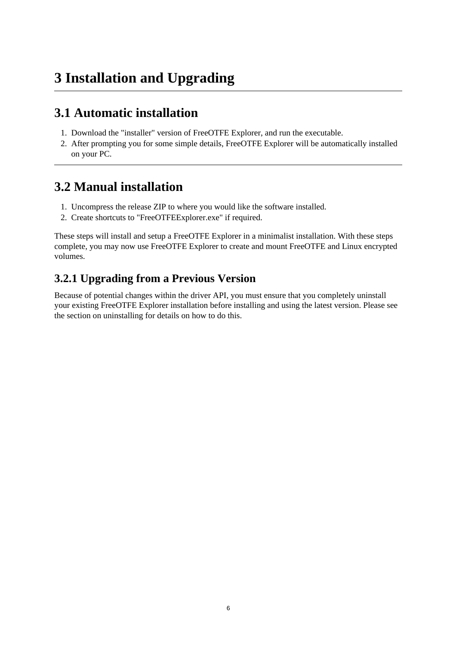## <span id="page-11-1"></span><span id="page-11-0"></span>**3.1 Automatic installation**

- 1. Download the "installer" version of FreeOTFE Explorer, and run the executable.
- 2. After prompting you for some simple details, FreeOTFE Explorer will be automatically installed on your PC.

# <span id="page-11-2"></span>**3.2 Manual installation**

- 1. Uncompress the release ZIP to where you would like the software installed.
- 2. Create shortcuts to "FreeOTFEExplorer.exe" if required.

These steps will install and setup a FreeOTFE Explorer in a minimalist installation. With these steps complete, you may now use FreeOTFE Explorer to create and mount FreeOTFE and Linux encrypted volumes.

## <span id="page-11-3"></span>**3.2.1 Upgrading from a Previous Version**

Because of potential changes within the driver API, you must ensure that you completely uninstall your existing FreeOTFE Explorer installation before installing and using the latest version. Please see the section on uninstalling for details on how to do this.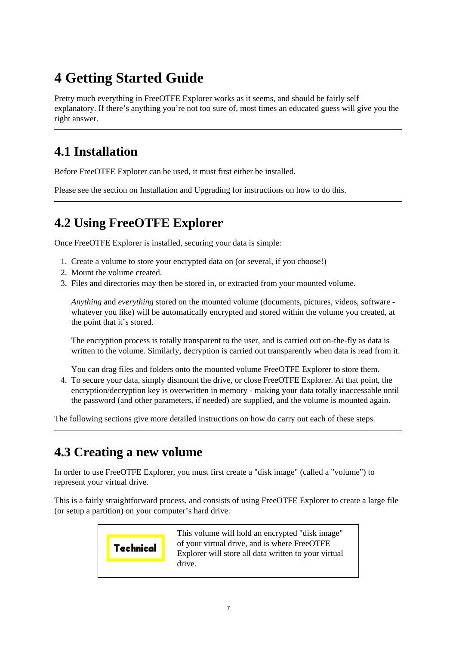# <span id="page-12-0"></span>**4 Getting Started Guide**

Pretty much everything in FreeOTFE Explorer works as it seems, and should be fairly self explanatory. If there's anything you're not too sure of, most times an educated guess will give you the right answer.

# <span id="page-12-1"></span>**4.1 Installation**

Before FreeOTFE Explorer can be used, it must first either be installed.

Please see the section on Installation and Upgrading for instructions on how to do this.

# <span id="page-12-2"></span>**4.2 Using FreeOTFE Explorer**

Once FreeOTFE Explorer is installed, securing your data is simple:

- 1. Create a volume to store your encrypted data on (or several, if you choose!)
- 2. Mount the volume created.
- 3. Files and directories may then be stored in, or extracted from your mounted volume.

*Anything* and *everything* stored on the mounted volume (documents, pictures, videos, software whatever you like) will be automatically encrypted and stored within the volume you created, at the point that it's stored.

The encryption process is totally transparent to the user, and is carried out on-the-fly as data is written to the volume. Similarly, decryption is carried out transparently when data is read from it.

You can drag files and folders onto the mounted volume FreeOTFE Explorer to store them.

4. To secure your data, simply dismount the drive, or close FreeOTFE Explorer. At that point, the encryption/decryption key is overwritten in memory - making your data totally inaccessable until the password (and other parameters, if needed) are supplied, and the volume is mounted again.

The following sections give more detailed instructions on how do carry out each of these steps.

### <span id="page-12-3"></span>**4.3 Creating a new volume**

In order to use FreeOTFE Explorer, you must first create a "disk image" (called a "volume") to represent your virtual drive.

This is a fairly straightforward process, and consists of using FreeOTFE Explorer to create a large file (or setup a partition) on your computer's hard drive.

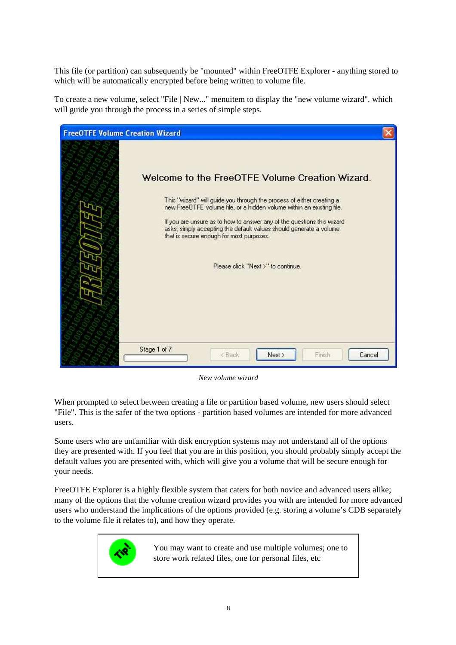This file (or partition) can subsequently be "mounted" within FreeOTFE Explorer - anything stored to which will be automatically encrypted before being written to volume file.

To create a new volume, select "File | New..." menuitem to display the "new volume wizard", which will guide you through the process in a series of simple steps.



*New volume wizard*

When prompted to select between creating a file or partition based volume, new users should select "File". This is the safer of the two options - partition based volumes are intended for more advanced users.

Some users who are unfamiliar with disk encryption systems may not understand all of the options they are presented with. If you feel that you are in this position, you should probably simply accept the default values you are presented with, which will give you a volume that will be secure enough for your needs.

FreeOTFE Explorer is a highly flexible system that caters for both novice and advanced users alike; many of the options that the volume creation wizard provides you with are intended for more advanced users who understand the implications of the options provided (e.g. storing a volume's CDB separately to the volume file it relates to), and how they operate.



You may want to create and use multiple volumes; one to store work related files, one for personal files, etc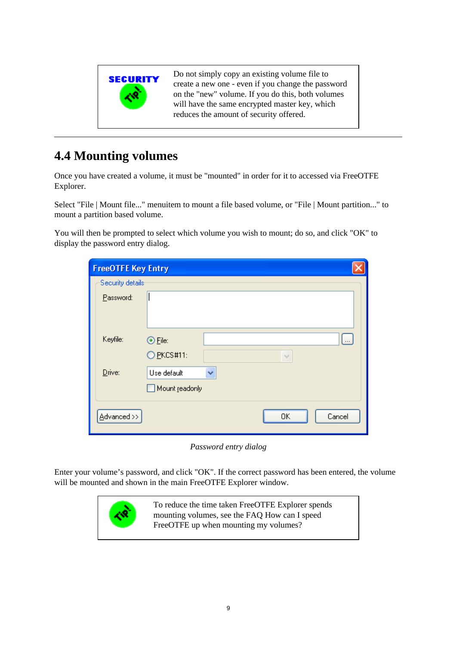<span id="page-14-0"></span>

Do not simply copy an existing volume file to create a new one - even if you change the password on the "new" volume. If you do this, both volumes will have the same encrypted master key, which reduces the amount of security offered.

# **4.4 Mounting volumes**

Once you have created a volume, it must be "mounted" in order for it to accessed via FreeOTFE Explorer.

Select "File | Mount file..." menuitem to mount a file based volume, or "File | Mount partition..." to mount a partition based volume.

You will then be prompted to select which volume you wish to mount; do so, and click "OK" to display the password entry dialog.

| <b>FreeOTFE Key Entry</b> |                       |   |        |           |
|---------------------------|-----------------------|---|--------|-----------|
| Security details:         |                       |   |        |           |
| Password:                 |                       |   |        |           |
| Keyfile:                  | $\odot$ File:         |   |        | $\ddotsc$ |
|                           | $Q$ PKCS#11:          |   | $\sim$ |           |
| Drive:                    | Use default           | v |        |           |
|                           | $\Box$ Mount readonly |   |        |           |
| Advanced >>               |                       |   | 0K     | Cancel    |

*Password entry dialog*

Enter your volume's password, and click "OK". If the correct password has been entered, the volume will be mounted and shown in the main FreeOTFE Explorer window.



To reduce the time taken FreeOTFE Explorer spends mounting volumes, see the FAQ How can I speed FreeOTFE up when mounting my volumes?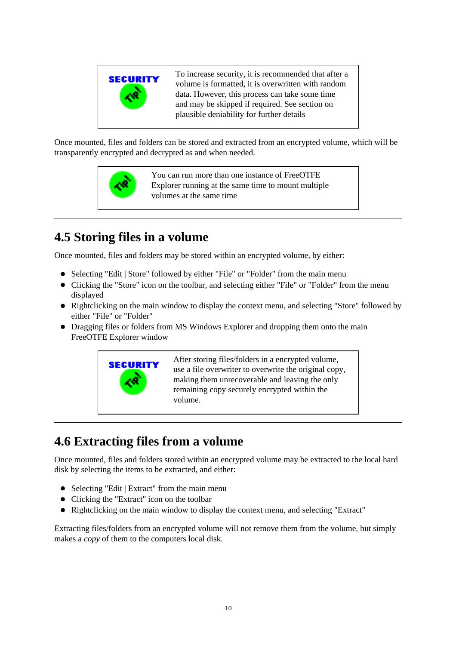<span id="page-15-0"></span>

To increase security, it is recommended that after a volume is formatted, it is overwritten with random data. However, this process can take some time and may be skipped if required. See section on plausible deniability for further details

Once mounted, files and folders can be stored and extracted from an encrypted volume, which will be transparently encrypted and decrypted as and when needed.



You can run more than one instance of FreeOTFE Explorer running at the same time to mount multiple volumes at the same time

# **4.5 Storing files in a volume**

Once mounted, files and folders may be stored within an encrypted volume, by either:

- Selecting "Edit | Store" followed by either "File" or "Folder" from the main menu
- Clicking the "Store" icon on the toolbar, and selecting either "File" or "Folder" from the menu displayed
- Rightclicking on the main window to display the context menu, and selecting "Store" followed by either "File" or "Folder"
- Dragging files or folders from MS Windows Explorer and dropping them onto the main FreeOTFE Explorer window



After storing files/folders in a encrypted volume, use a file overwriter to overwrite the original copy, making them unrecoverable and leaving the only remaining copy securely encrypted within the volume.

# **4.6 Extracting files from a volume**

Once mounted, files and folders stored within an encrypted volume may be extracted to the local hard disk by selecting the items to be extracted, and either:

- Selecting "Edit | Extract" from the main menu
- Clicking the "Extract" icon on the toolbar
- Rightclicking on the main window to display the context menu, and selecting "Extract"

Extracting files/folders from an encrypted volume will not remove them from the volume, but simply makes a *copy* of them to the computers local disk.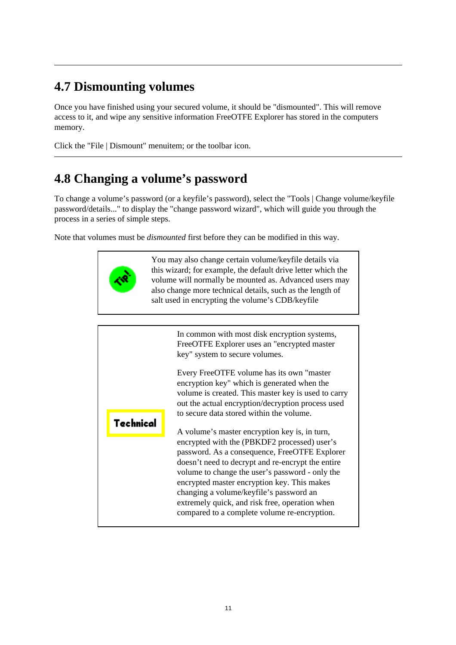# <span id="page-16-0"></span>**4.7 Dismounting volumes**

Once you have finished using your secured volume, it should be "dismounted". This will remove access to it, and wipe any sensitive information FreeOTFE Explorer has stored in the computers memory.

Click the "File | Dismount" menuitem; or the toolbar icon.

## <span id="page-16-1"></span>**4.8 Changing a volume's password**

To change a volume's password (or a keyfile's password), select the "Tools | Change volume/keyfile password/details..." to display the "change password wizard", which will guide you through the process in a series of simple steps.

Note that volumes must be *dismounted* first before they can be modified in this way.



You may also change certain volume/keyfile details via this wizard; for example, the default drive letter which the volume will normally be mounted as. Advanced users may also change more technical details, such as the length of salt used in encrypting the volume's CDB/keyfile

|           | In common with most disk encryption systems,<br>FreeOTFE Explorer uses an "encrypted master"<br>key" system to secure volumes.                                                                                                                                                                                                                                                                                                                                                                                                                                                                                                                                                                          |
|-----------|---------------------------------------------------------------------------------------------------------------------------------------------------------------------------------------------------------------------------------------------------------------------------------------------------------------------------------------------------------------------------------------------------------------------------------------------------------------------------------------------------------------------------------------------------------------------------------------------------------------------------------------------------------------------------------------------------------|
| Technical | Every FreeOTFE volume has its own "master"<br>encryption key" which is generated when the<br>volume is created. This master key is used to carry<br>out the actual encryption/decryption process used<br>to secure data stored within the volume.<br>A volume's master encryption key is, in turn,<br>encrypted with the (PBKDF2 processed) user's<br>password. As a consequence, FreeOTFE Explorer<br>doesn't need to decrypt and re-encrypt the entire<br>volume to change the user's password - only the<br>encrypted master encryption key. This makes<br>changing a volume/keyfile's password an<br>extremely quick, and risk free, operation when<br>compared to a complete volume re-encryption. |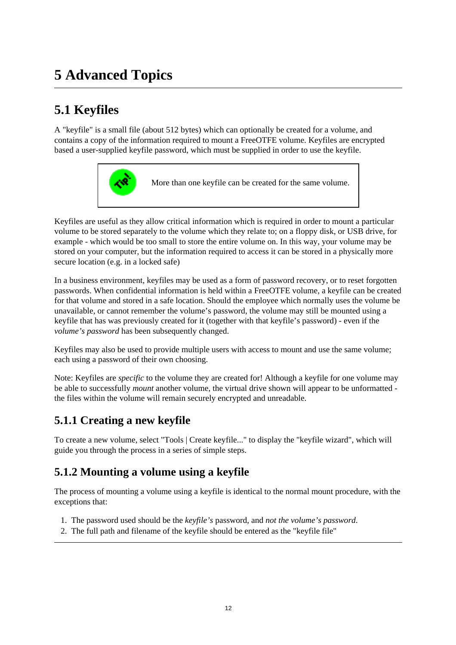# <span id="page-17-0"></span>**5 Advanced Topics**

# <span id="page-17-1"></span>**5.1 Keyfiles**

A "keyfile" is a small file (about 512 bytes) which can optionally be created for a volume, and contains a copy of the information required to mount a FreeOTFE volume. Keyfiles are encrypted based a user-supplied keyfile password, which must be supplied in order to use the keyfile.



More than one keyfile can be created for the same volume.

Keyfiles are useful as they allow critical information which is required in order to mount a particular volume to be stored separately to the volume which they relate to; on a floppy disk, or USB drive, for example - which would be too small to store the entire volume on. In this way, your volume may be stored on your computer, but the information required to access it can be stored in a physically more secure location (e.g. in a locked safe)

In a business environment, keyfiles may be used as a form of password recovery, or to reset forgotten passwords. When confidential information is held within a FreeOTFE volume, a keyfile can be created for that volume and stored in a safe location. Should the employee which normally uses the volume be unavailable, or cannot remember the volume's password, the volume may still be mounted using a keyfile that has was previously created for it (together with that keyfile's password) - even if the *volume's password* has been subsequently changed.

Keyfiles may also be used to provide multiple users with access to mount and use the same volume; each using a password of their own choosing.

Note: Keyfiles are *specific* to the volume they are created for! Although a keyfile for one volume may be able to successfully *mount* another volume, the virtual drive shown will appear to be unformatted the files within the volume will remain securely encrypted and unreadable.

### <span id="page-17-2"></span>**5.1.1 Creating a new keyfile**

To create a new volume, select "Tools | Create keyfile..." to display the "keyfile wizard", which will guide you through the process in a series of simple steps.

### <span id="page-17-3"></span>**5.1.2 Mounting a volume using a keyfile**

The process of mounting a volume using a keyfile is identical to the normal mount procedure, with the exceptions that:

- 1. The password used should be the *keyfile's* password, and *not the volume's password*.
- 2. The full path and filename of the keyfile should be entered as the "keyfile file"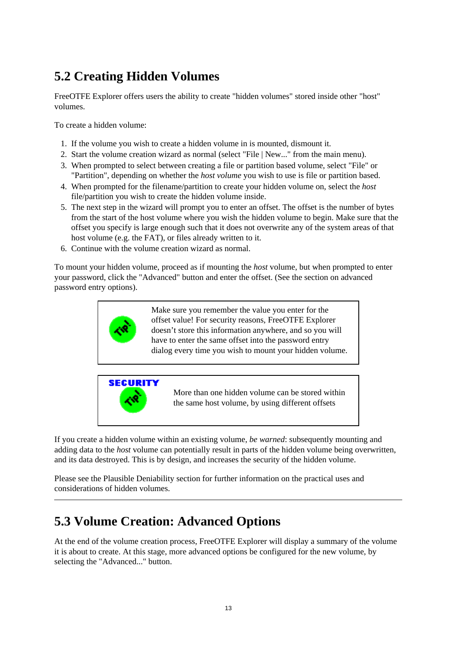# <span id="page-18-0"></span>**5.2 Creating Hidden Volumes**

FreeOTFE Explorer offers users the ability to create "hidden volumes" stored inside other "host" volumes.

To create a hidden volume:

- 1. If the volume you wish to create a hidden volume in is mounted, dismount it.
- 2. Start the volume creation wizard as normal (select "File | New..." from the main menu).
- 3. When prompted to select between creating a file or partition based volume, select "File" or "Partition", depending on whether the *host volume* you wish to use is file or partition based.
- 4. When prompted for the filename/partition to create your hidden volume on, select the *host* file/partition you wish to create the hidden volume inside.
- 5. The next step in the wizard will prompt you to enter an offset. The offset is the number of bytes from the start of the host volume where you wish the hidden volume to begin. Make sure that the offset you specify is large enough such that it does not overwrite any of the system areas of that host volume (e.g. the FAT), or files already written to it.
- 6. Continue with the volume creation wizard as normal.

To mount your hidden volume, proceed as if mounting the *host* volume, but when prompted to enter your password, click the "Advanced" button and enter the offset. (See the section on advanced password entry options).



Make sure you remember the value you enter for the offset value! For security reasons, FreeOTFE Explorer doesn't store this information anywhere, and so you will have to enter the same offset into the password entry dialog every time you wish to mount your hidden volume.



More than one hidden volume can be stored within the same host volume, by using different offsets

If you create a hidden volume within an existing volume, *be warned*: subsequently mounting and adding data to the *host* volume can potentially result in parts of the hidden volume being overwritten, and its data destroyed. This is by design, and increases the security of the hidden volume.

Please see the Plausible Deniability section for further information on the practical uses and considerations of hidden volumes.

# <span id="page-18-1"></span>**5.3 Volume Creation: Advanced Options**

At the end of the volume creation process, FreeOTFE Explorer will display a summary of the volume it is about to create. At this stage, more advanced options be configured for the new volume, by selecting the "Advanced..." button.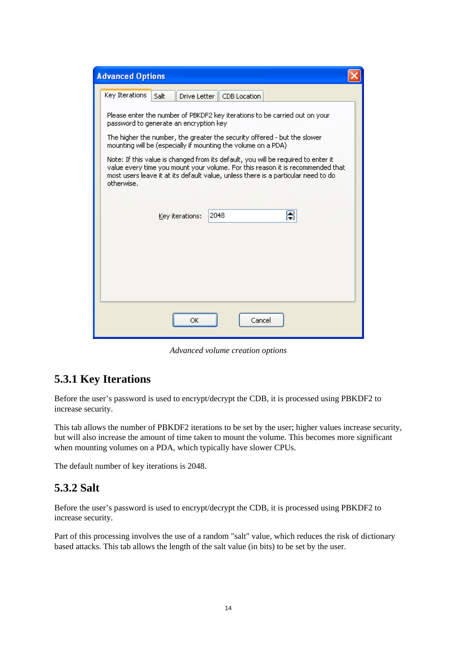| <b>Advanced Options</b>                                                                                                                                                                                                                                               |  |
|-----------------------------------------------------------------------------------------------------------------------------------------------------------------------------------------------------------------------------------------------------------------------|--|
| Key Iterations<br>Salt<br>Drive Letter   <br>CDB Location                                                                                                                                                                                                             |  |
| Please enter the number of PBKDF2 key iterations to be carried out on your<br>password to generate an encryption key                                                                                                                                                  |  |
| The higher the number, the greater the security offered - but the slower<br>mounting will be (especially if mounting the volume on a PDA)                                                                                                                             |  |
| Note: If this value is changed from its default, you will be required to enter it<br>value every time you mount your volume. For this reason it is recommended that<br>most users leave it at its default value, unless there is a particular need to do<br>otherwise |  |
| 2048<br>Key iterations:                                                                                                                                                                                                                                               |  |
|                                                                                                                                                                                                                                                                       |  |
| Cancel<br>ОK                                                                                                                                                                                                                                                          |  |

*Advanced volume creation options*

### <span id="page-19-0"></span>**5.3.1 Key Iterations**

Before the user's password is used to encrypt/decrypt the CDB, it is processed using PBKDF2 to increase security.

This tab allows the number of PBKDF2 iterations to be set by the user; higher values increase security, but will also increase the amount of time taken to mount the volume. This becomes more significant when mounting volumes on a PDA, which typically have slower CPUs.

The default number of key iterations is 2048.

#### <span id="page-19-1"></span>**5.3.2 Salt**

Before the user's password is used to encrypt/decrypt the CDB, it is processed using PBKDF2 to increase security.

Part of this processing involves the use of a random "salt" value, which reduces the risk of dictionary based attacks. This tab allows the length of the salt value (in bits) to be set by the user.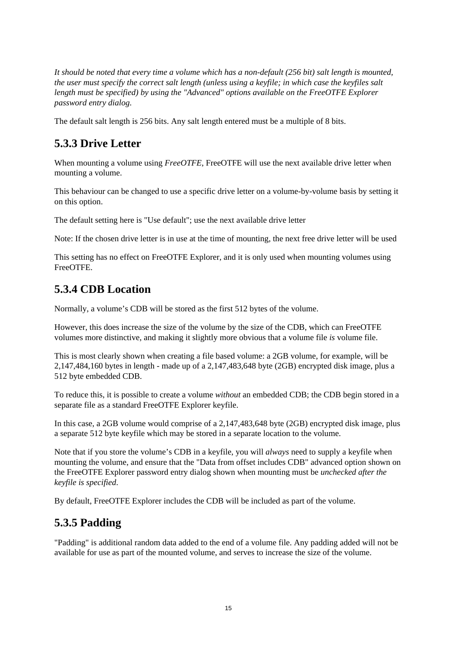*It should be noted that every time a volume which has a non-default (256 bit) salt length is mounted, the user must specify the correct salt length (unless using a keyfile; in which case the keyfiles salt length must be specified) by using the "Advanced" options available on the FreeOTFE Explorer password entry dialog.*

The default salt length is 256 bits. Any salt length entered must be a multiple of 8 bits.

### <span id="page-20-0"></span>**5.3.3 Drive Letter**

When mounting a volume using *FreeOTFE*, FreeOTFE will use the next available drive letter when mounting a volume.

This behaviour can be changed to use a specific drive letter on a volume-by-volume basis by setting it on this option.

The default setting here is "Use default"; use the next available drive letter

Note: If the chosen drive letter is in use at the time of mounting, the next free drive letter will be used

This setting has no effect on FreeOTFE Explorer, and it is only used when mounting volumes using FreeOTFE.

### <span id="page-20-1"></span>**5.3.4 CDB Location**

Normally, a volume's CDB will be stored as the first 512 bytes of the volume.

However, this does increase the size of the volume by the size of the CDB, which can FreeOTFE volumes more distinctive, and making it slightly more obvious that a volume file *is* volume file.

This is most clearly shown when creating a file based volume: a 2GB volume, for example, will be 2,147,484,160 bytes in length - made up of a 2,147,483,648 byte (2GB) encrypted disk image, plus a 512 byte embedded CDB.

To reduce this, it is possible to create a volume *without* an embedded CDB; the CDB begin stored in a separate file as a standard FreeOTFE Explorer keyfile.

In this case, a 2GB volume would comprise of a 2,147,483,648 byte (2GB) encrypted disk image, plus a separate 512 byte keyfile which may be stored in a separate location to the volume.

Note that if you store the volume's CDB in a keyfile, you will *always* need to supply a keyfile when mounting the volume, and ensure that the "Data from offset includes CDB" advanced option shown on the FreeOTFE Explorer password entry dialog shown when mounting must be *unchecked after the keyfile is specified*.

By default, FreeOTFE Explorer includes the CDB will be included as part of the volume.

### <span id="page-20-2"></span>**5.3.5 Padding**

"Padding" is additional random data added to the end of a volume file. Any padding added will not be available for use as part of the mounted volume, and serves to increase the size of the volume.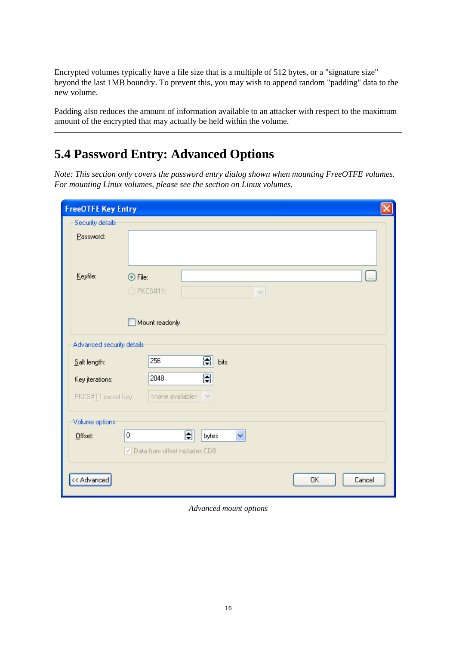Encrypted volumes typically have a file size that is a multiple of 512 bytes, or a "signature size" beyond the last 1MB boundry. To prevent this, you may wish to append random "padding" data to the new volume.

Padding also reduces the amount of information available to an attacker with respect to the maximum amount of the encrypted that may actually be held within the volume.

## <span id="page-21-0"></span>**5.4 Password Entry: Advanced Options**

*Note: This section only covers the password entry dialog shown when mounting FreeOTFE volumes. For mounting Linux volumes, please see the section on Linux volumes.*

| <b>FreeOTFE Key Entry</b>  |                                                                   |  |  |  |  |  |  |  |  |
|----------------------------|-------------------------------------------------------------------|--|--|--|--|--|--|--|--|
| Security details:          |                                                                   |  |  |  |  |  |  |  |  |
| Password:                  |                                                                   |  |  |  |  |  |  |  |  |
| Keyfile:                   | $\odot$ File:<br>l<br>◯ PKCS#11:<br>$\checkmark$                  |  |  |  |  |  |  |  |  |
|                            | Mount readonly                                                    |  |  |  |  |  |  |  |  |
| Advanced security details: |                                                                   |  |  |  |  |  |  |  |  |
| Salt length:               | 8<br>256<br>bits                                                  |  |  |  |  |  |  |  |  |
| Key įterations:            | 8<br>2048                                                         |  |  |  |  |  |  |  |  |
| PKCS#11 secret key:        | <none available=""><br/><math display="inline">\vee</math></none> |  |  |  |  |  |  |  |  |
| Volume options:            |                                                                   |  |  |  |  |  |  |  |  |
| Offset:                    | 8<br>0<br>bytes<br>×<br>Data from offset includes CDB             |  |  |  |  |  |  |  |  |
| << Advanced                | 0K<br>Cancel                                                      |  |  |  |  |  |  |  |  |

#### *Advanced mount options*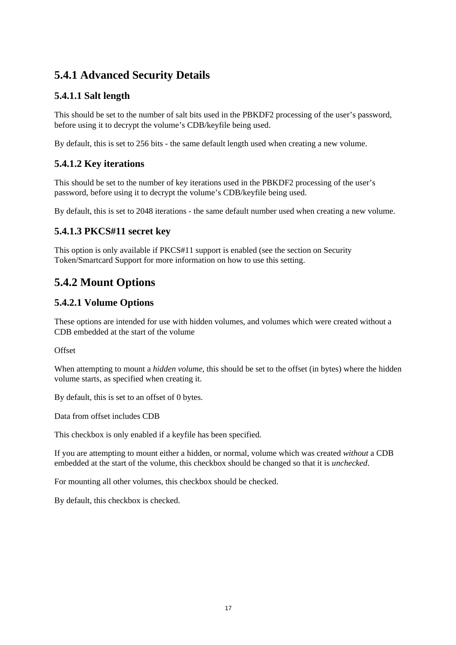### <span id="page-22-0"></span>**5.4.1 Advanced Security Details**

#### **5.4.1.1 Salt length**

This should be set to the number of salt bits used in the PBKDF2 processing of the user's password, before using it to decrypt the volume's CDB/keyfile being used.

By default, this is set to 256 bits - the same default length used when creating a new volume.

#### **5.4.1.2 Key iterations**

This should be set to the number of key iterations used in the PBKDF2 processing of the user's password, before using it to decrypt the volume's CDB/keyfile being used.

By default, this is set to 2048 iterations - the same default number used when creating a new volume.

#### **5.4.1.3 PKCS#11 secret key**

This option is only available if PKCS#11 support is enabled (see the section on Security Token/Smartcard Support for more information on how to use this setting.

### <span id="page-22-1"></span>**5.4.2 Mount Options**

#### **5.4.2.1 Volume Options**

These options are intended for use with hidden volumes, and volumes which were created without a CDB embedded at the start of the volume

**Offset** 

When attempting to mount a *hidden volume*, this should be set to the offset (in bytes) where the hidden volume starts, as specified when creating it.

By default, this is set to an offset of 0 bytes.

Data from offset includes CDB

This checkbox is only enabled if a keyfile has been specified.

If you are attempting to mount either a hidden, or normal, volume which was created *without* a CDB embedded at the start of the volume, this checkbox should be changed so that it is *unchecked*.

For mounting all other volumes, this checkbox should be checked.

By default, this checkbox is checked.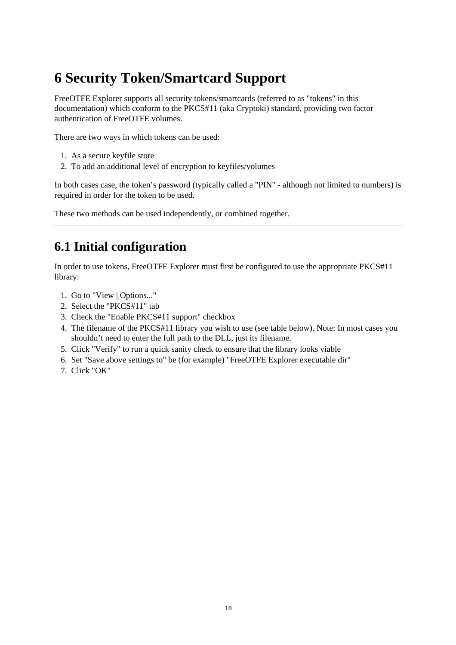# <span id="page-23-0"></span>**6 Security Token/Smartcard Support**

FreeOTFE Explorer supports all security tokens/smartcards (referred to as "tokens" in this documentation) which conform to the PKCS#11 (aka Cryptoki) standard, providing two factor authentication of FreeOTFE volumes.

There are two ways in which tokens can be used:

- 1. As a secure keyfile store
- 2. To add an additional level of encryption to keyfiles/volumes

In both cases case, the token's password (typically called a "PIN" - although not limited to numbers) is required in order for the token to be used.

These two methods can be used independently, or combined together.

# <span id="page-23-1"></span>**6.1 Initial configuration**

In order to use tokens, FreeOTFE Explorer must first be configured to use the appropriate PKCS#11 library:

- 1. Go to "View | Options..."
- 2. Select the "PKCS#11" tab
- 3. Check the "Enable PKCS#11 support" checkbox
- 4. The filename of the PKCS#11 library you wish to use (see table below). Note: In most cases you shouldn't need to enter the full path to the DLL, just its filename.
- 5. Click "Verify" to run a quick sanity check to ensure that the library looks viable
- 6. Set "Save above settings to" be (for example) "FreeOTFE Explorer executable dir"
- 7. Click "OK"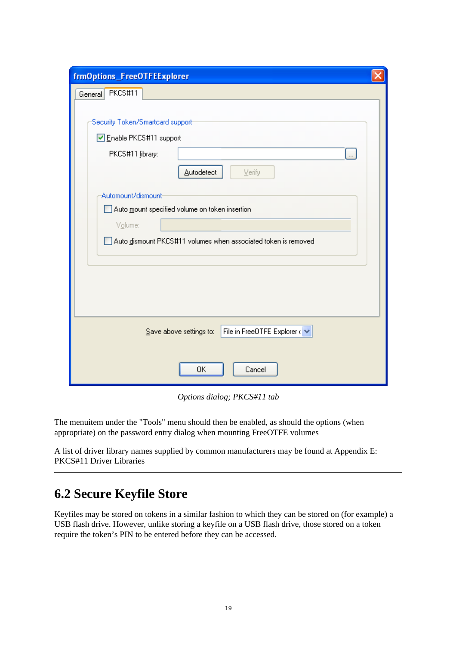| frmOptions_FreeOTFEExplorer                                                                                                                                                      |  |
|----------------------------------------------------------------------------------------------------------------------------------------------------------------------------------|--|
| PKCS#11<br>General                                                                                                                                                               |  |
| Security Token/Smartcard support<br>Enable PKCS#11 support<br>PKCS#11 Jibrary:<br>$\overline{\phantom{a}}$                                                                       |  |
| <b>Autodetect</b><br>Verify<br>Automount/dismount<br>Auto mount specified volume on token insertion<br>Volume:<br>Auto dismount PKCS#11 volumes when associated token is removed |  |
| File in FreeDTFE Explorer (<br>Save above settings to:                                                                                                                           |  |
| OK<br>Cancel                                                                                                                                                                     |  |

*Options dialog; PKCS#11 tab*

The menuitem under the "Tools" menu should then be enabled, as should the options (when appropriate) on the password entry dialog when mounting FreeOTFE volumes

A list of driver library names supplied by common manufacturers may be found at Appendix E: PKCS#11 Driver Libraries

## <span id="page-24-0"></span>**6.2 Secure Keyfile Store**

Keyfiles may be stored on tokens in a similar fashion to which they can be stored on (for example) a USB flash drive. However, unlike storing a keyfile on a USB flash drive, those stored on a token require the token's PIN to be entered before they can be accessed.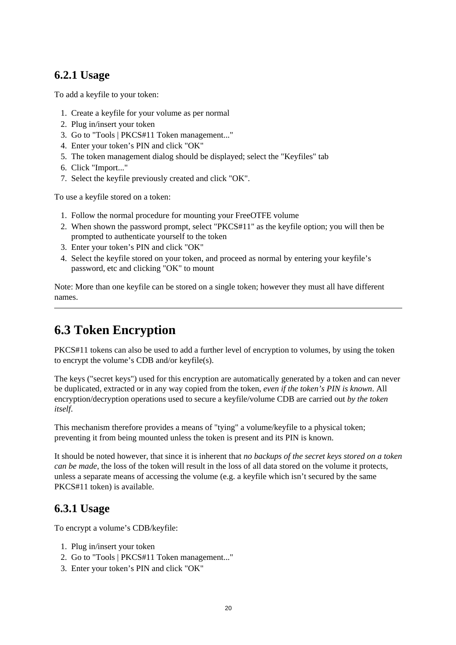### <span id="page-25-0"></span>**6.2.1 Usage**

To add a keyfile to your token:

- 1. Create a keyfile for your volume as per normal
- 2. Plug in/insert your token
- 3. Go to "Tools | PKCS#11 Token management..."
- 4. Enter your token's PIN and click "OK"
- 5. The token management dialog should be displayed; select the "Keyfiles" tab
- 6. Click "Import..."
- 7. Select the keyfile previously created and click "OK".

To use a keyfile stored on a token:

- 1. Follow the normal procedure for mounting your FreeOTFE volume
- 2. When shown the password prompt, select "PKCS#11" as the keyfile option; you will then be prompted to authenticate yourself to the token
- 3. Enter your token's PIN and click "OK"
- 4. Select the keyfile stored on your token, and proceed as normal by entering your keyfile's password, etc and clicking "OK" to mount

Note: More than one keyfile can be stored on a single token; however they must all have different names.

# <span id="page-25-1"></span>**6.3 Token Encryption**

PKCS#11 tokens can also be used to add a further level of encryption to volumes, by using the token to encrypt the volume's CDB and/or keyfile(s).

The keys ("secret keys") used for this encryption are automatically generated by a token and can never be duplicated, extracted or in any way copied from the token, *even if the token's PIN is known*. All encryption/decryption operations used to secure a keyfile/volume CDB are carried out *by the token itself*.

This mechanism therefore provides a means of "tying" a volume/keyfile to a physical token; preventing it from being mounted unless the token is present and its PIN is known.

It should be noted however, that since it is inherent that *no backups of the secret keys stored on a token can be made*, the loss of the token will result in the loss of all data stored on the volume it protects, unless a separate means of accessing the volume (e.g. a keyfile which isn't secured by the same PKCS#11 token) is available.

### <span id="page-25-2"></span>**6.3.1 Usage**

To encrypt a volume's CDB/keyfile:

- 1. Plug in/insert your token
- 2. Go to "Tools | PKCS#11 Token management..."
- 3. Enter your token's PIN and click "OK"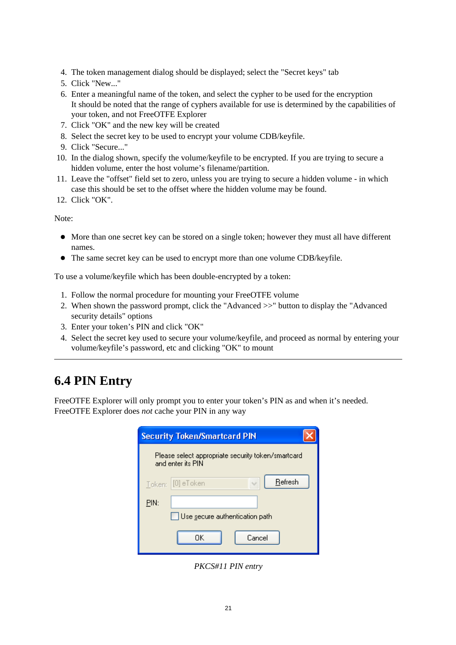- 4. The token management dialog should be displayed; select the "Secret keys" tab
- 5. Click "New..."
- 6. Enter a meaningful name of the token, and select the cypher to be used for the encryption It should be noted that the range of cyphers available for use is determined by the capabilities of your token, and not FreeOTFE Explorer
- 7. Click "OK" and the new key will be created
- 8. Select the secret key to be used to encrypt your volume CDB/keyfile.
- 9. Click "Secure..."
- 10. In the dialog shown, specify the volume/keyfile to be encrypted. If you are trying to secure a hidden volume, enter the host volume's filename/partition.
- 11. Leave the "offset" field set to zero, unless you are trying to secure a hidden volume in which case this should be set to the offset where the hidden volume may be found.
- 12. Click "OK".

Note:

- More than one secret key can be stored on a single token; however they must all have different names.
- The same secret key can be used to encrypt more than one volume CDB/keyfile.

To use a volume/keyfile which has been double-encrypted by a token:

- 1. Follow the normal procedure for mounting your FreeOTFE volume
- 2. When shown the password prompt, click the "Advanced >>" button to display the "Advanced security details" options
- 3. Enter your token's PIN and click "OK"
- 4. Select the secret key used to secure your volume/keyfile, and proceed as normal by entering your volume/keyfile's password, etc and clicking "OK" to mount

## <span id="page-26-0"></span>**6.4 PIN Entry**

FreeOTFE Explorer will only prompt you to enter your token's PIN as and when it's needed. FreeOTFE Explorer does *not* cache your PIN in any way

| <b>Security Token/Smartcard PIN</b>                                     |                                     |  |  |  |
|-------------------------------------------------------------------------|-------------------------------------|--|--|--|
| Please select appropriate security token/smartcard<br>and enter its PIN |                                     |  |  |  |
|                                                                         | <b>Refresh</b><br>Token: [0] eToken |  |  |  |
| PIN:                                                                    |                                     |  |  |  |
| Use secure authentication path                                          |                                     |  |  |  |
| OΚ<br>Cancel                                                            |                                     |  |  |  |

*PKCS#11 PIN entry*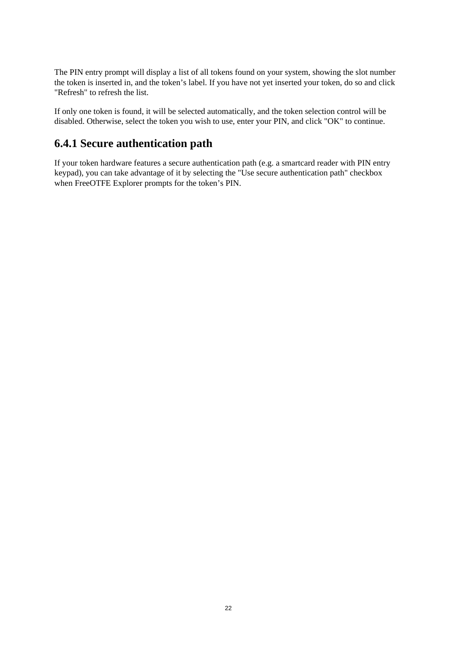The PIN entry prompt will display a list of all tokens found on your system, showing the slot number the token is inserted in, and the token's label. If you have not yet inserted your token, do so and click "Refresh" to refresh the list.

If only one token is found, it will be selected automatically, and the token selection control will be disabled. Otherwise, select the token you wish to use, enter your PIN, and click "OK" to continue.

#### <span id="page-27-0"></span>**6.4.1 Secure authentication path**

If your token hardware features a secure authentication path (e.g. a smartcard reader with PIN entry keypad), you can take advantage of it by selecting the "Use secure authentication path" checkbox when FreeOTFE Explorer prompts for the token's PIN.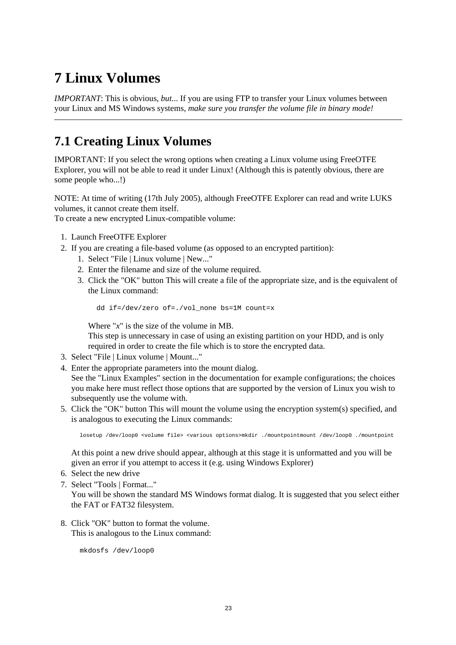# <span id="page-28-0"></span>**7 Linux Volumes**

*IMPORTANT*: This is obvious, *but*... If you are using FTP to transfer your Linux volumes between your Linux and MS Windows systems, *make sure you transfer the volume file in binary mode!*

# <span id="page-28-1"></span>**7.1 Creating Linux Volumes**

IMPORTANT: If you select the wrong options when creating a Linux volume using FreeOTFE Explorer, you will not be able to read it under Linux! (Although this is patently obvious, there are some people who...!)

NOTE: At time of writing (17th July 2005), although FreeOTFE Explorer can read and write LUKS volumes, it cannot create them itself.

To create a new encrypted Linux-compatible volume:

- 1. Launch FreeOTFE Explorer
- 2. If you are creating a file-based volume (as opposed to an encrypted partition):
	- 1. Select "File | Linux volume | New..."
	- 2. Enter the filename and size of the volume required.
	- 3. Click the "OK" button This will create a file of the appropriate size, and is the equivalent of the Linux command:

```
dd if=/dev/zero of=./vol_none bs=1M count=x
```
Where "*x*" is the size of the volume in MB.

This step is unnecessary in case of using an existing partition on your HDD, and is only required in order to create the file which is to store the encrypted data.

- 3. Select "File | Linux volume | Mount..."
- 4. Enter the appropriate parameters into the mount dialog.

See the "Linux Examples" section in the documentation for example configurations; the choices you make here must reflect those options that are supported by the version of Linux you wish to subsequently use the volume with.

5. Click the "OK" button This will mount the volume using the encryption system(s) specified, and is analogous to executing the Linux commands:

losetup /dev/loop0 <volume file> <various options>mkdir ./mountpointmount /dev/loop0 ./mountpoint

At this point a new drive should appear, although at this stage it is unformatted and you will be given an error if you attempt to access it (e.g. using Windows Explorer)

- 6. Select the new drive
- 7. Select "Tools | Format..."

You will be shown the standard MS Windows format dialog. It is suggested that you select either the FAT or FAT32 filesystem.

8. Click "OK" button to format the volume. This is analogous to the Linux command:

mkdosfs /dev/loop0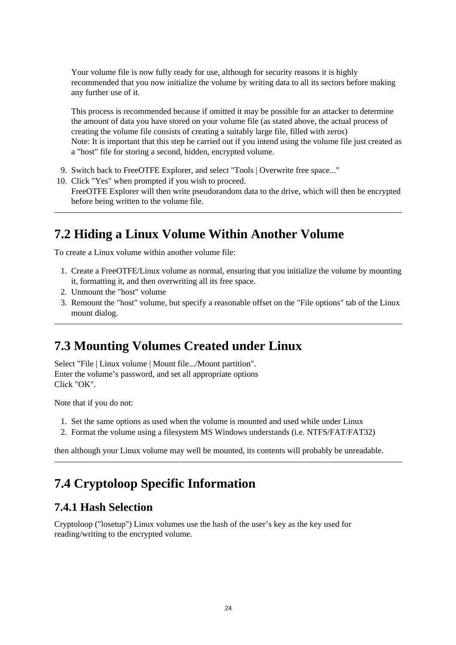Your volume file is now fully ready for use, although for security reasons it is highly recommended that you now initialize the volume by writing data to all its sectors before making any further use of it.

This process is recommended because if omitted it may be possible for an attacker to determine the amount of data you have stored on your volume file (as stated above, the actual process of creating the volume file consists of creating a suitably large file, filled with zeros) Note: It is important that this step be carried out if you intend using the volume file just created as a "host" file for storing a second, hidden, encrypted volume.

- 9. Switch back to FreeOTFE Explorer, and select "Tools | Overwrite free space..."
- 10. Click "Yes" when prompted if you wish to proceed. FreeOTFE Explorer will then write pseudorandom data to the drive, which will then be encrypted before being written to the volume file.

### <span id="page-29-0"></span>**7.2 Hiding a Linux Volume Within Another Volume**

To create a Linux volume within another volume file:

- 1. Create a FreeOTFE/Linux volume as normal, ensuring that you initialize the volume by mounting it, formatting it, and then overwriting all its free space.
- 2. Unmount the "host" volume
- 3. Remount the "host" volume, but specify a reasonable offset on the "File options" tab of the Linux mount dialog.

## <span id="page-29-1"></span>**7.3 Mounting Volumes Created under Linux**

Select "File | Linux volume | Mount file.../Mount partition". Enter the volume's password, and set all appropriate options Click "OK".

Note that if you do not:

- 1. Set the same options as used when the volume is mounted and used while under Linux
- 2. Format the volume using a filesystem MS Windows understands (i.e. NTFS/FAT/FAT32)

then although your Linux volume may well be mounted, its contents will probably be unreadable.

# <span id="page-29-2"></span>**7.4 Cryptoloop Specific Information**

### <span id="page-29-3"></span>**7.4.1 Hash Selection**

Cryptoloop ("losetup") Linux volumes use the hash of the user's key as the key used for reading/writing to the encrypted volume.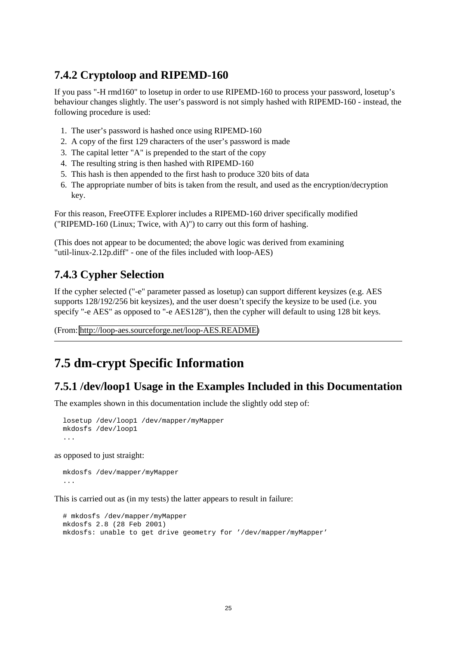### <span id="page-30-0"></span>**7.4.2 Cryptoloop and RIPEMD-160**

If you pass "-H rmd160" to losetup in order to use RIPEMD-160 to process your password, losetup's behaviour changes slightly. The user's password is not simply hashed with RIPEMD-160 - instead, the following procedure is used:

- 1. The user's password is hashed once using RIPEMD-160
- 2. A copy of the first 129 characters of the user's password is made
- 3. The capital letter "A" is prepended to the start of the copy
- 4. The resulting string is then hashed with RIPEMD-160
- 5. This hash is then appended to the first hash to produce 320 bits of data
- 6. The appropriate number of bits is taken from the result, and used as the encryption/decryption key.

For this reason, FreeOTFE Explorer includes a RIPEMD-160 driver specifically modified ("RIPEMD-160 (Linux; Twice, with A)") to carry out this form of hashing.

(This does not appear to be documented; the above logic was derived from examining "util-linux-2.12p.diff" - one of the files included with loop-AES)

### <span id="page-30-1"></span>**7.4.3 Cypher Selection**

If the cypher selected ("-e" parameter passed as losetup) can support different keysizes (e.g. AES supports 128/192/256 bit keysizes), and the user doesn't specify the keysize to be used (i.e. you specify "-e AES" as opposed to "-e AES128"), then the cypher will default to using 128 bit keys.

(From: [http://loop-aes.sourceforge.net/loop-AES.README\)](http://loop-aes.sourceforge.net/loop-AES.README)

### <span id="page-30-2"></span>**7.5 dm-crypt Specific Information**

#### <span id="page-30-3"></span>**7.5.1 /dev/loop1 Usage in the Examples Included in this Documentation**

The examples shown in this documentation include the slightly odd step of:

```
losetup /dev/loop1 /dev/mapper/myMapper
mkdosfs /dev/loop1
...
```
as opposed to just straight:

```
mkdosfs /dev/mapper/myMapper
...
```
This is carried out as (in my tests) the latter appears to result in failure:

```
# mkdosfs /dev/mapper/myMapper
mkdosfs 2.8 (28 Feb 2001)
mkdosfs: unable to get drive geometry for '/dev/mapper/myMapper'
```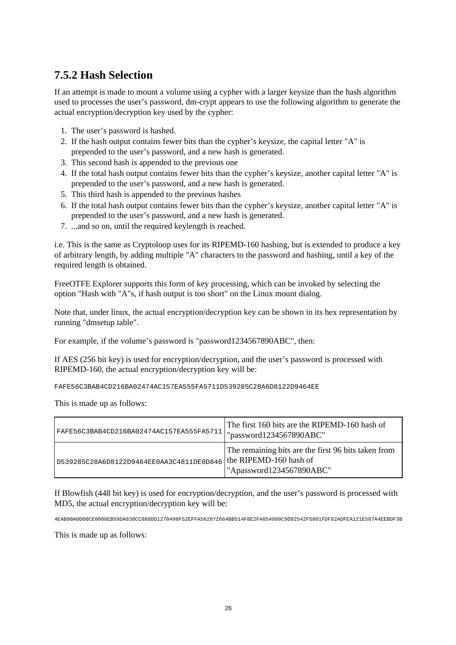### <span id="page-31-0"></span>**7.5.2 Hash Selection**

If an attempt is made to mount a volume using a cypher with a larger keysize than the hash algorithm used to processes the user's password, dm-crypt appears to use the following algorithm to generate the actual encryption/decryption key used by the cypher:

- 1. The user's password is hashed.
- 2. If the hash output contains fewer bits than the cypher's keysize, the capital letter "A" is prepended to the user's password, and a new hash is generated.
- 3. This second hash is appended to the previous one
- 4. If the total hash output contains fewer bits than the cypher's keysize, another capital letter "A" is prepended to the user's password, and a new hash is generated.
- 5. This third hash is appended to the previous hashes
- 6. If the total hash output contains fewer bits than the cypher's keysize, another capital letter "A" is prepended to the user's password, and a new hash is generated.
- 7. ...and so on, until the required keylength is reached.

i.e. This is the same as Cryptoloop uses for its RIPEMD-160 hashing, but is extended to produce a key of arbitrary length, by adding multiple "A" characters to the password and hashing, until a key of the required length is obtained.

FreeOTFE Explorer supports this form of key processing, which can be invoked by selecting the option "Hash with "A"s, if hash output is too short" on the Linux mount dialog.

Note that, under linux, the actual encryption/decryption key can be shown in its hex representation by running "dmsetup table".

For example, if the volume's password is "password1234567890ABC", then:

If AES (256 bit key) is used for encryption/decryption, and the user's password is processed with RIPEMD-160, the actual encryption/decryption key will be:

FAFE56C3BAB4CD216BA02474AC157EA555FA5711D539285C28A6D8122D9464EE

This is made up as follows:

| FAFE56C3BAB4CD216BA02474AC157EA555FA5711 | The first 160 bits are the RIPEMD-160 hash of<br>"password1234567890ABC"                                  |
|------------------------------------------|-----------------------------------------------------------------------------------------------------------|
| D539285C28A6D8122D9464EE0AA3C4811DE0D846 | The remaining bits are the first 96 bits taken from<br>the RIPEMD-160 hash of<br>"Apassword1234567890ABC" |

If Blowfish (448 bit key) is used for encryption/decryption, and the user's password is processed with MD5, the actual encryption/decryption key will be:

4EAB90A0D00CE0086EB59DA838CC888DD1270498F52EFFA562872664BB514F8E2FA054980C9D92542F5801FDF82ADFEA121E587A4EEBDF3B

This is made up as follows: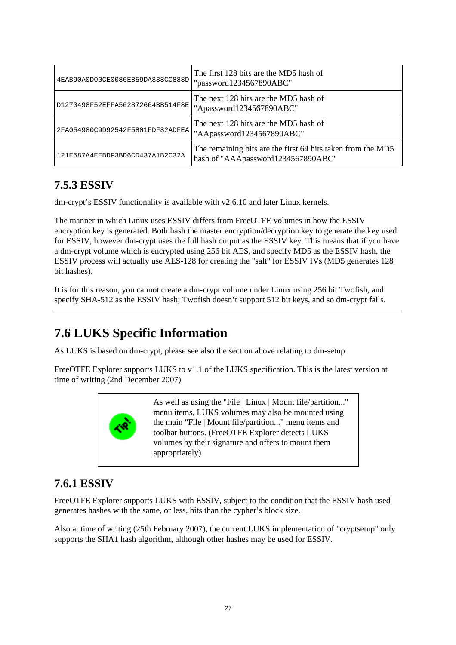<span id="page-32-2"></span>

| 4EAB90A0D00CE0086EB59DA838CC888D | The first 128 bits are the MD5 hash of<br>"password1234567890ABC"                                 |
|----------------------------------|---------------------------------------------------------------------------------------------------|
| D1270498F52EFFA562872664BB514F8E | The next 128 bits are the MD5 hash of<br>"Apassword1234567890ABC"                                 |
| 2FA054980C9D92542F5801FDF82ADFEA | The next 128 bits are the MD5 hash of<br>"AApassword1234567890ABC"                                |
| 121E587A4EEBDF3BD6CD437A1B2C32A  | The remaining bits are the first 64 bits taken from the MD5<br>hash of "AAApassword1234567890ABC" |

### <span id="page-32-0"></span>**7.5.3 ESSIV**

dm-crypt's ESSIV functionality is available with v2.6.10 and later Linux kernels.

The manner in which Linux uses ESSIV differs from FreeOTFE volumes in how the ESSIV encryption key is generated. Both hash the master encryption/decryption key to generate the key used for ESSIV, however dm-crypt uses the full hash output as the ESSIV key. This means that if you have a dm-crypt volume which is encrypted using 256 bit AES, and specify MD5 as the ESSIV hash, the ESSIV process will actually use AES-128 for creating the "salt" for ESSIV IVs (MD5 generates 128 bit hashes).

It is for this reason, you cannot create a dm-crypt volume under Linux using 256 bit Twofish, and specify SHA-512 as the ESSIV hash; Twofish doesn't support 512 bit keys, and so dm-crypt fails.

# <span id="page-32-1"></span>**7.6 LUKS Specific Information**

As LUKS is based on dm-crypt, please see also the section above relating to dm-setup.

FreeOTFE Explorer supports LUKS to v1.1 of the LUKS specification. This is the latest version at time of writing (2nd December 2007)



### **7.6.1 ESSIV**

FreeOTFE Explorer supports LUKS with ESSIV, subject to the condition that the ESSIV hash used generates hashes with the same, or less, bits than the cypher's block size.

Also at time of writing (25th February 2007), the current LUKS implementation of "cryptsetup" only supports the SHA1 hash algorithm, although other hashes may be used for ESSIV.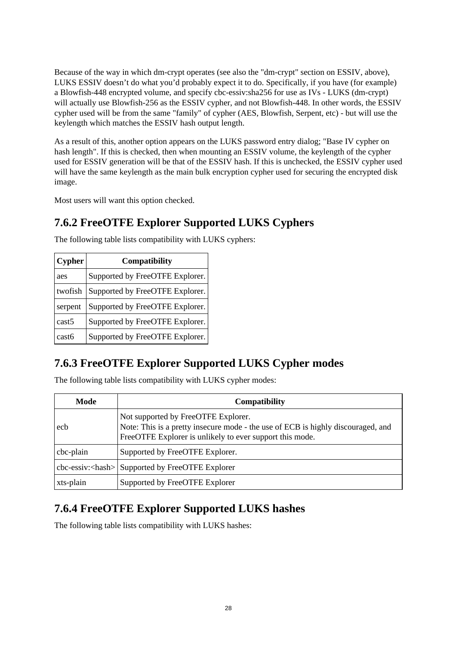Because of the way in which dm-crypt operates (see also the "dm-crypt" section on ESSIV, above), LUKS ESSIV doesn't do what you'd probably expect it to do. Specifically, if you have (for example) a Blowfish-448 encrypted volume, and specify cbc-essiv:sha256 for use as IVs - LUKS (dm-crypt) will actually use Blowfish-256 as the ESSIV cypher, and not Blowfish-448. In other words, the ESSIV cypher used will be from the same "family" of cypher (AES, Blowfish, Serpent, etc) - but will use the keylength which matches the ESSIV hash output length.

As a result of this, another option appears on the LUKS password entry dialog; "Base IV cypher on hash length". If this is checked, then when mounting an ESSIV volume, the keylength of the cypher used for ESSIV generation will be that of the ESSIV hash. If this is unchecked, the ESSIV cypher used will have the same keylength as the main bulk encryption cypher used for securing the encrypted disk image.

Most users will want this option checked.

### <span id="page-33-0"></span>**7.6.2 FreeOTFE Explorer Supported LUKS Cyphers**

| Cypher            | Compatibility                   |  |  |
|-------------------|---------------------------------|--|--|
| aes               | Supported by FreeOTFE Explorer. |  |  |
| twofish           | Supported by FreeOTFE Explorer. |  |  |
| serpent           | Supported by FreeOTFE Explorer. |  |  |
| cast <sub>5</sub> | Supported by FreeOTFE Explorer. |  |  |
| cast <sub>6</sub> | Supported by FreeOTFE Explorer. |  |  |

The following table lists compatibility with LUKS cyphers:

### <span id="page-33-1"></span>**7.6.3 FreeOTFE Explorer Supported LUKS Cypher modes**

The following table lists compatibility with LUKS cypher modes:

| Mode      | <b>Compatibility</b>                                                                                                                                                                |  |  |  |
|-----------|-------------------------------------------------------------------------------------------------------------------------------------------------------------------------------------|--|--|--|
| ecb       | Not supported by FreeOTFE Explorer.<br>Note: This is a pretty insecure mode - the use of ECB is highly discouraged, and<br>FreeOTFE Explorer is unlikely to ever support this mode. |  |  |  |
| cbc-plain | Supported by FreeOTFE Explorer.                                                                                                                                                     |  |  |  |
|           | cbc-essiv: <hash> Supported by FreeOTFE Explorer</hash>                                                                                                                             |  |  |  |
| xts-plain | Supported by FreeOTFE Explorer                                                                                                                                                      |  |  |  |

### <span id="page-33-2"></span>**7.6.4 FreeOTFE Explorer Supported LUKS hashes**

The following table lists compatibility with LUKS hashes: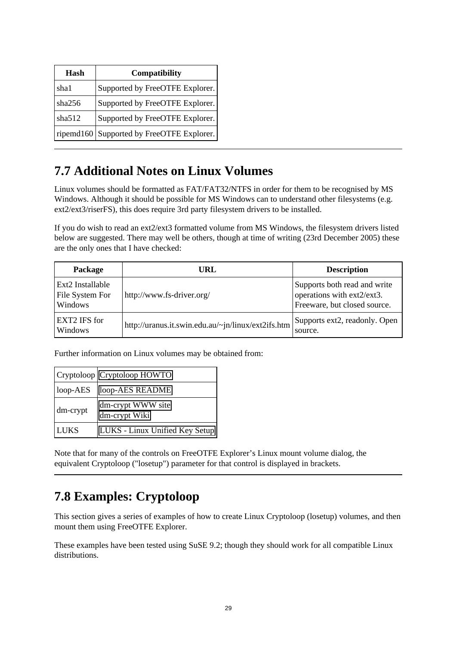| Hash   | <b>Compatibility</b>                      |  |  |
|--------|-------------------------------------------|--|--|
| sha1   | Supported by FreeOTFE Explorer.           |  |  |
| sha256 | Supported by FreeOTFE Explorer.           |  |  |
| sha512 | Supported by FreeOTFE Explorer.           |  |  |
|        | ripemd160 Supported by FreeOTFE Explorer. |  |  |

# <span id="page-34-0"></span>**7.7 Additional Notes on Linux Volumes**

Linux volumes should be formatted as FAT/FAT32/NTFS in order for them to be recognised by MS Windows. Although it should be possible for MS Windows can to understand other filesystems (e.g. ext2/ext3/riserFS), this does require 3rd party filesystem drivers to be installed.

If you do wish to read an ext2/ext3 formatted volume from MS Windows, the filesystem drivers listed below are suggested. There may well be others, though at time of writing (23rd December 2005) these are the only ones that I have checked:

| Package                                        | URL                                                | <b>Description</b>                                                                         |  |
|------------------------------------------------|----------------------------------------------------|--------------------------------------------------------------------------------------------|--|
| Ext2 Installable<br>File System For<br>Windows | http://www.fs-driver.org/                          | Supports both read and write<br>operations with ext2/ext3.<br>Freeware, but closed source. |  |
| <b>EXT2 IFS for</b><br>Windows                 | http://uranus.it.swin.edu.au/~jn/linux/ext2ifs.htm | Supports ext2, readonly. Open<br>source.                                                   |  |

Further information on Linux volumes may be obtained from:

|             | Cryptoloop Cryptoloop HOWTO        |  |  |
|-------------|------------------------------------|--|--|
| $loop-AES$  | loop-AES README                    |  |  |
| dm-crypt    | dm-crypt WWW site<br>dm-crypt Wiki |  |  |
| <b>LUKS</b> | LUKS - Linux Unified Key Setup     |  |  |

Note that for many of the controls on FreeOTFE Explorer's Linux mount volume dialog, the equivalent Cryptoloop ("losetup") parameter for that control is displayed in brackets.

# <span id="page-34-1"></span>**7.8 Examples: Cryptoloop**

This section gives a series of examples of how to create Linux Cryptoloop (losetup) volumes, and then mount them using FreeOTFE Explorer.

These examples have been tested using SuSE 9.2; though they should work for all compatible Linux distributions.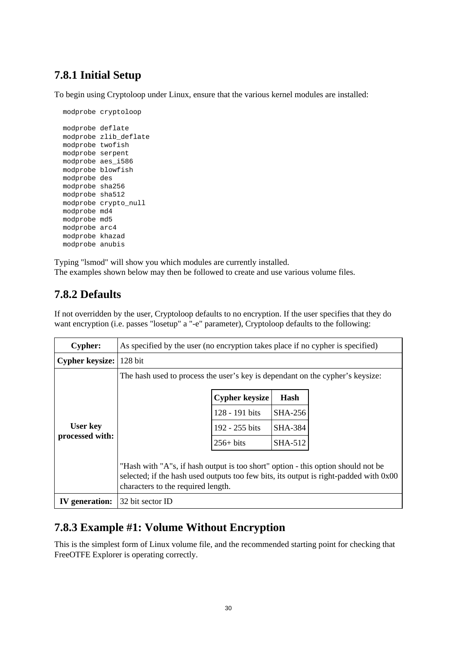### <span id="page-35-0"></span>**7.8.1 Initial Setup**

To begin using Cryptoloop under Linux, ensure that the various kernel modules are installed:

```
modprobe cryptoloop
modprobe deflate
modprobe zlib_deflate
modprobe twofish
modprobe serpent
modprobe aes_i586
modprobe blowfish
modprobe des
modprobe sha256
modprobe sha512
modprobe crypto_null
modprobe md4
modprobe md5
modprobe arc4
modprobe khazad
modprobe anubis
```
Typing "lsmod" will show you which modules are currently installed. The examples shown below may then be followed to create and use various volume files.

### <span id="page-35-1"></span>**7.8.2 Defaults**

If not overridden by the user, Cryptoloop defaults to no encryption. If the user specifies that they do want encryption (i.e. passes "losetup" a "-e" parameter), Cryptoloop defaults to the following:

| <b>Cypher:</b>              | As specified by the user (no encryption takes place if no cypher is specified)                                                                                                                                  |                       |                |  |
|-----------------------------|-----------------------------------------------------------------------------------------------------------------------------------------------------------------------------------------------------------------|-----------------------|----------------|--|
| <b>Cypher keysize:</b>      | 128 bit                                                                                                                                                                                                         |                       |                |  |
|                             | The hash used to process the user's key is dependant on the cypher's keysize:                                                                                                                                   |                       |                |  |
| User key<br>processed with: |                                                                                                                                                                                                                 | <b>Cypher keysize</b> | Hash           |  |
|                             |                                                                                                                                                                                                                 | 128 - 191 bits        | <b>SHA-256</b> |  |
|                             |                                                                                                                                                                                                                 | 192 - 255 bits        | <b>SHA-384</b> |  |
|                             |                                                                                                                                                                                                                 | $256+$ bits           | SHA-512        |  |
|                             | "Hash with "A"s, if hash output is too short" option - this option should not be<br>selected; if the hash used outputs too few bits, its output is right-padded with 0x00<br>characters to the required length. |                       |                |  |
| IV generation:              | 32 bit sector ID                                                                                                                                                                                                |                       |                |  |

### <span id="page-35-2"></span>**7.8.3 Example #1: Volume Without Encryption**

This is the simplest form of Linux volume file, and the recommended starting point for checking that FreeOTFE Explorer is operating correctly.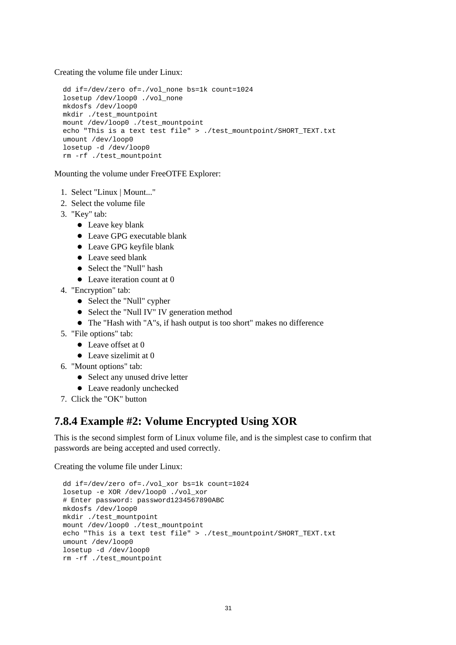Creating the volume file under Linux:

```
dd if=/dev/zero of=./vol_none bs=1k count=1024
losetup /dev/loop0 ./vol_none
mkdosfs /dev/loop0
mkdir ./test_mountpoint
mount /dev/loop0 ./test_mountpoint
echo "This is a text test file" > ./test mountpoint/SHORT TEXT.txt
umount /dev/loop0
losetup -d /dev/loop0
rm -rf ./test_mountpoint
```
Mounting the volume under FreeOTFE Explorer:

- 1. Select "Linux | Mount..."
- 2. Select the volume file
- 3. "Key" tab:
	- Leave key blank
	- Leave GPG executable blank
	- Leave GPG keyfile blank
	- Leave seed blank
	- Select the "Null" hash
	- Leave iteration count at 0
- 4. "Encryption" tab:
	- Select the "Null" cypher
	- Select the "Null IV" IV generation method
	- The "Hash with "A"s, if hash output is too short" makes no difference
- 5. "File options" tab:
	- Leave offset at 0
	- Leave sizelimit at 0
- 6. "Mount options" tab:
	- Select any unused drive letter
	- Leave readonly unchecked
- 7. Click the "OK" button

### **7.8.4 Example #2: Volume Encrypted Using XOR**

This is the second simplest form of Linux volume file, and is the simplest case to confirm that passwords are being accepted and used correctly.

```
dd if=/dev/zero of=./vol_xor bs=1k count=1024
losetup -e XOR /dev/loop0 ./vol_xor
# Enter password: password1234567890ABC
mkdosfs /dev/loop0
mkdir ./test_mountpoint
mount /dev/loop0 ./test_mountpoint
echo "This is a text test file" > ./test_mountpoint/SHORT_TEXT.txt
umount /dev/loop0
losetup -d /dev/loop0
rm -rf ./test_mountpoint
```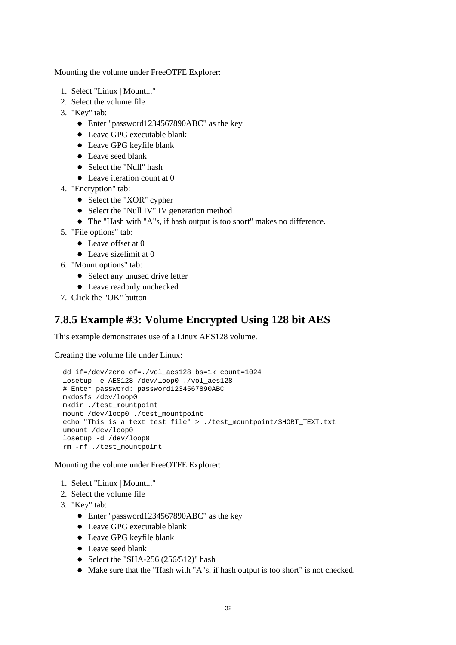- 1. Select "Linux | Mount..."
- 2. Select the volume file
- 3. "Key" tab:
	- Enter "password1234567890ABC" as the key
	- Leave GPG executable blank
	- Leave GPG keyfile blank
	- Leave seed blank
	- Select the "Null" hash
	- Leave iteration count at 0
- 4. "Encryption" tab:
	- Select the "XOR" cypher
	- Select the "Null IV" IV generation method
	- The "Hash with "A"s, if hash output is too short" makes no difference.
- 5. "File options" tab:
	- Leave offset at 0
	- $\bullet$  Leave sizelimit at 0
- 6. "Mount options" tab:
	- Select any unused drive letter
	- Leave readonly unchecked
- 7. Click the "OK" button

## **7.8.5 Example #3: Volume Encrypted Using 128 bit AES**

This example demonstrates use of a Linux AES128 volume.

Creating the volume file under Linux:

```
dd if=/dev/zero of=./vol_aes128 bs=1k count=1024
losetup -e AES128 /dev/loop0 ./vol_aes128
# Enter password: password1234567890ABC
mkdosfs /dev/loop0
mkdir ./test_mountpoint
mount /dev/loop0 ./test_mountpoint
echo "This is a text test file" > ./test_mountpoint/SHORT_TEXT.txt
umount /dev/loop0
losetup -d /dev/loop0
rm -rf ./test_mountpoint
```
- 1. Select "Linux | Mount..."
- 2. Select the volume file
- 3. "Key" tab:
	- Enter "password1234567890ABC" as the key
	- Leave GPG executable blank
	- Leave GPG keyfile blank
	- Leave seed blank
	- $\bullet$  Select the "SHA-256 (256/512)" hash
	- Make sure that the "Hash with "A"s, if hash output is too short" is not checked.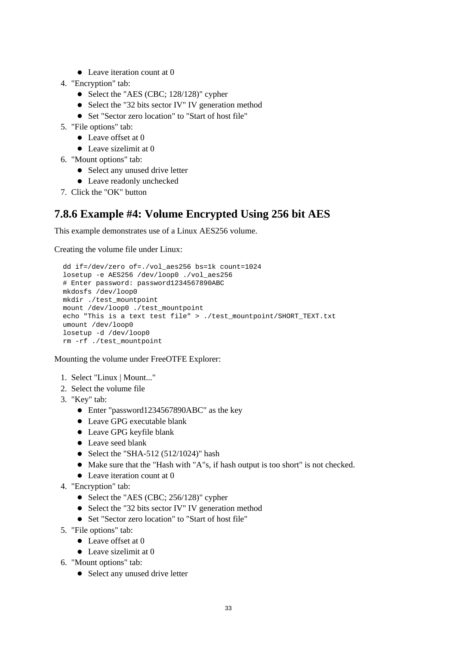- Leave iteration count at 0
- 4. "Encryption" tab:
	- Select the "AES (CBC; 128/128)" cypher
	- Select the "32 bits sector IV" IV generation method
	- Set "Sector zero location" to "Start of host file"
- 5. "File options" tab:
	- Leave offset at 0
	- Leave sizelimit at 0
- 6. "Mount options" tab:
	- Select any unused drive letter
	- Leave readonly unchecked
- 7. Click the "OK" button

### **7.8.6 Example #4: Volume Encrypted Using 256 bit AES**

This example demonstrates use of a Linux AES256 volume.

Creating the volume file under Linux:

```
dd if=/dev/zero of=./vol_aes256 bs=1k count=1024
losetup -e AES256 /dev/loop0 ./vol_aes256
# Enter password: password1234567890ABC
mkdosfs /dev/loop0
mkdir ./test_mountpoint
mount /dev/loop0 ./test_mountpoint
echo "This is a text test file" > ./test_mountpoint/SHORT_TEXT.txt
umount /dev/loop0
losetup -d /dev/loop0
rm -rf ./test_mountpoint
```
- 1. Select "Linux | Mount..."
- 2. Select the volume file
- 3. "Key" tab:
	- Enter "password1234567890ABC" as the key
	- Leave GPG executable blank
	- Leave GPG keyfile blank
	- Leave seed blank
	- $\bullet$  Select the "SHA-512 (512/1024)" hash
	- Make sure that the "Hash with "A"s, if hash output is too short" is not checked.
	- Leave iteration count at 0
- 4. "Encryption" tab:
	- Select the "AES (CBC; 256/128)" cypher
	- Select the "32 bits sector IV" IV generation method
	- Set "Sector zero location" to "Start of host file"
- 5. "File options" tab:
	- Leave offset at 0
	- Leave sizelimit at 0
- 6. "Mount options" tab:
	- Select any unused drive letter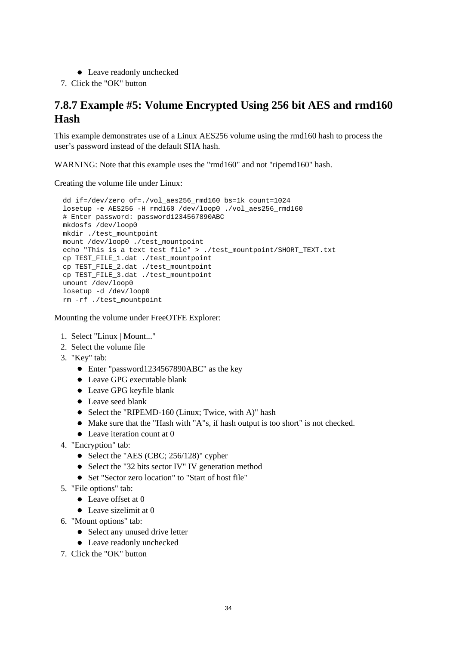- Leave readonly unchecked
- 7. Click the "OK" button

## **7.8.7 Example #5: Volume Encrypted Using 256 bit AES and rmd160 Hash**

This example demonstrates use of a Linux AES256 volume using the rmd160 hash to process the user's password instead of the default SHA hash.

WARNING: Note that this example uses the "rmd160" and not "ripemd160" hash.

Creating the volume file under Linux:

```
dd if=/dev/zero of=./vol_aes256_rmd160 bs=1k count=1024
losetup -e AES256 -H rmd160 /dev/loop0 ./vol_aes256_rmd160
# Enter password: password1234567890ABC
mkdosfs /dev/loop0
mkdir ./test_mountpoint
mount /dev/loop0 ./test_mountpoint
echo "This is a text test file" > ./test_mountpoint/SHORT_TEXT.txt
cp TEST_FILE_1.dat ./test_mountpoint
cp TEST_FILE_2.dat ./test_mountpoint
cp TEST_FILE_3.dat ./test_mountpoint
umount /dev/loop0
losetup -d /dev/loop0
rm -rf ./test_mountpoint
```
- 1. Select "Linux | Mount..."
- 2. Select the volume file
- 3. "Key" tab:
	- Enter "password1234567890ABC" as the key
	- Leave GPG executable blank
	- Leave GPG keyfile blank
	- Leave seed blank
	- Select the "RIPEMD-160 (Linux; Twice, with A)" hash
	- Make sure that the "Hash with "A"s, if hash output is too short" is not checked.
	- Leave iteration count at 0
- 4. "Encryption" tab:
	- Select the "AES (CBC; 256/128)" cypher
	- Select the "32 bits sector IV" IV generation method
	- Set "Sector zero location" to "Start of host file"
- 5. "File options" tab:
	- $\bullet$  Leave offset at 0
	- Leave sizelimit at 0
- 6. "Mount options" tab:
	- Select any unused drive letter
	- Leave readonly unchecked
- 7. Click the "OK" button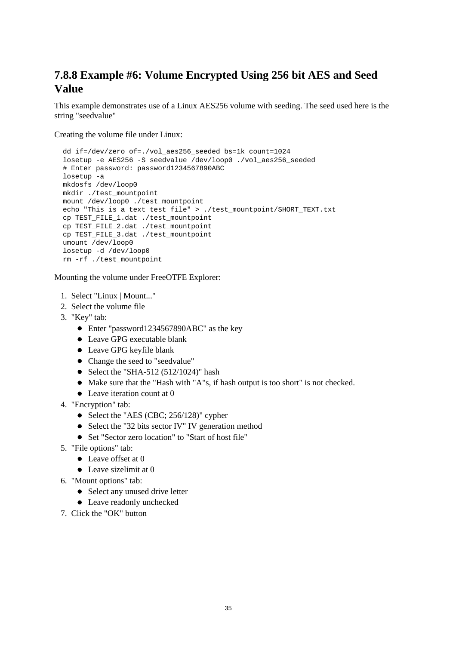# **7.8.8 Example #6: Volume Encrypted Using 256 bit AES and Seed Value**

This example demonstrates use of a Linux AES256 volume with seeding. The seed used here is the string "seedvalue"

Creating the volume file under Linux:

```
dd if=/dev/zero of=./vol_aes256_seeded bs=1k count=1024
losetup -e AES256 -S seedvalue /dev/loop0 ./vol_aes256_seeded
# Enter password: password1234567890ABC
losetup -a
mkdosfs /dev/loop0
mkdir ./test_mountpoint
mount /dev/loop0 ./test_mountpoint
echo "This is a text test file" > ./test_mountpoint/SHORT_TEXT.txt
cp TEST_FILE_1.dat ./test_mountpoint
cp TEST_FILE_2.dat ./test_mountpoint
cp TEST_FILE_3.dat ./test_mountpoint
umount /dev/loop0
losetup -d /dev/loop0
rm -rf ./test_mountpoint
```
- 1. Select "Linux | Mount..."
- 2. Select the volume file
- 3. "Key" tab:
	- Enter "password1234567890ABC" as the key
	- Leave GPG executable blank
	- Leave GPG keyfile blank
	- Change the seed to "seedvalue"
	- $\bullet$  Select the "SHA-512 (512/1024)" hash
	- Make sure that the "Hash with "A"s, if hash output is too short" is not checked.
	- Leave iteration count at 0
- 4. "Encryption" tab:
	- Select the "AES (CBC; 256/128)" cypher
	- Select the "32 bits sector IV" IV generation method
	- Set "Sector zero location" to "Start of host file"
- 5. "File options" tab:
	- Leave offset at 0
	- Leave sizelimit at 0
- 6. "Mount options" tab:
	- Select any unused drive letter
	- Leave readonly unchecked
- 7. Click the "OK" button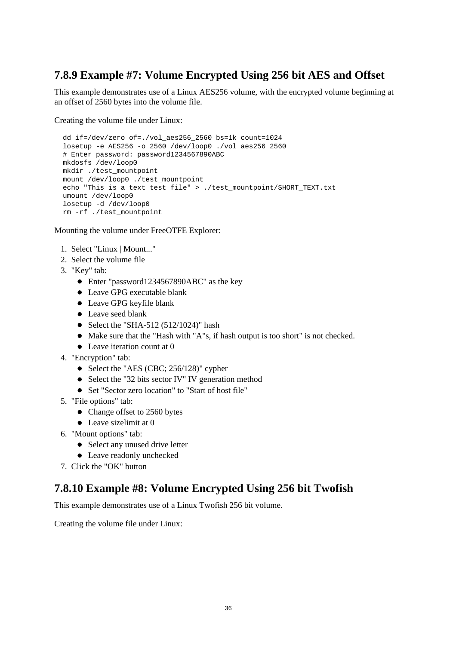## **7.8.9 Example #7: Volume Encrypted Using 256 bit AES and Offset**

This example demonstrates use of a Linux AES256 volume, with the encrypted volume beginning at an offset of 2560 bytes into the volume file.

Creating the volume file under Linux:

dd if=/dev/zero of=./vol\_aes256\_2560 bs=1k count=1024 losetup -e AES256 -o 2560 /dev/loop0 ./vol\_aes256\_2560 # Enter password: password1234567890ABC mkdosfs /dev/loop0 mkdir ./test\_mountpoint mount /dev/loop0 ./test\_mountpoint echo "This is a text test file" > ./test\_mountpoint/SHORT\_TEXT.txt umount /dev/loop0 losetup -d /dev/loop0 rm -rf ./test\_mountpoint

Mounting the volume under FreeOTFE Explorer:

- 1. Select "Linux | Mount..."
- 2. Select the volume file
- 3. "Key" tab:
	- Enter "password1234567890ABC" as the key
	- Leave GPG executable blank
	- Leave GPG keyfile blank
	- Leave seed blank
	- $\bullet$  Select the "SHA-512 (512/1024)" hash
	- Make sure that the "Hash with "A"s, if hash output is too short" is not checked.
	- Leave iteration count at 0
- 4. "Encryption" tab:
	- Select the "AES (CBC; 256/128)" cypher
	- Select the "32 bits sector IV" IV generation method
	- Set "Sector zero location" to "Start of host file"
- 5. "File options" tab:
	- Change offset to 2560 bytes
	- Leave sizelimit at 0
- 6. "Mount options" tab:
	- Select any unused drive letter
	- Leave readonly unchecked
- 7. Click the "OK" button

#### **7.8.10 Example #8: Volume Encrypted Using 256 bit Twofish**

This example demonstrates use of a Linux Twofish 256 bit volume.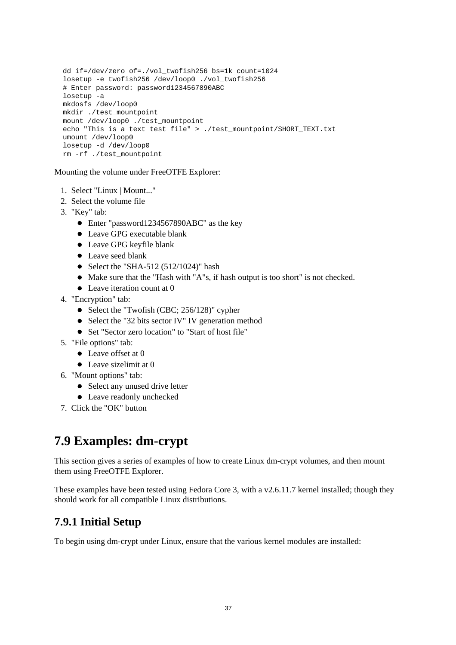```
dd if=/dev/zero of=./vol_twofish256 bs=1k count=1024
losetup -e twofish256 /dev/loop0 ./vol_twofish256
# Enter password: password1234567890ABC
losetup -a
mkdosfs /dev/loop0
mkdir ./test_mountpoint
mount /dev/loop0 ./test_mountpoint
echo "This is a text test file" > ./test_mountpoint/SHORT_TEXT.txt
umount /dev/loop0
losetup -d /dev/loop0
rm -rf ./test_mountpoint
```
- 1. Select "Linux | Mount..."
- 2. Select the volume file
- 3. "Key" tab:
	- Enter "password1234567890ABC" as the key
	- Leave GPG executable blank
	- Leave GPG keyfile blank
	- Leave seed blank
	- Select the "SHA-512  $(512/1024)$ " hash
	- Make sure that the "Hash with "A"s, if hash output is too short" is not checked.
	- Leave iteration count at 0
- 4. "Encryption" tab:
	- Select the "Twofish (CBC; 256/128)" cypher
	- Select the "32 bits sector IV" IV generation method
	- Set "Sector zero location" to "Start of host file"
- 5. "File options" tab:
	- Leave offset at 0
	- Leave sizelimit at 0
- 6. "Mount options" tab:
	- Select any unused drive letter
	- Leave readonly unchecked
- 7. Click the "OK" button

# **7.9 Examples: dm-crypt**

This section gives a series of examples of how to create Linux dm-crypt volumes, and then mount them using FreeOTFE Explorer.

These examples have been tested using Fedora Core 3, with a v2.6.11.7 kernel installed; though they should work for all compatible Linux distributions.

#### **7.9.1 Initial Setup**

To begin using dm-crypt under Linux, ensure that the various kernel modules are installed: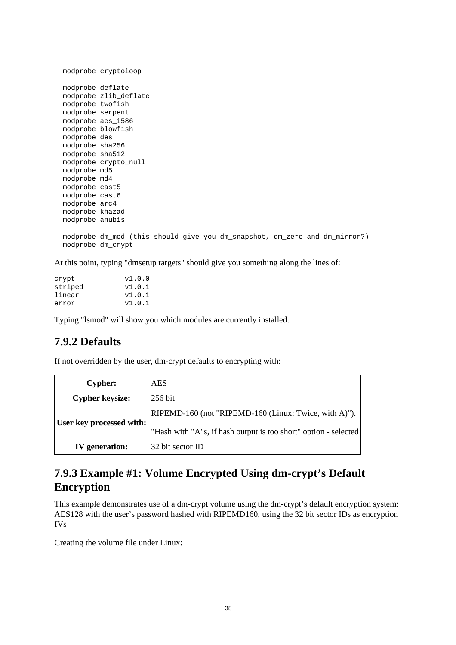|                  | modprobe cryptoloop                                                        |
|------------------|----------------------------------------------------------------------------|
| modprobe deflate |                                                                            |
|                  | modprobe zlib deflate                                                      |
| modprobe twofish |                                                                            |
| modprobe serpent |                                                                            |
|                  | modprobe aes_i586                                                          |
|                  | modprobe blowfish                                                          |
| modprobe des     |                                                                            |
| modprobe sha256  |                                                                            |
| modprobe sha512  |                                                                            |
|                  | modprobe crypto_null                                                       |
| modprobe md5     |                                                                            |
| modprobe md4     |                                                                            |
| modprobe cast5   |                                                                            |
| modprobe cast6   |                                                                            |
| modprobe arc4    |                                                                            |
| modprobe khazad  |                                                                            |
| modprobe anubis  |                                                                            |
|                  |                                                                            |
|                  | modprobe dm_mod (this should give you dm_snapshot, dm_zero and dm_mirror?) |
|                  | modprobe dm_crypt                                                          |

At this point, typing "dmsetup targets" should give you something along the lines of:

| v1.0.0 |
|--------|
| v1.0.1 |
| v1.0.1 |
| v1.0.1 |
|        |

Typing "lsmod" will show you which modules are currently installed.

### **7.9.2 Defaults**

If not overridden by the user, dm-crypt defaults to encrypting with:

| <b>Cypher:</b>           | <b>AES</b>                                                      |
|--------------------------|-----------------------------------------------------------------|
| <b>Cypher keysize:</b>   | 256 bit                                                         |
| User key processed with: | RIPEMD-160 (not "RIPEMD-160 (Linux; Twice, with A)").           |
|                          | "Hash with "A"s, if hash output is too short" option - selected |
| IV generation:           | 32 bit sector ID                                                |

# **7.9.3 Example #1: Volume Encrypted Using dm-crypt's Default Encryption**

This example demonstrates use of a dm-crypt volume using the dm-crypt's default encryption system: AES128 with the user's password hashed with RIPEMD160, using the 32 bit sector IDs as encryption IVs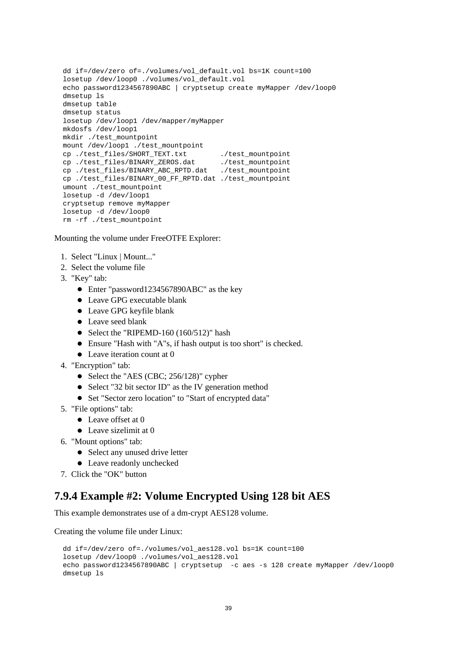```
dd if=/dev/zero of=./volumes/vol_default.vol bs=1K count=100
losetup /dev/loop0 ./volumes/vol_default.vol
echo password1234567890ABC | cryptsetup create myMapper /dev/loop0
dmsetup ls
dmsetup table
dmsetup status
losetup /dev/loop1 /dev/mapper/myMapper 
mkdosfs /dev/loop1
mkdir ./test_mountpoint
mount /dev/loop1 ./test_mountpoint
cp./test_files/SHORT_TEXT.txt ./test_mountpoint
cp ./test_files/BINARY_ZEROS.dat ./test_mountpoint
cp ./test_files/BINARY_ABC_RPTD.dat ./test_mountpoint
cp ./test_files/BINARY_00_FF_RPTD.dat ./test_mountpoint
umount ./test_mountpoint
losetup -d /dev/loop1
cryptsetup remove myMapper
losetup -d /dev/loop0
rm -rf ./test_mountpoint
```
- 1. Select "Linux | Mount..."
- 2. Select the volume file
- 3. "Key" tab:
	- Enter "password1234567890ABC" as the key
	- Leave GPG executable blank
	- Leave GPG keyfile blank
	- Leave seed blank
	- Select the "RIPEMD-160  $(160/512)$ " hash
	- Ensure "Hash with "A"s, if hash output is too short" is checked.
	- Leave iteration count at 0
- 4. "Encryption" tab:
	- Select the "AES (CBC; 256/128)" cypher
	- Select "32 bit sector ID" as the IV generation method
	- Set "Sector zero location" to "Start of encrypted data"
- 5. "File options" tab:
	- Leave offset at 0
	- Leave sizelimit at 0
- 6. "Mount options" tab:
	- Select any unused drive letter
	- Leave readonly unchecked
- 7. Click the "OK" button

### **7.9.4 Example #2: Volume Encrypted Using 128 bit AES**

This example demonstrates use of a dm-crypt AES128 volume.

```
dd if=/dev/zero of=./volumes/vol_aes128.vol bs=1K count=100
losetup /dev/loop0 ./volumes/vol_aes128.vol
echo password1234567890ABC | cryptsetup -c aes -s 128 create myMapper /dev/loop0
dmsetup ls
```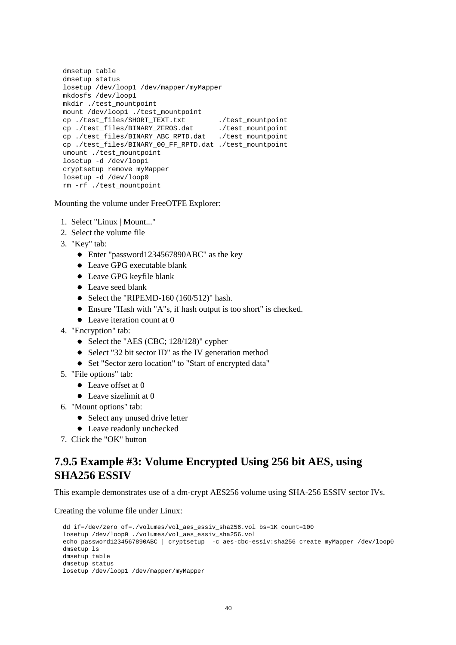```
dmsetup table
dmsetup status
losetup /dev/loop1 /dev/mapper/myMapper 
mkdosfs /dev/loop1
mkdir ./test_mountpoint
mount /dev/loop1 ./test_mountpoint
cp./test_files/SHORT_TEXT.txt ./test_mountpoint
cp ./test_files/BINARY_ZEROS.dat ./test_mountpoint
cp ./test_files/BINARY_ZEROS.dat ./test_mountpoint<br>cp ./test_files/BINARY_ABC_RPTD.dat ./test_mountpoint
cp ./test_files/BINARY_00_FF_RPTD.dat ./test_mountpoint
umount ./test mountpoint
losetup -d /dev/loop1
cryptsetup remove myMapper
losetup -d /dev/loop0
rm -rf ./test_mountpoint
```
- 1. Select "Linux | Mount..."
- 2. Select the volume file
- 3. "Key" tab:
	- Enter "password1234567890ABC" as the key
	- Leave GPG executable blank
	- Leave GPG keyfile blank
	- Leave seed blank
	- Select the "RIPEMD-160  $(160/512)$ " hash.
	- Ensure "Hash with "A"s, if hash output is too short" is checked.
	- Leave iteration count at 0
- 4. "Encryption" tab:
	- Select the "AES (CBC; 128/128)" cypher
	- Select "32 bit sector ID" as the IV generation method
	- Set "Sector zero location" to "Start of encrypted data"
- 5. "File options" tab:
	- Leave offset at 0
	- $\bullet$  Leave sizelimit at 0
- 6. "Mount options" tab:
	- Select any unused drive letter
	- Leave readonly unchecked
- 7. Click the "OK" button

### **7.9.5 Example #3: Volume Encrypted Using 256 bit AES, using SHA256 ESSIV**

This example demonstrates use of a dm-crypt AES256 volume using SHA-256 ESSIV sector IVs.

```
dd if=/dev/zero of=./volumes/vol_aes_essiv_sha256.vol bs=1K count=100
losetup /dev/loop0 ./volumes/vol_aes_essiv_sha256.vol
echo password1234567890ABC | cryptsetup -c aes-cbc-essiv:sha256 create myMapper /dev/loop0
dmsetup ls
dmsetup table
dmsetup status
losetup /dev/loop1 /dev/mapper/myMapper
```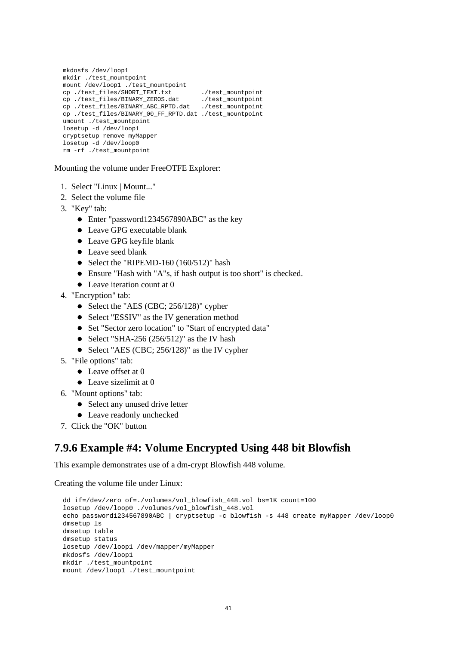```
mkdosfs /dev/loop1
mkdir ./test_mountpoint
mount /dev/loop1 ./test_mountpoint
cp ./test_files/SHORT_TEXT.txt ./test_mountpoint<br>cp ./test_files/BINARY_ZEROS.dat ./test_mountpoint
cp ./test_files/BINARY_ZEROS.dat ./test_mountpoint
cp ./test_files/BINARY_ABC_RPTD.dat ./test_mountpoint
cp ./test_files/BINARY_00_FF_RPTD.dat ./test_mountpoint
umount ./test_mountpoint
losetup -d /dev/loop1
cryptsetup remove myMapper
losetup -d /dev/loop0
rm -rf ./test_mountpoint
```
- 1. Select "Linux | Mount..."
- 2. Select the volume file
- 3. "Key" tab:
	- Enter "password1234567890ABC" as the key
	- Leave GPG executable blank
	- Leave GPG keyfile blank
	- Leave seed blank
	- Select the "RIPEMD-160  $(160/512)$ " hash
	- Ensure "Hash with "A"s, if hash output is too short" is checked.
	- Leave iteration count at 0
- 4. "Encryption" tab:
	- Select the "AES (CBC; 256/128)" cypher
	- Select "ESSIV" as the IV generation method
	- Set "Sector zero location" to "Start of encrypted data"
	- Select "SHA-256 (256/512)" as the IV hash
	- Select "AES (CBC;  $256/128$ )" as the IV cypher
- 5. "File options" tab:
	- Leave offset at 0
	- Leave sizelimit at 0
- 6. "Mount options" tab:
	- Select any unused drive letter
	- Leave readonly unchecked
- 7. Click the "OK" button

### **7.9.6 Example #4: Volume Encrypted Using 448 bit Blowfish**

This example demonstrates use of a dm-crypt Blowfish 448 volume.

```
dd if=/dev/zero of=./volumes/vol_blowfish_448.vol bs=1K count=100
losetup /dev/loop0 ./volumes/vol_blowfish_448.vol
echo password1234567890ABC | cryptsetup -c blowfish -s 448 create myMapper /dev/loop0
dmsetup ls
dmsetup table
dmsetup status
losetup /dev/loop1 /dev/mapper/myMapper 
mkdosfs /dev/loop1
mkdir ./test_mountpoint
mount /dev/loop1 ./test_mountpoint
```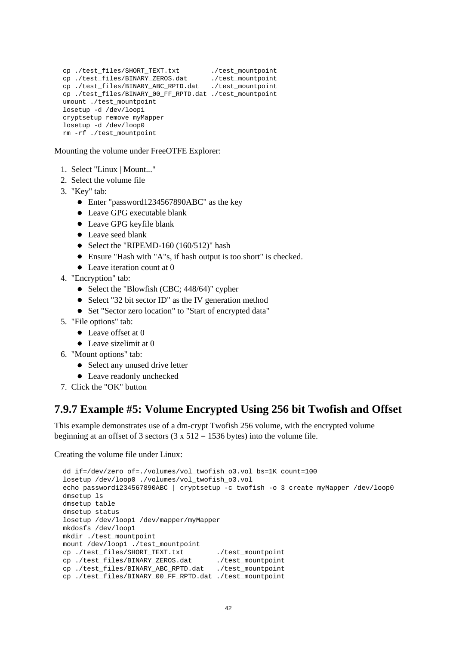```
cp./test_files/SHORT_TEXT.txt ./test_mountpoint
cp./test_files/BINARY_ZEROS.dat ./test_mountpoint
cp ./test_files/BINARY_ABC_RPTD.dat ./test_mountpoint
cp ./test_files/BINARY_00_FF_RPTD.dat ./test_mountpoint
umount ./test_mountpoint
losetup -d /dev/loop1
cryptsetup remove myMapper
losetup -d /dev/loop0
rm -rf ./test_mountpoint
```
- 1. Select "Linux | Mount..."
- 2. Select the volume file
- 3. "Key" tab:
	- Enter "password1234567890ABC" as the key
	- Leave GPG executable blank
	- Leave GPG keyfile blank
	- Leave seed blank
	- Select the "RIPEMD-160 (160/512)" hash
	- Ensure "Hash with "A"s, if hash output is too short" is checked.
	- Leave iteration count at 0
- 4. "Encryption" tab:
	- Select the "Blowfish (CBC;  $448/64$ )" cypher
	- Select "32 bit sector ID" as the IV generation method
	- Set "Sector zero location" to "Start of encrypted data"
- 5. "File options" tab:
	- Leave offset at 0
	- Leave sizelimit at 0
- 6. "Mount options" tab:
	- Select any unused drive letter
	- Leave readonly unchecked
- 7. Click the "OK" button

#### **7.9.7 Example #5: Volume Encrypted Using 256 bit Twofish and Offset**

This example demonstrates use of a dm-crypt Twofish 256 volume, with the encrypted volume beginning at an offset of 3 sectors  $(3 \times 512 = 1536$  bytes) into the volume file.

```
dd if=/dev/zero of=./volumes/vol_twofish_o3.vol bs=1K count=100
losetup /dev/loop0 ./volumes/vol_twofish_o3.vol
echo password1234567890ABC | cryptsetup -c twofish -o 3 create myMapper /dev/loop0
dmsetup ls
dmsetup table
dmsetup status
losetup /dev/loop1 /dev/mapper/myMapper 
mkdosfs /dev/loop1
mkdir ./test_mountpoint
mount /dev/loop1 ./test mountpoint
cp./test_files/SHORT_TEXT.txt ./test_mountpoint
cp./test_files/BINARY_ZEROS.dat ./test_mountpoint
cp ./test_files/BINARY_ABC_RPTD.dat ./test_mountpoint
cp ./test_files/BINARY_00_FF_RPTD.dat ./test_mountpoint
```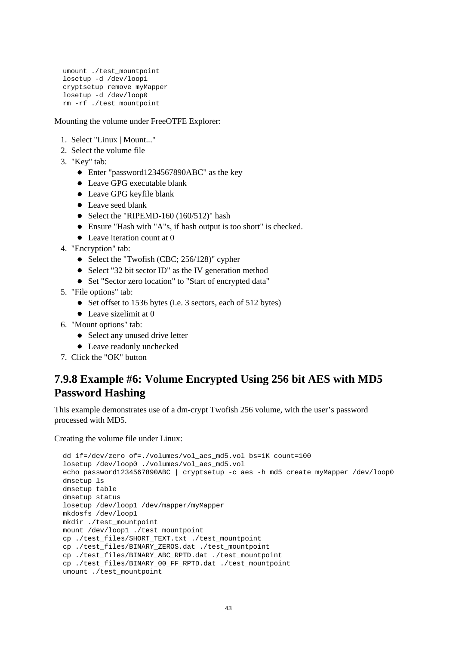```
umount ./test_mountpoint
losetup -d /dev/loop1
cryptsetup remove myMapper
losetup -d /dev/loop0
rm -rf ./test_mountpoint
```
- 1. Select "Linux | Mount..."
- 2. Select the volume file
- 3. "Key" tab:
	- Enter "password1234567890ABC" as the key
	- Leave GPG executable blank
	- Leave GPG keyfile blank
	- Leave seed blank
	- Select the "RIPEMD-160  $(160/512)$ " hash
	- Ensure "Hash with "A"s, if hash output is too short" is checked.
	- Leave iteration count at 0
- 4. "Encryption" tab:
	- Select the "Twofish (CBC; 256/128)" cypher
	- Select "32 bit sector ID" as the IV generation method
	- Set "Sector zero location" to "Start of encrypted data"
- 5. "File options" tab:
	- Set offset to 1536 bytes (i.e. 3 sectors, each of 512 bytes)
	- Leave sizelimit at 0
- 6. "Mount options" tab:
	- Select any unused drive letter
	- Leave readonly unchecked
- 7. Click the "OK" button

### **7.9.8 Example #6: Volume Encrypted Using 256 bit AES with MD5 Password Hashing**

This example demonstrates use of a dm-crypt Twofish 256 volume, with the user's password processed with MD5.

```
dd if=/dev/zero of=./volumes/vol_aes_md5.vol bs=1K count=100
losetup /dev/loop0 ./volumes/vol_aes_md5.vol
echo password1234567890ABC | cryptsetup -c aes -h md5 create myMapper /dev/loop0
dmsetup ls
dmsetup table
dmsetup status
losetup /dev/loop1 /dev/mapper/myMapper 
mkdosfs /dev/loop1
mkdir ./test_mountpoint
mount /dev/loop1 ./test_mountpoint
cp ./test_files/SHORT_TEXT.txt ./test_mountpoint
cp ./test_files/BINARY_ZEROS.dat ./test_mountpoint
cp ./test_files/BINARY_ABC_RPTD.dat ./test_mountpoint
cp ./test_files/BINARY_00_FF_RPTD.dat ./test_mountpoint
umount ./test_mountpoint
```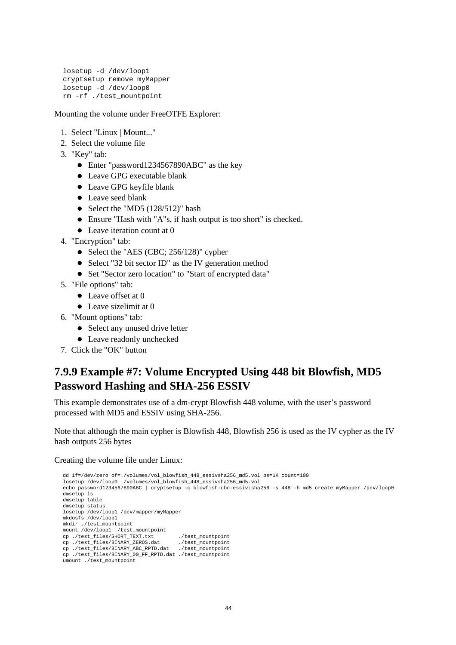```
losetup -d /dev/loop1
cryptsetup remove myMapper
losetup -d /dev/loop0
rm -rf ./test_mountpoint
```
- 1. Select "Linux | Mount..."
- 2. Select the volume file
- 3. "Key" tab:
	- Enter "password1234567890ABC" as the key
	- Leave GPG executable blank
	- Leave GPG keyfile blank
	- Leave seed blank
	- Select the "MD5  $(128/512)$ " hash
	- Ensure "Hash with "A"s, if hash output is too short" is checked.
	- Leave iteration count at 0
- 4. "Encryption" tab:
	- Select the "AES (CBC; 256/128)" cypher
	- Select "32 bit sector ID" as the IV generation method
	- Set "Sector zero location" to "Start of encrypted data"
- 5. "File options" tab:
	- Leave offset at 0
	- Leave sizelimit at 0
- 6. "Mount options" tab:
	- Select any unused drive letter
	- Leave readonly unchecked
- 7. Click the "OK" button

#### **7.9.9 Example #7: Volume Encrypted Using 448 bit Blowfish, MD5 Password Hashing and SHA-256 ESSIV**

This example demonstrates use of a dm-crypt Blowfish 448 volume, with the user's password processed with MD5 and ESSIV using SHA-256.

Note that although the main cypher is Blowfish 448, Blowfish 256 is used as the IV cypher as the IV hash outputs 256 bytes

```
dd if=/dev/zero of=./volumes/vol_blowfish_448_essivsha256_md5.vol bs=1K count=100
losetup /dev/loop0 ./volumes/vol_blowfish_448_essivsha256_md5.vol
echo password1234567890ABC | cryptsetup -c blowfish-cbc-essiv:sha256 -s 448 -h md5 create myMapper /dev/loop0
dmsetup ls
dmsetup table
dmsetup status
losetup /dev/loop1 /dev/mapper/myMapper 
mkdosfs /dev/loop1
mkdir ./test_mountpoint
mount /dev/loop1 ./test_mountpoint
cp ./test_files/SHORT_TEXT.txt ./test_mountpoint
cp ./test_files/BINARY_ZEROS.dat ./test_mountpoint
cp ./test_files/BINARY_ABC_RPTD.dat ./test_mountpoint
cp ./test_files/BINARY_00_FF_RPTD.dat ./test_mountpoint
umount ./test_mountpoint
```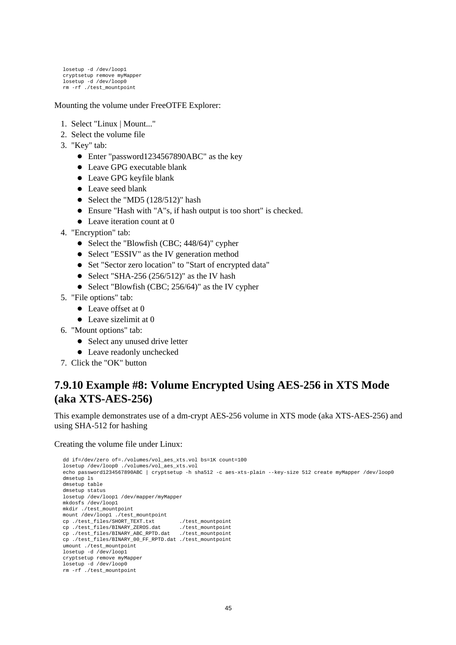losetup -d /dev/loop1 cryptsetup remove myMapper losetup -d /dev/loop0 rm -rf ./test\_mountpoint

Mounting the volume under FreeOTFE Explorer:

- 1. Select "Linux | Mount..."
- 2. Select the volume file
- 3. "Key" tab:
	- Enter "password1234567890ABC" as the key
	- Leave GPG executable blank
	- Leave GPG keyfile blank
	- Leave seed blank
	- Select the "MD5  $(128/512)$ " hash
	- Ensure "Hash with "A"s, if hash output is too short" is checked.
	- Leave iteration count at 0
- 4. "Encryption" tab:
	- Select the "Blowfish (CBC; 448/64)" cypher
	- Select "ESSIV" as the IV generation method
	- Set "Sector zero location" to "Start of encrypted data"
	- Select "SHA-256  $(256/512)$ " as the IV hash
	- Select "Blowfish (CBC;  $256/64$ )" as the IV cypher
- 5. "File options" tab:
	- Leave offset at 0
	- Leave sizelimit at 0
- 6. "Mount options" tab:
	- Select any unused drive letter
	- Leave readonly unchecked
- 7. Click the "OK" button

## **7.9.10 Example #8: Volume Encrypted Using AES-256 in XTS Mode (aka XTS-AES-256)**

This example demonstrates use of a dm-crypt AES-256 volume in XTS mode (aka XTS-AES-256) and using SHA-512 for hashing

```
dd if=/dev/zero of=./volumes/vol_aes_xts.vol bs=1K count=100
losetup /dev/loop0 ./volumes/vol_aes_xts.vol
echo password1234567890ABC | cryptsetup -h sha512 -c aes-xts-plain --key-size 512 create myMapper /dev/loop0
dmsetup ls
dmsetup table
dmsetup status
losetup /dev/loop1 /dev/mapper/myMapper 
mkdosfs /dev/loop1
mkdir ./test_mountpoint
mount /dev/loop1 ./test_mountpoint<br>cp ./test_files/SHORT_TEXT.txt
cp./test_files/SHORT_TEXT.txt ./test_mountpoint
cp./test_files/BINARY_ZEROS.dat ./test_mountpoint
cp ./test_files/BINARY_ABC_RPTD.dat ./test_mountpoint
cp ./test_files/BINARY_00_FF_RPTD.dat ./test_mountpoint
umount ./test_mountpoint
losetup -d /dev/loop1
cryptsetup remove myMapper
losetup -d /dev/loop0
rm -rf ./test_mountpoint
```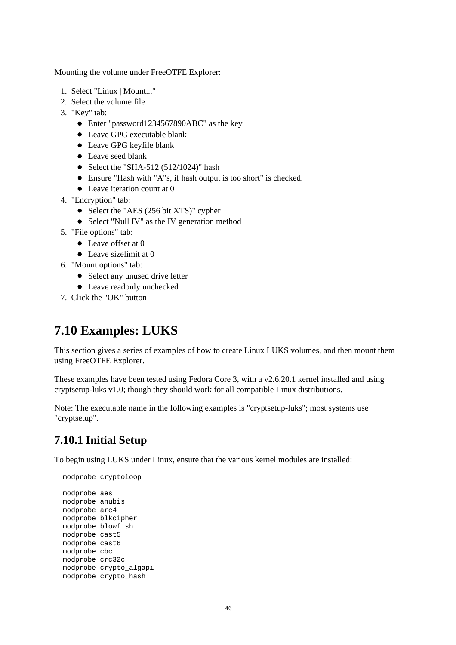- 1. Select "Linux | Mount..."
- 2. Select the volume file
- 3. "Key" tab:
	- Enter "password1234567890ABC" as the key
	- Leave GPG executable blank
	- Leave GPG keyfile blank
	- Leave seed blank
	- Select the "SHA-512  $(512/1024)$ " hash
	- Ensure "Hash with "A"s, if hash output is too short" is checked.
	- Leave iteration count at 0
- 4. "Encryption" tab:
	- Select the "AES (256 bit XTS)" cypher
	- Select "Null IV" as the IV generation method
- 5. "File options" tab:
	- Leave offset at 0
	- $\bullet$  Leave sizelimit at 0
- 6. "Mount options" tab:
	- Select any unused drive letter
	- Leave readonly unchecked
- 7. Click the "OK" button

# **7.10 Examples: LUKS**

This section gives a series of examples of how to create Linux LUKS volumes, and then mount them using FreeOTFE Explorer.

These examples have been tested using Fedora Core 3, with a v2.6.20.1 kernel installed and using cryptsetup-luks v1.0; though they should work for all compatible Linux distributions.

Note: The executable name in the following examples is "cryptsetup-luks"; most systems use "cryptsetup".

# **7.10.1 Initial Setup**

To begin using LUKS under Linux, ensure that the various kernel modules are installed:

```
modprobe cryptoloop
modprobe aes
modprobe anubis
modprobe arc4
modprobe blkcipher
modprobe blowfish
modprobe cast5
modprobe cast6
modprobe cbc
modprobe crc32c
modprobe crypto_algapi
modprobe crypto_hash
```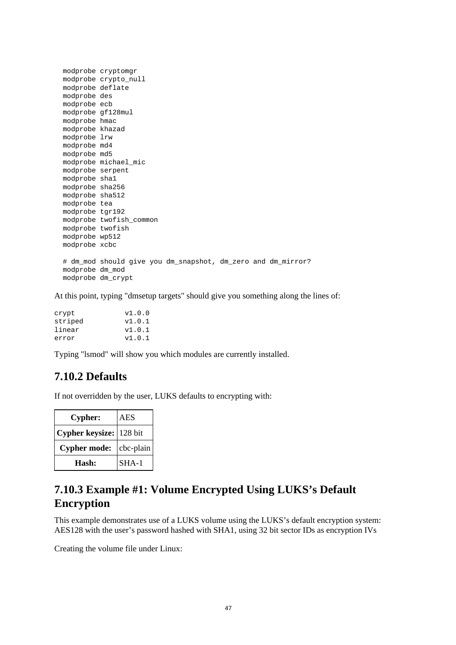|                   | modprobe cryptomgr                                           |
|-------------------|--------------------------------------------------------------|
|                   | modprobe crypto_null                                         |
| modprobe deflate  |                                                              |
| modprobe des      |                                                              |
| modprobe ecb      |                                                              |
| modprobe qf128mul |                                                              |
| modprobe hmac     |                                                              |
| modprobe khazad   |                                                              |
| modprobe lrw      |                                                              |
| modprobe md4      |                                                              |
| modprobe md5      |                                                              |
|                   | modprobe michael mic                                         |
| modprobe serpent  |                                                              |
| modprobe shal     |                                                              |
| modprobe sha256   |                                                              |
| modprobe sha512   |                                                              |
| modprobe tea      |                                                              |
| modprobe tgr192   |                                                              |
|                   | modprobe twofish common                                      |
| modprobe twofish  |                                                              |
| modprobe wp512    |                                                              |
| modprobe xcbc     |                                                              |
|                   |                                                              |
|                   | # dm_mod should give you dm_snapshot, dm_zero and dm_mirror? |
| modprobe dm mod   |                                                              |
| modprobe dm crypt |                                                              |

At this point, typing "dmsetup targets" should give you something along the lines of:

| crypt   | v1.0.0 |
|---------|--------|
| striped | v1.0.1 |
| linear  | v1.0.1 |
| error   | v1.0.1 |

Typing "lsmod" will show you which modules are currently installed.

### **7.10.2 Defaults**

If not overridden by the user, LUKS defaults to encrypting with:

| <b>Cypher:</b>          | AES       |
|-------------------------|-----------|
| Cypher keysize: 128 bit |           |
| <b>Cypher mode:</b>     | cbc-plain |
| Hash:                   | $SHA-1$   |

## **7.10.3 Example #1: Volume Encrypted Using LUKS's Default Encryption**

This example demonstrates use of a LUKS volume using the LUKS's default encryption system: AES128 with the user's password hashed with SHA1, using 32 bit sector IDs as encryption IVs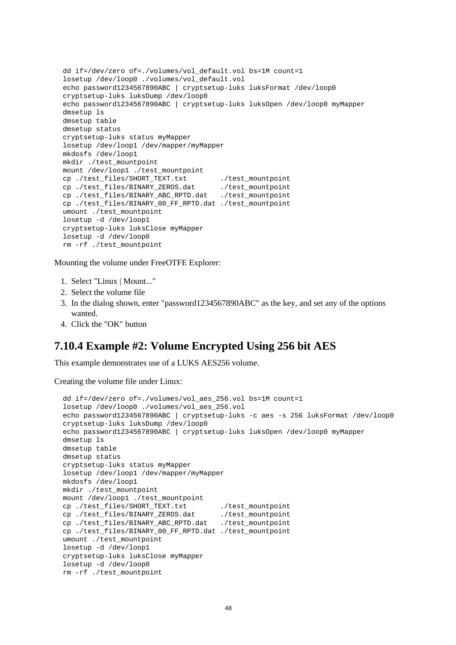```
dd if=/dev/zero of=./volumes/vol_default.vol bs=1M count=1
losetup /dev/loop0 ./volumes/vol_default.vol
echo password1234567890ABC | cryptsetup-luks luksFormat /dev/loop0
cryptsetup-luks luksDump /dev/loop0 
echo password1234567890ABC | cryptsetup-luks luksOpen /dev/loop0 myMapper
dmsetup ls
dmsetup table
dmsetup status
cryptsetup-luks status myMapper
losetup /dev/loop1 /dev/mapper/myMapper
mkdosfs /dev/loop1
mkdir ./test_mountpoint
mount /dev/loop1 ./test_mountpoint
cp ./test files/SHORT TEXT.txt ... /test mountpoint
cp ./test_files/BINARY_ZEROS.dat ./test_mountpoint
cp ./test_files/BINARY_ABC_RPTD.dat ./test_mountpoint
cp ./test_files/BINARY_00_FF_RPTD.dat ./test_mountpoint
umount ./test_mountpoint
losetup -d /dev/loop1
cryptsetup-luks luksClose myMapper
losetup -d /dev/loop0
rm -rf ./test_mountpoint
```
- 1. Select "Linux | Mount..."
- 2. Select the volume file
- 3. In the dialog shown, enter "password1234567890ABC" as the key, and set any of the options wanted.
- 4. Click the "OK" button

#### **7.10.4 Example #2: Volume Encrypted Using 256 bit AES**

This example demonstrates use of a LUKS AES256 volume.

```
dd if=/dev/zero of=./volumes/vol_aes_256.vol bs=1M count=1
losetup /dev/loop0 ./volumes/vol_aes_256.vol
echo password1234567890ABC | cryptsetup-luks -c aes -s 256 luksFormat /dev/loop0
cryptsetup-luks luksDump /dev/loop0 
echo password1234567890ABC | cryptsetup-luks luksOpen /dev/loop0 myMapper
dmsetup ls
dmsetup table
dmsetup status
cryptsetup-luks status myMapper
losetup /dev/loop1 /dev/mapper/myMapper
mkdosfs /dev/loop1
mkdir ./test_mountpoint
mount /dev/loop1 ./test_mountpoint
cp./test_files/SHORT_TEXT.txt ./test_mountpoint
cp./test_files/BINARY_ZEROS.dat ./test_mountpoint
cp ./test_files/BINARY_ABC_RPTD.dat ./test_mountpoint
cp ./test_files/BINARY_00_FF_RPTD.dat ./test_mountpoint
umount ./test_mountpoint
losetup -d /dev/loop1
cryptsetup-luks luksClose myMapper
losetup -d /dev/loop0
rm -rf ./test_mountpoint
```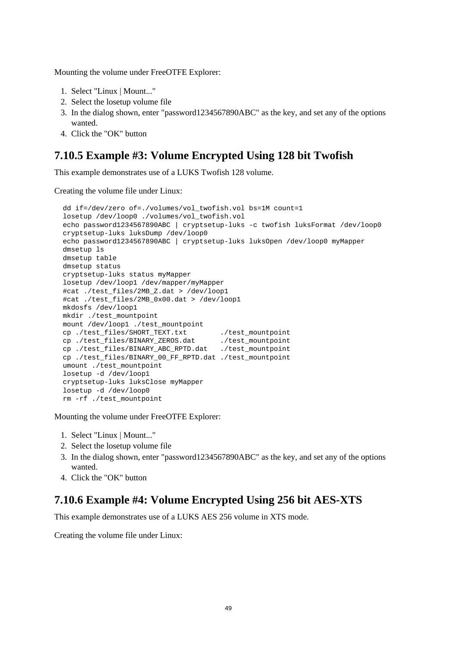- 1. Select "Linux | Mount..."
- 2. Select the losetup volume file
- 3. In the dialog shown, enter "password1234567890ABC" as the key, and set any of the options wanted.
- 4. Click the "OK" button

#### **7.10.5 Example #3: Volume Encrypted Using 128 bit Twofish**

This example demonstrates use of a LUKS Twofish 128 volume.

Creating the volume file under Linux:

```
dd if=/dev/zero of=./volumes/vol_twofish.vol bs=1M count=1
losetup /dev/loop0 ./volumes/vol_twofish.vol
echo password1234567890ABC | cryptsetup-luks -c twofish luksFormat /dev/loop0
cryptsetup-luks luksDump /dev/loop0 
echo password1234567890ABC | cryptsetup-luks luksOpen /dev/loop0 myMapper
dmsetup ls
dmsetup table
dmsetup status
cryptsetup-luks status myMapper
losetup /dev/loop1 /dev/mapper/myMapper
#cat ./test_files/2MB_Z.dat > /dev/loop1
#cat ./test_files/2MB_0x00.dat > /dev/loop1
mkdosfs /dev/loop1
mkdir ./test_mountpoint
mount /dev/loop1 ./test_mountpoint
cp ./test_files/SHORT_TEXT.txt ./test_mountpoint
cp ./test_files/BINARY_ZEROS.dat ./test_mountpoint
cp ./test_files/BINARY_ABC_RPTD.dat ./test_mountpoint
cp ./test_files/BINARY_00_FF_RPTD.dat ./test_mountpoint
umount ./test mountpoint
losetup -d /dev/loop1
cryptsetup-luks luksClose myMapper
losetup -d /dev/loop0
rm -rf ./test_mountpoint
```
Mounting the volume under FreeOTFE Explorer:

- 1. Select "Linux | Mount..."
- 2. Select the losetup volume file
- 3. In the dialog shown, enter "password1234567890ABC" as the key, and set any of the options wanted.
- 4. Click the "OK" button

### **7.10.6 Example #4: Volume Encrypted Using 256 bit AES-XTS**

This example demonstrates use of a LUKS AES 256 volume in XTS mode.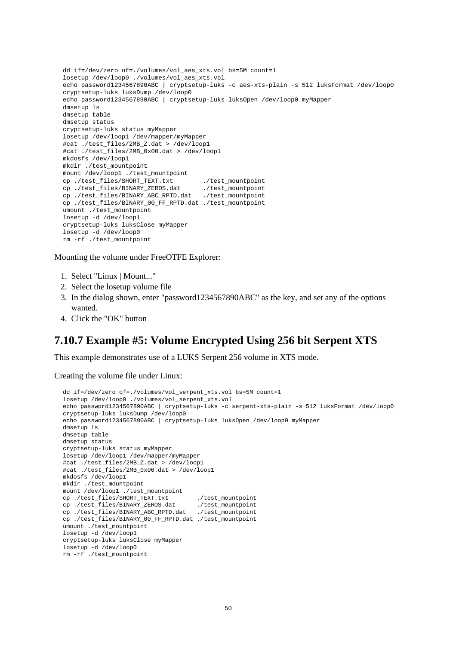```
dd if=/dev/zero of=./volumes/vol_aes_xts.vol bs=5M count=1
losetup /dev/loop0 ./volumes/vol_aes_xts.vol
echo password1234567890ABC | cryptsetup-luks -c aes-xts-plain -s 512 luksFormat /dev/loop0
cryptsetup-luks luksDump /dev/loop0 
echo password1234567890ABC | cryptsetup-luks luksOpen /dev/loop0 myMapper
dmsetup ls
dmsetup table
dmsetup status
cryptsetup-luks status myMapper
losetup /dev/loop1 /dev/mapper/myMapper
#cat ./test_files/2MB_Z.dat > /dev/loop1
#cat ./test_files/2MB_0x00.dat > /dev/loop1
mkdosfs /dev/loop1
mkdir ./test_mountpoint
mount /dev/loop1 ./test_mountpoint
cp./test_files/SHORT_TEXT.txt ./test_mountpoint
cp ./test_files/BINARY_ZEROS.dat ./test_mountpoint
cp ./test_files/BINARY_ABC_RPTD.dat ./test_mountpoint
cp ./test_files/BINARY_00_FF_RPTD.dat ./test_mountpoint
umount ./test_mountpoint
losetup -d /dev/loop1
cryptsetup-luks luksClose myMapper
losetup -d /dev/loop0
rm -rf ./test_mountpoint
```
- 1. Select "Linux | Mount..."
- 2. Select the losetup volume file
- 3. In the dialog shown, enter "password1234567890ABC" as the key, and set any of the options wanted.
- 4. Click the "OK" button

#### **7.10.7 Example #5: Volume Encrypted Using 256 bit Serpent XTS**

This example demonstrates use of a LUKS Serpent 256 volume in XTS mode.

```
dd if=/dev/zero of=./volumes/vol_serpent_xts.vol bs=5M count=1
losetup /dev/loop0 ./volumes/vol_serpent_xts.vol
echo password1234567890ABC | cryptsetup-luks -c serpent-xts-plain -s 512 luksFormat /dev/loop0
cryptsetup-luks luksDump /dev/loop0 
echo password1234567890ABC | cryptsetup-luks luksOpen /dev/loop0 myMapper
dmsetup ls
dmsetup table
dmsetup status
cryptsetup-luks status myMapper
losetup /dev/loop1 /dev/mapper/myMapper
#cat ./test_files/2MB_Z.dat > /dev/loop1
#cat ./test_files/2MB_0x00.dat > /dev/loop1
mkdosfs /dev/loop1
mkdir ./test_mountpoint
mount /dev/loop1 ./test_mountpoint
cp ./test_files/SHORT_TEXT.txt ./test_mountpoint<br>cp ./test_files/BINARY_ZEROS.dat ./test_mountpoint
cp ./test_files/BINARY_ZEROS.dat
cp ./test_files/BINARY_ABC_RPTD.dat ./test_mountpoint
cp ./test_files/BINARY_00_FF_RPTD.dat ./test_mountpoint
umount ./test_mountpoint
losetup -d /dev/loop1
cryptsetup-luks luksClose myMapper
losetup -d /dev/loop0
rm -rf ./test_mountpoint
```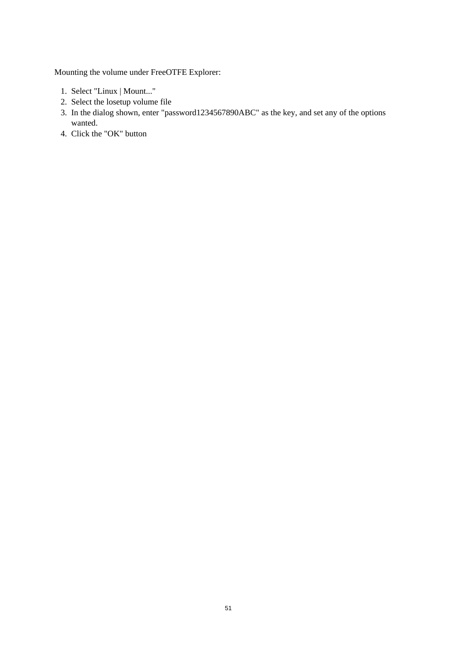- 1. Select "Linux | Mount..."
- 2. Select the losetup volume file
- 3. In the dialog shown, enter "password1234567890ABC" as the key, and set any of the options wanted.
- 4. Click the "OK" button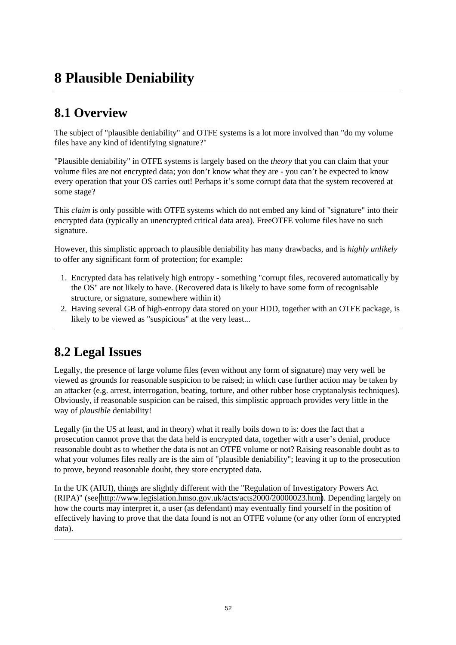# **8 Plausible Deniability**

# **8.1 Overview**

The subject of "plausible deniability" and OTFE systems is a lot more involved than "do my volume files have any kind of identifying signature?"

"Plausible deniability" in OTFE systems is largely based on the *theory* that you can claim that your volume files are not encrypted data; you don't know what they are - you can't be expected to know every operation that your OS carries out! Perhaps it's some corrupt data that the system recovered at some stage?

This *claim* is only possible with OTFE systems which do not embed any kind of "signature" into their encrypted data (typically an unencrypted critical data area). FreeOTFE volume files have no such signature.

However, this simplistic approach to plausible deniability has many drawbacks, and is *highly unlikely* to offer any significant form of protection; for example:

- 1. Encrypted data has relatively high entropy something "corrupt files, recovered automatically by the OS" are not likely to have. (Recovered data is likely to have some form of recognisable structure, or signature, somewhere within it)
- 2. Having several GB of high-entropy data stored on your HDD, together with an OTFE package, is likely to be viewed as "suspicious" at the very least...

# **8.2 Legal Issues**

Legally, the presence of large volume files (even without any form of signature) may very well be viewed as grounds for reasonable suspicion to be raised; in which case further action may be taken by an attacker (e.g. arrest, interrogation, beating, torture, and other rubber hose cryptanalysis techniques). Obviously, if reasonable suspicion can be raised, this simplistic approach provides very little in the way of *plausible* deniability!

Legally (in the US at least, and in theory) what it really boils down to is: does the fact that a prosecution cannot prove that the data held is encrypted data, together with a user's denial, produce reasonable doubt as to whether the data is not an OTFE volume or not? Raising reasonable doubt as to what your volumes files really are is the aim of "plausible deniability"; leaving it up to the prosecution to prove, beyond reasonable doubt, they store encrypted data.

In the UK (AIUI), things are slightly different with the "Regulation of Investigatory Powers Act (RIPA)" (see [http://www.legislation.hmso.gov.uk/acts/acts2000/20000023.htm\)](http://www.legislation.hmso.gov.uk/acts/acts2000/20000023.htm). Depending largely on how the courts may interpret it, a user (as defendant) may eventually find yourself in the position of effectively having to prove that the data found is not an OTFE volume (or any other form of encrypted data).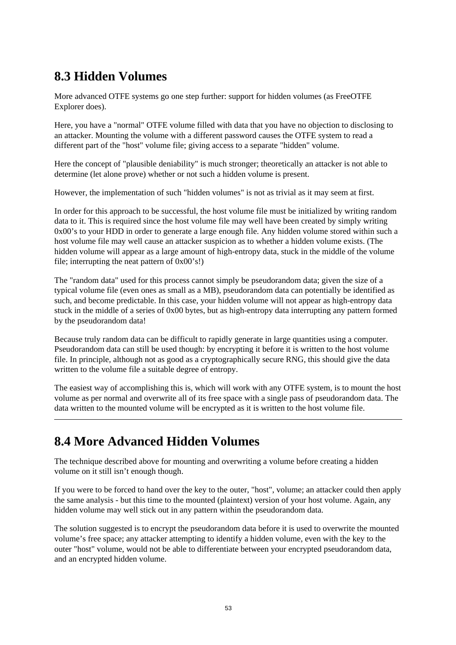# **8.3 Hidden Volumes**

More advanced OTFE systems go one step further: support for hidden volumes (as FreeOTFE Explorer does).

Here, you have a "normal" OTFE volume filled with data that you have no objection to disclosing to an attacker. Mounting the volume with a different password causes the OTFE system to read a different part of the "host" volume file; giving access to a separate "hidden" volume.

Here the concept of "plausible deniability" is much stronger; theoretically an attacker is not able to determine (let alone prove) whether or not such a hidden volume is present.

However, the implementation of such "hidden volumes" is not as trivial as it may seem at first.

In order for this approach to be successful, the host volume file must be initialized by writing random data to it. This is required since the host volume file may well have been created by simply writing 0x00's to your HDD in order to generate a large enough file. Any hidden volume stored within such a host volume file may well cause an attacker suspicion as to whether a hidden volume exists. (The hidden volume will appear as a large amount of high-entropy data, stuck in the middle of the volume file; interrupting the neat pattern of 0x00's!)

The "random data" used for this process cannot simply be pseudorandom data; given the size of a typical volume file (even ones as small as a MB), pseudorandom data can potentially be identified as such, and become predictable. In this case, your hidden volume will not appear as high-entropy data stuck in the middle of a series of 0x00 bytes, but as high-entropy data interrupting any pattern formed by the pseudorandom data!

Because truly random data can be difficult to rapidly generate in large quantities using a computer. Pseudorandom data can still be used though: by encrypting it before it is written to the host volume file. In principle, although not as good as a cryptographically secure RNG, this should give the data written to the volume file a suitable degree of entropy.

The easiest way of accomplishing this is, which will work with any OTFE system, is to mount the host volume as per normal and overwrite all of its free space with a single pass of pseudorandom data. The data written to the mounted volume will be encrypted as it is written to the host volume file.

# **8.4 More Advanced Hidden Volumes**

The technique described above for mounting and overwriting a volume before creating a hidden volume on it still isn't enough though.

If you were to be forced to hand over the key to the outer, "host", volume; an attacker could then apply the same analysis - but this time to the mounted (plaintext) version of your host volume. Again, any hidden volume may well stick out in any pattern within the pseudorandom data.

The solution suggested is to encrypt the pseudorandom data before it is used to overwrite the mounted volume's free space; any attacker attempting to identify a hidden volume, even with the key to the outer "host" volume, would not be able to differentiate between your encrypted pseudorandom data, and an encrypted hidden volume.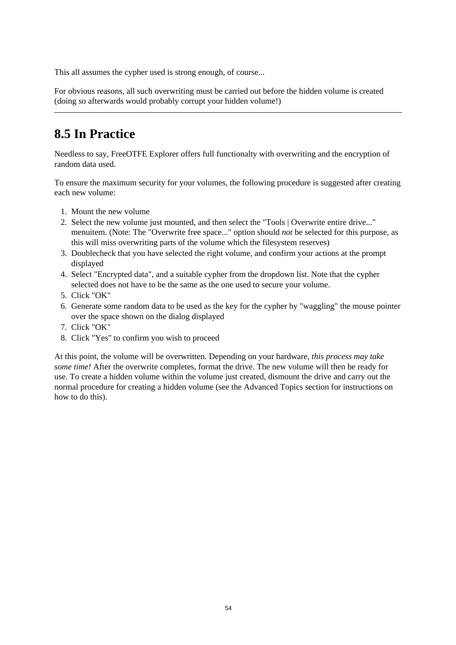This all assumes the cypher used is strong enough, of course...

For obvious reasons, all such overwriting must be carried out before the hidden volume is created (doing so afterwards would probably corrupt your hidden volume!)

# **8.5 In Practice**

Needless to say, FreeOTFE Explorer offers full functionalty with overwriting and the encryption of random data used.

To ensure the maximum security for your volumes, the following procedure is suggested after creating each new volume:

- 1. Mount the new volume
- 2. Select the new volume just mounted, and then select the "Tools | Overwrite entire drive..." menuitem. (Note: The "Overwrite free space..." option should *not* be selected for this purpose, as this will miss overwriting parts of the volume which the filesystem reserves)
- 3. Doublecheck that you have selected the right volume, and confirm your actions at the prompt displayed
- 4. Select "Encrypted data", and a suitable cypher from the dropdown list. Note that the cypher selected does not have to be the same as the one used to secure your volume.
- 5. Click "OK"
- 6. Generate some random data to be used as the key for the cypher by "waggling" the mouse pointer over the space shown on the dialog displayed
- 7. Click "OK"
- 8. Click "Yes" to confirm you wish to proceed

At this point, the volume will be overwritten. Depending on your hardware, *this process may take some time!* After the overwrite completes, format the drive. The new volume will then be ready for use. To create a hidden volume within the volume just created, dismount the drive and carry out the normal procedure for creating a hidden volume (see the Advanced Topics section for instructions on how to do this).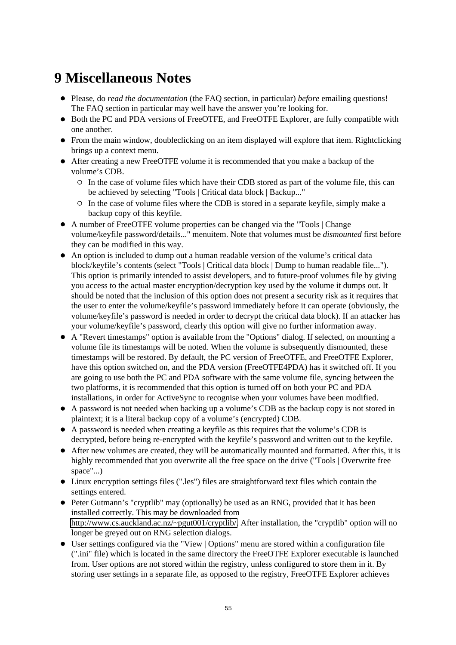# **9 Miscellaneous Notes**

- Please, do *read the documentation* (the FAQ section, in particular) *before* emailing questions! The FAQ section in particular may well have the answer you're looking for.
- Both the PC and PDA versions of FreeOTFE, and FreeOTFE Explorer, are fully compatible with one another.
- From the main window, doubleclicking on an item displayed will explore that item. Rightclicking brings up a context menu.
- After creating a new FreeOTFE volume it is recommended that you make a backup of the volume's CDB.
	- In the case of volume files which have their CDB stored as part of the volume file, this can be achieved by selecting "Tools | Critical data block | Backup..."
	- $\circ$  In the case of volume files where the CDB is stored in a separate keyfile, simply make a backup copy of this keyfile.
- A number of FreeOTFE volume properties can be changed via the "Tools | Change volume/keyfile password/details..." menuitem. Note that volumes must be *dismounted* first before they can be modified in this way.
- An option is included to dump out a human readable version of the volume's critical data block/keyfile's contents (select "Tools | Critical data block | Dump to human readable file..."). This option is primarily intended to assist developers, and to future-proof volumes file by giving you access to the actual master encryption/decryption key used by the volume it dumps out. It should be noted that the inclusion of this option does not present a security risk as it requires that the user to enter the volume/keyfile's password immediately before it can operate (obviously, the volume/keyfile's password is needed in order to decrypt the critical data block). If an attacker has your volume/keyfile's password, clearly this option will give no further information away.
- A "Revert timestamps" option is available from the "Options" dialog. If selected, on mounting a volume file its timestamps will be noted. When the volume is subsequently dismounted, these timestamps will be restored. By default, the PC version of FreeOTFE, and FreeOTFE Explorer, have this option switched on, and the PDA version (FreeOTFE4PDA) has it switched off. If you are going to use both the PC and PDA software with the same volume file, syncing between the two platforms, it is recommended that this option is turned off on both your PC and PDA installations, in order for ActiveSync to recognise when your volumes have been modified.
- A password is not needed when backing up a volume's CDB as the backup copy is not stored in plaintext; it is a literal backup copy of a volume's (encrypted) CDB.
- A password is needed when creating a keyfile as this requires that the volume's CDB is decrypted, before being re-encrypted with the keyfile's password and written out to the keyfile.
- After new volumes are created, they will be automatically mounted and formatted. After this, it is highly recommended that you overwrite all the free space on the drive ("Tools | Overwrite free space"...)
- Linux encryption settings files (".les") files are straightforward text files which contain the settings entered.
- Peter Gutmann's "cryptlib" may (optionally) be used as an RNG, provided that it has been installed correctly. This may be downloaded from [http://www.cs.auckland.ac.nz/~pgut001/cryptlib/.](http://www.cs.auckland.ac.nz/%7Epgut001/cryptlib/) After installation, the "cryptlib" option will no longer be greyed out on RNG selection dialogs.
- $\bullet$  User settings configured via the "View | Options" menu are stored within a configuration file (".ini" file) which is located in the same directory the FreeOTFE Explorer executable is launched from. User options are not stored within the registry, unless configured to store them in it. By storing user settings in a separate file, as opposed to the registry, FreeOTFE Explorer achieves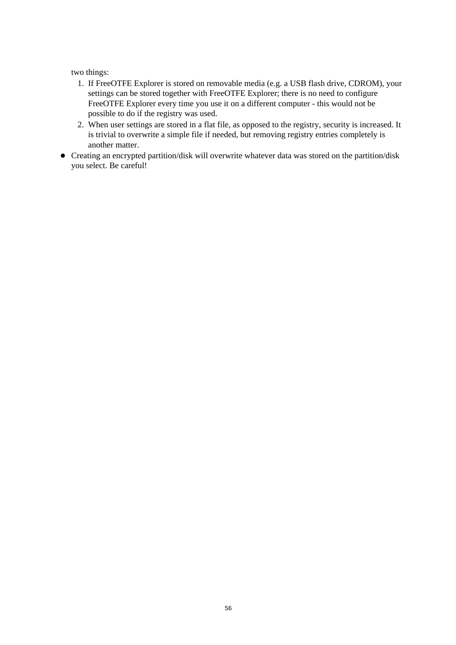two things:

- 1. If FreeOTFE Explorer is stored on removable media (e.g. a USB flash drive, CDROM), your settings can be stored together with FreeOTFE Explorer; there is no need to configure FreeOTFE Explorer every time you use it on a different computer - this would not be possible to do if the registry was used.
- 2. When user settings are stored in a flat file, as opposed to the registry, security is increased. It is trivial to overwrite a simple file if needed, but removing registry entries completely is another matter.
- Creating an encrypted partition/disk will overwrite whatever data was stored on the partition/disk you select. Be careful!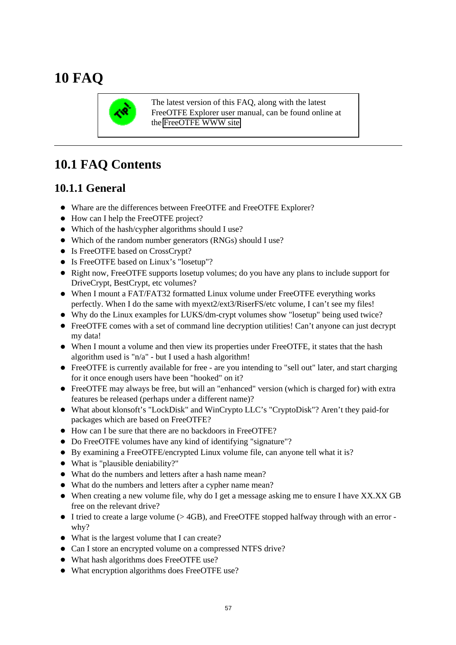# **10 FAQ**



The latest version of this FAQ, along with the latest FreeOTFE Explorer user manual, can be found online at the [FreeOTFE WWW site](http://www.FreeOTFE.org/) 

# **10.1 FAQ Contents**

## **10.1.1 General**

- Whare are the differences between FreeOTFE and FreeOTFE Explorer?
- How can I help the FreeOTFE project?
- Which of the hash/cypher algorithms should I use?
- Which of the random number generators (RNGs) should I use?
- Is FreeOTFE based on CrossCrypt?
- Is FreeOTFE based on Linux's "losetup"?
- Right now, FreeOTFE supports losetup volumes; do you have any plans to include support for DriveCrypt, BestCrypt, etc volumes?
- When I mount a FAT/FAT32 formatted Linux volume under FreeOTFE everything works perfectly. When I do the same with myext2/ext3/RiserFS/etc volume, I can't see my files!
- Why do the Linux examples for LUKS/dm-crypt volumes show "losetup" being used twice?
- FreeOTFE comes with a set of command line decryption utilities! Can't anyone can just decrypt my data!
- When I mount a volume and then view its properties under FreeOTFE, it states that the hash algorithm used is " $n/a$ " - but I used a hash algorithm!
- FreeOTFE is currently available for free are you intending to "sell out" later, and start charging for it once enough users have been "hooked" on it?
- FreeOTFE may always be free, but will an "enhanced" version (which is charged for) with extra features be released (perhaps under a different name)?
- What about klonsoft's "LockDisk" and WinCrypto LLC's "CryptoDisk"? Aren't they paid-for packages which are based on FreeOTFE?
- How can I be sure that there are no backdoors in FreeOTFE?
- Do FreeOTFE volumes have any kind of identifying "signature"?
- By examining a FreeOTFE/encrypted Linux volume file, can anyone tell what it is?
- What is "plausible deniability?"
- What do the numbers and letters after a hash name mean?
- What do the numbers and letters after a cypher name mean?
- When creating a new volume file, why do I get a message asking me to ensure I have XX.XX GB free on the relevant drive?
- I tried to create a large volume (> 4GB), and FreeOTFE stopped halfway through with an error why?
- What is the largest volume that I can create?
- Can I store an encrypted volume on a compressed NTFS drive?
- What hash algorithms does FreeOTFE use?
- What encryption algorithms does FreeOTFE use?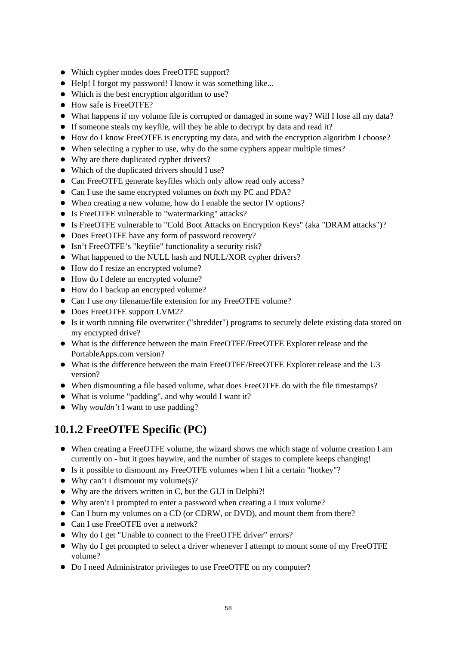- Which cypher modes does FreeOTFE support?
- Help! I forgot my password! I know it was something like...
- Which is the best encryption algorithm to use?
- How safe is FreeOTFE?
- What happens if my volume file is corrupted or damaged in some way? Will I lose all my data?
- If someone steals my keyfile, will they be able to decrypt by data and read it?
- How do I know FreeOTFE is encrypting my data, and with the encryption algorithm I choose?
- When selecting a cypher to use, why do the some cyphers appear multiple times?
- Why are there duplicated cypher drivers?
- Which of the duplicated drivers should I use?
- Can FreeOTFE generate keyfiles which only allow read only access?
- Can I use the same encrypted volumes on *both* my PC and PDA?
- When creating a new volume, how do I enable the sector IV options?
- Is FreeOTFE vulnerable to "watermarking" attacks?
- Is FreeOTFE vulnerable to "Cold Boot Attacks on Encryption Keys" (aka "DRAM attacks")?
- Does FreeOTFE have any form of password recovery?
- Isn't FreeOTFE's "keyfile" functionality a security risk?
- What happened to the NULL hash and NULL/XOR cypher drivers?
- How do I resize an encrypted volume?
- How do I delete an encrypted volume?
- How do I backup an encrypted volume?
- Can I use *any* filename/file extension for my FreeOTFE volume?
- Does FreeOTFE support LVM2?
- Is it worth running file overwriter ("shredder") programs to securely delete existing data stored on my encrypted drive?
- What is the difference between the main FreeOTFE/FreeOTFE Explorer release and the PortableApps.com version?
- What is the difference between the main FreeOTFE/FreeOTFE Explorer release and the U3 version?
- When dismounting a file based volume, what does FreeOTFE do with the file timestamps?
- What is volume "padding", and why would I want it?
- Why *wouldn't* I want to use padding?

## **10.1.2 FreeOTFE Specific (PC)**

- When creating a FreeOTFE volume, the wizard shows me which stage of volume creation I am currently on - but it goes haywire, and the number of stages to complete keeps changing!
- Is it possible to dismount my FreeOTFE volumes when I hit a certain "hotkey"?
- Why can't I dismount my volume $(s)$ ?
- Why are the drivers written in C, but the GUI in Delphi?!
- Why aren't I prompted to enter a password when creating a Linux volume?
- Can I burn my volumes on a CD (or CDRW, or DVD), and mount them from there?
- Can I use FreeOTFE over a network?
- Why do I get "Unable to connect to the FreeOTFE driver" errors?
- Why do I get prompted to select a driver whenever I attempt to mount some of my FreeOTFE volume?
- Do I need Administrator privileges to use FreeOTFE on my computer?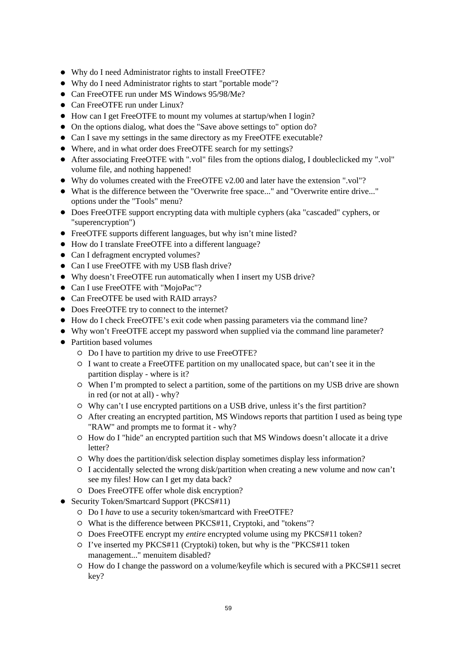- Why do I need Administrator rights to install FreeOTFE?
- Why do I need Administrator rights to start "portable mode"?
- Can FreeOTFE run under MS Windows 95/98/Me?
- Can FreeOTFE run under Linux?
- How can I get FreeOTFE to mount my volumes at startup/when I login?
- On the options dialog, what does the "Save above settings to" option do?
- Can I save my settings in the same directory as my FreeOTFE executable?
- Where, and in what order does FreeOTFE search for my settings?
- After associating FreeOTFE with ".vol" files from the options dialog, I doubleclicked my ".vol" volume file, and nothing happened!
- Why do volumes created with the FreeOTFE v2.00 and later have the extension ".vol"?
- What is the difference between the "Overwrite free space..." and "Overwrite entire drive..." options under the "Tools" menu?
- Does FreeOTFE support encrypting data with multiple cyphers (aka "cascaded" cyphers, or "superencryption")
- FreeOTFE supports different languages, but why isn't mine listed?
- How do I translate FreeOTFE into a different language?
- Can I defragment encrypted volumes?
- Can I use FreeOTFE with my USB flash drive?
- Why doesn't FreeOTFE run automatically when I insert my USB drive?
- Can I use FreeOTFE with "MojoPac"?
- Can FreeOTFE be used with RAID arrays?
- Does FreeOTFE try to connect to the internet?
- How do I check FreeOTFE's exit code when passing parameters via the command line?
- Why won't FreeOTFE accept my password when supplied via the command line parameter?
- Partition based volumes
	- Do I have to partition my drive to use FreeOTFE?
	- $\circ$  I want to create a FreeOTFE partition on my unallocated space, but can't see it in the partition display - where is it?
	- When I'm prompted to select a partition, some of the partitions on my USB drive are shown in red (or not at all) - why?
	- Why can't I use encrypted partitions on a USB drive, unless it's the first partition?
	- After creating an encrypted partition, MS Windows reports that partition I used as being type "RAW" and prompts me to format it - why?
	- $\circ$  How do I "hide" an encrypted partition such that MS Windows doesn't allocate it a drive letter?
	- Why does the partition/disk selection display sometimes display less information?
	- $\circ$  I accidentally selected the wrong disk/partition when creating a new volume and now can't see my files! How can I get my data back?
	- Does FreeOTFE offer whole disk encryption?
- Security Token/Smartcard Support (PKCS#11)
	- Do I *have* to use a security token/smartcard with FreeOTFE?
	- What is the difference between PKCS#11, Cryptoki, and "tokens"?
	- Does FreeOTFE encrypt my *entire* encrypted volume using my PKCS#11 token?
	- I've inserted my PKCS#11 (Cryptoki) token, but why is the "PKCS#11 token management..." menuitem disabled?
	- $\circ$  How do I change the password on a volume/keyfile which is secured with a PKCS#11 secret key?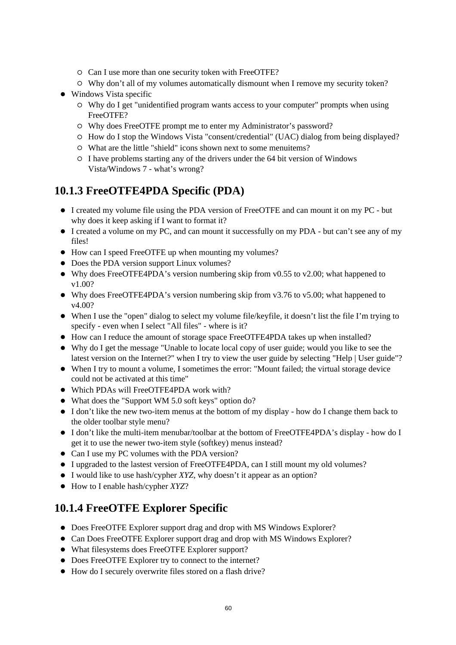- $\circ$  Can I use more than one security token with FreeOTFE?
- Why don't all of my volumes automatically dismount when I remove my security token?
- Windows Vista specific
	- Why do I get "unidentified program wants access to your computer" prompts when using FreeOTFE?
	- Why does FreeOTFE prompt me to enter my Administrator's password?
	- $\circ$  How do I stop the Windows Vista "consent/credential" (UAC) dialog from being displayed?
	- What are the little "shield" icons shown next to some menuitems?
	- $\circ$  I have problems starting any of the drivers under the 64 bit version of Windows Vista/Windows 7 - what's wrong?

### **10.1.3 FreeOTFE4PDA Specific (PDA)**

- I created my volume file using the PDA version of FreeOTFE and can mount it on my PC but why does it keep asking if I want to format it?
- I created a volume on my PC, and can mount it successfully on my PDA but can't see any of my files!
- How can I speed FreeOTFE up when mounting my volumes?
- Does the PDA version support Linux volumes?
- Why does FreeOTFE4PDA's version numbering skip from v0.55 to v2.00; what happened to v1.00?
- Why does FreeOTFE4PDA's version numbering skip from v3.76 to v5.00; what happened to v4.00?
- When I use the "open" dialog to select my volume file/keyfile, it doesn't list the file I'm trying to specify - even when I select "All files" - where is it?
- How can I reduce the amount of storage space FreeOTFE4PDA takes up when installed?
- Why do I get the message "Unable to locate local copy of user guide; would you like to see the latest version on the Internet?" when I try to view the user guide by selecting "Help | User guide"?
- When I try to mount a volume, I sometimes the error: "Mount failed; the virtual storage device could not be activated at this time"
- Which PDAs will FreeOTFE4PDA work with?
- What does the "Support WM 5.0 soft keys" option do?
- I don't like the new two-item menus at the bottom of my display how do I change them back to the older toolbar style menu?
- I don't like the multi-item menubar/toolbar at the bottom of FreeOTFE4PDA's display how do I get it to use the newer two-item style (softkey) menus instead?
- Can I use my PC volumes with the PDA version?
- I upgraded to the lastest version of FreeOTFE4PDA, can I still mount my old volumes?
- I would like to use hash/cypher *XYZ*, why doesn't it appear as an option?
- How to I enable hash/cypher *XYZ*?

### **10.1.4 FreeOTFE Explorer Specific**

- Does FreeOTFE Explorer support drag and drop with MS Windows Explorer?
- Can Does FreeOTFE Explorer support drag and drop with MS Windows Explorer?
- What filesystems does FreeOTFE Explorer support?
- Does FreeOTFE Explorer try to connect to the internet?
- How do I securely overwrite files stored on a flash drive?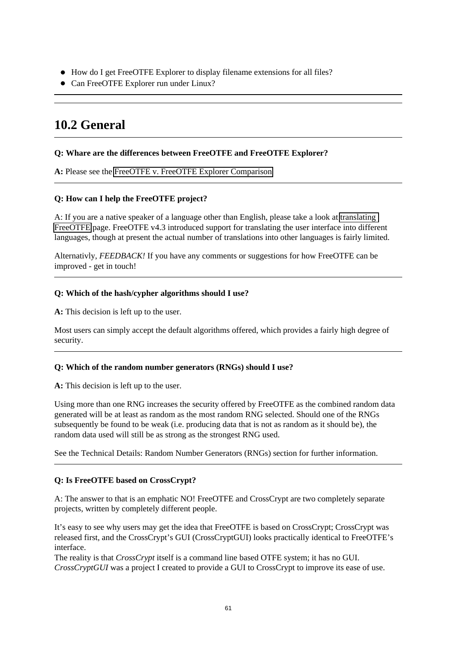- How do I get FreeOTFE Explorer to display filename extensions for all files?
- Can FreeOTFE Explorer run under Linux?

# **10.2 General**

#### **Q: Whare are the differences between FreeOTFE and FreeOTFE Explorer?**

**A:** Please see the [FreeOTFE v. FreeOTFE Explorer Comparison](http://www.FreeOTFE.org/main_explorer_differences.html) 

#### **Q: How can I help the FreeOTFE project?**

A: If you are a native speaker of a language other than English, please take a look at [translating](http://www.FreeOTFE.org/translations.html)  [FreeOTFE](http://www.FreeOTFE.org/translations.html) page. FreeOTFE v4.3 introduced support for translating the user interface into different languages, though at present the actual number of translations into other languages is fairly limited.

Alternativly, *FEEDBACK!* If you have any comments or suggestions for how FreeOTFE can be improved - get in touch!

#### **Q: Which of the hash/cypher algorithms should I use?**

**A:** This decision is left up to the user.

Most users can simply accept the default algorithms offered, which provides a fairly high degree of security.

#### **Q: Which of the random number generators (RNGs) should I use?**

**A:** This decision is left up to the user.

Using more than one RNG increases the security offered by FreeOTFE as the combined random data generated will be at least as random as the most random RNG selected. Should one of the RNGs subsequently be found to be weak (i.e. producing data that is not as random as it should be), the random data used will still be as strong as the strongest RNG used.

See the Technical Details: Random Number Generators (RNGs) section for further information.

#### **Q: Is FreeOTFE based on CrossCrypt?**

A: The answer to that is an emphatic NO! FreeOTFE and CrossCrypt are two completely separate projects, written by completely different people.

It's easy to see why users may get the idea that FreeOTFE is based on CrossCrypt; CrossCrypt was released first, and the CrossCrypt's GUI (CrossCryptGUI) looks practically identical to FreeOTFE's interface.

The reality is that *CrossCrypt* itself is a command line based OTFE system; it has no GUI. *CrossCryptGUI* was a project I created to provide a GUI to CrossCrypt to improve its ease of use.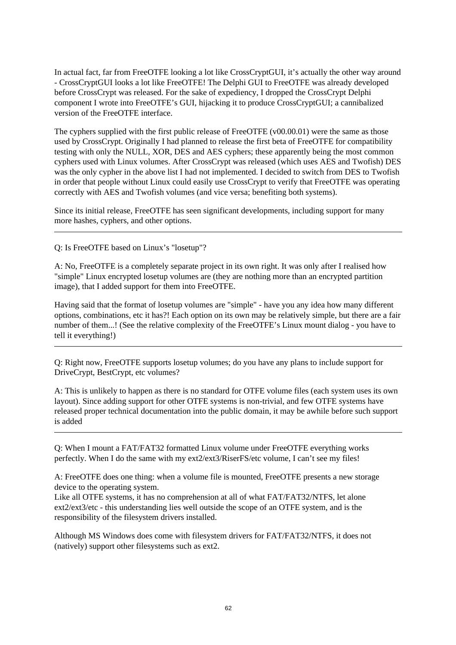In actual fact, far from FreeOTFE looking a lot like CrossCryptGUI, it's actually the other way around - CrossCryptGUI looks a lot like FreeOTFE! The Delphi GUI to FreeOTFE was already developed before CrossCrypt was released. For the sake of expediency, I dropped the CrossCrypt Delphi component I wrote into FreeOTFE's GUI, hijacking it to produce CrossCryptGUI; a cannibalized version of the FreeOTFE interface.

The cyphers supplied with the first public release of FreeOTFE (v00.00.01) were the same as those used by CrossCrypt. Originally I had planned to release the first beta of FreeOTFE for compatibility testing with only the NULL, XOR, DES and AES cyphers; these apparently being the most common cyphers used with Linux volumes. After CrossCrypt was released (which uses AES and Twofish) DES was the only cypher in the above list I had not implemented. I decided to switch from DES to Twofish in order that people without Linux could easily use CrossCrypt to verify that FreeOTFE was operating correctly with AES and Twofish volumes (and vice versa; benefiting both systems).

Since its initial release, FreeOTFE has seen significant developments, including support for many more hashes, cyphers, and other options.

Q: Is FreeOTFE based on Linux's "losetup"?

A: No, FreeOTFE is a completely separate project in its own right. It was only after I realised how "simple" Linux encrypted losetup volumes are (they are nothing more than an encrypted partition image), that I added support for them into FreeOTFE.

Having said that the format of losetup volumes are "simple" - have you any idea how many different options, combinations, etc it has?! Each option on its own may be relatively simple, but there are a fair number of them...! (See the relative complexity of the FreeOTFE's Linux mount dialog - you have to tell it everything!)

Q: Right now, FreeOTFE supports losetup volumes; do you have any plans to include support for DriveCrypt, BestCrypt, etc volumes?

A: This is unlikely to happen as there is no standard for OTFE volume files (each system uses its own layout). Since adding support for other OTFE systems is non-trivial, and few OTFE systems have released proper technical documentation into the public domain, it may be awhile before such support is added

Q: When I mount a FAT/FAT32 formatted Linux volume under FreeOTFE everything works perfectly. When I do the same with my ext2/ext3/RiserFS/etc volume, I can't see my files!

A: FreeOTFE does one thing: when a volume file is mounted, FreeOTFE presents a new storage device to the operating system.

Like all OTFE systems, it has no comprehension at all of what FAT/FAT32/NTFS, let alone ext2/ext3/etc - this understanding lies well outside the scope of an OTFE system, and is the responsibility of the filesystem drivers installed.

Although MS Windows does come with filesystem drivers for FAT/FAT32/NTFS, it does not (natively) support other filesystems such as ext2.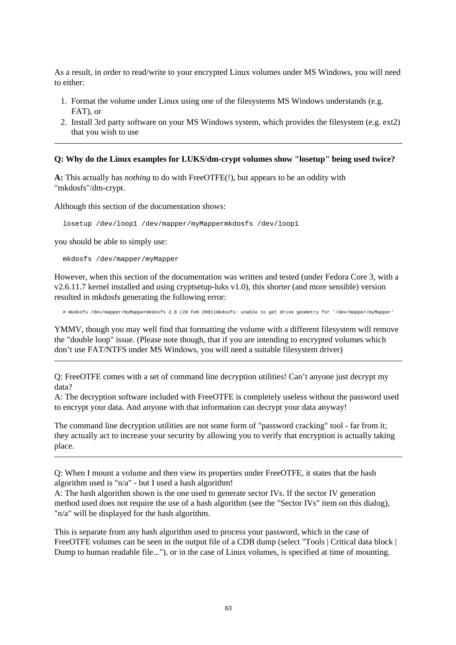As a result, in order to read/write to your encrypted Linux volumes under MS Windows, you will need to either:

- 1. Format the volume under Linux using one of the filesystems MS Windows understands (e.g. FAT), or
- 2. Install 3rd party software on your MS Windows system, which provides the filesystem (e.g. ext2) that you wish to use

#### **Q: Why do the Linux examples for LUKS/dm-crypt volumes show "losetup" being used twice?**

**A:** This actually has *nothing* to do with FreeOTFE(!), but appears to be an oddity with "mkdosfs"/dm-crypt.

Although this section of the documentation shows:

losetup /dev/loop1 /dev/mapper/myMappermkdosfs /dev/loop1

you should be able to simply use:

mkdosfs /dev/mapper/myMapper

However, when this section of the documentation was written and tested (under Fedora Core 3, with a v2.6.11.7 kernel installed and using cryptsetup-luks v1.0), this shorter (and more sensible) version resulted in mkdosfs generating the following error:

# mkdosfs /dev/mapper/myMappermkdosfs 2.8 (28 Feb 2001)mkdosfs: unable to get drive geometry for '/dev/mapper/myMapper'

YMMV, though you may well find that formatting the volume with a different filesystem will remove the "double loop" issue. (Please note though, that if you are intending to encrypted volumes which don't use FAT/NTFS under MS Windows, you will need a suitable filesystem driver)

Q: FreeOTFE comes with a set of command line decryption utilities! Can't anyone just decrypt my data?

A: The decryption software included with FreeOTFE is completely useless without the password used to encrypt your data. And anyone with that information can decrypt your data anyway!

The command line decryption utilities are not some form of "password cracking" tool - far from it; they actually act to increase your security by allowing you to verify that encryption is actually taking place.

Q: When I mount a volume and then view its properties under FreeOTFE, it states that the hash algorithm used is "n/a" - but I used a hash algorithm!

A: The hash algorithm shown is the one used to generate sector IVs. If the sector IV generation method used does not require the use of a hash algorithm (see the "Sector IVs" item on this dialog), "n/a" will be displayed for the hash algorithm.

This is separate from any hash algorithm used to process your password, which in the case of FreeOTFE volumes can be seen in the output file of a CDB dump (select "Tools | Critical data block | Dump to human readable file..."), or in the case of Linux volumes, is specified at time of mounting.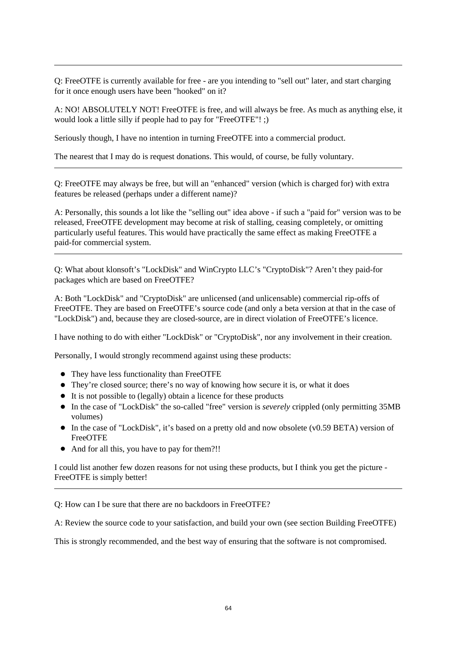Q: FreeOTFE is currently available for free - are you intending to "sell out" later, and start charging for it once enough users have been "hooked" on it?

A: NO! ABSOLUTELY NOT! FreeOTFE is free, and will always be free. As much as anything else, it would look a little silly if people had to pay for "FreeOTFE"! ;)

Seriously though, I have no intention in turning FreeOTFE into a commercial product.

The nearest that I may do is request donations. This would, of course, be fully voluntary.

Q: FreeOTFE may always be free, but will an "enhanced" version (which is charged for) with extra features be released (perhaps under a different name)?

A: Personally, this sounds a lot like the "selling out" idea above - if such a "paid for" version was to be released, FreeOTFE development may become at risk of stalling, ceasing completely, or omitting particularly useful features. This would have practically the same effect as making FreeOTFE a paid-for commercial system.

Q: What about klonsoft's "LockDisk" and WinCrypto LLC's "CryptoDisk"? Aren't they paid-for packages which are based on FreeOTFE?

A: Both "LockDisk" and "CryptoDisk" are unlicensed (and unlicensable) commercial rip-offs of FreeOTFE. They are based on FreeOTFE's source code (and only a beta version at that in the case of "LockDisk") and, because they are closed-source, are in direct violation of FreeOTFE's licence.

I have nothing to do with either "LockDisk" or "CryptoDisk", nor any involvement in their creation.

Personally, I would strongly recommend against using these products:

- They have less functionality than FreeOTFE
- They're closed source; there's no way of knowing how secure it is, or what it does
- It is not possible to (legally) obtain a licence for these products
- In the case of "LockDisk" the so-called "free" version is *severely* crippled (only permitting 35MB volumes)
- $\bullet$  In the case of "LockDisk", it's based on a pretty old and now obsolete (v0.59 BETA) version of FreeOTFE
- And for all this, you have to pay for them?!!

I could list another few dozen reasons for not using these products, but I think you get the picture - FreeOTFE is simply better!

Q: How can I be sure that there are no backdoors in FreeOTFE?

A: Review the source code to your satisfaction, and build your own (see section Building FreeOTFE)

This is strongly recommended, and the best way of ensuring that the software is not compromised.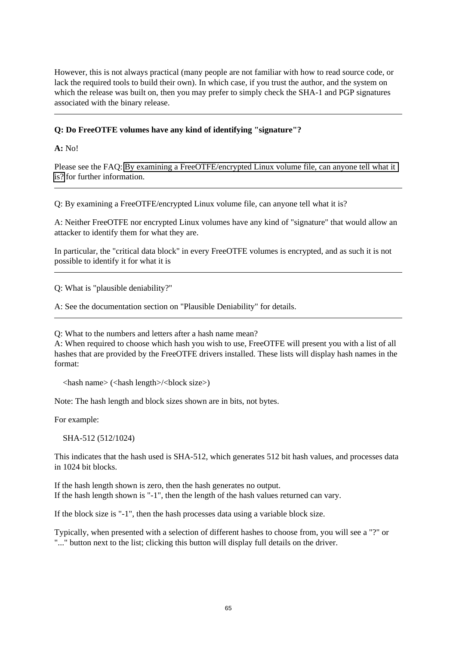However, this is not always practical (many people are not familiar with how to read source code, or lack the required tools to build their own). In which case, if you trust the author, and the system on which the release was built on, then you may prefer to simply check the SHA-1 and PGP signatures associated with the binary release.

#### **Q: Do FreeOTFE volumes have any kind of identifying "signature"?**

**A:** No!

Please see the FAQ: [By examining a FreeOTFE/encrypted Linux volume file, can anyone tell what it](#page-70-0)  [is?](#page-70-0) for further information.

<span id="page-70-0"></span>Q: By examining a FreeOTFE/encrypted Linux volume file, can anyone tell what it is?

A: Neither FreeOTFE nor encrypted Linux volumes have any kind of "signature" that would allow an attacker to identify them for what they are.

In particular, the "critical data block" in every FreeOTFE volumes is encrypted, and as such it is not possible to identify it for what it is

Q: What is "plausible deniability?"

A: See the documentation section on "Plausible Deniability" for details.

Q: What to the numbers and letters after a hash name mean?

A: When required to choose which hash you wish to use, FreeOTFE will present you with a list of all hashes that are provided by the FreeOTFE drivers installed. These lists will display hash names in the format:

 $\langle$ hash name $\rangle$  ( $\langle$ hash length $\rangle$  $\langle$ block size $\rangle$ )

Note: The hash length and block sizes shown are in bits, not bytes.

For example:

SHA-512 (512/1024)

This indicates that the hash used is SHA-512, which generates 512 bit hash values, and processes data in 1024 bit blocks.

If the hash length shown is zero, then the hash generates no output. If the hash length shown is "-1", then the length of the hash values returned can vary.

If the block size is "-1", then the hash processes data using a variable block size.

Typically, when presented with a selection of different hashes to choose from, you will see a "?" or "..." button next to the list; clicking this button will display full details on the driver.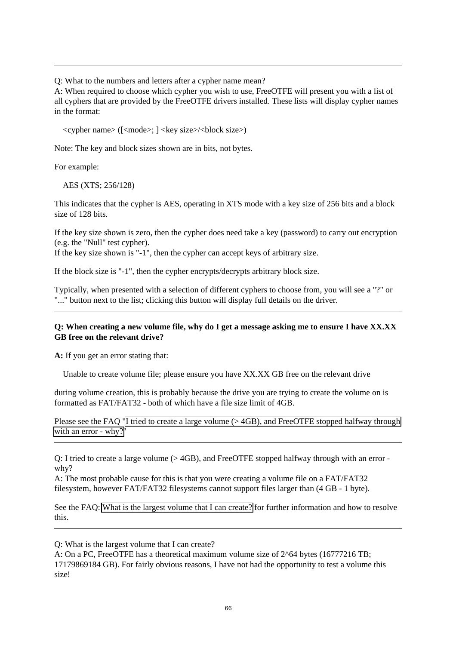Q: What to the numbers and letters after a cypher name mean?

A: When required to choose which cypher you wish to use, FreeOTFE will present you with a list of all cyphers that are provided by the FreeOTFE drivers installed. These lists will display cypher names in the format:

<cypher name> ([<mode>; ] <key size>/<block size>)

Note: The key and block sizes shown are in bits, not bytes.

For example:

AES (XTS; 256/128)

This indicates that the cypher is AES, operating in XTS mode with a key size of 256 bits and a block size of 128 bits.

If the key size shown is zero, then the cypher does need take a key (password) to carry out encryption (e.g. the "Null" test cypher).

If the key size shown is "-1", then the cypher can accept keys of arbitrary size.

If the block size is "-1", then the cypher encrypts/decrypts arbitrary block size.

Typically, when presented with a selection of different cyphers to choose from, you will see a "?" or "..." button next to the list; clicking this button will display full details on the driver.

#### **Q: When creating a new volume file, why do I get a message asking me to ensure I have XX.XX GB free on the relevant drive?**

**A:** If you get an error stating that:

Unable to create volume file; please ensure you have XX.XX GB free on the relevant drive

during volume creation, this is probably because the drive you are trying to create the volume on is formatted as FAT/FAT32 - both of which have a file size limit of 4GB.

Please see the FAQ "I tried to create a large volume ( $>$ 4GB), and FreeOTFE stopped halfway through [with an error - why?"](#page-71-0)

<span id="page-71-0"></span>Q: I tried to create a large volume (> 4GB), and FreeOTFE stopped halfway through with an error why?

A: The most probable cause for this is that you were creating a volume file on a FAT/FAT32 filesystem, however FAT/FAT32 filesystems cannot support files larger than (4 GB - 1 byte).

See the FAQ: [What is the largest volume that I can create?](#page-71-1) for further information and how to resolve this.

<span id="page-71-1"></span>Q: What is the largest volume that I can create?

A: On a PC, FreeOTFE has a theoretical maximum volume size of 2^64 bytes (16777216 TB; 17179869184 GB). For fairly obvious reasons, I have not had the opportunity to test a volume this size!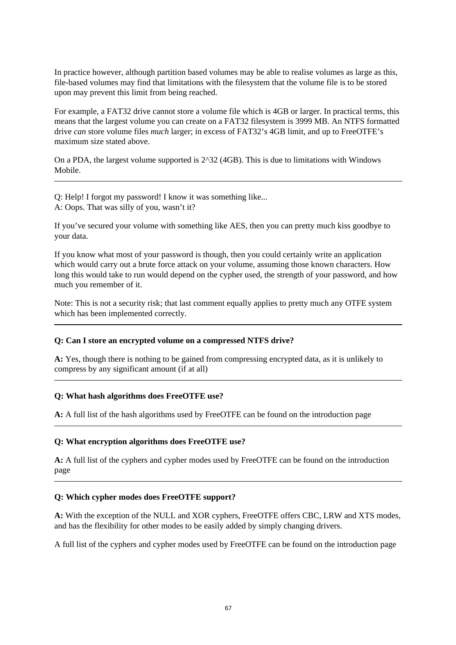In practice however, although partition based volumes may be able to realise volumes as large as this, file-based volumes may find that limitations with the filesystem that the volume file is to be stored upon may prevent this limit from being reached.

For example, a FAT32 drive cannot store a volume file which is 4GB or larger. In practical terms, this means that the largest volume you can create on a FAT32 filesystem is 3999 MB. An NTFS formatted drive *can* store volume files *much* larger; in excess of FAT32's 4GB limit, and up to FreeOTFE's maximum size stated above.

On a PDA, the largest volume supported is 2^32 (4GB). This is due to limitations with Windows Mobile.

Q: Help! I forgot my password! I know it was something like... A: Oops. That was silly of you, wasn't it?

If you've secured your volume with something like AES, then you can pretty much kiss goodbye to your data.

If you know what most of your password is though, then you could certainly write an application which would carry out a brute force attack on your volume, assuming those known characters. How long this would take to run would depend on the cypher used, the strength of your password, and how much you remember of it.

Note: This is not a security risk; that last comment equally applies to pretty much any OTFE system which has been implemented correctly.

#### **Q: Can I store an encrypted volume on a compressed NTFS drive?**

**A:** Yes, though there is nothing to be gained from compressing encrypted data, as it is unlikely to compress by any significant amount (if at all)

#### **Q: What hash algorithms does FreeOTFE use?**

**A:** A full list of the hash algorithms used by FreeOTFE can be found on the introduction page

#### **Q: What encryption algorithms does FreeOTFE use?**

**A:** A full list of the cyphers and cypher modes used by FreeOTFE can be found on the introduction page

#### **Q: Which cypher modes does FreeOTFE support?**

**A:** With the exception of the NULL and XOR cyphers, FreeOTFE offers CBC, LRW and XTS modes, and has the flexibility for other modes to be easily added by simply changing drivers.

A full list of the cyphers and cypher modes used by FreeOTFE can be found on the introduction page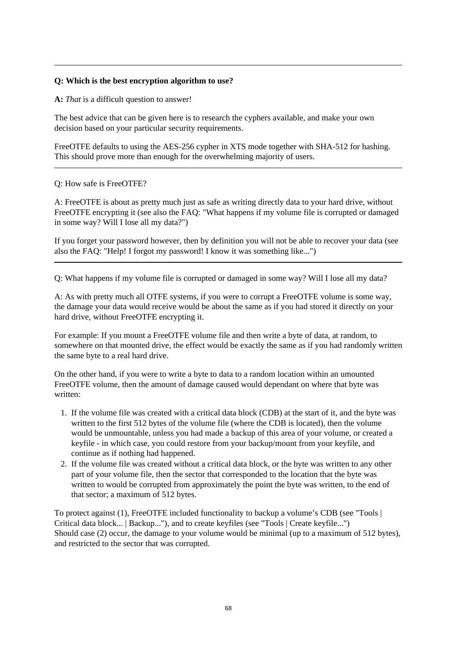#### **Q: Which is the best encryption algorithm to use?**

**A:** *That* is a difficult question to answer!

The best advice that can be given here is to research the cyphers available, and make your own decision based on your particular security requirements.

FreeOTFE defaults to using the AES-256 cypher in XTS mode together with SHA-512 for hashing. This should prove more than enough for the overwhelming majority of users.

#### Q: How safe is FreeOTFE?

A: FreeOTFE is about as pretty much just as safe as writing directly data to your hard drive, without FreeOTFE encrypting it (see also the FAQ: "What happens if my volume file is corrupted or damaged in some way? Will I lose all my data?")

If you forget your password however, then by definition you will not be able to recover your data (see also the FAQ: "Help! I forgot my password! I know it was something like...")

Q: What happens if my volume file is corrupted or damaged in some way? Will I lose all my data?

A: As with pretty much all OTFE systems, if you were to corrupt a FreeOTFE volume is some way, the damage your data would receive would be about the same as if you had stored it directly on your hard drive, without FreeOTFE encrypting it.

For example: If you mount a FreeOTFE volume file and then write a byte of data, at random, to somewhere on that mounted drive, the effect would be exactly the same as if you had randomly written the same byte to a real hard drive.

On the other hand, if you were to write a byte to data to a random location within an umounted FreeOTFE volume, then the amount of damage caused would dependant on where that byte was written:

- 1. If the volume file was created with a critical data block (CDB) at the start of it, and the byte was written to the first 512 bytes of the volume file (where the CDB is located), then the volume would be unmountable, unless you had made a backup of this area of your volume, or created a keyfile - in which case, you could restore from your backup/mount from your keyfile, and continue as if nothing had happened.
- 2. If the volume file was created without a critical data block, or the byte was written to any other part of your volume file, then the sector that corresponded to the location that the byte was written to would be corrupted from approximately the point the byte was written, to the end of that sector; a maximum of 512 bytes.

To protect against (1), FreeOTFE included functionality to backup a volume's CDB (see "Tools | Critical data block... | Backup..."), and to create keyfiles (see "Tools | Create keyfile...") Should case (2) occur, the damage to your volume would be minimal (up to a maximum of 512 bytes), and restricted to the sector that was corrupted.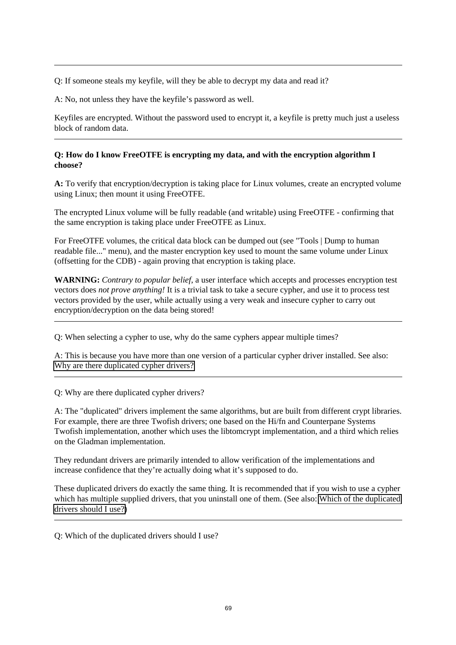Q: If someone steals my keyfile, will they be able to decrypt my data and read it?

A: No, not unless they have the keyfile's password as well.

Keyfiles are encrypted. Without the password used to encrypt it, a keyfile is pretty much just a useless block of random data.

#### **Q: How do I know FreeOTFE is encrypting my data, and with the encryption algorithm I choose?**

**A:** To verify that encryption/decryption is taking place for Linux volumes, create an encrypted volume using Linux; then mount it using FreeOTFE.

The encrypted Linux volume will be fully readable (and writable) using FreeOTFE - confirming that the same encryption is taking place under FreeOTFE as Linux.

For FreeOTFE volumes, the critical data block can be dumped out (see "Tools | Dump to human readable file..." menu), and the master encryption key used to mount the same volume under Linux (offsetting for the CDB) - again proving that encryption is taking place.

**WARNING:** *Contrary to popular belief*, a user interface which accepts and processes encryption test vectors does *not prove anything!* It is a trivial task to take a secure cypher, and use it to process test vectors provided by the user, while actually using a very weak and insecure cypher to carry out encryption/decryption on the data being stored!

Q: When selecting a cypher to use, why do the same cyphers appear multiple times?

A: This is because you have more than one version of a particular cypher driver installed. See also: [Why are there duplicated cypher drivers?](#page-74-0) 

<span id="page-74-0"></span>Q: Why are there duplicated cypher drivers?

A: The "duplicated" drivers implement the same algorithms, but are built from different crypt libraries. For example, there are three Twofish drivers; one based on the Hi/fn and Counterpane Systems Twofish implementation, another which uses the libtomcrypt implementation, and a third which relies on the Gladman implementation.

They redundant drivers are primarily intended to allow verification of the implementations and increase confidence that they're actually doing what it's supposed to do.

These duplicated drivers do exactly the same thing. It is recommended that if you wish to use a cypher which has multiple supplied drivers, that you uninstall one of them. (See also: [Which of the duplicated](#page-74-1) [drivers should I use?\)](#page-74-1)

<span id="page-74-1"></span>Q: Which of the duplicated drivers should I use?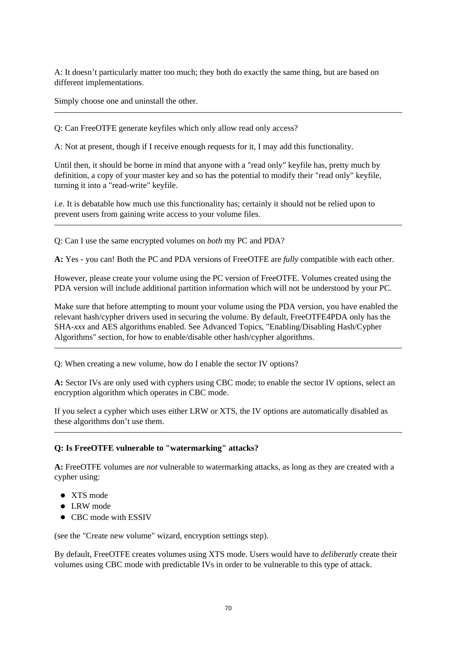A: It doesn't particularly matter too much; they both do exactly the same thing, but are based on different implementations.

Simply choose one and uninstall the other.

Q: Can FreeOTFE generate keyfiles which only allow read only access?

A: Not at present, though if I receive enough requests for it, I may add this functionality.

Until then, it should be borne in mind that anyone with a "read only" keyfile has, pretty much by definition, a copy of your master key and so has the potential to modify their "read only" keyfile, turning it into a "read-write" keyfile.

i.e. It is debatable how much use this functionality has; certainly it should not be relied upon to prevent users from gaining write access to your volume files.

Q: Can I use the same encrypted volumes on *both* my PC and PDA?

**A:** Yes - you can! Both the PC and PDA versions of FreeOTFE are *fully* compatible with each other.

However, please create your volume using the PC version of FreeOTFE. Volumes created using the PDA version will include additional partition information which will not be understood by your PC.

Make sure that before attempting to mount your volume using the PDA version, you have enabled the relevant hash/cypher drivers used in securing the volume. By default, FreeOTFE4PDA only has the SHA-*xxx* and AES algorithms enabled. See Advanced Topics, "Enabling/Disabling Hash/Cypher Algorithms" section, for how to enable/disable other hash/cypher algorithms.

Q: When creating a new volume, how do I enable the sector IV options?

**A:** Sector IVs are only used with cyphers using CBC mode; to enable the sector IV options, select an encryption algorithm which operates in CBC mode.

If you select a cypher which uses either LRW or XTS, the IV options are automatically disabled as these algorithms don't use them.

### **Q: Is FreeOTFE vulnerable to "watermarking" attacks?**

**A:** FreeOTFE volumes are *not* vulnerable to watermarking attacks, as long as they are created with a cypher using:

- XTS mode
- $\bullet$  LRW mode
- **CBC** mode with **ESSIV**

(see the "Create new volume" wizard, encryption settings step).

By default, FreeOTFE creates volumes using XTS mode. Users would have to *deliberatly* create their volumes using CBC mode with predictable IVs in order to be vulnerable to this type of attack.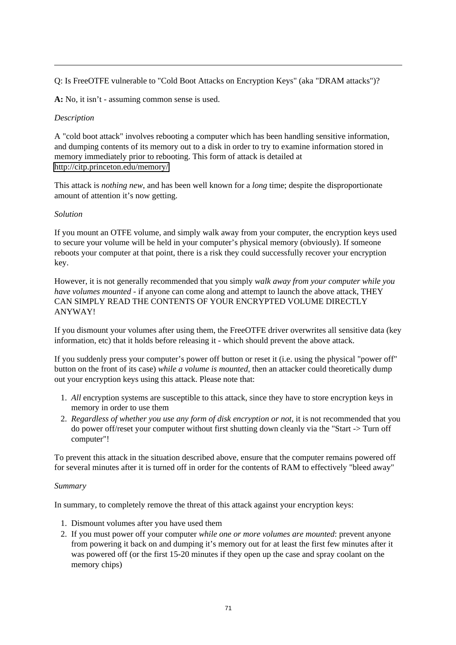Q: Is FreeOTFE vulnerable to "Cold Boot Attacks on Encryption Keys" (aka "DRAM attacks")?

**A:** No, it isn't - assuming common sense is used.

#### *Description*

A "cold boot attack" involves rebooting a computer which has been handling sensitive information, and dumping contents of its memory out to a disk in order to try to examine information stored in memory immediately prior to rebooting. This form of attack is detailed at [http://citp.princeton.edu/memory/](http://citp.princeton.edu/memory/faq/) 

This attack is *nothing new*, and has been well known for a *long* time; despite the disproportionate amount of attention it's now getting.

#### *Solution*

If you mount an OTFE volume, and simply walk away from your computer, the encryption keys used to secure your volume will be held in your computer's physical memory (obviously). If someone reboots your computer at that point, there is a risk they could successfully recover your encryption key.

However, it is not generally recommended that you simply *walk away from your computer while you have volumes mounted* - if anyone can come along and attempt to launch the above attack, THEY CAN SIMPLY READ THE CONTENTS OF YOUR ENCRYPTED VOLUME DIRECTLY ANYWAY!

If you dismount your volumes after using them, the FreeOTFE driver overwrites all sensitive data (key information, etc) that it holds before releasing it - which should prevent the above attack.

If you suddenly press your computer's power off button or reset it (i.e. using the physical "power off" button on the front of its case) *while a volume is mounted*, then an attacker could theoretically dump out your encryption keys using this attack. Please note that:

- 1. *All* encryption systems are susceptible to this attack, since they have to store encryption keys in memory in order to use them
- 2. *Regardless of whether you use any form of disk encryption or not*, it is not recommended that you do power off/reset your computer without first shutting down cleanly via the "Start -> Turn off computer"!

To prevent this attack in the situation described above, ensure that the computer remains powered off for several minutes after it is turned off in order for the contents of RAM to effectively "bleed away"

#### *Summary*

In summary, to completely remove the threat of this attack against your encryption keys:

- 1. Dismount volumes after you have used them
- 2. If you must power off your computer *while one or more volumes are mounted*: prevent anyone from powering it back on and dumping it's memory out for at least the first few minutes after it was powered off (or the first 15-20 minutes if they open up the case and spray coolant on the memory chips)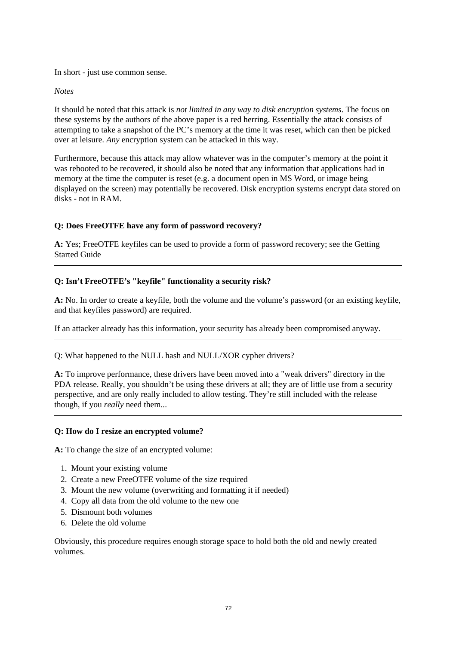In short - just use common sense.

#### *Notes*

It should be noted that this attack is *not limited in any way to disk encryption systems*. The focus on these systems by the authors of the above paper is a red herring. Essentially the attack consists of attempting to take a snapshot of the PC's memory at the time it was reset, which can then be picked over at leisure. *Any* encryption system can be attacked in this way.

Furthermore, because this attack may allow whatever was in the computer's memory at the point it was rebooted to be recovered, it should also be noted that any information that applications had in memory at the time the computer is reset (e.g. a document open in MS Word, or image being displayed on the screen) may potentially be recovered. Disk encryption systems encrypt data stored on disks - not in RAM.

# **Q: Does FreeOTFE have any form of password recovery?**

**A:** Yes; FreeOTFE keyfiles can be used to provide a form of password recovery; see the Getting Started Guide

# **Q: Isn't FreeOTFE's "keyfile" functionality a security risk?**

**A:** No. In order to create a keyfile, both the volume and the volume's password (or an existing keyfile, and that keyfiles password) are required.

If an attacker already has this information, your security has already been compromised anyway.

Q: What happened to the NULL hash and NULL/XOR cypher drivers?

**A:** To improve performance, these drivers have been moved into a "weak drivers" directory in the PDA release. Really, you shouldn't be using these drivers at all; they are of little use from a security perspective, and are only really included to allow testing. They're still included with the release though, if you *really* need them...

### **Q: How do I resize an encrypted volume?**

**A:** To change the size of an encrypted volume:

- 1. Mount your existing volume
- 2. Create a new FreeOTFE volume of the size required
- 3. Mount the new volume (overwriting and formatting it if needed)
- 4. Copy all data from the old volume to the new one
- 5. Dismount both volumes
- 6. Delete the old volume

Obviously, this procedure requires enough storage space to hold both the old and newly created volumes.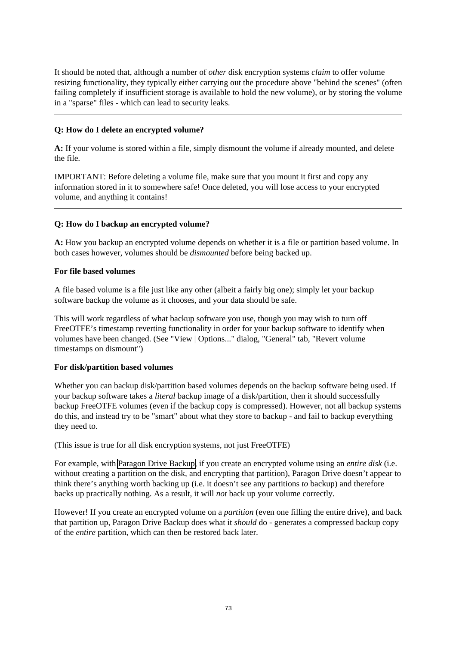It should be noted that, although a number of *other* disk encryption systems *claim* to offer volume resizing functionality, they typically either carrying out the procedure above "behind the scenes" (often failing completely if insufficient storage is available to hold the new volume), or by storing the volume in a "sparse" files - which can lead to security leaks.

### **Q: How do I delete an encrypted volume?**

**A:** If your volume is stored within a file, simply dismount the volume if already mounted, and delete the file.

IMPORTANT: Before deleting a volume file, make sure that you mount it first and copy any information stored in it to somewhere safe! Once deleted, you will lose access to your encrypted volume, and anything it contains!

#### <span id="page-78-0"></span>**Q: How do I backup an encrypted volume?**

**A:** How you backup an encrypted volume depends on whether it is a file or partition based volume. In both cases however, volumes should be *dismounted* before being backed up.

#### **For file based volumes**

A file based volume is a file just like any other (albeit a fairly big one); simply let your backup software backup the volume as it chooses, and your data should be safe.

This will work regardless of what backup software you use, though you may wish to turn off FreeOTFE's timestamp reverting functionality in order for your backup software to identify when volumes have been changed. (See "View | Options..." dialog, "General" tab, "Revert volume timestamps on dismount")

#### **For disk/partition based volumes**

Whether you can backup disk/partition based volumes depends on the backup software being used. If your backup software takes a *literal* backup image of a disk/partition, then it should successfully backup FreeOTFE volumes (even if the backup copy is compressed). However, not all backup systems do this, and instead try to be "smart" about what they store to backup - and fail to backup everything they need to.

(This issue is true for all disk encryption systems, not just FreeOTFE)

For example, with [Paragon Drive Backup,](http://www.paragon-software.com/) if you create an encrypted volume using an *entire disk* (i.e. without creating a partition on the disk, and encrypting that partition), Paragon Drive doesn't appear to think there's anything worth backing up (i.e. it doesn't see any partitions *to* backup) and therefore backs up practically nothing. As a result, it will *not* back up your volume correctly.

However! If you create an encrypted volume on a *partition* (even one filling the entire drive), and back that partition up, Paragon Drive Backup does what it *should* do - generates a compressed backup copy of the *entire* partition, which can then be restored back later.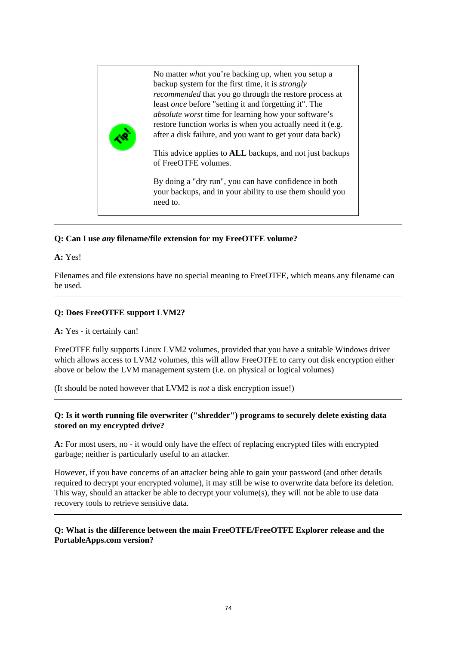

### **Q: Can I use** *any* **filename/file extension for my FreeOTFE volume?**

#### **A:** Yes!

Filenames and file extensions have no special meaning to FreeOTFE, which means any filename can be used.

#### **Q: Does FreeOTFE support LVM2?**

**A:** Yes - it certainly can!

FreeOTFE fully supports Linux LVM2 volumes, provided that you have a suitable Windows driver which allows access to LVM2 volumes, this will allow FreeOTFE to carry out disk encryption either above or below the LVM management system (i.e. on physical or logical volumes)

(It should be noted however that LVM2 is *not* a disk encryption issue!)

#### **Q: Is it worth running file overwriter ("shredder") programs to securely delete existing data stored on my encrypted drive?**

**A:** For most users, no - it would only have the effect of replacing encrypted files with encrypted garbage; neither is particularly useful to an attacker.

However, if you have concerns of an attacker being able to gain your password (and other details required to decrypt your encrypted volume), it may still be wise to overwrite data before its deletion. This way, should an attacker be able to decrypt your volume(s), they will not be able to use data recovery tools to retrieve sensitive data.

#### **Q: What is the difference between the main FreeOTFE/FreeOTFE Explorer release and the PortableApps.com version?**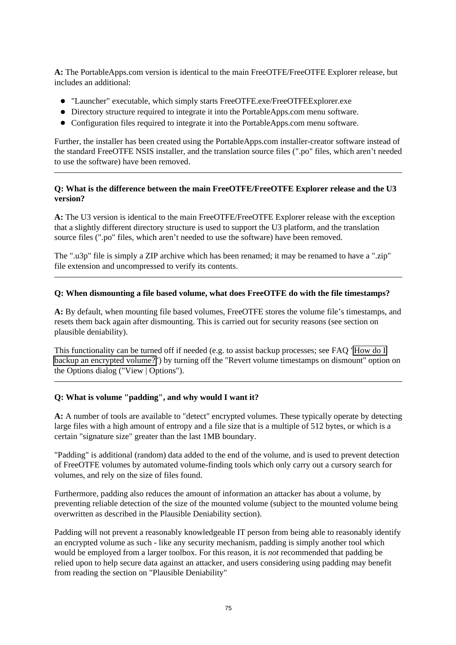**A:** The PortableApps.com version is identical to the main FreeOTFE/FreeOTFE Explorer release, but includes an additional:

- "Launcher" executable, which simply starts FreeOTFE.exe/FreeOTFEExplorer.exe
- Directory structure required to integrate it into the PortableApps.com menu software.
- Configuration files required to integrate it into the PortableApps.com menu software.

Further, the installer has been created using the PortableApps.com installer-creator software instead of the standard FreeOTFE NSIS installer, and the translation source files (".po" files, which aren't needed to use the software) have been removed.

#### **Q: What is the difference between the main FreeOTFE/FreeOTFE Explorer release and the U3 version?**

**A:** The U3 version is identical to the main FreeOTFE/FreeOTFE Explorer release with the exception that a slightly different directory structure is used to support the U3 platform, and the translation source files (".po" files, which aren't needed to use the software) have been removed.

The ".u3p" file is simply a ZIP archive which has been renamed; it may be renamed to have a ".zip" file extension and uncompressed to verify its contents.

#### **Q: When dismounting a file based volume, what does FreeOTFE do with the file timestamps?**

**A:** By default, when mounting file based volumes, FreeOTFE stores the volume file's timestamps, and resets them back again after dismounting. This is carried out for security reasons (see section on plausible deniability).

This functionality can be turned off if needed (e.g. to assist backup processes; see FAQ ["How do I](#page-78-0) [backup an encrypted volume?"](#page-78-0)) by turning off the "Revert volume timestamps on dismount" option on the Options dialog ("View | Options").

#### **Q: What is volume "padding", and why would I want it?**

**A:** A number of tools are available to "detect" encrypted volumes. These typically operate by detecting large files with a high amount of entropy and a file size that is a multiple of 512 bytes, or which is a certain "signature size" greater than the last 1MB boundary.

"Padding" is additional (random) data added to the end of the volume, and is used to prevent detection of FreeOTFE volumes by automated volume-finding tools which only carry out a cursory search for volumes, and rely on the size of files found.

Furthermore, padding also reduces the amount of information an attacker has about a volume, by preventing reliable detection of the size of the mounted volume (subject to the mounted volume being overwritten as described in the Plausible Deniability section).

Padding will not prevent a reasonably knowledgeable IT person from being able to reasonably identify an encrypted volume as such - like any security mechanism, padding is simply another tool which would be employed from a larger toolbox. For this reason, it is *not* recommended that padding be relied upon to help secure data against an attacker, and users considering using padding may benefit from reading the section on "Plausible Deniability"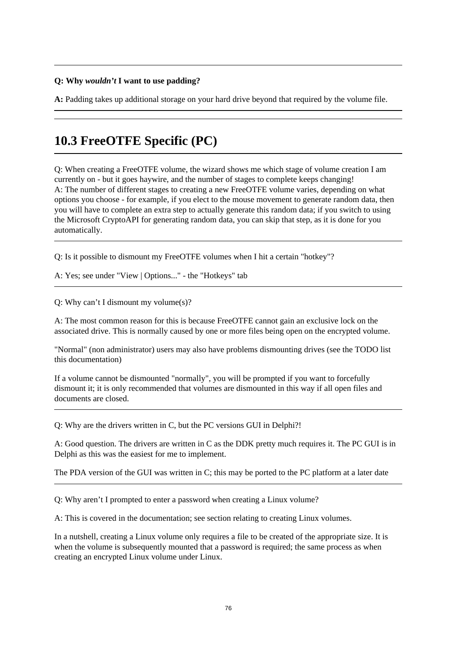#### **Q: Why** *wouldn't* **I want to use padding?**

**A:** Padding takes up additional storage on your hard drive beyond that required by the volume file.

# **10.3 FreeOTFE Specific (PC)**

Q: When creating a FreeOTFE volume, the wizard shows me which stage of volume creation I am currently on - but it goes haywire, and the number of stages to complete keeps changing! A: The number of different stages to creating a new FreeOTFE volume varies, depending on what options you choose - for example, if you elect to the mouse movement to generate random data, then you will have to complete an extra step to actually generate this random data; if you switch to using the Microsoft CryptoAPI for generating random data, you can skip that step, as it is done for you automatically.

Q: Is it possible to dismount my FreeOTFE volumes when I hit a certain "hotkey"?

A: Yes; see under "View | Options..." - the "Hotkeys" tab

Q: Why can't I dismount my volume(s)?

A: The most common reason for this is because FreeOTFE cannot gain an exclusive lock on the associated drive. This is normally caused by one or more files being open on the encrypted volume.

"Normal" (non administrator) users may also have problems dismounting drives (see the TODO list this documentation)

If a volume cannot be dismounted "normally", you will be prompted if you want to forcefully dismount it; it is only recommended that volumes are dismounted in this way if all open files and documents are closed.

Q: Why are the drivers written in C, but the PC versions GUI in Delphi?!

A: Good question. The drivers are written in C as the DDK pretty much requires it. The PC GUI is in Delphi as this was the easiest for me to implement.

The PDA version of the GUI was written in C; this may be ported to the PC platform at a later date

Q: Why aren't I prompted to enter a password when creating a Linux volume?

A: This is covered in the documentation; see section relating to creating Linux volumes.

In a nutshell, creating a Linux volume only requires a file to be created of the appropriate size. It is when the volume is subsequently mounted that a password is required; the same process as when creating an encrypted Linux volume under Linux.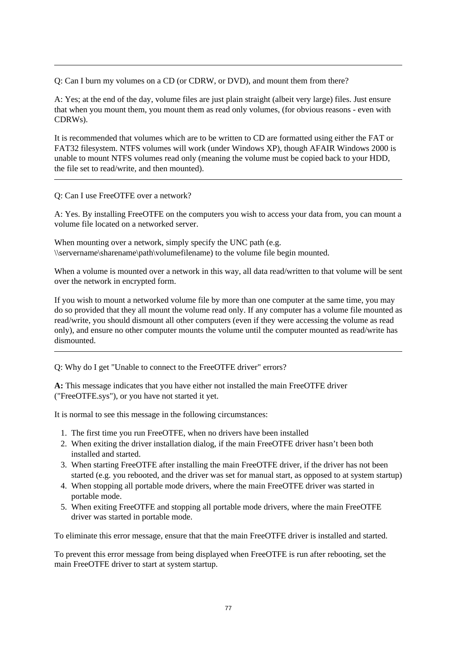Q: Can I burn my volumes on a CD (or CDRW, or DVD), and mount them from there?

A: Yes; at the end of the day, volume files are just plain straight (albeit very large) files. Just ensure that when you mount them, you mount them as read only volumes, (for obvious reasons - even with CDRWs).

It is recommended that volumes which are to be written to CD are formatted using either the FAT or FAT32 filesystem. NTFS volumes will work (under Windows XP), though AFAIR Windows 2000 is unable to mount NTFS volumes read only (meaning the volume must be copied back to your HDD, the file set to read/write, and then mounted).

Q: Can I use FreeOTFE over a network?

A: Yes. By installing FreeOTFE on the computers you wish to access your data from, you can mount a volume file located on a networked server.

When mounting over a network, simply specify the UNC path (e.g. \\servername\sharename\path\volumefilename) to the volume file begin mounted.

When a volume is mounted over a network in this way, all data read/written to that volume will be sent over the network in encrypted form.

If you wish to mount a networked volume file by more than one computer at the same time, you may do so provided that they all mount the volume read only. If any computer has a volume file mounted as read/write, you should dismount all other computers (even if they were accessing the volume as read only), and ensure no other computer mounts the volume until the computer mounted as read/write has dismounted.

Q: Why do I get "Unable to connect to the FreeOTFE driver" errors?

**A:** This message indicates that you have either not installed the main FreeOTFE driver ("FreeOTFE.sys"), or you have not started it yet.

It is normal to see this message in the following circumstances:

- 1. The first time you run FreeOTFE, when no drivers have been installed
- 2. When exiting the driver installation dialog, if the main FreeOTFE driver hasn't been both installed and started.
- 3. When starting FreeOTFE after installing the main FreeOTFE driver, if the driver has not been started (e.g. you rebooted, and the driver was set for manual start, as opposed to at system startup)
- 4. When stopping all portable mode drivers, where the main FreeOTFE driver was started in portable mode.
- 5. When exiting FreeOTFE and stopping all portable mode drivers, where the main FreeOTFE driver was started in portable mode.

To eliminate this error message, ensure that that the main FreeOTFE driver is installed and started.

To prevent this error message from being displayed when FreeOTFE is run after rebooting, set the main FreeOTFE driver to start at system startup.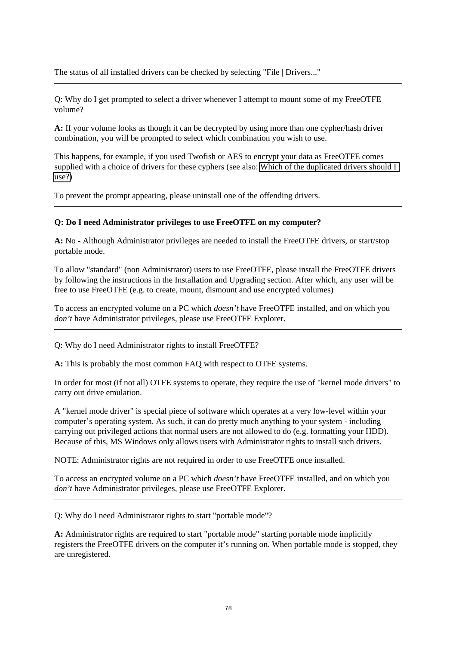The status of all installed drivers can be checked by selecting "File | Drivers..."

Q: Why do I get prompted to select a driver whenever I attempt to mount some of my FreeOTFE volume?

**A:** If your volume looks as though it can be decrypted by using more than one cypher/hash driver combination, you will be prompted to select which combination you wish to use.

This happens, for example, if you used Twofish or AES to encrypt your data as FreeOTFE comes supplied with a choice of drivers for these cyphers (see also: Which of the duplicated drivers should I [use?\)](#page-74-1)

To prevent the prompt appearing, please uninstall one of the offending drivers.

#### **Q: Do I need Administrator privileges to use FreeOTFE on my computer?**

**A:** No - Although Administrator privileges are needed to install the FreeOTFE drivers, or start/stop portable mode.

To allow "standard" (non Administrator) users to use FreeOTFE, please install the FreeOTFE drivers by following the instructions in the Installation and Upgrading section. After which, any user will be free to use FreeOTFE (e.g. to create, mount, dismount and use encrypted volumes)

To access an encrypted volume on a PC which *doesn't* have FreeOTFE installed, and on which you *don't* have Administrator privileges, please use FreeOTFE Explorer.

<span id="page-83-0"></span>Q: Why do I need Administrator rights to install FreeOTFE?

**A:** This is probably the most common FAQ with respect to OTFE systems.

In order for most (if not all) OTFE systems to operate, they require the use of "kernel mode drivers" to carry out drive emulation.

A "kernel mode driver" is special piece of software which operates at a very low-level within your computer's operating system. As such, it can do pretty much anything to your system - including carrying out privileged actions that normal users are not allowed to do (e.g. formatting your HDD). Because of this, MS Windows only allows users with Administrator rights to install such drivers.

NOTE: Administrator rights are not required in order to use FreeOTFE once installed.

To access an encrypted volume on a PC which *doesn't* have FreeOTFE installed, and on which you *don't* have Administrator privileges, please use FreeOTFE Explorer.

Q: Why do I need Administrator rights to start "portable mode"?

**A:** Administrator rights are required to start "portable mode" starting portable mode implicitly registers the FreeOTFE drivers on the computer it's running on. When portable mode is stopped, they are unregistered.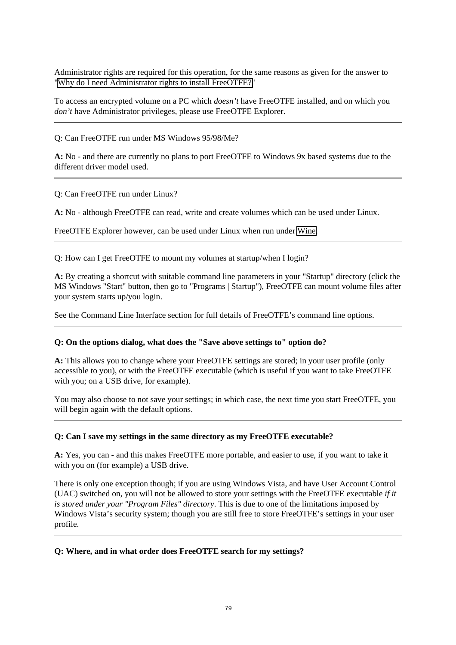Administrator rights are required for this operation, for the same reasons as given for the answer to ["Why do I need Administrator rights to install FreeOTFE?"](#page-83-0)

To access an encrypted volume on a PC which *doesn't* have FreeOTFE installed, and on which you *don't* have Administrator privileges, please use FreeOTFE Explorer.

Q: Can FreeOTFE run under MS Windows 95/98/Me?

**A:** No - and there are currently no plans to port FreeOTFE to Windows 9x based systems due to the different driver model used.

Q: Can FreeOTFE run under Linux?

**A:** No - although FreeOTFE can read, write and create volumes which can be used under Linux.

FreeOTFE Explorer however, can be used under Linux when run under [Wine.](http://www.winehq.org/)

Q: How can I get FreeOTFE to mount my volumes at startup/when I login?

**A:** By creating a shortcut with suitable command line parameters in your "Startup" directory (click the MS Windows "Start" button, then go to "Programs | Startup"), FreeOTFE can mount volume files after your system starts up/you login.

See the Command Line Interface section for full details of FreeOTFE's command line options.

#### **Q: On the options dialog, what does the "Save above settings to" option do?**

**A:** This allows you to change where your FreeOTFE settings are stored; in your user profile (only accessible to you), or with the FreeOTFE executable (which is useful if you want to take FreeOTFE with you; on a USB drive, for example).

You may also choose to not save your settings; in which case, the next time you start FreeOTFE, you will begin again with the default options.

#### **Q: Can I save my settings in the same directory as my FreeOTFE executable?**

**A:** Yes, you can - and this makes FreeOTFE more portable, and easier to use, if you want to take it with you on (for example) a USB drive.

There is only one exception though; if you are using Windows Vista, and have User Account Control (UAC) switched on, you will not be allowed to store your settings with the FreeOTFE executable *if it is stored under your "Program Files" directory*. This is due to one of the limitations imposed by Windows Vista's security system; though you are still free to store FreeOTFE's settings in your user profile.

#### **Q: Where, and in what order does FreeOTFE search for my settings?**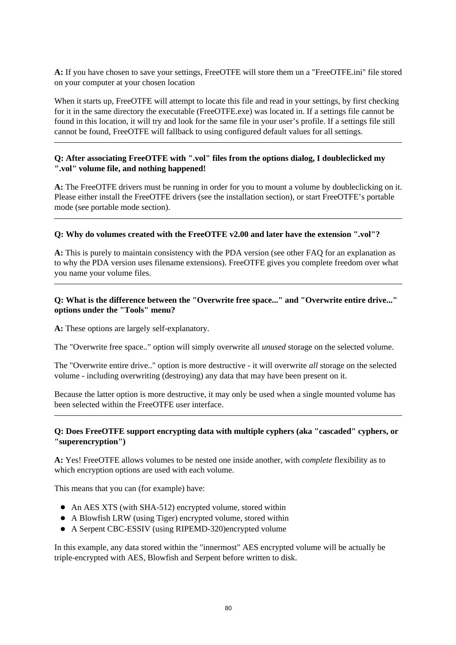**A:** If you have chosen to save your settings, FreeOTFE will store them un a "FreeOTFE.ini" file stored on your computer at your chosen location

When it starts up, FreeOTFE will attempt to locate this file and read in your settings, by first checking for it in the same directory the executable (FreeOTFE.exe) was located in. If a settings file cannot be found in this location, it will try and look for the same file in your user's profile. If a settings file still cannot be found, FreeOTFE will fallback to using configured default values for all settings.

## **Q: After associating FreeOTFE with ".vol" files from the options dialog, I doubleclicked my ".vol" volume file, and nothing happened!**

**A:** The FreeOTFE drivers must be running in order for you to mount a volume by doubleclicking on it. Please either install the FreeOTFE drivers (see the installation section), or start FreeOTFE's portable mode (see portable mode section).

#### **Q: Why do volumes created with the FreeOTFE v2.00 and later have the extension ".vol"?**

**A:** This is purely to maintain consistency with the PDA version (see other FAQ for an explanation as to why the PDA version uses filename extensions). FreeOTFE gives you complete freedom over what you name your volume files.

#### **Q: What is the difference between the "Overwrite free space..." and "Overwrite entire drive..." options under the "Tools" menu?**

**A:** These options are largely self-explanatory.

The "Overwrite free space.." option will simply overwrite all *unused* storage on the selected volume.

The "Overwrite entire drive.." option is more destructive - it will overwrite *all* storage on the selected volume - including overwriting (destroying) any data that may have been present on it.

Because the latter option is more destructive, it may only be used when a single mounted volume has been selected within the FreeOTFE user interface.

#### **Q: Does FreeOTFE support encrypting data with multiple cyphers (aka "cascaded" cyphers, or "superencryption")**

**A:** Yes! FreeOTFE allows volumes to be nested one inside another, with *complete* flexibility as to which encryption options are used with each volume.

This means that you can (for example) have:

- An AES XTS (with SHA-512) encrypted volume, stored within
- A Blowfish LRW (using Tiger) encrypted volume, stored within
- A Serpent CBC-ESSIV (using RIPEMD-320)encrypted volume

In this example, any data stored within the "innermost" AES encrypted volume will be actually be triple-encrypted with AES, Blowfish and Serpent before written to disk.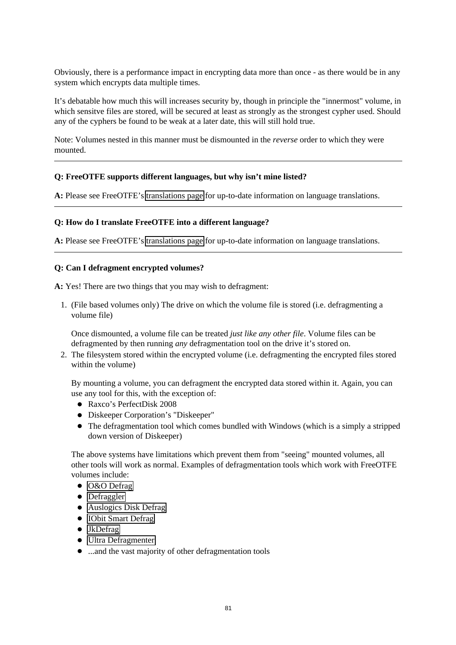Obviously, there is a performance impact in encrypting data more than once - as there would be in any system which encrypts data multiple times.

It's debatable how much this will increases security by, though in principle the "innermost" volume, in which sensitve files are stored, will be secured at least as strongly as the strongest cypher used. Should any of the cyphers be found to be weak at a later date, this will still hold true.

Note: Volumes nested in this manner must be dismounted in the *reverse* order to which they were mounted.

#### **Q: FreeOTFE supports different languages, but why isn't mine listed?**

**A:** Please see FreeOTFE's [translations page](http://www.FreeOTFE.org/translations.html) for up-to-date information on language translations.

#### **Q: How do I translate FreeOTFE into a different language?**

**A:** Please see FreeOTFE's [translations page](http://www.FreeOTFE.org/translations.html) for up-to-date information on language translations.

#### **Q: Can I defragment encrypted volumes?**

**A:** Yes! There are two things that you may wish to defragment:

1. (File based volumes only) The drive on which the volume file is stored (i.e. defragmenting a volume file)

Once dismounted, a volume file can be treated *just like any other file*. Volume files can be defragmented by then running *any* defragmentation tool on the drive it's stored on.

2. The filesystem stored within the encrypted volume (i.e. defragmenting the encrypted files stored within the volume)

By mounting a volume, you can defragment the encrypted data stored within it. Again, you can use any tool for this, with the exception of:

- Raxco's PerfectDisk 2008
- Diskeeper Corporation's "Diskeeper"
- The defragmentation tool which comes bundled with Windows (which is a simply a stripped down version of Diskeeper)

The above systems have limitations which prevent them from "seeing" mounted volumes, all other tools will work as normal. Examples of defragmentation tools which work with FreeOTFE volumes include:

- O&O Defrag
- Defraggler
- [Auslogics Disk Defrag](http://www.auslogics.com/disk-defrag)
- IObit Smart Defrag
- JkDefrag
- [Ultra Defragmenter](http://ultradefrag.sourceforge.net/)
- ...and the vast majority of other defragmentation tools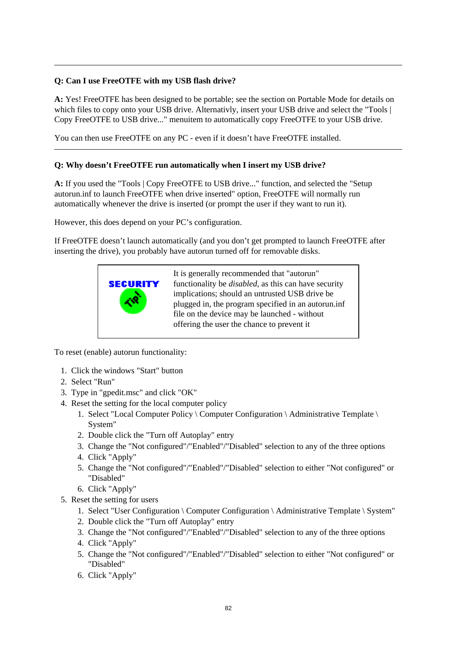## **Q: Can I use FreeOTFE with my USB flash drive?**

**A:** Yes! FreeOTFE has been designed to be portable; see the section on Portable Mode for details on which files to copy onto your USB drive. Alternativly, insert your USB drive and select the "Tools | Copy FreeOTFE to USB drive..." menuitem to automatically copy FreeOTFE to your USB drive.

You can then use FreeOTFE on any PC - even if it doesn't have FreeOTFE installed.

## **Q: Why doesn't FreeOTFE run automatically when I insert my USB drive?**

**A:** If you used the "Tools | Copy FreeOTFE to USB drive..." function, and selected the "Setup autorun.inf to launch FreeOTFE when drive inserted" option, FreeOTFE will normally run automatically whenever the drive is inserted (or prompt the user if they want to run it).

However, this does depend on your PC's configuration.

If FreeOTFE doesn't launch automatically (and you don't get prompted to launch FreeOTFE after inserting the drive), you probably have autorun turned off for removable disks.



To reset (enable) autorun functionality:

- 1. Click the windows "Start" button
- 2. Select "Run"
- 3. Type in "gpedit.msc" and click "OK"
- 4. Reset the setting for the local computer policy
	- 1. Select "Local Computer Policy \ Computer Configuration \ Administrative Template \ System"
	- 2. Double click the "Turn off Autoplay" entry
	- 3. Change the "Not configured"/"Enabled"/"Disabled" selection to any of the three options
	- 4. Click "Apply"
	- 5. Change the "Not configured"/"Enabled"/"Disabled" selection to either "Not configured" or "Disabled"
	- 6. Click "Apply"
- 5. Reset the setting for users
	- 1. Select "User Configuration \ Computer Configuration \ Administrative Template \ System"
	- 2. Double click the "Turn off Autoplay" entry
	- 3. Change the "Not configured"/"Enabled"/"Disabled" selection to any of the three options
	- 4. Click "Apply"
	- 5. Change the "Not configured"/"Enabled"/"Disabled" selection to either "Not configured" or "Disabled"
	- 6. Click "Apply"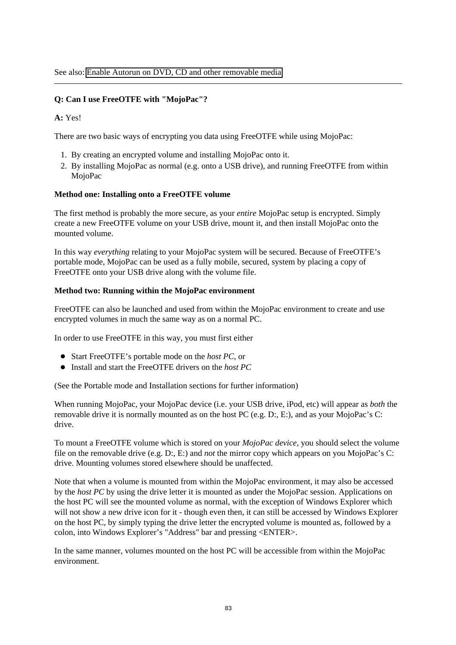## **Q: Can I use FreeOTFE with "MojoPac"?**

#### **A:** Yes!

There are two basic ways of encrypting you data using FreeOTFE while using MojoPac:

- 1. By creating an encrypted volume and installing MojoPac onto it.
- 2. By installing MojoPac as normal (e.g. onto a USB drive), and running FreeOTFE from within MojoPac

#### **Method one: Installing onto a FreeOTFE volume**

The first method is probably the more secure, as your *entire* MojoPac setup is encrypted. Simply create a new FreeOTFE volume on your USB drive, mount it, and then install MojoPac onto the mounted volume.

In this way *everything* relating to your MojoPac system will be secured. Because of FreeOTFE's portable mode, MojoPac can be used as a fully mobile, secured, system by placing a copy of FreeOTFE onto your USB drive along with the volume file.

#### **Method two: Running within the MojoPac environment**

FreeOTFE can also be launched and used from within the MojoPac environment to create and use encrypted volumes in much the same way as on a normal PC.

In order to use FreeOTFE in this way, you must first either

- Start FreeOTFE's portable mode on the *host PC*, or
- Install and start the FreeOTFE drivers on the *host PC*

(See the Portable mode and Installation sections for further information)

When running MojoPac, your MojoPac device (i.e. your USB drive, iPod, etc) will appear as *both* the removable drive it is normally mounted as on the host PC (e.g. D:, E:), and as your MojoPac's C: drive.

To mount a FreeOTFE volume which is stored on your *MojoPac device*, you should select the volume file on the removable drive (e.g. D:, E:) and *not* the mirror copy which appears on you MojoPac's C: drive. Mounting volumes stored elsewhere should be unaffected.

Note that when a volume is mounted from within the MojoPac environment, it may also be accessed by the *host PC* by using the drive letter it is mounted as under the MojoPac session. Applications on the host PC will see the mounted volume as normal, with the exception of Windows Explorer which will not show a new drive icon for it - though even then, it can still be accessed by Windows Explorer on the host PC, by simply typing the drive letter the encrypted volume is mounted as, followed by a colon, into Windows Explorer's "Address" bar and pressing <ENTER>.

In the same manner, volumes mounted on the host PC will be accessible from within the MojoPac environment.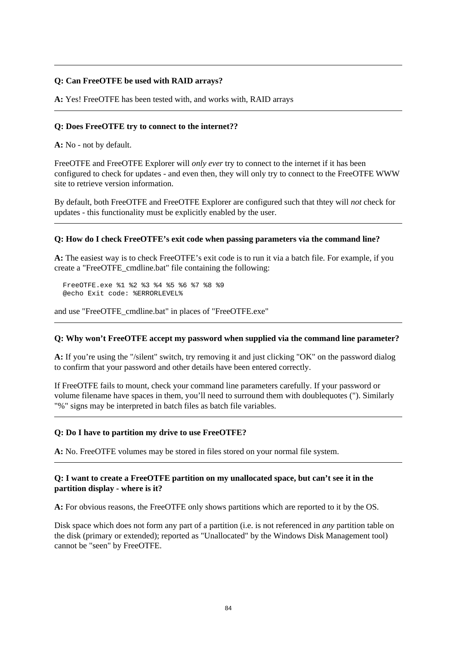#### **Q: Can FreeOTFE be used with RAID arrays?**

**A:** Yes! FreeOTFE has been tested with, and works with, RAID arrays

#### <span id="page-89-0"></span>**Q: Does FreeOTFE try to connect to the internet??**

**A:** No - not by default.

FreeOTFE and FreeOTFE Explorer will *only ever* try to connect to the internet if it has been configured to check for updates - and even then, they will only try to connect to the FreeOTFE WWW site to retrieve version information.

By default, both FreeOTFE and FreeOTFE Explorer are configured such that thtey will *not* check for updates - this functionality must be explicitly enabled by the user.

#### **Q: How do I check FreeOTFE's exit code when passing parameters via the command line?**

**A:** The easiest way is to check FreeOTFE's exit code is to run it via a batch file. For example, if you create a "FreeOTFE\_cmdline.bat" file containing the following:

FreeOTFE.exe %1 %2 %3 %4 %5 %6 %7 %8 %9 @echo Exit code: %ERRORLEVEL%

and use "FreeOTFE\_cmdline.bat" in places of "FreeOTFE.exe"

#### **Q: Why won't FreeOTFE accept my password when supplied via the command line parameter?**

**A:** If you're using the "/silent" switch, try removing it and just clicking "OK" on the password dialog to confirm that your password and other details have been entered correctly.

If FreeOTFE fails to mount, check your command line parameters carefully. If your password or volume filename have spaces in them, you'll need to surround them with doublequotes ("). Similarly "%" signs may be interpreted in batch files as batch file variables.

#### **Q: Do I have to partition my drive to use FreeOTFE?**

**A:** No. FreeOTFE volumes may be stored in files stored on your normal file system.

#### **Q: I want to create a FreeOTFE partition on my unallocated space, but can't see it in the partition display - where is it?**

**A:** For obvious reasons, the FreeOTFE only shows partitions which are reported to it by the OS.

Disk space which does not form any part of a partition (i.e. is not referenced in *any* partition table on the disk (primary or extended); reported as "Unallocated" by the Windows Disk Management tool) cannot be "seen" by FreeOTFE.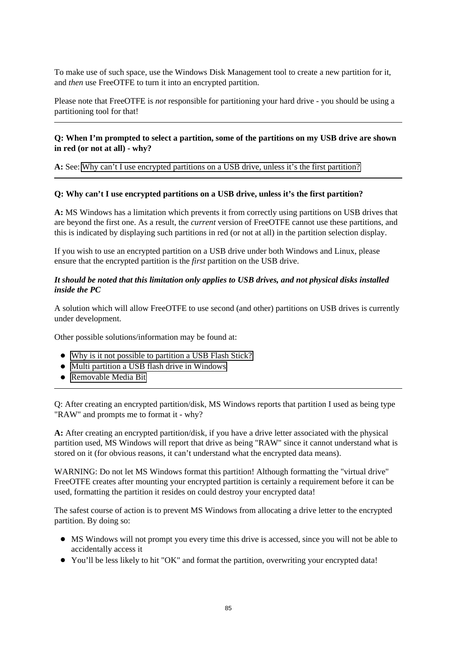To make use of such space, use the Windows Disk Management tool to create a new partition for it, and *then* use FreeOTFE to turn it into an encrypted partition.

Please note that FreeOTFE is *not* responsible for partitioning your hard drive - you should be using a partitioning tool for that!

#### **Q: When I'm prompted to select a partition, some of the partitions on my USB drive are shown in red (or not at all) - why?**

**A:** See: [Why can't I use encrypted partitions on a USB drive, unless it's the first partition?](#page-90-0) 

#### <span id="page-90-0"></span>**Q: Why can't I use encrypted partitions on a USB drive, unless it's the first partition?**

**A:** MS Windows has a limitation which prevents it from correctly using partitions on USB drives that are beyond the first one. As a result, the *current* version of FreeOTFE cannot use these partitions, and this is indicated by displaying such partitions in red (or not at all) in the partition selection display.

If you wish to use an encrypted partition on a USB drive under both Windows and Linux, please ensure that the encrypted partition is the *first* partition on the USB drive.

#### *It should be noted that this limitation only applies to USB drives, and not physical disks installed inside the PC*

A solution which will allow FreeOTFE to use second (and other) partitions on USB drives is currently under development.

Other possible solutions/information may be found at:

- [Why is it not possible to partition a USB Flash Stick?](http://www.techspot.com/vb/topic18736.html)
- [Multi partition a USB flash drive in Windows](http://www.lancelhoff.com/2008/05/01/multi-partition-a-usb-flash-drive-in-windows/)
- [Removable Media Bit](http://www.911cd.net/forums//index.php?showtopic=21572/)

Q: After creating an encrypted partition/disk, MS Windows reports that partition I used as being type "RAW" and prompts me to format it - why?

**A:** After creating an encrypted partition/disk, if you have a drive letter associated with the physical partition used, MS Windows will report that drive as being "RAW" since it cannot understand what is stored on it (for obvious reasons, it can't understand what the encrypted data means).

WARNING: Do not let MS Windows format this partition! Although formatting the "virtual drive" FreeOTFE creates after mounting your encrypted partition is certainly a requirement before it can be used, formatting the partition it resides on could destroy your encrypted data!

The safest course of action is to prevent MS Windows from allocating a drive letter to the encrypted partition. By doing so:

- MS Windows will not prompt you every time this drive is accessed, since you will not be able to accidentally access it
- You'll be less likely to hit "OK" and format the partition, overwriting your encrypted data!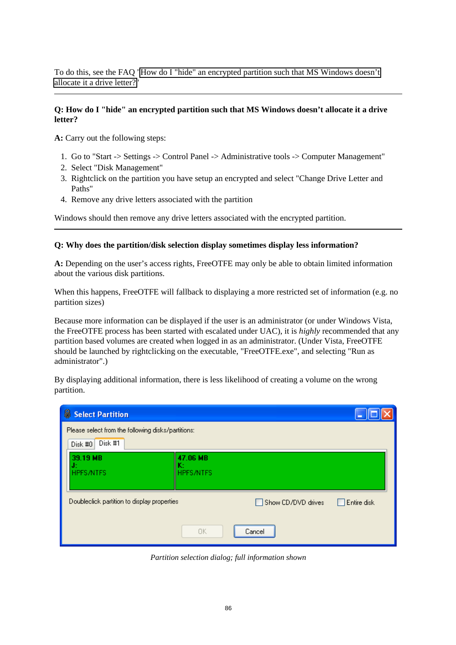To do this, see the FAQ ["How do I "hide" an encrypted partition such that MS Windows doesn't](#page-91-0) [allocate it a drive letter?"](#page-91-0)

#### <span id="page-91-0"></span>**Q: How do I "hide" an encrypted partition such that MS Windows doesn't allocate it a drive letter?**

**A:** Carry out the following steps:

- 1. Go to "Start -> Settings -> Control Panel -> Administrative tools -> Computer Management"
- 2. Select "Disk Management"
- 3. Rightclick on the partition you have setup an encrypted and select "Change Drive Letter and Paths"
- 4. Remove any drive letters associated with the partition

Windows should then remove any drive letters associated with the encrypted partition.

#### **Q: Why does the partition/disk selection display sometimes display less information?**

**A:** Depending on the user's access rights, FreeOTFE may only be able to obtain limited information about the various disk partitions.

When this happens, FreeOTFE will fallback to displaying a more restricted set of information (e.g. no partition sizes)

Because more information can be displayed if the user is an administrator (or under Windows Vista, the FreeOTFE process has been started with escalated under UAC), it is *highly* recommended that any partition based volumes are created when logged in as an administrator. (Under Vista, FreeOTFE should be launched by rightclicking on the executable, "FreeOTFE.exe", and selecting "Run as administrator".)

By displaying additional information, there is less likelihood of creating a volume on the wrong partition.

| 8<br><b>Select Partition</b>                                             |                                    |                    |             |
|--------------------------------------------------------------------------|------------------------------------|--------------------|-------------|
| Please select from the following disks/partitions:<br>Disk #1<br>Disk #0 |                                    |                    |             |
| 39.19 MB<br>J:<br><b>HPFS/NTFS</b>                                       | 47.06 MB<br>K:<br><b>HPFS/NTFS</b> |                    |             |
| Doubleclick partition to display properties                              |                                    | Show CD/DVD drives | Entire disk |
|                                                                          | 0K                                 | Cancel             |             |

*Partition selection dialog; full information shown*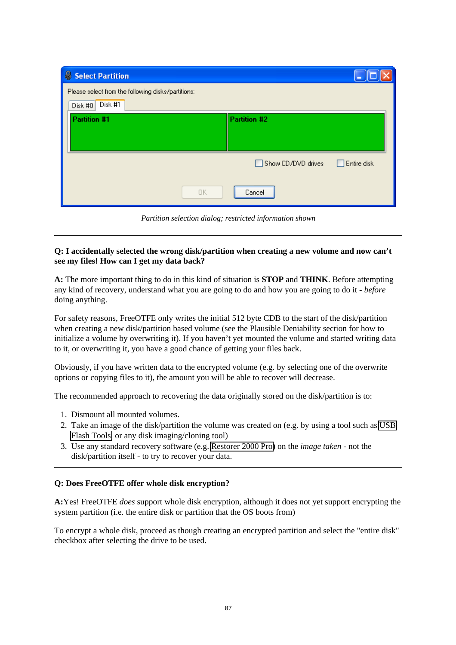| Select Partition                                   |                                          |
|----------------------------------------------------|------------------------------------------|
| Please select from the following disks/partitions: |                                          |
| Disk #1<br>Disk #0                                 |                                          |
| <b>Partition #1</b>                                | Partition #2                             |
|                                                    |                                          |
|                                                    | $\Box$ Entire disk<br>Show CD/DVD drives |
| 0K                                                 | Cancel                                   |

*Partition selection dialog; restricted information shown*

## **Q: I accidentally selected the wrong disk/partition when creating a new volume and now can't see my files! How can I get my data back?**

**A:** The more important thing to do in this kind of situation is **STOP** and **THINK**. Before attempting any kind of recovery, understand what you are going to do and how you are going to do it - *before* doing anything.

For safety reasons, FreeOTFE only writes the initial 512 byte CDB to the start of the disk/partition when creating a new disk/partition based volume (see the Plausible Deniability section for how to initialize a volume by overwriting it). If you haven't yet mounted the volume and started writing data to it, or overwriting it, you have a good chance of getting your files back.

Obviously, if you have written data to the encrypted volume (e.g. by selecting one of the overwrite options or copying files to it), the amount you will be able to recover will decrease.

The recommended approach to recovering the data originally stored on the disk/partition is to:

- 1. Dismount all mounted volumes.
- 2. Take an image of the disk/partition the volume was created on (e.g. by using a tool such as [USB](http://www.sdean12.org/USBFlashTools.htm) [Flash Tools,](http://www.sdean12.org/USBFlashTools.htm) or any disk imaging/cloning tool)
- 3. Use any standard recovery software (e.g. [Restorer 2000 Pro\)](http://www.restorer2000.com/) on the *image taken* not the disk/partition itself - to try to recover your data.

### **Q: Does FreeOTFE offer whole disk encryption?**

**A:**Yes! FreeOTFE *does* support whole disk encryption, although it does not yet support encrypting the system partition (i.e. the entire disk or partition that the OS boots from)

To encrypt a whole disk, proceed as though creating an encrypted partition and select the "entire disk" checkbox after selecting the drive to be used.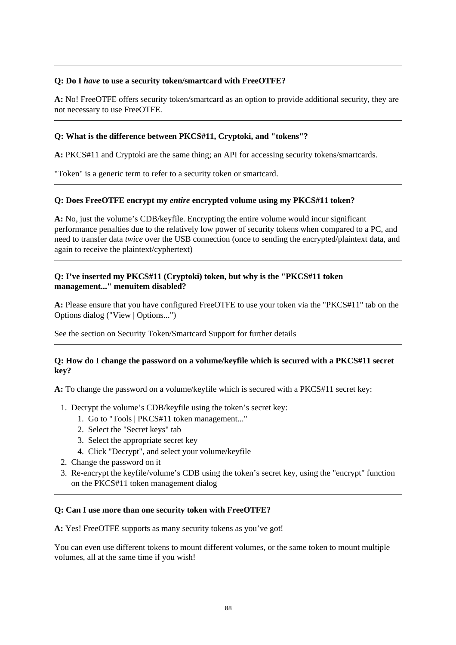#### **Q: Do I** *have* **to use a security token/smartcard with FreeOTFE?**

**A:** No! FreeOTFE offers security token/smartcard as an option to provide additional security, they are not necessary to use FreeOTFE.

#### **Q: What is the difference between PKCS#11, Cryptoki, and "tokens"?**

**A:** PKCS#11 and Cryptoki are the same thing; an API for accessing security tokens/smartcards.

"Token" is a generic term to refer to a security token or smartcard.

#### **Q: Does FreeOTFE encrypt my** *entire* **encrypted volume using my PKCS#11 token?**

**A:** No, just the volume's CDB/keyfile. Encrypting the entire volume would incur significant performance penalties due to the relatively low power of security tokens when compared to a PC, and need to transfer data *twice* over the USB connection (once to sending the encrypted/plaintext data, and again to receive the plaintext/cyphertext)

#### **Q: I've inserted my PKCS#11 (Cryptoki) token, but why is the "PKCS#11 token management..." menuitem disabled?**

**A:** Please ensure that you have configured FreeOTFE to use your token via the "PKCS#11" tab on the Options dialog ("View | Options...")

See the section on Security Token/Smartcard Support for further details

#### **Q: How do I change the password on a volume/keyfile which is secured with a PKCS#11 secret key?**

**A:** To change the password on a volume/keyfile which is secured with a PKCS#11 secret key:

- 1. Decrypt the volume's CDB/keyfile using the token's secret key:
	- 1. Go to "Tools | PKCS#11 token management..."
	- 2. Select the "Secret keys" tab
	- 3. Select the appropriate secret key
	- 4. Click "Decrypt", and select your volume/keyfile
- 2. Change the password on it
- 3. Re-encrypt the keyfile/volume's CDB using the token's secret key, using the "encrypt" function on the PKCS#11 token management dialog

#### **Q: Can I use more than one security token with FreeOTFE?**

**A:** Yes! FreeOTFE supports as many security tokens as you've got!

You can even use different tokens to mount different volumes, or the same token to mount multiple volumes, all at the same time if you wish!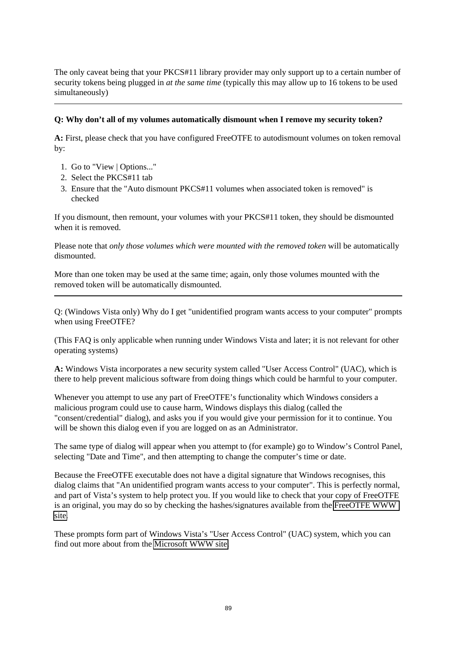The only caveat being that your PKCS#11 library provider may only support up to a certain number of security tokens being plugged in *at the same time* (typically this may allow up to 16 tokens to be used simultaneously)

#### **Q: Why don't all of my volumes automatically dismount when I remove my security token?**

**A:** First, please check that you have configured FreeOTFE to autodismount volumes on token removal by:

- 1. Go to "View | Options..."
- 2. Select the PKCS#11 tab
- 3. Ensure that the "Auto dismount PKCS#11 volumes when associated token is removed" is checked

If you dismount, then remount, your volumes with your PKCS#11 token, they should be dismounted when it is removed.

Please note that *only those volumes which were mounted with the removed token* will be automatically dismounted.

More than one token may be used at the same time; again, only those volumes mounted with the removed token will be automatically dismounted.

Q: (Windows Vista only) Why do I get "unidentified program wants access to your computer" prompts when using FreeOTFE?

(This FAQ is only applicable when running under Windows Vista and later; it is not relevant for other operating systems)

**A:** Windows Vista incorporates a new security system called "User Access Control" (UAC), which is there to help prevent malicious software from doing things which could be harmful to your computer.

Whenever you attempt to use any part of FreeOTFE's functionality which Windows considers a malicious program could use to cause harm, Windows displays this dialog (called the "consent/credential" dialog), and asks you if you would give your permission for it to continue. You will be shown this dialog even if you are logged on as an Administrator.

The same type of dialog will appear when you attempt to (for example) go to Window's Control Panel, selecting "Date and Time", and then attempting to change the computer's time or date.

Because the FreeOTFE executable does not have a digital signature that Windows recognises, this dialog claims that "An unidentified program wants access to your computer". This is perfectly normal, and part of Vista's system to help protect you. If you would like to check that your copy of FreeOTFE is an original, you may do so by checking the hashes/signatures available from the [FreeOTFE WWW](http://www.FreeOTFE.org/)  [site.](http://www.FreeOTFE.org/)

These prompts form part of Windows Vista's "User Access Control" (UAC) system, which you can find out more about from the [Microsoft WWW site.](http://technet.microsoft.com/en-us/windowsvista/aa906022.aspx)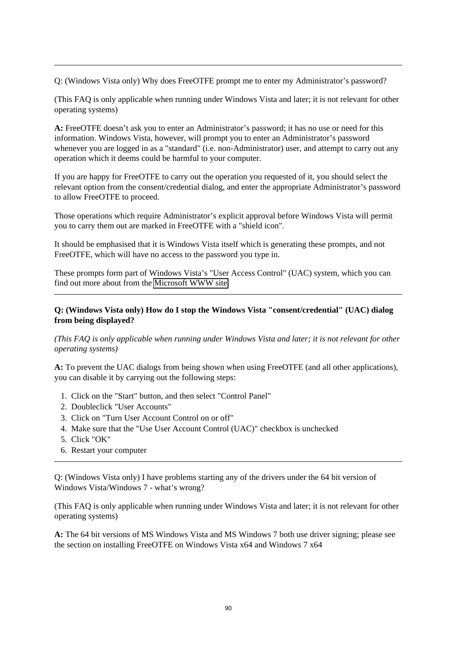Q: (Windows Vista only) Why does FreeOTFE prompt me to enter my Administrator's password?

(This FAQ is only applicable when running under Windows Vista and later; it is not relevant for other operating systems)

**A:** FreeOTFE doesn't ask you to enter an Administrator's password; it has no use or need for this information. Windows Vista, however, will prompt you to enter an Administrator's password whenever you are logged in as a "standard" (i.e. non-Administrator) user, and attempt to carry out any operation which it deems could be harmful to your computer.

If you are happy for FreeOTFE to carry out the operation you requested of it, you should select the relevant option from the consent/credential dialog, and enter the appropriate Administrator's password to allow FreeOTFE to proceed.

Those operations which require Administrator's explicit approval before Windows Vista will permit you to carry them out are marked in FreeOTFE with a "shield icon".

It should be emphasised that it is Windows Vista itself which is generating these prompts, and not FreeOTFE, which will have no access to the password you type in.

These prompts form part of Windows Vista's "User Access Control" (UAC) system, which you can find out more about from the [Microsoft WWW site.](http://technet.microsoft.com/en-us/windowsvista/aa906022.aspx)

#### **Q: (Windows Vista only) How do I stop the Windows Vista "consent/credential" (UAC) dialog from being displayed?**

*(This FAQ is only applicable when running under Windows Vista and later; it is not relevant for other operating systems)*

**A:** To prevent the UAC dialogs from being shown when using FreeOTFE (and all other applications), you can disable it by carrying out the following steps:

- 1. Click on the "Start" button, and then select "Control Panel"
- 2. Doubleclick "User Accounts"
- 3. Click on "Turn User Account Control on or off"
- 4. Make sure that the "Use User Account Control (UAC)" checkbox is unchecked
- 5. Click "OK"
- 6. Restart your computer

Q: (Windows Vista only) I have problems starting any of the drivers under the 64 bit version of Windows Vista/Windows 7 - what's wrong?

(This FAQ is only applicable when running under Windows Vista and later; it is not relevant for other operating systems)

**A:** The 64 bit versions of MS Windows Vista and MS Windows 7 both use driver signing; please see the section on installing FreeOTFE on Windows Vista x64 and Windows 7 x64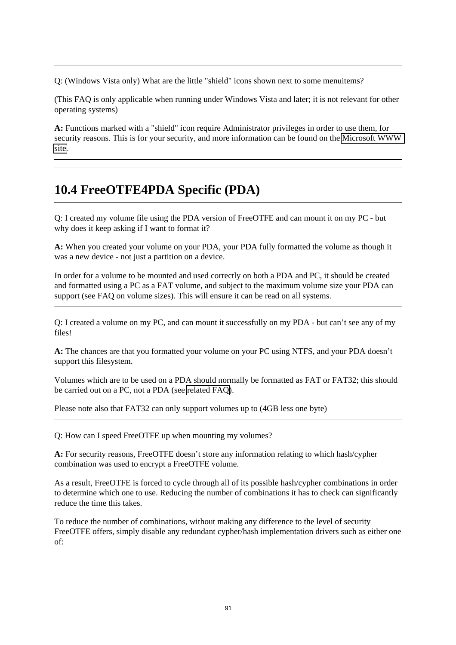Q: (Windows Vista only) What are the little "shield" icons shown next to some menuitems?

(This FAQ is only applicable when running under Windows Vista and later; it is not relevant for other operating systems)

**A:** Functions marked with a "shield" icon require Administrator privileges in order to use them, for security reasons. This is for your security, and more information can be found on the [Microsoft WWW](http://technet.microsoft.com/en-us/windowsvista/aa906022.aspx)  [site.](http://technet.microsoft.com/en-us/windowsvista/aa906022.aspx)

# **10.4 FreeOTFE4PDA Specific (PDA)**

<span id="page-96-0"></span>Q: I created my volume file using the PDA version of FreeOTFE and can mount it on my PC - but why does it keep asking if I want to format it?

**A:** When you created your volume on your PDA, your PDA fully formatted the volume as though it was a new device - not just a partition on a device.

In order for a volume to be mounted and used correctly on both a PDA and PC, it should be created and formatted using a PC as a FAT volume, and subject to the maximum volume size your PDA can support (see FAQ on volume sizes). This will ensure it can be read on all systems.

Q: I created a volume on my PC, and can mount it successfully on my PDA - but can't see any of my files!

**A:** The chances are that you formatted your volume on your PC using NTFS, and your PDA doesn't support this filesystem.

Volumes which are to be used on a PDA should normally be formatted as FAT or FAT32; this should be carried out on a PC, not a PDA (see [related FAQ\)](#page-96-0).

Please note also that FAT32 can only support volumes up to (4GB less one byte)

<span id="page-96-1"></span>Q: How can I speed FreeOTFE up when mounting my volumes?

**A:** For security reasons, FreeOTFE doesn't store any information relating to which hash/cypher combination was used to encrypt a FreeOTFE volume.

As a result, FreeOTFE is forced to cycle through all of its possible hash/cypher combinations in order to determine which one to use. Reducing the number of combinations it has to check can significantly reduce the time this takes.

To reduce the number of combinations, without making any difference to the level of security FreeOTFE offers, simply disable any redundant cypher/hash implementation drivers such as either one of: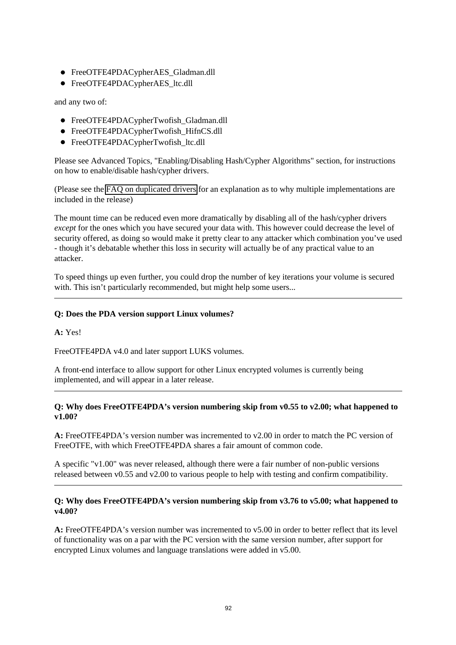- FreeOTFE4PDACypherAES\_Gladman.dll
- FreeOTFE4PDACypherAES ltc.dll

and any two of:

- FreeOTFE4PDACypherTwofish\_Gladman.dll
- FreeOTFE4PDACypherTwofish HifnCS.dll
- FreeOTFE4PDACypherTwofish ltc.dll

Please see Advanced Topics, "Enabling/Disabling Hash/Cypher Algorithms" section, for instructions on how to enable/disable hash/cypher drivers.

(Please see the [FAQ on duplicated drivers](#page-74-0) for an explanation as to why multiple implementations are included in the release)

The mount time can be reduced even more dramatically by disabling all of the hash/cypher drivers *except* for the ones which you have secured your data with. This however could decrease the level of security offered, as doing so would make it pretty clear to any attacker which combination you've used - though it's debatable whether this loss in security will actually be of any practical value to an attacker.

To speed things up even further, you could drop the number of key iterations your volume is secured with. This isn't particularly recommended, but might help some users...

#### **Q: Does the PDA version support Linux volumes?**

**A:** Yes!

FreeOTFE4PDA v4.0 and later support LUKS volumes.

A front-end interface to allow support for other Linux encrypted volumes is currently being implemented, and will appear in a later release.

### **Q: Why does FreeOTFE4PDA's version numbering skip from v0.55 to v2.00; what happened to v1.00?**

**A:** FreeOTFE4PDA's version number was incremented to v2.00 in order to match the PC version of FreeOTFE, with which FreeOTFE4PDA shares a fair amount of common code.

A specific "v1.00" was never released, although there were a fair number of non-public versions released between v0.55 and v2.00 to various people to help with testing and confirm compatibility.

#### **Q: Why does FreeOTFE4PDA's version numbering skip from v3.76 to v5.00; what happened to v4.00?**

**A:** FreeOTFE4PDA's version number was incremented to v5.00 in order to better reflect that its level of functionality was on a par with the PC version with the same version number, after support for encrypted Linux volumes and language translations were added in v5.00.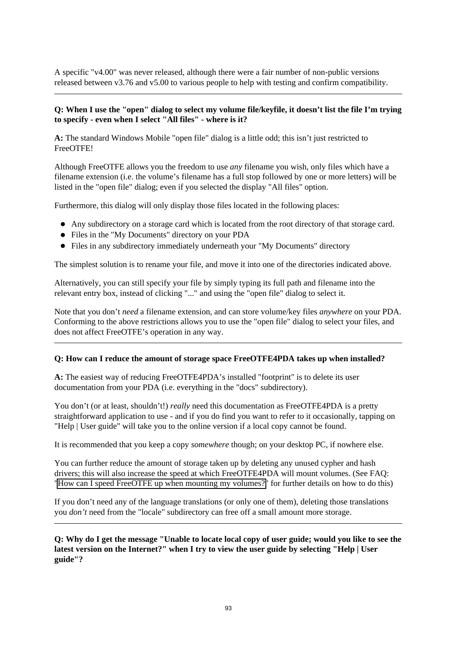A specific "v4.00" was never released, although there were a fair number of non-public versions released between v3.76 and v5.00 to various people to help with testing and confirm compatibility.

### **Q: When I use the "open" dialog to select my volume file/keyfile, it doesn't list the file I'm trying to specify - even when I select "All files" - where is it?**

**A:** The standard Windows Mobile "open file" dialog is a little odd; this isn't just restricted to FreeOTFE!

Although FreeOTFE allows you the freedom to use *any* filename you wish, only files which have a filename extension (i.e. the volume's filename has a full stop followed by one or more letters) will be listed in the "open file" dialog; even if you selected the display "All files" option.

Furthermore, this dialog will only display those files located in the following places:

- Any subdirectory on a storage card which is located from the root directory of that storage card.
- Files in the "My Documents" directory on your PDA
- Files in any subdirectory immediately underneath your "My Documents" directory

The simplest solution is to rename your file, and move it into one of the directories indicated above.

Alternatively, you can still specify your file by simply typing its full path and filename into the relevant entry box, instead of clicking "..." and using the "open file" dialog to select it.

Note that you don't *need* a filename extension, and can store volume/key files *anywhere* on your PDA. Conforming to the above restrictions allows you to use the "open file" dialog to select your files, and does not affect FreeOTFE's operation in any way.

#### **Q: How can I reduce the amount of storage space FreeOTFE4PDA takes up when installed?**

**A:** The easiest way of reducing FreeOTFE4PDA's installed "footprint" is to delete its user documentation from your PDA (i.e. everything in the "docs" subdirectory).

You don't (or at least, shouldn't!) *really* need this documentation as FreeOTFE4PDA is a pretty straightforward application to use - and if you do find you want to refer to it occasionally, tapping on "Help | User guide" will take you to the online version if a local copy cannot be found.

It is recommended that you keep a copy *somewhere* though; on your desktop PC, if nowhere else.

You can further reduce the amount of storage taken up by deleting any unused cypher and hash drivers; this will also increase the speed at which FreeOTFE4PDA will mount volumes. (See FAQ: ["How can I speed FreeOTFE up when mounting my volumes?"](#page-96-1) for further details on how to do this)

If you don't need any of the language translations (or only one of them), deleting those translations you *don't* need from the "locale" subdirectory can free off a small amount more storage.

**Q: Why do I get the message "Unable to locate local copy of user guide; would you like to see the latest version on the Internet?" when I try to view the user guide by selecting "Help | User guide"?**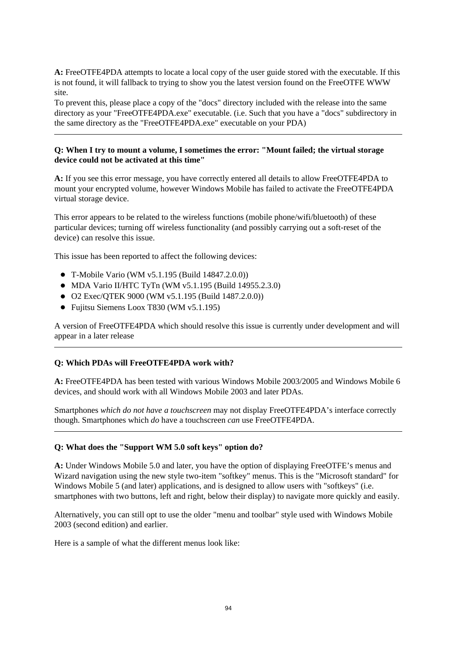**A:** FreeOTFE4PDA attempts to locate a local copy of the user guide stored with the executable. If this is not found, it will fallback to trying to show you the latest version found on the FreeOTFE WWW site.

To prevent this, please place a copy of the "docs" directory included with the release into the same directory as your "FreeOTFE4PDA.exe" executable. (i.e. Such that you have a "docs" subdirectory in the same directory as the "FreeOTFE4PDA.exe" executable on your PDA)

#### **Q: When I try to mount a volume, I sometimes the error: "Mount failed; the virtual storage device could not be activated at this time"**

**A:** If you see this error message, you have correctly entered all details to allow FreeOTFE4PDA to mount your encrypted volume, however Windows Mobile has failed to activate the FreeOTFE4PDA virtual storage device.

This error appears to be related to the wireless functions (mobile phone/wifi/bluetooth) of these particular devices; turning off wireless functionality (and possibly carrying out a soft-reset of the device) can resolve this issue.

This issue has been reported to affect the following devices:

- T-Mobile Vario (WM v5.1.195 (Build 14847.2.0.0))
- MDA Vario II/HTC TyTn (WM v5.1.195 (Build 14955.2.3.0)
- O2 Exec/QTEK 9000 (WM v5.1.195 (Build 1487.2.0.0))
- Fujitsu Siemens Loox T830 (WM v5.1.195)

A version of FreeOTFE4PDA which should resolve this issue is currently under development and will appear in a later release

#### **Q: Which PDAs will FreeOTFE4PDA work with?**

**A:** FreeOTFE4PDA has been tested with various Windows Mobile 2003/2005 and Windows Mobile 6 devices, and should work with all Windows Mobile 2003 and later PDAs.

Smartphones *which do not have a touchscreen* may not display FreeOTFE4PDA's interface correctly though. Smartphones which *do* have a touchscreen *can* use FreeOTFE4PDA.

#### **Q: What does the "Support WM 5.0 soft keys" option do?**

**A:** Under Windows Mobile 5.0 and later, you have the option of displaying FreeOTFE's menus and Wizard navigation using the new style two-item "softkey" menus. This is the "Microsoft standard" for Windows Mobile 5 (and later) applications, and is designed to allow users with "softkeys" (i.e. smartphones with two buttons, left and right, below their display) to navigate more quickly and easily.

Alternatively, you can still opt to use the older "menu and toolbar" style used with Windows Mobile 2003 (second edition) and earlier.

Here is a sample of what the different menus look like: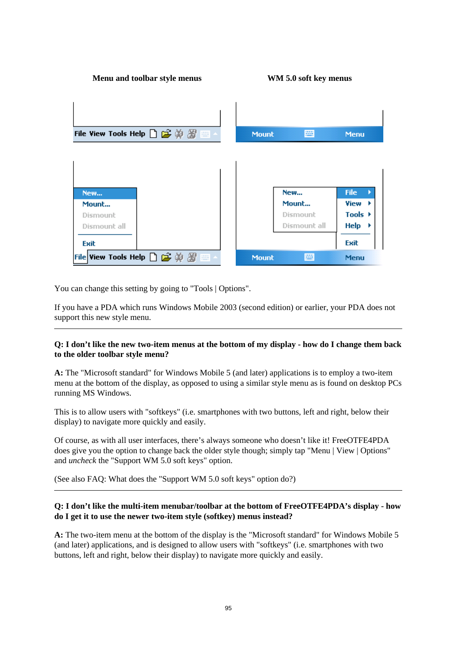| Menu and toolbar style menus                                                             | WM 5.0 soft key menus                    |                                                      |
|------------------------------------------------------------------------------------------|------------------------------------------|------------------------------------------------------|
| File View Tools Help $\bigcap \mathcal{L} \oplus \emptyset \mathcal{L} \cong \mathbb{Z}$ | 圏<br><b>Mount</b>                        | Menu                                                 |
|                                                                                          |                                          |                                                      |
| New<br>Mount<br>Dismount<br>Dismount all                                                 | New<br>Mount<br>Dismount<br>Dismount all | <b>File</b><br>View<br>Tools ▶<br>Help $\rightarrow$ |
| Exit<br>File View Tools Help $\bigcap_{i=1}^{\infty} \phi_i \boxtimes \cdots$            | 圏<br>Mount                               | Exit<br><b>Menu</b>                                  |

You can change this setting by going to "Tools | Options".

If you have a PDA which runs Windows Mobile 2003 (second edition) or earlier, your PDA does not support this new style menu.

### **Q: I don't like the new two-item menus at the bottom of my display - how do I change them back to the older toolbar style menu?**

**A:** The "Microsoft standard" for Windows Mobile 5 (and later) applications is to employ a two-item menu at the bottom of the display, as opposed to using a similar style menu as is found on desktop PCs running MS Windows.

This is to allow users with "softkeys" (i.e. smartphones with two buttons, left and right, below their display) to navigate more quickly and easily.

Of course, as with all user interfaces, there's always someone who doesn't like it! FreeOTFE4PDA does give you the option to change back the older style though; simply tap "Menu | View | Options" and *uncheck* the "Support WM 5.0 soft keys" option.

(See also FAQ: What does the "Support WM 5.0 soft keys" option do?)

#### **Q: I don't like the multi-item menubar/toolbar at the bottom of FreeOTFE4PDA's display - how do I get it to use the newer two-item style (softkey) menus instead?**

**A:** The two-item menu at the bottom of the display is the "Microsoft standard" for Windows Mobile 5 (and later) applications, and is designed to allow users with "softkeys" (i.e. smartphones with two buttons, left and right, below their display) to navigate more quickly and easily.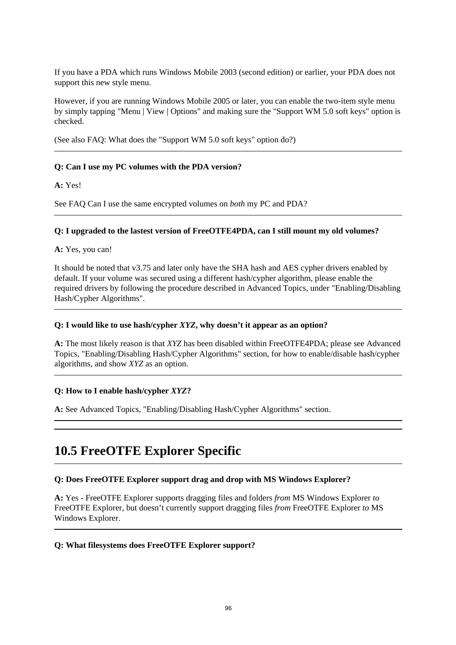If you have a PDA which runs Windows Mobile 2003 (second edition) or earlier, your PDA does not support this new style menu.

However, if you are running Windows Mobile 2005 or later, you can enable the two-item style menu by simply tapping "Menu | View | Options" and making sure the "Support WM 5.0 soft keys" option is checked.

(See also FAQ: What does the "Support WM 5.0 soft keys" option do?)

#### **Q: Can I use my PC volumes with the PDA version?**

**A:** Yes!

See FAQ Can I use the same encrypted volumes on *both* my PC and PDA?

#### **Q: I upgraded to the lastest version of FreeOTFE4PDA, can I still mount my old volumes?**

**A:** Yes, you can!

It should be noted that v3.75 and later only have the SHA hash and AES cypher drivers enabled by default. If your volume was secured using a different hash/cypher algorithm, please enable the required drivers by following the procedure described in Advanced Topics, under "Enabling/Disabling Hash/Cypher Algorithms".

#### **Q: I would like to use hash/cypher** *XYZ***, why doesn't it appear as an option?**

**A:** The most likely reason is that *XYZ* has been disabled within FreeOTFE4PDA; please see Advanced Topics, "Enabling/Disabling Hash/Cypher Algorithms" section, for how to enable/disable hash/cypher algorithms, and show *XYZ* as an option.

#### **Q: How to I enable hash/cypher** *XYZ***?**

**A:** See Advanced Topics, "Enabling/Disabling Hash/Cypher Algorithms" section.

# **10.5 FreeOTFE Explorer Specific**

#### **Q: Does FreeOTFE Explorer support drag and drop with MS Windows Explorer?**

**A:** Yes - FreeOTFE Explorer supports dragging files and folders *from* MS Windows Explorer *to* FreeOTFE Explorer, but doesn't currently support dragging files *from* FreeOTFE Explorer *to* MS Windows Explorer.

#### **Q: What filesystems does FreeOTFE Explorer support?**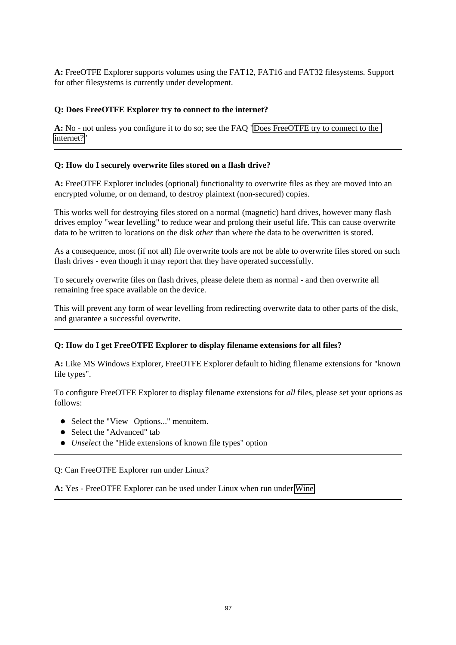**A:** FreeOTFE Explorer supports volumes using the FAT12, FAT16 and FAT32 filesystems. Support for other filesystems is currently under development.

#### **Q: Does FreeOTFE Explorer try to connect to the internet?**

**A:** No - not unless you configure it to do so; see the FAQ ["Does FreeOTFE try to connect to the](#page-89-0)  [internet?"](#page-89-0)

#### **Q: How do I securely overwrite files stored on a flash drive?**

**A:** FreeOTFE Explorer includes (optional) functionality to overwrite files as they are moved into an encrypted volume, or on demand, to destroy plaintext (non-secured) copies.

This works well for destroying files stored on a normal (magnetic) hard drives, however many flash drives employ "wear levelling" to reduce wear and prolong their useful life. This can cause overwrite data to be written to locations on the disk *other* than where the data to be overwritten is stored.

As a consequence, most (if not all) file overwrite tools are not be able to overwrite files stored on such flash drives - even though it may report that they have operated successfully.

To securely overwrite files on flash drives, please delete them as normal - and then overwrite all remaining free space available on the device.

This will prevent any form of wear levelling from redirecting overwrite data to other parts of the disk, and guarantee a successful overwrite.

#### **Q: How do I get FreeOTFE Explorer to display filename extensions for all files?**

**A:** Like MS Windows Explorer, FreeOTFE Explorer default to hiding filename extensions for "known file types".

To configure FreeOTFE Explorer to display filename extensions for *all* files, please set your options as follows:

- Select the "View | Options..." menuitem.
- Select the "Advanced" tab
- *Unselect* the "Hide extensions of known file types" option

Q: Can FreeOTFE Explorer run under Linux?

**A:** Yes - FreeOTFE Explorer can be used under Linux when run under [Wine.](http://www.winehq.org/)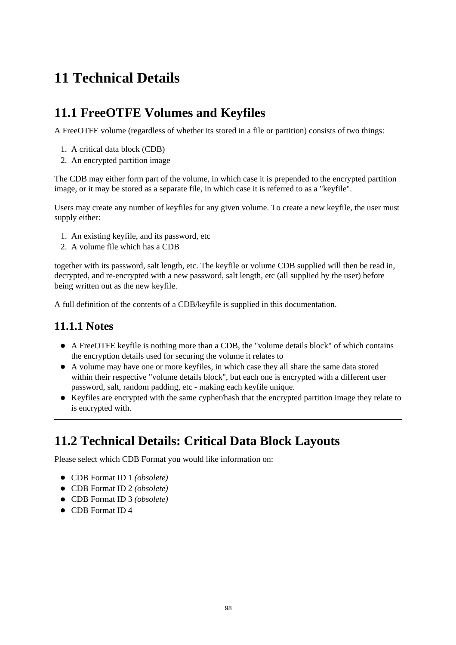# **11 Technical Details**

# **11.1 FreeOTFE Volumes and Keyfiles**

A FreeOTFE volume (regardless of whether its stored in a file or partition) consists of two things:

- 1. A critical data block (CDB)
- 2. An encrypted partition image

The CDB may either form part of the volume, in which case it is prepended to the encrypted partition image, or it may be stored as a separate file, in which case it is referred to as a "keyfile".

Users may create any number of keyfiles for any given volume. To create a new keyfile, the user must supply either:

- 1. An existing keyfile, and its password, etc
- 2. A volume file which has a CDB

together with its password, salt length, etc. The keyfile or volume CDB supplied will then be read in, decrypted, and re-encrypted with a new password, salt length, etc (all supplied by the user) before being written out as the new keyfile.

A full definition of the contents of a CDB/keyfile is supplied in this documentation.

# **11.1.1 Notes**

- A FreeOTFE keyfile is nothing more than a CDB, the "volume details block" of which contains the encryption details used for securing the volume it relates to
- A volume may have one or more keyfiles, in which case they all share the same data stored within their respective "volume details block", but each one is encrypted with a different user password, salt, random padding, etc - making each keyfile unique.
- Keyfiles are encrypted with the same cypher/hash that the encrypted partition image they relate to is encrypted with.

# **11.2 Technical Details: Critical Data Block Layouts**

Please select which CDB Format you would like information on:

- CDB Format ID 1 *(obsolete)*
- CDB Format ID 2 *(obsolete)*
- CDB Format ID 3 *(obsolete)*
- **CDB** Format ID 4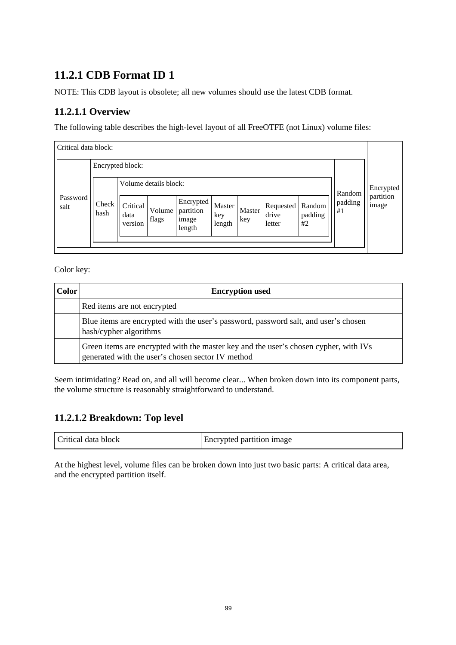# **11.2.1 CDB Format ID 1**

NOTE: This CDB layout is obsolete; all new volumes should use the latest CDB format.

# **11.2.1.1 Overview**

The following table describes the high-level layout of all FreeOTFE (not Linux) volume files:

| Critical data block: |                            |                                          |                 |                                           |                         |               |                              |                           |               |                    |
|----------------------|----------------------------|------------------------------------------|-----------------|-------------------------------------------|-------------------------|---------------|------------------------------|---------------------------|---------------|--------------------|
| Encrypted block:     |                            |                                          |                 |                                           |                         |               |                              |                           |               |                    |
|                      |                            | Volume details block:<br>Random          |                 |                                           |                         | Encrypted     |                              |                           |               |                    |
| Password<br>salt     | Check <sup> </sup><br>hash | Critical <sup>1</sup><br>data<br>version | Volume<br>flags | Encrypted<br>partition<br>image<br>length | Master<br>key<br>length | Master<br>key | Requested<br>drive<br>letter | Random  <br>padding<br>#2 | padding<br>#1 | partition<br>image |
|                      |                            |                                          |                 |                                           |                         |               |                              |                           |               |                    |

Color key:

| <b>Color</b> | <b>Encryption used</b>                                                                                                                    |
|--------------|-------------------------------------------------------------------------------------------------------------------------------------------|
|              | Red items are not encrypted                                                                                                               |
|              | Blue items are encrypted with the user's password, password salt, and user's chosen<br>hash/cypher algorithms                             |
|              | Green items are encrypted with the master key and the user's chosen cypher, with IVs<br>generated with the user's chosen sector IV method |

Seem intimidating? Read on, and all will become clear... When broken down into its component parts, the volume structure is reasonably straightforward to understand.

# **11.2.1.2 Breakdown: Top level**

| l Critical data block | Encrypted partition image |
|-----------------------|---------------------------|
|-----------------------|---------------------------|

At the highest level, volume files can be broken down into just two basic parts: A critical data area, and the encrypted partition itself.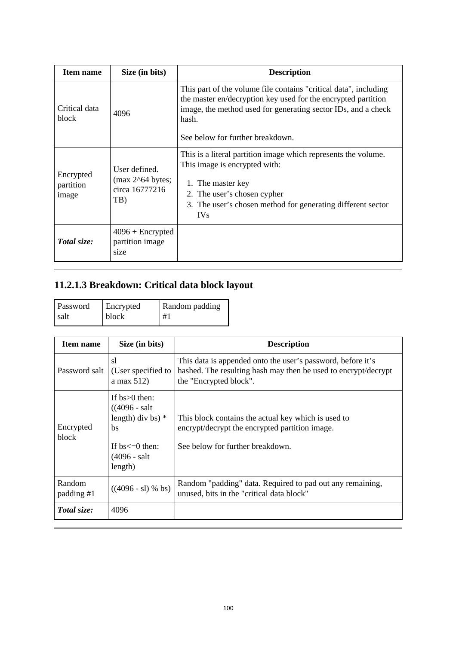| Item name                       | Size (in bits)                                               | <b>Description</b>                                                                                                                                                                                                                              |
|---------------------------------|--------------------------------------------------------------|-------------------------------------------------------------------------------------------------------------------------------------------------------------------------------------------------------------------------------------------------|
| Critical data<br>block          | 4096                                                         | This part of the volume file contains "critical data", including<br>the master en/decryption key used for the encrypted partition<br>image, the method used for generating sector IDs, and a check<br>hash.<br>See below for further breakdown. |
| Encrypted<br>partition<br>image | User defined.<br>$(max 2^64 bytes;$<br>circa 16777216<br>TB) | This is a literal partition image which represents the volume.<br>This image is encrypted with:<br>1. The master key<br>2. The user's chosen cypher<br>3. The user's chosen method for generating different sector<br><b>IVs</b>                |
| Total size:                     | $4096 +$ Encrypted<br>partition image<br>size                |                                                                                                                                                                                                                                                 |

# **11.2.1.3 Breakdown: Critical data block layout**

| Password | Encrypted | Random padding |
|----------|-----------|----------------|
| salt     | block     | #1             |

| <b>Item name</b>     | Size (in bits)                                                                                                        | <b>Description</b>                                                                                                                                      |
|----------------------|-----------------------------------------------------------------------------------------------------------------------|---------------------------------------------------------------------------------------------------------------------------------------------------------|
| Password salt        | <sub>s</sub><br>(User specified to<br>a max $512$                                                                     | This data is appended onto the user's password, before it's<br>hashed. The resulting hash may then be used to encrypt/decrypt<br>the "Encrypted block". |
| Encrypted<br>block   | If $bs>0$ then:<br>$((4096 - salt$<br>length) div bs) $*$<br>bs<br>If $bs \leq 0$ then:<br>$(4096 - salt)$<br>length) | This block contains the actual key which is used to<br>encrypt/decrypt the encrypted partition image.<br>See below for further breakdown.               |
| Random<br>padding #1 | $((4096 - s1)$ % bs)                                                                                                  | Random "padding" data. Required to pad out any remaining,<br>unused, bits in the "critical data block"                                                  |
| Total size:          | 4096                                                                                                                  |                                                                                                                                                         |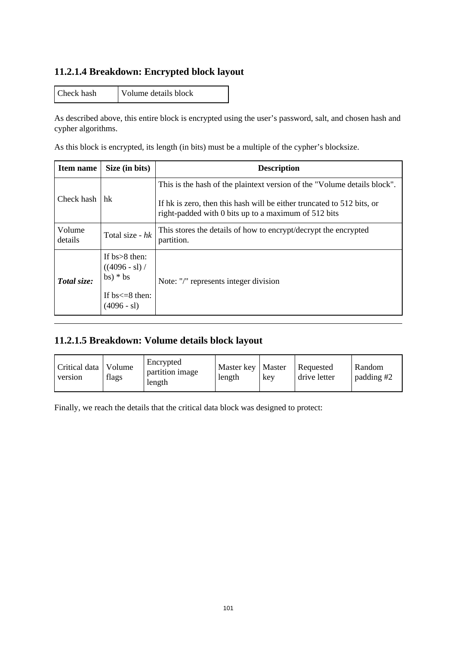# **11.2.1.4 Breakdown: Encrypted block layout**

Check hash Volume details block

As described above, this entire block is encrypted using the user's password, salt, and chosen hash and cypher algorithms.

As this block is encrypted, its length (in bits) must be a multiple of the cypher's blocksize.

| <b>Item name</b>  | Size (in bits)                                                                           | <b>Description</b>                                                                                                                                                                                         |
|-------------------|------------------------------------------------------------------------------------------|------------------------------------------------------------------------------------------------------------------------------------------------------------------------------------------------------------|
| Check hash        | hk                                                                                       | This is the hash of the plaintext version of the "Volume details block".<br>If hk is zero, then this hash will be either truncated to 512 bits, or<br>right-padded with 0 bits up to a maximum of 512 bits |
| Volume<br>details | Total size - $hk$                                                                        | This stores the details of how to encrypt/decrypt the encrypted<br>partition.                                                                                                                              |
| Total size:       | If $bs > 8$ then:<br>$((4096 - s))$<br>$bs)*bs$<br>If $bs \leq 8$ then:<br>$(4096 - s1)$ | Note: "/" represents integer division                                                                                                                                                                      |

# **11.2.1.5 Breakdown: Volume details block layout**

| Encrypted<br>Volume<br>Critical data<br>partition image<br>flags<br>version<br>length | Master key<br>length | Master<br>Requested<br>drive letter<br>key | Random<br>padding #2 |
|---------------------------------------------------------------------------------------|----------------------|--------------------------------------------|----------------------|
|---------------------------------------------------------------------------------------|----------------------|--------------------------------------------|----------------------|

Finally, we reach the details that the critical data block was designed to protect: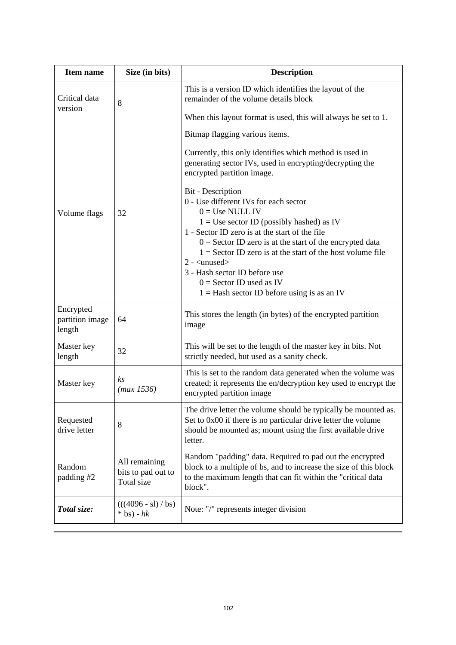| <b>Item name</b>                       | Size (in bits)                                    | <b>Description</b>                                                                                                                                                                                                                                                                                                                                                                                                                                                 |
|----------------------------------------|---------------------------------------------------|--------------------------------------------------------------------------------------------------------------------------------------------------------------------------------------------------------------------------------------------------------------------------------------------------------------------------------------------------------------------------------------------------------------------------------------------------------------------|
| Critical data<br>version               | 8                                                 | This is a version ID which identifies the layout of the<br>remainder of the volume details block                                                                                                                                                                                                                                                                                                                                                                   |
|                                        |                                                   | When this layout format is used, this will always be set to 1.                                                                                                                                                                                                                                                                                                                                                                                                     |
|                                        |                                                   | Bitmap flagging various items.<br>Currently, this only identifies which method is used in<br>generating sector IVs, used in encrypting/decrypting the<br>encrypted partition image.                                                                                                                                                                                                                                                                                |
| Volume flags                           | 32                                                | Bit - Description<br>0 - Use different IVs for each sector<br>$0 = Use NULL IV$<br>$1 = Use sector ID (possibly hashed) as IV$<br>1 - Sector ID zero is at the start of the file<br>$0 =$ Sector ID zero is at the start of the encrypted data<br>$1 =$ Sector ID zero is at the start of the host volume file<br>$2$ - $\langle$ unused $\rangle$<br>3 - Hash sector ID before use<br>$0 =$ Sector ID used as IV<br>$1 =$ Hash sector ID before using is as an IV |
| Encrypted<br>partition image<br>length | 64                                                | This stores the length (in bytes) of the encrypted partition<br>image                                                                                                                                                                                                                                                                                                                                                                                              |
| Master key<br>length                   | 32                                                | This will be set to the length of the master key in bits. Not<br>strictly needed, but used as a sanity check.                                                                                                                                                                                                                                                                                                                                                      |
| Master key                             | k <sub>S</sub><br>(max 1536)                      | This is set to the random data generated when the volume was<br>created; it represents the en/decryption key used to encrypt the<br>encrypted partition image                                                                                                                                                                                                                                                                                                      |
| Requested<br>drive letter              | 8                                                 | The drive letter the volume should be typically be mounted as.<br>Set to 0x00 if there is no particular drive letter the volume<br>should be mounted as; mount using the first available drive<br>letter.                                                                                                                                                                                                                                                          |
| Random<br>padding #2                   | All remaining<br>bits to pad out to<br>Total size | Random "padding" data. Required to pad out the encrypted<br>block to a multiple of bs, and to increase the size of this block<br>to the maximum length that can fit within the "critical data<br>block".                                                                                                                                                                                                                                                           |
| Total size:                            | $(((4096 - s1) / bs)$<br>$*$ bs) - $hk$           | Note: "/" represents integer division                                                                                                                                                                                                                                                                                                                                                                                                                              |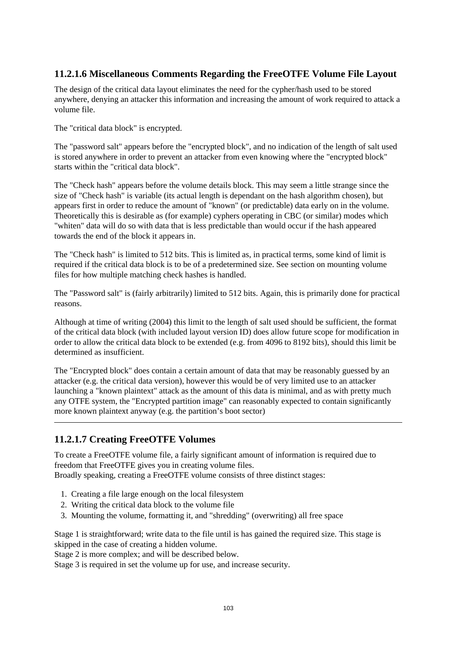### **11.2.1.6 Miscellaneous Comments Regarding the FreeOTFE Volume File Layout**

The design of the critical data layout eliminates the need for the cypher/hash used to be stored anywhere, denying an attacker this information and increasing the amount of work required to attack a volume file.

The "critical data block" is encrypted.

The "password salt" appears before the "encrypted block", and no indication of the length of salt used is stored anywhere in order to prevent an attacker from even knowing where the "encrypted block" starts within the "critical data block".

The "Check hash" appears before the volume details block. This may seem a little strange since the size of "Check hash" is variable (its actual length is dependant on the hash algorithm chosen), but appears first in order to reduce the amount of "known" (or predictable) data early on in the volume. Theoretically this is desirable as (for example) cyphers operating in CBC (or similar) modes which "whiten" data will do so with data that is less predictable than would occur if the hash appeared towards the end of the block it appears in.

The "Check hash" is limited to 512 bits. This is limited as, in practical terms, some kind of limit is required if the critical data block is to be of a predetermined size. See section on mounting volume files for how multiple matching check hashes is handled.

The "Password salt" is (fairly arbitrarily) limited to 512 bits. Again, this is primarily done for practical reasons.

Although at time of writing (2004) this limit to the length of salt used should be sufficient, the format of the critical data block (with included layout version ID) does allow future scope for modification in order to allow the critical data block to be extended (e.g. from 4096 to 8192 bits), should this limit be determined as insufficient.

The "Encrypted block" does contain a certain amount of data that may be reasonably guessed by an attacker (e.g. the critical data version), however this would be of very limited use to an attacker launching a "known plaintext" attack as the amount of this data is minimal, and as with pretty much any OTFE system, the "Encrypted partition image" can reasonably expected to contain significantly more known plaintext anyway (e.g. the partition's boot sector)

#### **11.2.1.7 Creating FreeOTFE Volumes**

To create a FreeOTFE volume file, a fairly significant amount of information is required due to freedom that FreeOTFE gives you in creating volume files.

Broadly speaking, creating a FreeOTFE volume consists of three distinct stages:

- 1. Creating a file large enough on the local filesystem
- 2. Writing the critical data block to the volume file
- 3. Mounting the volume, formatting it, and "shredding" (overwriting) all free space

Stage 1 is straightforward; write data to the file until is has gained the required size. This stage is skipped in the case of creating a hidden volume.

Stage 2 is more complex; and will be described below.

Stage 3 is required in set the volume up for use, and increase security.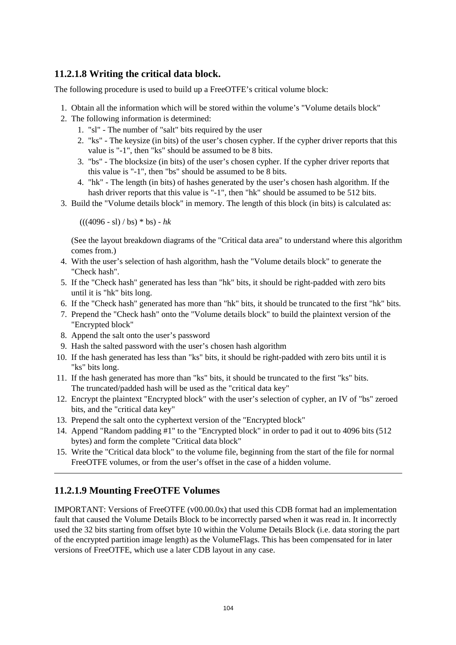#### **11.2.1.8 Writing the critical data block.**

The following procedure is used to build up a FreeOTFE's critical volume block:

- 1. Obtain all the information which will be stored within the volume's "Volume details block"
- 2. The following information is determined:
	- 1. "sl" The number of "salt" bits required by the user
	- 2. "ks" The keysize (in bits) of the user's chosen cypher. If the cypher driver reports that this value is "-1", then "ks" should be assumed to be 8 bits.
	- 3. "bs" The blocksize (in bits) of the user's chosen cypher. If the cypher driver reports that this value is "-1", then "bs" should be assumed to be 8 bits.
	- 4. "hk" The length (in bits) of hashes generated by the user's chosen hash algorithm. If the hash driver reports that this value is "-1", then "hk" should be assumed to be 512 bits.
- 3. Build the "Volume details block" in memory. The length of this block (in bits) is calculated as:

 $(((4096 - s1) / bs) * bs) - hk$ 

(See the layout breakdown diagrams of the "Critical data area" to understand where this algorithm comes from.)

- 4. With the user's selection of hash algorithm, hash the "Volume details block" to generate the "Check hash".
- 5. If the "Check hash" generated has less than "hk" bits, it should be right-padded with zero bits until it is "hk" bits long.
- 6. If the "Check hash" generated has more than "hk" bits, it should be truncated to the first "hk" bits.
- 7. Prepend the "Check hash" onto the "Volume details block" to build the plaintext version of the "Encrypted block"
- 8. Append the salt onto the user's password
- 9. Hash the salted password with the user's chosen hash algorithm
- 10. If the hash generated has less than "ks" bits, it should be right-padded with zero bits until it is "ks" bits long.
- 11. If the hash generated has more than "ks" bits, it should be truncated to the first "ks" bits. The truncated/padded hash will be used as the "critical data key"
- 12. Encrypt the plaintext "Encrypted block" with the user's selection of cypher, an IV of "bs" zeroed bits, and the "critical data key"
- 13. Prepend the salt onto the cyphertext version of the "Encrypted block"
- 14. Append "Random padding #1" to the "Encrypted block" in order to pad it out to 4096 bits (512 bytes) and form the complete "Critical data block"
- 15. Write the "Critical data block" to the volume file, beginning from the start of the file for normal FreeOTFE volumes, or from the user's offset in the case of a hidden volume.

#### **11.2.1.9 Mounting FreeOTFE Volumes**

IMPORTANT: Versions of FreeOTFE (v00.00.0x) that used this CDB format had an implementation fault that caused the Volume Details Block to be incorrectly parsed when it was read in. It incorrectly used the 32 bits starting from offset byte 10 within the Volume Details Block (i.e. data storing the part of the encrypted partition image length) as the VolumeFlags. This has been compensated for in later versions of FreeOTFE, which use a later CDB layout in any case.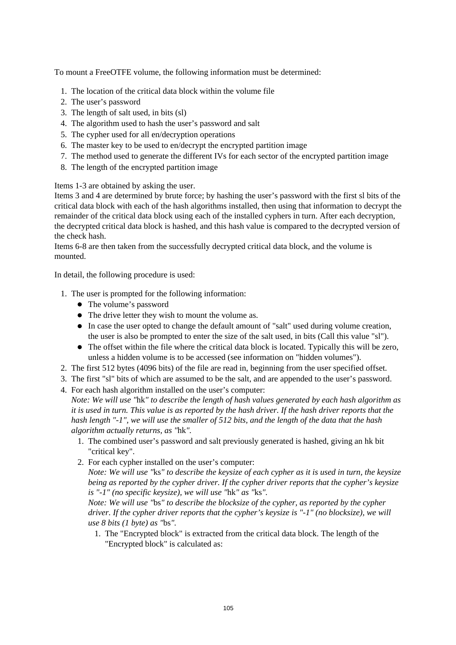To mount a FreeOTFE volume, the following information must be determined:

- 1. The location of the critical data block within the volume file
- 2. The user's password
- 3. The length of salt used, in bits (sl)
- 4. The algorithm used to hash the user's password and salt
- 5. The cypher used for all en/decryption operations
- 6. The master key to be used to en/decrypt the encrypted partition image
- 7. The method used to generate the different IVs for each sector of the encrypted partition image
- 8. The length of the encrypted partition image

Items 1-3 are obtained by asking the user.

Items 3 and 4 are determined by brute force; by hashing the user's password with the first sl bits of the critical data block with each of the hash algorithms installed, then using that information to decrypt the remainder of the critical data block using each of the installed cyphers in turn. After each decryption, the decrypted critical data block is hashed, and this hash value is compared to the decrypted version of the check hash.

Items 6-8 are then taken from the successfully decrypted critical data block, and the volume is mounted.

In detail, the following procedure is used:

- 1. The user is prompted for the following information:
	- The volume's password
	- The drive letter they wish to mount the volume as.
	- In case the user opted to change the default amount of "salt" used during volume creation, the user is also be prompted to enter the size of the salt used, in bits (Call this value "sl").
	- The offset within the file where the critical data block is located. Typically this will be zero, unless a hidden volume is to be accessed (see information on "hidden volumes").
- 2. The first 512 bytes (4096 bits) of the file are read in, beginning from the user specified offset.
- 3. The first "sl" bits of which are assumed to be the salt, and are appended to the user's password.
- 4. For each hash algorithm installed on the user's computer:

*Note: We will use "*hk*" to describe the length of hash values generated by each hash algorithm as it is used in turn. This value is as reported by the hash driver. If the hash driver reports that the hash length "-1", we will use the smaller of 512 bits, and the length of the data that the hash algorithm actually returns, as "*hk*".*

- 1. The combined user's password and salt previously generated is hashed, giving an hk bit "critical key".
- 2. For each cypher installed on the user's computer:

*Note: We will use "*ks*" to describe the keysize of each cypher as it is used in turn, the keysize being as reported by the cypher driver. If the cypher driver reports that the cypher's keysize is "-1" (no specific keysize), we will use "*hk*" as "*ks*".*

*Note: We will use "*bs*" to describe the blocksize of the cypher, as reported by the cypher driver. If the cypher driver reports that the cypher's keysize is "-1" (no blocksize), we will use 8 bits (1 byte) as "*bs*".*

1. The "Encrypted block" is extracted from the critical data block. The length of the "Encrypted block" is calculated as: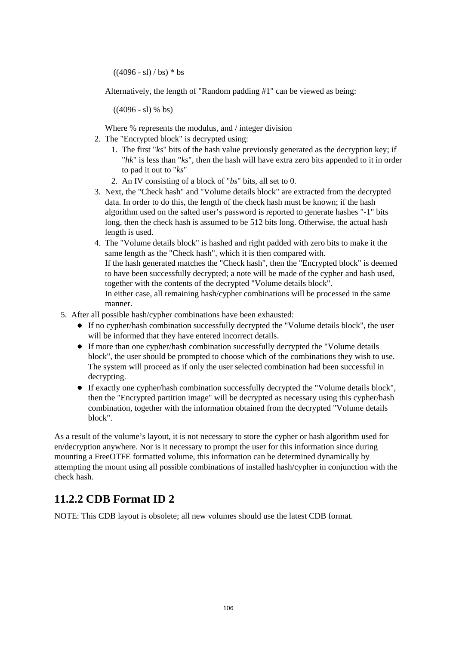$((4096 - s1) / bs) * bs$ 

Alternatively, the length of "Random padding #1" can be viewed as being:

 $((4096 - s1)$  % bs)

Where % represents the modulus, and / integer division

- 2. The "Encrypted block" is decrypted using:
	- 1. The first "*ks*" bits of the hash value previously generated as the decryption key; if "*hk*" is less than "*ks*", then the hash will have extra zero bits appended to it in order to pad it out to "*ks*"
	- 2. An IV consisting of a block of "*bs*" bits, all set to 0.
- 3. Next, the "Check hash" and "Volume details block" are extracted from the decrypted data. In order to do this, the length of the check hash must be known; if the hash algorithm used on the salted user's password is reported to generate hashes "-1" bits long, then the check hash is assumed to be 512 bits long. Otherwise, the actual hash length is used.
- 4. The "Volume details block" is hashed and right padded with zero bits to make it the same length as the "Check hash", which it is then compared with. If the hash generated matches the "Check hash", then the "Encrypted block" is deemed to have been successfully decrypted; a note will be made of the cypher and hash used, together with the contents of the decrypted "Volume details block". In either case, all remaining hash/cypher combinations will be processed in the same manner.
- 5. After all possible hash/cypher combinations have been exhausted:
	- If no cypher/hash combination successfully decrypted the "Volume details block", the user will be informed that they have entered incorrect details.
	- If more than one cypher/hash combination successfully decrypted the "Volume details block", the user should be prompted to choose which of the combinations they wish to use. The system will proceed as if only the user selected combination had been successful in decrypting.
	- If exactly one cypher/hash combination successfully decrypted the "Volume details block", then the "Encrypted partition image" will be decrypted as necessary using this cypher/hash combination, together with the information obtained from the decrypted "Volume details block".

As a result of the volume's layout, it is not necessary to store the cypher or hash algorithm used for en/decryption anywhere. Nor is it necessary to prompt the user for this information since during mounting a FreeOTFE formatted volume, this information can be determined dynamically by attempting the mount using all possible combinations of installed hash/cypher in conjunction with the check hash.

### **11.2.2 CDB Format ID 2**

NOTE: This CDB layout is obsolete; all new volumes should use the latest CDB format.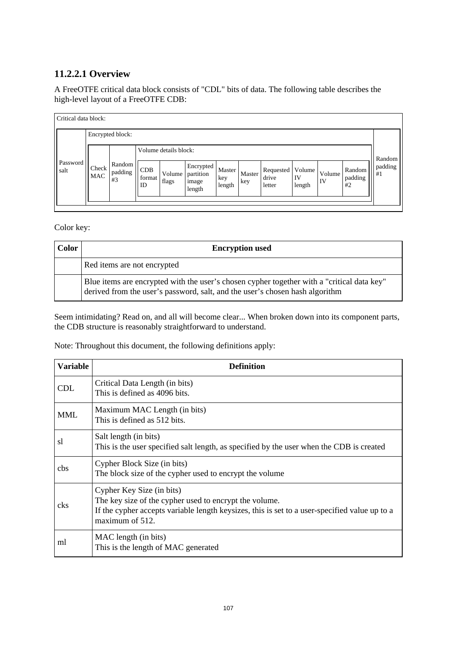### **11.2.2.1 Overview**

A FreeOTFE critical data block consists of "CDL" bits of data. The following table describes the high-level layout of a FreeOTFE CDB:

| Critical data block: |                     |                         |                     |                       |                                           |                         |               |                              |                        |              |                         |               |
|----------------------|---------------------|-------------------------|---------------------|-----------------------|-------------------------------------------|-------------------------|---------------|------------------------------|------------------------|--------------|-------------------------|---------------|
|                      | Encrypted block:    |                         |                     |                       |                                           |                         |               |                              |                        |              |                         |               |
|                      |                     |                         |                     | Volume details block: |                                           |                         |               |                              |                        |              |                         | Random        |
| Password<br>salt     | Check<br><b>MAC</b> | Random<br>padding<br>#3 | CDB<br>format<br>ID | Volume<br>flags       | Encrypted<br>partition<br>image<br>length | Master<br>key<br>length | Master<br>key | Requested<br>drive<br>letter | Volume<br>IV<br>length | Volume<br>IV | Random<br>padding<br>#2 | padding<br>#1 |
|                      |                     |                         |                     |                       |                                           |                         |               |                              |                        |              |                         |               |

Color key:

| Color | <b>Encryption used</b>                                                                                                                                                     |
|-------|----------------------------------------------------------------------------------------------------------------------------------------------------------------------------|
|       | Red items are not encrypted                                                                                                                                                |
|       | Blue items are encrypted with the user's chosen cypher together with a "critical data key"<br>derived from the user's password, salt, and the user's chosen hash algorithm |

Seem intimidating? Read on, and all will become clear... When broken down into its component parts, the CDB structure is reasonably straightforward to understand.

Note: Throughout this document, the following definitions apply:

| <b>Variable</b> | <b>Definition</b>                                                                                                                                                                                       |
|-----------------|---------------------------------------------------------------------------------------------------------------------------------------------------------------------------------------------------------|
| <b>CDL</b>      | Critical Data Length (in bits)<br>This is defined as 4096 bits.                                                                                                                                         |
| <b>MML</b>      | Maximum MAC Length (in bits)<br>This is defined as 512 bits.                                                                                                                                            |
| sl              | Salt length (in bits)<br>This is the user specified salt length, as specified by the user when the CDB is created                                                                                       |
| cbs             | Cypher Block Size (in bits)<br>The block size of the cypher used to encrypt the volume                                                                                                                  |
| cks             | Cypher Key Size (in bits)<br>The key size of the cypher used to encrypt the volume.<br>If the cypher accepts variable length keysizes, this is set to a user-specified value up to a<br>maximum of 512. |
| ml              | MAC length (in bits)<br>This is the length of MAC generated                                                                                                                                             |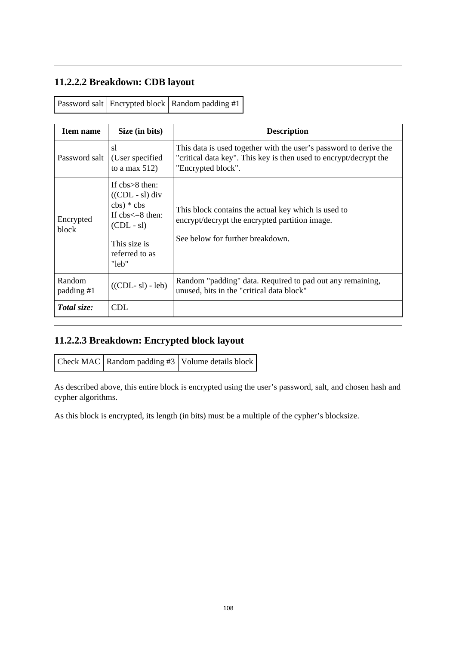## **11.2.2.2 Breakdown: CDB layout**

| Item name            | Size (in bits)                                                                                                                                                             | <b>Description</b>                                                                                                                                           |
|----------------------|----------------------------------------------------------------------------------------------------------------------------------------------------------------------------|--------------------------------------------------------------------------------------------------------------------------------------------------------------|
| Password salt        | s1<br>(User specified)<br>to a max $512$ )                                                                                                                                 | This data is used together with the user's password to derive the<br>"critical data key". This key is then used to encrypt/decrypt the<br>"Encrypted block". |
| Encrypted<br>block   | If $\text{chs} > 8$ then:<br>$((CDL - sI)$ div<br>$\text{cbs}$ $*$ $\text{cbs}$<br>If $\text{chs} \leq 8$ then:<br>$(CDL - sI)$<br>This size is<br>referred to as<br>"leb" | This block contains the actual key which is used to<br>encrypt/decrypt the encrypted partition image.<br>See below for further breakdown.                    |
| Random<br>padding #1 | $((CDL - s1) - leb)$                                                                                                                                                       | Random "padding" data. Required to pad out any remaining,<br>unused, bits in the "critical data block"                                                       |
| Total size:          | CDL.                                                                                                                                                                       |                                                                                                                                                              |

### **11.2.2.3 Breakdown: Encrypted block layout**

| Check MAC   Random padding #3   Volume details block |  |
|------------------------------------------------------|--|
|------------------------------------------------------|--|

As described above, this entire block is encrypted using the user's password, salt, and chosen hash and cypher algorithms.

As this block is encrypted, its length (in bits) must be a multiple of the cypher's blocksize.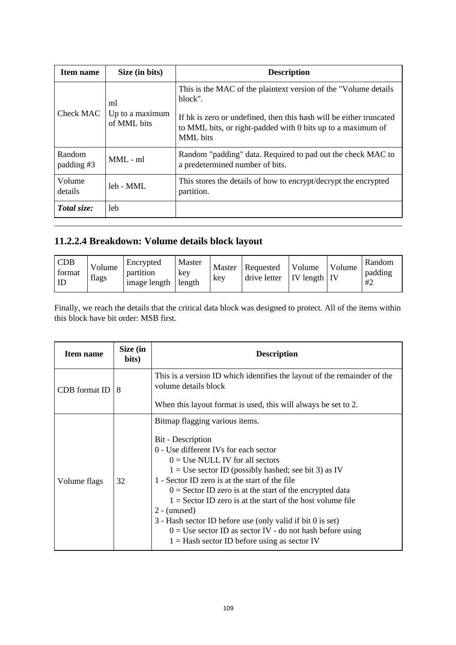| <b>Item name</b>     | Size (in bits)                       | <b>Description</b>                                                                                                                                                                                                            |
|----------------------|--------------------------------------|-------------------------------------------------------------------------------------------------------------------------------------------------------------------------------------------------------------------------------|
| Check MAC            | ml<br>Up to a maximum<br>of MML bits | This is the MAC of the plaintext version of the "Volume details"<br>block".<br>If hk is zero or undefined, then this hash will be either truncated<br>to MML bits, or right-padded with 0 bits up to a maximum of<br>MML bits |
| Random<br>padding #3 | $MML - ml$                           | Random "padding" data. Required to pad out the check MAC to<br>a predetermined number of bits.                                                                                                                                |
| Volume<br>details    | $1eh - MML$                          | This stores the details of how to encrypt/decrypt the encrypted<br>partition.                                                                                                                                                 |
| Total size:          | leb                                  |                                                                                                                                                                                                                               |

## **11.2.2.4 Breakdown: Volume details block layout**

| <b>CDB</b><br>Volume<br>format<br>flags<br>ID | Encrypted<br>partition<br>key<br>image length<br>length | Master<br>Master<br>key | Requested<br>drive letter | Volume<br>$IV$ length $IV$ | Volume | Random<br>padding<br>#2 |
|-----------------------------------------------|---------------------------------------------------------|-------------------------|---------------------------|----------------------------|--------|-------------------------|
|-----------------------------------------------|---------------------------------------------------------|-------------------------|---------------------------|----------------------------|--------|-------------------------|

Finally, we reach the details that the critical data block was designed to protect. All of the items within this block have bit order: MSB first.

| Item name     | Size (in<br>bits) | <b>Description</b>                                                                                                                                                                                                                                                                                                                                                                                                                                                                                                                                                           |
|---------------|-------------------|------------------------------------------------------------------------------------------------------------------------------------------------------------------------------------------------------------------------------------------------------------------------------------------------------------------------------------------------------------------------------------------------------------------------------------------------------------------------------------------------------------------------------------------------------------------------------|
| CDB format ID | 8                 | This is a version ID which identifies the layout of the remainder of the<br>volume details block<br>When this layout format is used, this will always be set to 2.                                                                                                                                                                                                                                                                                                                                                                                                           |
| Volume flags  | 32                | Bitmap flagging various items.<br>Bit - Description<br>0 - Use different IVs for each sector<br>$0 = Use NULL IV$ for all sectors<br>$1 = Use sector ID (possibly hashed; see bit 3) as IV$<br>1 - Sector ID zero is at the start of the file<br>$0 =$ Sector ID zero is at the start of the encrypted data<br>$1 =$ Sector ID zero is at the start of the host volume file<br>$2 -$ (unused)<br>3 - Hash sector ID before use (only valid if bit 0 is set)<br>$0 = Use sector ID$ as sector IV - do not hash before using<br>$1 =$ Hash sector ID before using as sector IV |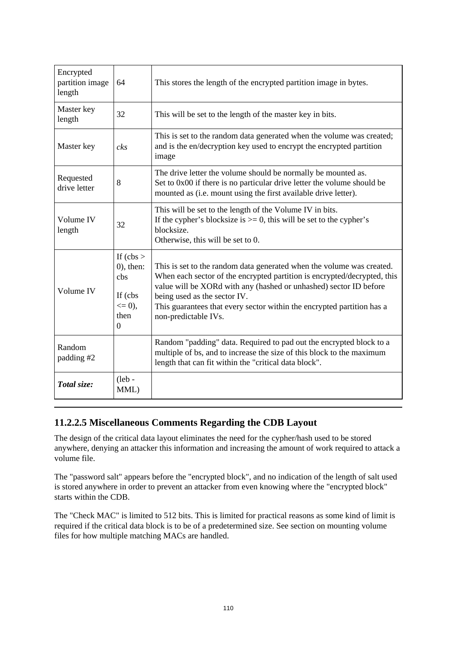| Encrypted<br>partition image<br>length | 64                                                                         | This stores the length of the encrypted partition image in bytes.                                                                                                                                                                                                                                                                                        |
|----------------------------------------|----------------------------------------------------------------------------|----------------------------------------------------------------------------------------------------------------------------------------------------------------------------------------------------------------------------------------------------------------------------------------------------------------------------------------------------------|
| Master key<br>length                   | 32                                                                         | This will be set to the length of the master key in bits.                                                                                                                                                                                                                                                                                                |
| Master key                             | $\mathfrak{c}\mathfrak{k}\mathfrak{s}$                                     | This is set to the random data generated when the volume was created;<br>and is the en/decryption key used to encrypt the encrypted partition<br>image                                                                                                                                                                                                   |
| Requested<br>drive letter              | 8                                                                          | The drive letter the volume should be normally be mounted as.<br>Set to 0x00 if there is no particular drive letter the volume should be<br>mounted as (i.e. mount using the first available drive letter).                                                                                                                                              |
| Volume IV<br>length                    | 32                                                                         | This will be set to the length of the Volume IV in bits.<br>If the cypher's blocksize is $\ge$ = 0, this will be set to the cypher's<br>blocksize.<br>Otherwise, this will be set to 0.                                                                                                                                                                  |
| Volume IV                              | If $(cbs >$<br>$(0)$ , then:<br>cbs<br>If (cbs<br>$\leq 0$ ),<br>then<br>0 | This is set to the random data generated when the volume was created.<br>When each sector of the encrypted partition is encrypted/decrypted, this<br>value will be XORd with any (hashed or unhashed) sector ID before<br>being used as the sector IV.<br>This guarantees that every sector within the encrypted partition has a<br>non-predictable IVs. |
| Random<br>padding #2                   |                                                                            | Random "padding" data. Required to pad out the encrypted block to a<br>multiple of bs, and to increase the size of this block to the maximum<br>length that can fit within the "critical data block".                                                                                                                                                    |
| Total size:                            | $($ leb -<br>MML)                                                          |                                                                                                                                                                                                                                                                                                                                                          |

### **11.2.2.5 Miscellaneous Comments Regarding the CDB Layout**

The design of the critical data layout eliminates the need for the cypher/hash used to be stored anywhere, denying an attacker this information and increasing the amount of work required to attack a volume file.

The "password salt" appears before the "encrypted block", and no indication of the length of salt used is stored anywhere in order to prevent an attacker from even knowing where the "encrypted block" starts within the CDB.

The "Check MAC" is limited to 512 bits. This is limited for practical reasons as some kind of limit is required if the critical data block is to be of a predetermined size. See section on mounting volume files for how multiple matching MACs are handled.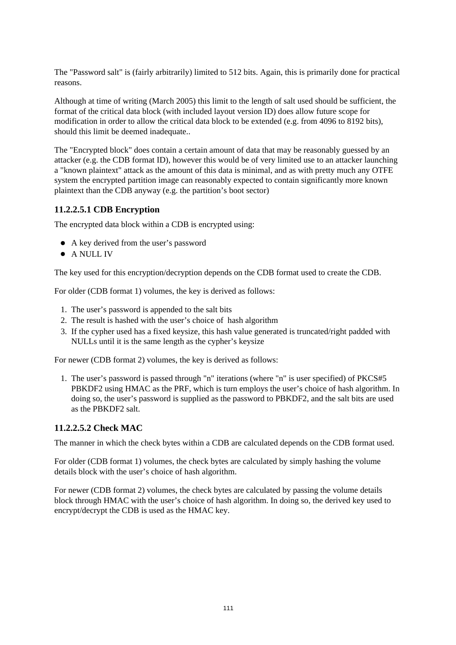The "Password salt" is (fairly arbitrarily) limited to 512 bits. Again, this is primarily done for practical reasons.

Although at time of writing (March 2005) this limit to the length of salt used should be sufficient, the format of the critical data block (with included layout version ID) does allow future scope for modification in order to allow the critical data block to be extended (e.g. from 4096 to 8192 bits), should this limit be deemed inadequate..

The "Encrypted block" does contain a certain amount of data that may be reasonably guessed by an attacker (e.g. the CDB format ID), however this would be of very limited use to an attacker launching a "known plaintext" attack as the amount of this data is minimal, and as with pretty much any OTFE system the encrypted partition image can reasonably expected to contain significantly more known plaintext than the CDB anyway (e.g. the partition's boot sector)

#### **11.2.2.5.1 CDB Encryption**

The encrypted data block within a CDB is encrypted using:

- A key derived from the user's password
- $\bullet$  A NULL IV

The key used for this encryption/decryption depends on the CDB format used to create the CDB.

For older (CDB format 1) volumes, the key is derived as follows:

- 1. The user's password is appended to the salt bits
- 2. The result is hashed with the user's choice of hash algorithm
- 3. If the cypher used has a fixed keysize, this hash value generated is truncated/right padded with NULLs until it is the same length as the cypher's keysize

For newer (CDB format 2) volumes, the key is derived as follows:

1. The user's password is passed through "n" iterations (where "n" is user specified) of PKCS#5 PBKDF2 using HMAC as the PRF, which is turn employs the user's choice of hash algorithm. In doing so, the user's password is supplied as the password to PBKDF2, and the salt bits are used as the PBKDF2 salt.

#### **11.2.2.5.2 Check MAC**

The manner in which the check bytes within a CDB are calculated depends on the CDB format used.

For older (CDB format 1) volumes, the check bytes are calculated by simply hashing the volume details block with the user's choice of hash algorithm.

For newer (CDB format 2) volumes, the check bytes are calculated by passing the volume details block through HMAC with the user's choice of hash algorithm. In doing so, the derived key used to encrypt/decrypt the CDB is used as the HMAC key.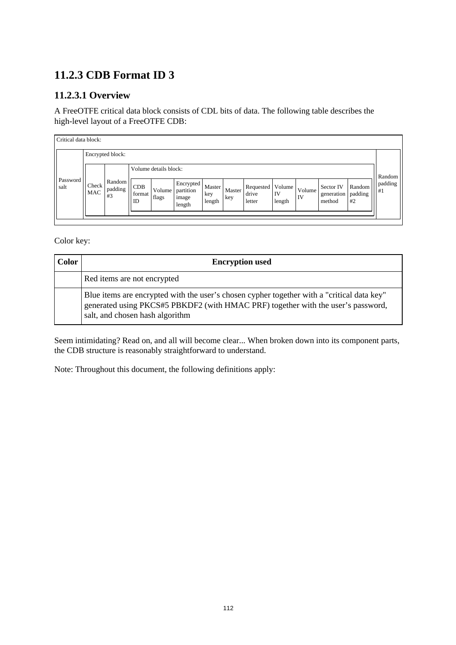## **11.2.3 CDB Format ID 3**

### **11.2.3.1 Overview**

A FreeOTFE critical data block consists of CDL bits of data. The following table describes the high-level layout of a FreeOTFE CDB:

| Critical data block: |              |                         |                       |                       |                                           |                         |               |                                         |              |                |                                   |                         |               |
|----------------------|--------------|-------------------------|-----------------------|-----------------------|-------------------------------------------|-------------------------|---------------|-----------------------------------------|--------------|----------------|-----------------------------------|-------------------------|---------------|
|                      |              | Encrypted block:        |                       |                       |                                           |                         |               |                                         |              |                |                                   |                         |               |
|                      |              |                         |                       | Volume details block: |                                           |                         |               |                                         |              |                |                                   |                         | Random        |
| Password<br>salt     | Check<br>MAC | Random<br>padding<br>#3 | CDB<br>format  <br>ID | Volume<br>flags       | Encrypted<br>partition<br>image<br>length | Master<br>key<br>length | Master<br>key | Requested   Volume  <br>drive<br>letter | IV<br>length | Volume  <br>IV | Sector IV<br>generation<br>method | Random<br>padding<br>#2 | padding<br>#1 |
|                      |              |                         |                       |                       |                                           |                         |               |                                         |              |                |                                   |                         |               |

Color key:

| <b>Color</b> | <b>Encryption used</b>                                                                                                                                                                                            |
|--------------|-------------------------------------------------------------------------------------------------------------------------------------------------------------------------------------------------------------------|
|              | Red items are not encrypted                                                                                                                                                                                       |
|              | Blue items are encrypted with the user's chosen cypher together with a "critical data key"<br>generated using PKCS#5 PBKDF2 (with HMAC PRF) together with the user's password,<br>salt, and chosen hash algorithm |

Seem intimidating? Read on, and all will become clear... When broken down into its component parts, the CDB structure is reasonably straightforward to understand.

Note: Throughout this document, the following definitions apply: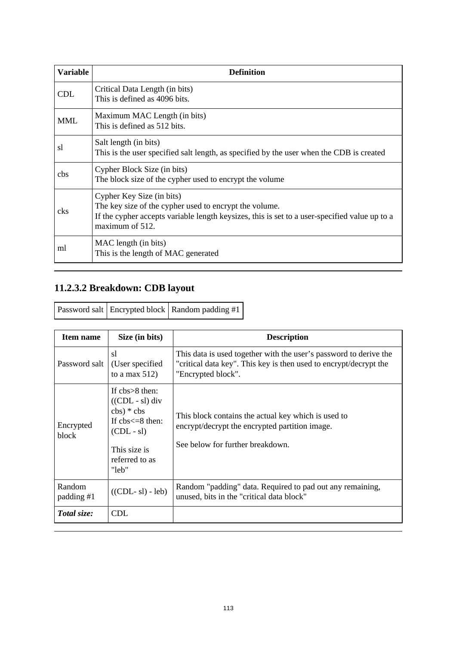| <b>Variable</b> | <b>Definition</b>                                                                                                                                                                                       |
|-----------------|---------------------------------------------------------------------------------------------------------------------------------------------------------------------------------------------------------|
| <b>CDL</b>      | Critical Data Length (in bits)<br>This is defined as 4096 bits.                                                                                                                                         |
| <b>MML</b>      | Maximum MAC Length (in bits)<br>This is defined as 512 bits.                                                                                                                                            |
| sl              | Salt length (in bits)<br>This is the user specified salt length, as specified by the user when the CDB is created                                                                                       |
| cbs             | Cypher Block Size (in bits)<br>The block size of the cypher used to encrypt the volume                                                                                                                  |
| cks             | Cypher Key Size (in bits)<br>The key size of the cypher used to encrypt the volume.<br>If the cypher accepts variable length keysizes, this is set to a user-specified value up to a<br>maximum of 512. |
| ml              | MAC length (in bits)<br>This is the length of MAC generated                                                                                                                                             |

## **11.2.3.2 Breakdown: CDB layout**

| Password salt   Encrypted block   Random padding #1 |  |
|-----------------------------------------------------|--|
|-----------------------------------------------------|--|

| <b>Item name</b>     | Size (in bits)                                                                                                                                                            | <b>Description</b>                                                                                                                                           |
|----------------------|---------------------------------------------------------------------------------------------------------------------------------------------------------------------------|--------------------------------------------------------------------------------------------------------------------------------------------------------------|
| Password salt        | sl<br>(User specified)<br>to a max $512$ )                                                                                                                                | This data is used together with the user's password to derive the<br>"critical data key". This key is then used to encrypt/decrypt the<br>"Encrypted block". |
| Encrypted<br>block   | If $\text{chs} > 8$ then:<br>$((CDL - s1)$ div<br>$\text{cbs}$ $*$ $\text{cbs}$<br>If $\text{obs}\leq 8$ then:<br>$(CDL - sI)$<br>This size is<br>referred to as<br>"leb" | This block contains the actual key which is used to<br>encrypt/decrypt the encrypted partition image.<br>See below for further breakdown.                    |
| Random<br>padding #1 | $((CDL - s1) - leb)$                                                                                                                                                      | Random "padding" data. Required to pad out any remaining,<br>unused, bits in the "critical data block"                                                       |
| Total size:          | <b>CDL</b>                                                                                                                                                                |                                                                                                                                                              |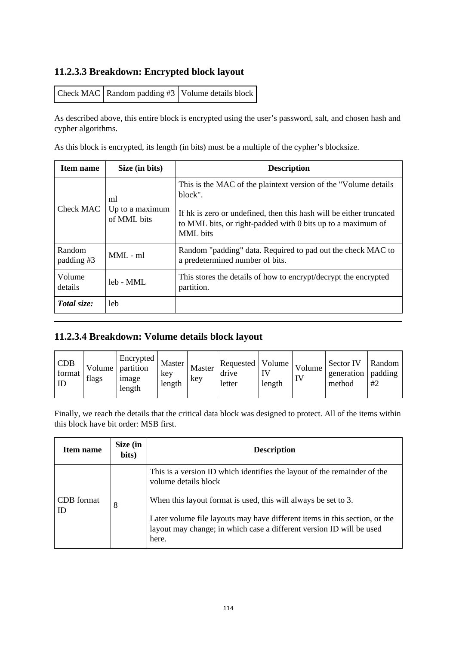### **11.2.3.3 Breakdown: Encrypted block layout**

| Check MAC   Random padding #3   Volume details block |  |
|------------------------------------------------------|--|
|------------------------------------------------------|--|

As described above, this entire block is encrypted using the user's password, salt, and chosen hash and cypher algorithms.

As this block is encrypted, its length (in bits) must be a multiple of the cypher's blocksize.

| Item name            | Size (in bits)                 | <b>Description</b>                                                                                                                             |
|----------------------|--------------------------------|------------------------------------------------------------------------------------------------------------------------------------------------|
| Check MAC            | ml                             | This is the MAC of the plaintext version of the "Volume details"<br>block".                                                                    |
|                      | Up to a maximum<br>of MML bits | If hk is zero or undefined, then this hash will be either truncated<br>to MML bits, or right-padded with 0 bits up to a maximum of<br>MML bits |
| Random<br>padding #3 | $MML - ml$                     | Random "padding" data. Required to pad out the check MAC to<br>a predetermined number of bits.                                                 |
| Volume<br>details    | $1eh - MMI$ .                  | This stores the details of how to encrypt/decrypt the encrypted<br>partition.                                                                  |
| Total size:          | leb                            |                                                                                                                                                |

### **11.2.3.4 Breakdown: Volume details block layout**

| <b>CDB</b><br>format<br>ID | flags | Encrypted<br>Volume   partition<br>1 <sub>mage</sub><br>length | Master<br>key<br>length | Master<br>key | Requested   Volume  <br>drive<br>letter | length | Volume,<br>$\mathbf{I}$ | Sector IV<br>generation<br>method | Random I<br>padding<br>#2 |
|----------------------------|-------|----------------------------------------------------------------|-------------------------|---------------|-----------------------------------------|--------|-------------------------|-----------------------------------|---------------------------|
|----------------------------|-------|----------------------------------------------------------------|-------------------------|---------------|-----------------------------------------|--------|-------------------------|-----------------------------------|---------------------------|

Finally, we reach the details that the critical data block was designed to protect. All of the items within this block have bit order: MSB first.

| Item name        | Size (in<br>bits) | <b>Description</b>                                                                                                                                                                                                            |
|------------------|-------------------|-------------------------------------------------------------------------------------------------------------------------------------------------------------------------------------------------------------------------------|
|                  |                   | This is a version ID which identifies the layout of the remainder of the<br>volume details block                                                                                                                              |
| CDB format<br>ID | 8                 | When this layout format is used, this will always be set to 3.<br>Later volume file layouts may have different items in this section, or the<br>layout may change; in which case a different version ID will be used<br>here. |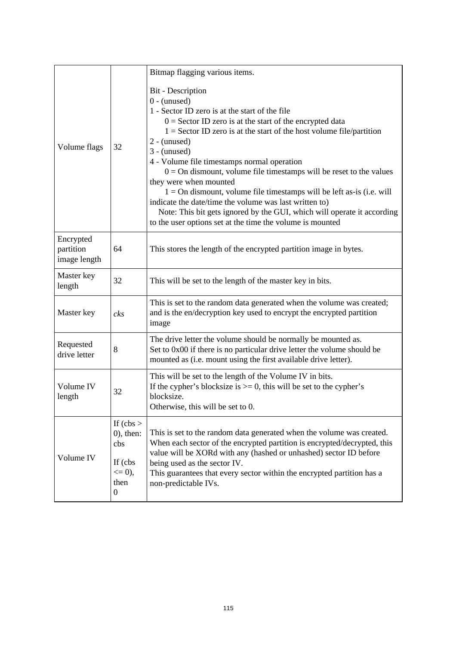|                                        |                                                                                            | Bitmap flagging various items.                                                                                                                                                                                                                                                                                                                                                                                                                                                                                                                                                                                                                                                                           |
|----------------------------------------|--------------------------------------------------------------------------------------------|----------------------------------------------------------------------------------------------------------------------------------------------------------------------------------------------------------------------------------------------------------------------------------------------------------------------------------------------------------------------------------------------------------------------------------------------------------------------------------------------------------------------------------------------------------------------------------------------------------------------------------------------------------------------------------------------------------|
| Volume flags                           | 32                                                                                         | Bit - Description<br>$0 - ($ unused $)$<br>1 - Sector ID zero is at the start of the file<br>$0 =$ Sector ID zero is at the start of the encrypted data<br>$1 =$ Sector ID zero is at the start of the host volume file/partition<br>$2 - ($ unused $)$<br>$3 -$ (unused)<br>4 - Volume file timestamps normal operation<br>$0 =$ On dismount, volume file timestamps will be reset to the values<br>they were when mounted<br>$1 =$ On dismount, volume file timestamps will be left as-is (i.e. will<br>indicate the date/time the volume was last written to)<br>Note: This bit gets ignored by the GUI, which will operate it according<br>to the user options set at the time the volume is mounted |
| Encrypted<br>partition<br>image length | 64                                                                                         | This stores the length of the encrypted partition image in bytes.                                                                                                                                                                                                                                                                                                                                                                                                                                                                                                                                                                                                                                        |
| Master key<br>length                   | 32                                                                                         | This will be set to the length of the master key in bits.                                                                                                                                                                                                                                                                                                                                                                                                                                                                                                                                                                                                                                                |
| Master key                             | $_{cks}$                                                                                   | This is set to the random data generated when the volume was created;<br>and is the en/decryption key used to encrypt the encrypted partition<br>image                                                                                                                                                                                                                                                                                                                                                                                                                                                                                                                                                   |
| Requested<br>drive letter              | 8                                                                                          | The drive letter the volume should be normally be mounted as.<br>Set to 0x00 if there is no particular drive letter the volume should be<br>mounted as (i.e. mount using the first available drive letter).                                                                                                                                                                                                                                                                                                                                                                                                                                                                                              |
| Volume IV<br>length                    | 32                                                                                         | This will be set to the length of the Volume IV in bits.<br>If the cypher's blocksize is $>= 0$ , this will be set to the cypher's<br>blocksize.<br>Otherwise, this will be set to 0.                                                                                                                                                                                                                                                                                                                                                                                                                                                                                                                    |
| Volume IV                              | If $(cbs >$<br>$(0)$ , then:<br>cbs<br>If (cbs)<br>$\leq 0$ ),<br>then<br>$\boldsymbol{0}$ | This is set to the random data generated when the volume was created.<br>When each sector of the encrypted partition is encrypted/decrypted, this<br>value will be XORd with any (hashed or unhashed) sector ID before<br>being used as the sector IV.<br>This guarantees that every sector within the encrypted partition has a<br>non-predictable IVs.                                                                                                                                                                                                                                                                                                                                                 |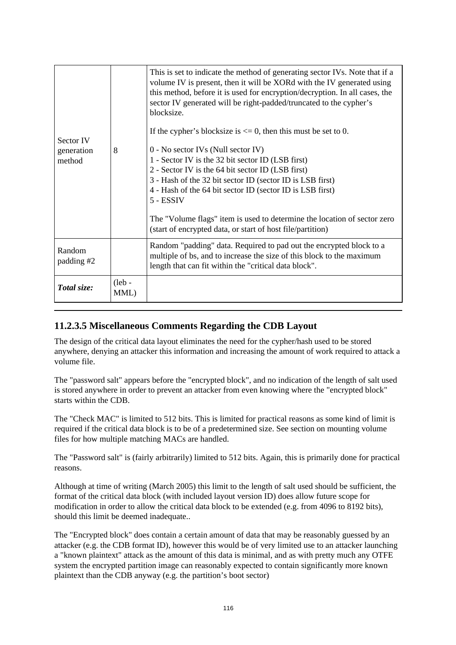| Sector IV<br>generation<br>method | 8                 | This is set to indicate the method of generating sector IVs. Note that if a<br>volume IV is present, then it will be XORd with the IV generated using<br>this method, before it is used for encryption/decryption. In all cases, the<br>sector IV generated will be right-padded/truncated to the cypher's<br>blocksize.<br>If the cypher's blocksize is $\leq 0$ , then this must be set to 0.<br>$0$ - No sector IVs (Null sector IV)<br>1 - Sector IV is the 32 bit sector ID (LSB first)<br>2 - Sector IV is the 64 bit sector ID (LSB first)<br>3 - Hash of the 32 bit sector ID (sector ID is LSB first)<br>4 - Hash of the 64 bit sector ID (sector ID is LSB first)<br>$5 - ESSIV$<br>The "Volume flags" item is used to determine the location of sector zero<br>(start of encrypted data, or start of host file/partition) |
|-----------------------------------|-------------------|--------------------------------------------------------------------------------------------------------------------------------------------------------------------------------------------------------------------------------------------------------------------------------------------------------------------------------------------------------------------------------------------------------------------------------------------------------------------------------------------------------------------------------------------------------------------------------------------------------------------------------------------------------------------------------------------------------------------------------------------------------------------------------------------------------------------------------------|
| Random<br>padding #2              |                   | Random "padding" data. Required to pad out the encrypted block to a<br>multiple of bs, and to increase the size of this block to the maximum<br>length that can fit within the "critical data block".                                                                                                                                                                                                                                                                                                                                                                                                                                                                                                                                                                                                                                |
| Total size:                       | $($ leb -<br>MML) |                                                                                                                                                                                                                                                                                                                                                                                                                                                                                                                                                                                                                                                                                                                                                                                                                                      |

### **11.2.3.5 Miscellaneous Comments Regarding the CDB Layout**

The design of the critical data layout eliminates the need for the cypher/hash used to be stored anywhere, denying an attacker this information and increasing the amount of work required to attack a volume file.

The "password salt" appears before the "encrypted block", and no indication of the length of salt used is stored anywhere in order to prevent an attacker from even knowing where the "encrypted block" starts within the CDB.

The "Check MAC" is limited to 512 bits. This is limited for practical reasons as some kind of limit is required if the critical data block is to be of a predetermined size. See section on mounting volume files for how multiple matching MACs are handled.

The "Password salt" is (fairly arbitrarily) limited to 512 bits. Again, this is primarily done for practical reasons.

Although at time of writing (March 2005) this limit to the length of salt used should be sufficient, the format of the critical data block (with included layout version ID) does allow future scope for modification in order to allow the critical data block to be extended (e.g. from 4096 to 8192 bits), should this limit be deemed inadequate..

The "Encrypted block" does contain a certain amount of data that may be reasonably guessed by an attacker (e.g. the CDB format ID), however this would be of very limited use to an attacker launching a "known plaintext" attack as the amount of this data is minimal, and as with pretty much any OTFE system the encrypted partition image can reasonably expected to contain significantly more known plaintext than the CDB anyway (e.g. the partition's boot sector)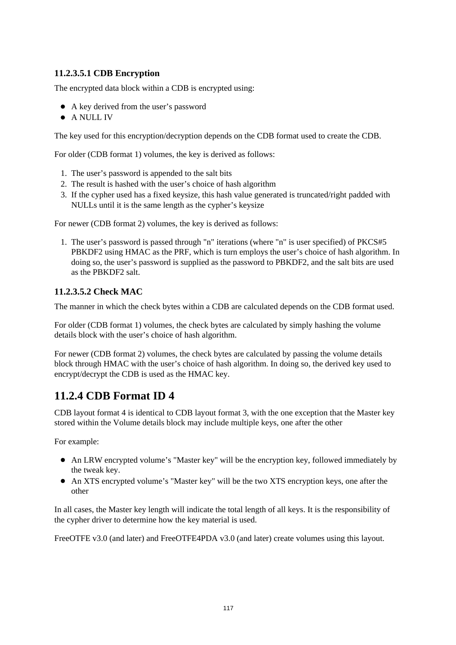#### **11.2.3.5.1 CDB Encryption**

The encrypted data block within a CDB is encrypted using:

- A key derived from the user's password
- A NULL IV

The key used for this encryption/decryption depends on the CDB format used to create the CDB.

For older (CDB format 1) volumes, the key is derived as follows:

- 1. The user's password is appended to the salt bits
- 2. The result is hashed with the user's choice of hash algorithm
- 3. If the cypher used has a fixed keysize, this hash value generated is truncated/right padded with NULLs until it is the same length as the cypher's keysize

For newer (CDB format 2) volumes, the key is derived as follows:

1. The user's password is passed through "n" iterations (where "n" is user specified) of PKCS#5 PBKDF2 using HMAC as the PRF, which is turn employs the user's choice of hash algorithm. In doing so, the user's password is supplied as the password to PBKDF2, and the salt bits are used as the PBKDF2 salt.

#### **11.2.3.5.2 Check MAC**

The manner in which the check bytes within a CDB are calculated depends on the CDB format used.

For older (CDB format 1) volumes, the check bytes are calculated by simply hashing the volume details block with the user's choice of hash algorithm.

For newer (CDB format 2) volumes, the check bytes are calculated by passing the volume details block through HMAC with the user's choice of hash algorithm. In doing so, the derived key used to encrypt/decrypt the CDB is used as the HMAC key.

### **11.2.4 CDB Format ID 4**

CDB layout format 4 is identical to CDB layout format 3, with the one exception that the Master key stored within the Volume details block may include multiple keys, one after the other

For example:

- An LRW encrypted volume's "Master key" will be the encryption key, followed immediately by the tweak key.
- An XTS encrypted volume's "Master key" will be the two XTS encryption keys, one after the other

In all cases, the Master key length will indicate the total length of all keys. It is the responsibility of the cypher driver to determine how the key material is used.

FreeOTFE v3.0 (and later) and FreeOTFE4PDA v3.0 (and later) create volumes using this layout.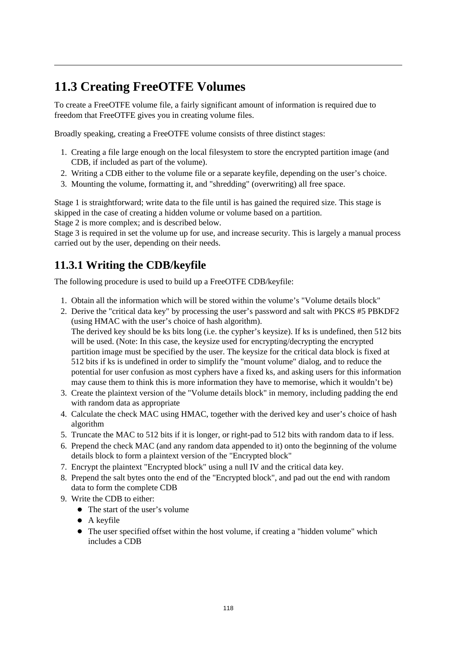# **11.3 Creating FreeOTFE Volumes**

To create a FreeOTFE volume file, a fairly significant amount of information is required due to freedom that FreeOTFE gives you in creating volume files.

Broadly speaking, creating a FreeOTFE volume consists of three distinct stages:

- 1. Creating a file large enough on the local filesystem to store the encrypted partition image (and CDB, if included as part of the volume).
- 2. Writing a CDB either to the volume file or a separate keyfile, depending on the user's choice.
- 3. Mounting the volume, formatting it, and "shredding" (overwriting) all free space.

Stage 1 is straightforward; write data to the file until is has gained the required size. This stage is skipped in the case of creating a hidden volume or volume based on a partition. Stage 2 is more complex; and is described below.

Stage 3 is required in set the volume up for use, and increase security. This is largely a manual process carried out by the user, depending on their needs.

### **11.3.1 Writing the CDB/keyfile**

The following procedure is used to build up a FreeOTFE CDB/keyfile:

- 1. Obtain all the information which will be stored within the volume's "Volume details block"
- 2. Derive the "critical data key" by processing the user's password and salt with PKCS #5 PBKDF2 (using HMAC with the user's choice of hash algorithm). The derived key should be ks bits long (i.e. the cypher's keysize). If ks is undefined, then 512 bits will be used. (Note: In this case, the keysize used for encrypting/decrypting the encrypted partition image must be specified by the user. The keysize for the critical data block is fixed at 512 bits if ks is undefined in order to simplify the "mount volume" dialog, and to reduce the potential for user confusion as most cyphers have a fixed ks, and asking users for this information may cause them to think this is more information they have to memorise, which it wouldn't be)
- 3. Create the plaintext version of the "Volume details block" in memory, including padding the end with random data as appropriate
- 4. Calculate the check MAC using HMAC, together with the derived key and user's choice of hash algorithm
- 5. Truncate the MAC to 512 bits if it is longer, or right-pad to 512 bits with random data to if less.
- 6. Prepend the check MAC (and any random data appended to it) onto the beginning of the volume details block to form a plaintext version of the "Encrypted block"
- 7. Encrypt the plaintext "Encrypted block" using a null IV and the critical data key.
- 8. Prepend the salt bytes onto the end of the "Encrypted block", and pad out the end with random data to form the complete CDB
- 9. Write the CDB to either:
	- The start of the user's volume
	- A keyfile
	- The user specified offset within the host volume, if creating a "hidden volume" which includes a CDB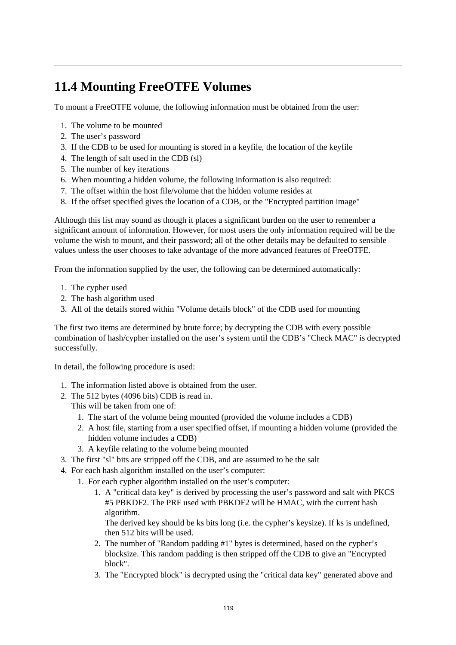# **11.4 Mounting FreeOTFE Volumes**

To mount a FreeOTFE volume, the following information must be obtained from the user:

- 1. The volume to be mounted
- 2. The user's password
- 3. If the CDB to be used for mounting is stored in a keyfile, the location of the keyfile
- 4. The length of salt used in the CDB (sl)
- 5. The number of key iterations
- 6. When mounting a hidden volume, the following information is also required:
- 7. The offset within the host file/volume that the hidden volume resides at
- 8. If the offset specified gives the location of a CDB, or the "Encrypted partition image"

Although this list may sound as though it places a significant burden on the user to remember a significant amount of information. However, for most users the only information required will be the volume the wish to mount, and their password; all of the other details may be defaulted to sensible values unless the user chooses to take advantage of the more advanced features of FreeOTFE.

From the information supplied by the user, the following can be determined automatically:

- 1. The cypher used
- 2. The hash algorithm used
- 3. All of the details stored within "Volume details block" of the CDB used for mounting

The first two items are determined by brute force; by decrypting the CDB with every possible combination of hash/cypher installed on the user's system until the CDB's "Check MAC" is decrypted successfully.

In detail, the following procedure is used:

- 1. The information listed above is obtained from the user.
- 2. The 512 bytes (4096 bits) CDB is read in.

This will be taken from one of:

- 1. The start of the volume being mounted (provided the volume includes a CDB)
- 2. A host file, starting from a user specified offset, if mounting a hidden volume (provided the hidden volume includes a CDB)
- 3. A keyfile relating to the volume being mounted
- 3. The first "sl" bits are stripped off the CDB, and are assumed to be the salt
- 4. For each hash algorithm installed on the user's computer:
	- 1. For each cypher algorithm installed on the user's computer:
		- 1. A "critical data key" is derived by processing the user's password and salt with PKCS #5 PBKDF2. The PRF used with PBKDF2 will be HMAC, with the current hash algorithm.

The derived key should be ks bits long (i.e. the cypher's keysize). If ks is undefined, then 512 bits will be used.

- 2. The number of "Random padding #1" bytes is determined, based on the cypher's blocksize. This random padding is then stripped off the CDB to give an "Encrypted block".
- 3. The "Encrypted block" is decrypted using the "critical data key" generated above and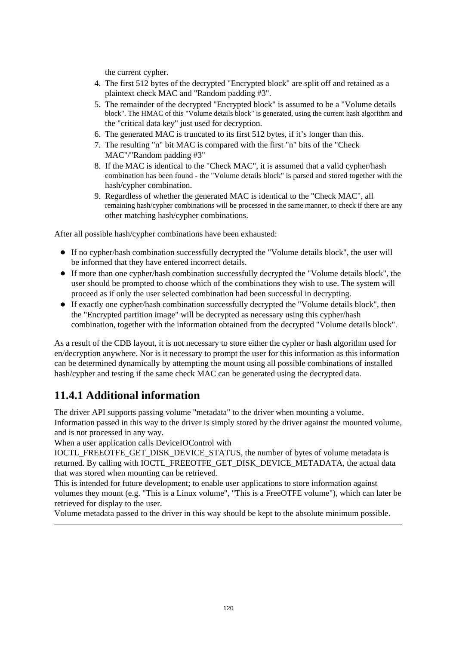the current cypher.

- 4. The first 512 bytes of the decrypted "Encrypted block" are split off and retained as a plaintext check MAC and "Random padding #3".
- 5. The remainder of the decrypted "Encrypted block" is assumed to be a "Volume details block". The HMAC of this "Volume details block" is generated, using the current hash algorithm and the "critical data key" just used for decryption.
- 6. The generated MAC is truncated to its first 512 bytes, if it's longer than this.
- 7. The resulting "n" bit MAC is compared with the first "n" bits of the "Check MAC"/"Random padding #3"
- 8. If the MAC is identical to the "Check MAC", it is assumed that a valid cypher/hash combination has been found - the "Volume details block" is parsed and stored together with the hash/cypher combination.
- 9. Regardless of whether the generated MAC is identical to the "Check MAC", all remaining hash/cypher combinations will be processed in the same manner, to check if there are any other matching hash/cypher combinations.

After all possible hash/cypher combinations have been exhausted:

- If no cypher/hash combination successfully decrypted the "Volume details block", the user will be informed that they have entered incorrect details.
- If more than one cypher/hash combination successfully decrypted the "Volume details block", the user should be prompted to choose which of the combinations they wish to use. The system will proceed as if only the user selected combination had been successful in decrypting.
- If exactly one cypher/hash combination successfully decrypted the "Volume details block", then the "Encrypted partition image" will be decrypted as necessary using this cypher/hash combination, together with the information obtained from the decrypted "Volume details block".

As a result of the CDB layout, it is not necessary to store either the cypher or hash algorithm used for en/decryption anywhere. Nor is it necessary to prompt the user for this information as this information can be determined dynamically by attempting the mount using all possible combinations of installed hash/cypher and testing if the same check MAC can be generated using the decrypted data.

### **11.4.1 Additional information**

The driver API supports passing volume "metadata" to the driver when mounting a volume. Information passed in this way to the driver is simply stored by the driver against the mounted volume, and is not processed in any way.

When a user application calls DeviceIOControl with

IOCTL\_FREEOTFE\_GET\_DISK\_DEVICE\_STATUS, the number of bytes of volume metadata is returned. By calling with IOCTL\_FREEOTFE\_GET\_DISK\_DEVICE\_METADATA, the actual data that was stored when mounting can be retrieved.

This is intended for future development; to enable user applications to store information against volumes they mount (e.g. "This is a Linux volume", "This is a FreeOTFE volume"), which can later be retrieved for display to the user.

Volume metadata passed to the driver in this way should be kept to the absolute minimum possible.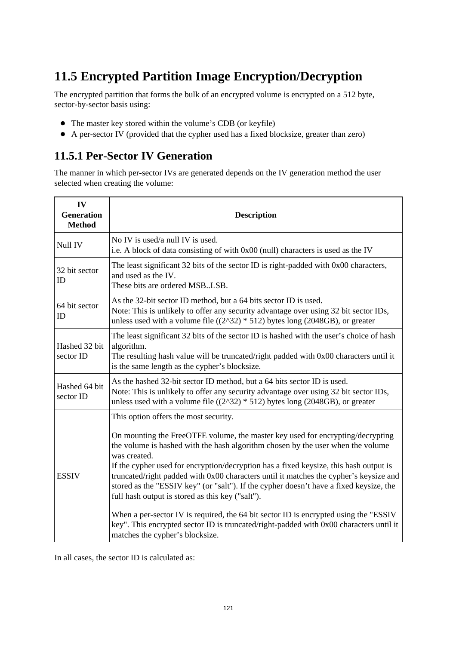# **11.5 Encrypted Partition Image Encryption/Decryption**

The encrypted partition that forms the bulk of an encrypted volume is encrypted on a 512 byte, sector-by-sector basis using:

- The master key stored within the volume's CDB (or keyfile)
- A per-sector IV (provided that the cypher used has a fixed blocksize, greater than zero)

### **11.5.1 Per-Sector IV Generation**

The manner in which per-sector IVs are generated depends on the IV generation method the user selected when creating the volume:

| IV<br><b>Generation</b><br><b>Method</b> | <b>Description</b>                                                                                                                                                                                                                                                                                                                                                                                                                                                                                                                                                                                                                                                                                                                                                              |  |  |
|------------------------------------------|---------------------------------------------------------------------------------------------------------------------------------------------------------------------------------------------------------------------------------------------------------------------------------------------------------------------------------------------------------------------------------------------------------------------------------------------------------------------------------------------------------------------------------------------------------------------------------------------------------------------------------------------------------------------------------------------------------------------------------------------------------------------------------|--|--|
| Null IV                                  | No IV is used/a null IV is used.<br>i.e. A block of data consisting of with 0x00 (null) characters is used as the IV                                                                                                                                                                                                                                                                                                                                                                                                                                                                                                                                                                                                                                                            |  |  |
| 32 bit sector<br>ID                      | The least significant 32 bits of the sector ID is right-padded with 0x00 characters,<br>and used as the IV.<br>These bits are ordered MSBLSB.                                                                                                                                                                                                                                                                                                                                                                                                                                                                                                                                                                                                                                   |  |  |
| 64 bit sector<br>ID                      | As the 32-bit sector ID method, but a 64 bits sector ID is used.<br>Note: This is unlikely to offer any security advantage over using 32 bit sector IDs,<br>unless used with a volume file $((2^{32}) * 512)$ bytes long (2048GB), or greater                                                                                                                                                                                                                                                                                                                                                                                                                                                                                                                                   |  |  |
| Hashed 32 bit<br>sector ID               | The least significant 32 bits of the sector ID is hashed with the user's choice of hash<br>algorithm.<br>The resulting hash value will be truncated/right padded with 0x00 characters until it<br>is the same length as the cypher's blocksize.                                                                                                                                                                                                                                                                                                                                                                                                                                                                                                                                 |  |  |
| Hashed 64 bit<br>sector ID               | As the hashed 32-bit sector ID method, but a 64 bits sector ID is used.<br>Note: This is unlikely to offer any security advantage over using 32 bit sector IDs,<br>unless used with a volume file $((2^32) * 512)$ bytes long (2048GB), or greater                                                                                                                                                                                                                                                                                                                                                                                                                                                                                                                              |  |  |
| <b>ESSIV</b>                             | This option offers the most security.<br>On mounting the FreeOTFE volume, the master key used for encrypting/decrypting<br>the volume is hashed with the hash algorithm chosen by the user when the volume<br>was created.<br>If the cypher used for encryption/decryption has a fixed keysize, this hash output is<br>truncated/right padded with 0x00 characters until it matches the cypher's keysize and<br>stored as the "ESSIV key" (or "salt"). If the cypher doesn't have a fixed keysize, the<br>full hash output is stored as this key ("salt").<br>When a per-sector IV is required, the 64 bit sector ID is encrypted using the "ESSIV<br>key". This encrypted sector ID is truncated/right-padded with 0x00 characters until it<br>matches the cypher's blocksize. |  |  |

In all cases, the sector ID is calculated as: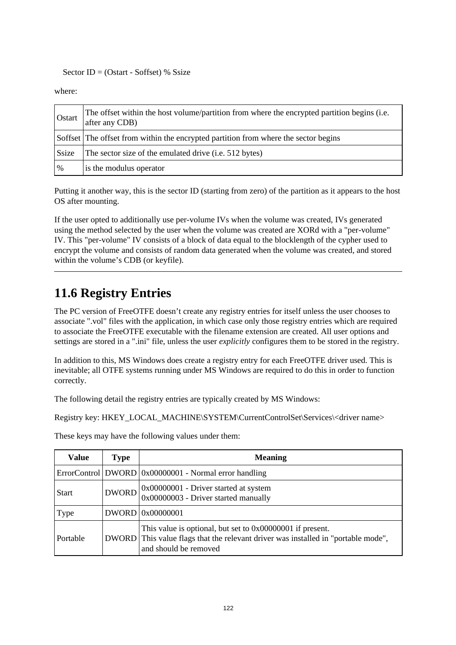#### Sector  $ID = (Ostart - SoftSet)$  % Ssize

where:

| Ostart | The offset within the host volume/partition from where the encrypted partition begins (i.e.<br>after any CDB) |  |
|--------|---------------------------------------------------------------------------------------------------------------|--|
|        | Soffset The offset from within the encrypted partition from where the sector begins                           |  |
| Ssize  | The sector size of the emulated drive ( <i>i.e.</i> 512 bytes)                                                |  |
| %      | is the modulus operator                                                                                       |  |

Putting it another way, this is the sector ID (starting from zero) of the partition as it appears to the host OS after mounting.

If the user opted to additionally use per-volume IVs when the volume was created, IVs generated using the method selected by the user when the volume was created are XORd with a "per-volume" IV. This "per-volume" IV consists of a block of data equal to the blocklength of the cypher used to encrypt the volume and consists of random data generated when the volume was created, and stored within the volume's CDB (or keyfile).

# **11.6 Registry Entries**

The PC version of FreeOTFE doesn't create any registry entries for itself unless the user chooses to associate ".vol" files with the application, in which case only those registry entries which are required to associate the FreeOTFE executable with the filename extension are created. All user options and settings are stored in a ".ini" file, unless the user *explicitly* configures them to be stored in the registry.

In addition to this, MS Windows does create a registry entry for each FreeOTFE driver used. This is inevitable; all OTFE systems running under MS Windows are required to do this in order to function correctly.

The following detail the registry entries are typically created by MS Windows:

Registry key: HKEY\_LOCAL\_MACHINE\SYSTEM\CurrentControlSet\Services\<driver name>

These keys may have the following values under them:

| <b>Value</b> | <b>Type</b>  | <b>Meaning</b>                                                                                                                                                    |  |  |
|--------------|--------------|-------------------------------------------------------------------------------------------------------------------------------------------------------------------|--|--|
|              |              | ErrorControl   DWORD   0x00000001 - Normal error handling                                                                                                         |  |  |
| <b>Start</b> | <b>DWORD</b> | 0x00000001 - Driver started at system<br>0x00000003 - Driver started manually                                                                                     |  |  |
| Type         |              | DWORD 0x00000001                                                                                                                                                  |  |  |
| Portable     | DWORD        | This value is optional, but set to 0x00000001 if present.<br>This value flags that the relevant driver was installed in "portable mode",<br>and should be removed |  |  |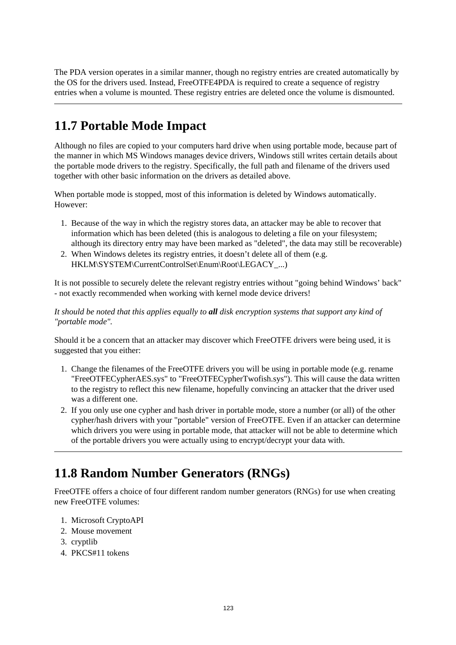The PDA version operates in a similar manner, though no registry entries are created automatically by the OS for the drivers used. Instead, FreeOTFE4PDA is required to create a sequence of registry entries when a volume is mounted. These registry entries are deleted once the volume is dismounted.

# **11.7 Portable Mode Impact**

Although no files are copied to your computers hard drive when using portable mode, because part of the manner in which MS Windows manages device drivers, Windows still writes certain details about the portable mode drivers to the registry. Specifically, the full path and filename of the drivers used together with other basic information on the drivers as detailed above.

When portable mode is stopped, most of this information is deleted by Windows automatically. However:

- 1. Because of the way in which the registry stores data, an attacker may be able to recover that information which has been deleted (this is analogous to deleting a file on your filesystem; although its directory entry may have been marked as "deleted", the data may still be recoverable)
- 2. When Windows deletes its registry entries, it doesn't delete all of them (e.g. HKLM\SYSTEM\CurrentControlSet\Enum\Root\LEGACY\_...)

It is not possible to securely delete the relevant registry entries without "going behind Windows' back" - not exactly recommended when working with kernel mode device drivers!

#### *It should be noted that this applies equally to all disk encryption systems that support any kind of "portable mode".*

Should it be a concern that an attacker may discover which FreeOTFE drivers were being used, it is suggested that you either:

- 1. Change the filenames of the FreeOTFE drivers you will be using in portable mode (e.g. rename "FreeOTFECypherAES.sys" to "FreeOTFECypherTwofish.sys"). This will cause the data written to the registry to reflect this new filename, hopefully convincing an attacker that the driver used was a different one.
- 2. If you only use one cypher and hash driver in portable mode, store a number (or all) of the other cypher/hash drivers with your "portable" version of FreeOTFE. Even if an attacker can determine which drivers you were using in portable mode, that attacker will not be able to determine which of the portable drivers you were actually using to encrypt/decrypt your data with.

# **11.8 Random Number Generators (RNGs)**

FreeOTFE offers a choice of four different random number generators (RNGs) for use when creating new FreeOTFE volumes:

- 1. Microsoft CryptoAPI
- 2. Mouse movement
- 3. cryptlib
- 4. PKCS#11 tokens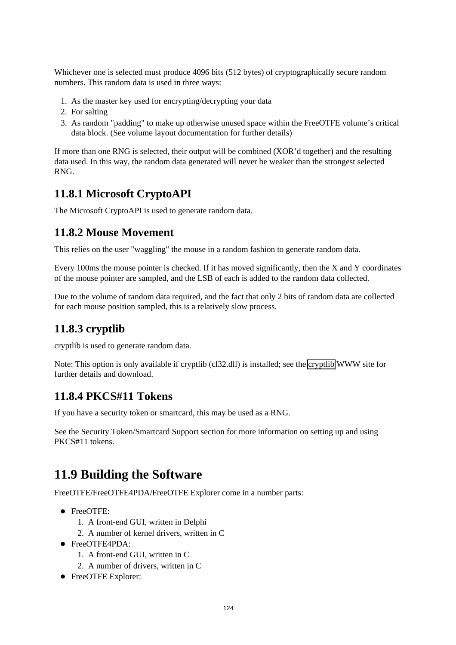Whichever one is selected must produce 4096 bits (512 bytes) of cryptographically secure random numbers. This random data is used in three ways:

- 1. As the master key used for encrypting/decrypting your data
- 2. For salting
- 3. As random "padding" to make up otherwise unused space within the FreeOTFE volume's critical data block. (See volume layout documentation for further details)

If more than one RNG is selected, their output will be combined (XOR'd together) and the resulting data used. In this way, the random data generated will never be weaker than the strongest selected RNG.

### **11.8.1 Microsoft CryptoAPI**

The Microsoft CryptoAPI is used to generate random data.

### **11.8.2 Mouse Movement**

This relies on the user "waggling" the mouse in a random fashion to generate random data.

Every 100ms the mouse pointer is checked. If it has moved significantly, then the X and Y coordinates of the mouse pointer are sampled, and the LSB of each is added to the random data collected.

Due to the volume of random data required, and the fact that only 2 bits of random data are collected for each mouse position sampled, this is a relatively slow process.

### **11.8.3 cryptlib**

cryptlib is used to generate random data.

Note: This option is only available if cryptlib (cl32.dll) is installed; see the [cryptlib](http://www.cs.auckland.ac.nz/%7Epgut001/cryptlib/) WWW site for further details and download.

### **11.8.4 PKCS#11 Tokens**

If you have a security token or smartcard, this may be used as a RNG.

See the Security Token/Smartcard Support section for more information on setting up and using PKCS#11 tokens.

## **11.9 Building the Software**

FreeOTFE/FreeOTFE4PDA/FreeOTFE Explorer come in a number parts:

- FreeOTFE:
	- 1. A front-end GUI, written in Delphi
	- 2. A number of kernel drivers, written in C
- FreeOTFE4PDA:
	- 1. A front-end GUI, written in C
	- 2. A number of drivers, written in C
- FreeOTFE Explorer: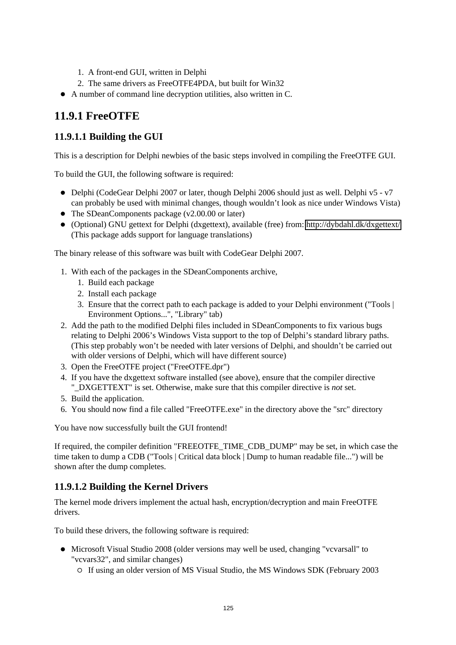- 1. A front-end GUI, written in Delphi
- 2. The same drivers as FreeOTFE4PDA, but built for Win32
- A number of command line decryption utilities, also written in C.

### **11.9.1 FreeOTFE**

### **11.9.1.1 Building the GUI**

This is a description for Delphi newbies of the basic steps involved in compiling the FreeOTFE GUI.

To build the GUI, the following software is required:

- Delphi (CodeGear Delphi 2007 or later, though Delphi 2006 should just as well. Delphi v5 v7 can probably be used with minimal changes, though wouldn't look as nice under Windows Vista)
- The SDeanComponents package (v2.00.00 or later)
- (Optional) GNU gettext for Delphi (dxgettext), available (free) from:<http://dybdahl.dk/dxgettext/> (This package adds support for language translations)

The binary release of this software was built with CodeGear Delphi 2007.

- 1. With each of the packages in the SDeanComponents archive,
	- 1. Build each package
	- 2. Install each package
	- 3. Ensure that the correct path to each package is added to your Delphi environment ("Tools | Environment Options...", "Library" tab)
- 2. Add the path to the modified Delphi files included in SDeanComponents to fix various bugs relating to Delphi 2006's Windows Vista support to the top of Delphi's standard library paths. (This step probably won't be needed with later versions of Delphi, and shouldn't be carried out with older versions of Delphi, which will have different source)
- 3. Open the FreeOTFE project ("FreeOTFE.dpr")
- 4. If you have the dxgettext software installed (see above), ensure that the compiler directive "\_DXGETTEXT" is set. Otherwise, make sure that this compiler directive is *not* set.
- 5. Build the application.
- 6. You should now find a file called "FreeOTFE.exe" in the directory above the "src" directory

You have now successfully built the GUI frontend!

If required, the compiler definition "FREEOTFE\_TIME\_CDB\_DUMP" may be set, in which case the time taken to dump a CDB ("Tools | Critical data block | Dump to human readable file...") will be shown after the dump completes.

#### **11.9.1.2 Building the Kernel Drivers**

The kernel mode drivers implement the actual hash, encryption/decryption and main FreeOTFE drivers.

To build these drivers, the following software is required:

- Microsoft Visual Studio 2008 (older versions may well be used, changing "vcvarsall" to "vcvars32", and similar changes)
	- If using an older version of MS Visual Studio, the MS Windows SDK (February 2003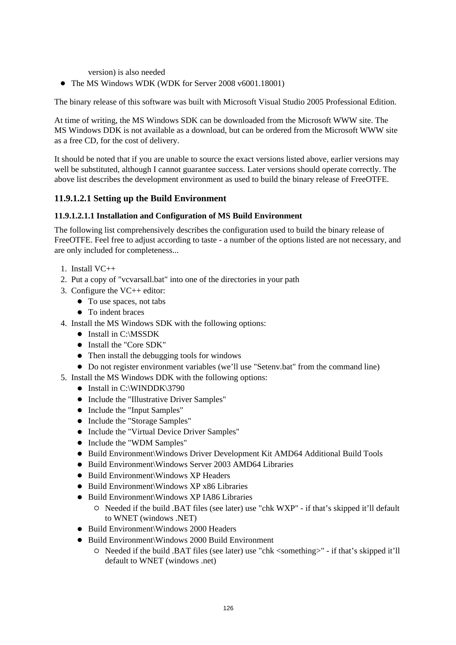version) is also needed

• The MS Windows WDK (WDK for Server 2008 v6001.18001)

The binary release of this software was built with Microsoft Visual Studio 2005 Professional Edition.

At time of writing, the MS Windows SDK can be downloaded from the Microsoft WWW site. The MS Windows DDK is not available as a download, but can be ordered from the Microsoft WWW site as a free CD, for the cost of delivery.

It should be noted that if you are unable to source the exact versions listed above, earlier versions may well be substituted, although I cannot guarantee success. Later versions should operate correctly. The above list describes the development environment as used to build the binary release of FreeOTFE.

#### **11.9.1.2.1 Setting up the Build Environment**

#### **11.9.1.2.1.1 Installation and Configuration of MS Build Environment**

The following list comprehensively describes the configuration used to build the binary release of FreeOTFE. Feel free to adjust according to taste - a number of the options listed are not necessary, and are only included for completeness...

- 1. Install  $VC++$
- 2. Put a copy of "vcvarsall.bat" into one of the directories in your path
- 3. Configure the VC++ editor:
	- To use spaces, not tabs
	- To indent braces
- 4. Install the MS Windows SDK with the following options:
	- Install in C:\MSSDK
	- Install the "Core SDK"
	- Then install the debugging tools for windows
	- Do not register environment variables (we'll use "Setenv.bat" from the command line)
- 5. Install the MS Windows DDK with the following options:
	- $\bullet$  Install in C:\WINDDK\3790
	- Include the "Illustrative Driver Samples"
	- Include the "Input Samples"
	- Include the "Storage Samples"
	- Include the "Virtual Device Driver Samples"
	- Include the "WDM Samples"
	- Build Environment\Windows Driver Development Kit AMD64 Additional Build Tools
	- Build Environment\Windows Server 2003 AMD64 Libraries
	- Build Environment\Windows XP Headers
	- Build Environment\Windows XP x86 Libraries
	- Build Environment\Windows XP IA86 Libraries
		- Needed if the build .BAT files (see later) use "chk WXP" if that's skipped it'll default to WNET (windows .NET)
	- Build Environment\Windows 2000 Headers
	- Build Environment\Windows 2000 Build Environment
		- Needed if the build .BAT files (see later) use "chk <something>" if that's skipped it'll default to WNET (windows .net)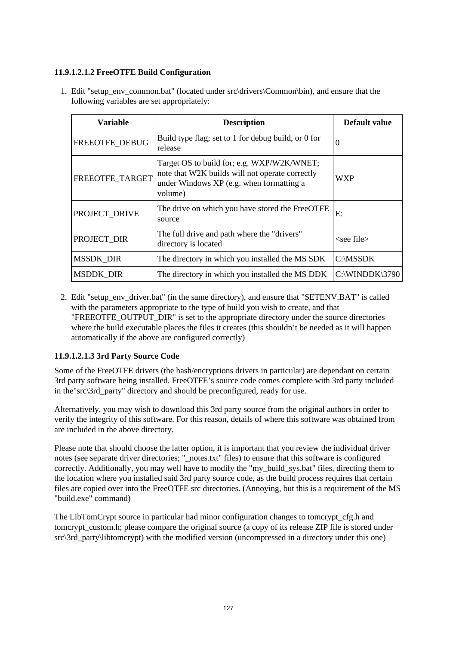#### **11.9.1.2.1.2 FreeOTFE Build Configuration**

1. Edit "setup\_env\_common.bat" (located under src\drivers\Common\bin), and ensure that the following variables are set appropriately:

| <b>Variable</b>  | <b>Description</b>                                                                                                                                   | Default value           |
|------------------|------------------------------------------------------------------------------------------------------------------------------------------------------|-------------------------|
| FREEOTFE_DEBUG   | Build type flag; set to 1 for debug build, or 0 for<br>release                                                                                       | $\theta$                |
| FREEOTFE_TARGET  | Target OS to build for; e.g. WXP/W2K/WNET;<br>note that W2K builds will not operate correctly<br>under Windows XP (e.g. when formatting a<br>volume) | <b>WXP</b>              |
| PROJECT_DRIVE    | The drive on which you have stored the FreeOTFE<br>source                                                                                            | E:                      |
| PROJECT DIR      | The full drive and path where the "drivers"<br>directory is located                                                                                  | $\epsilon$ see file $>$ |
| <b>MSSDK DIR</b> | The directory in which you installed the MS SDK                                                                                                      | C:\MSSDK                |
| <b>MSDDK DIR</b> | The directory in which you installed the MS DDK                                                                                                      | C:\WINDDK\3790          |

2. Edit "setup\_env\_driver.bat" (in the same directory), and ensure that "SETENV.BAT" is called with the parameters appropriate to the type of build you wish to create, and that "FREEOTFE\_OUTPUT\_DIR" is set to the appropriate directory under the source directories where the build executable places the files it creates (this shouldn't be needed as it will happen automatically if the above are configured correctly)

#### **11.9.1.2.1.3 3rd Party Source Code**

Some of the FreeOTFE drivers (the hash/encryptions drivers in particular) are dependant on certain 3rd party software being installed. FreeOTFE's source code comes complete with 3rd party included in the"src\3rd\_party" directory and should be preconfigured, ready for use.

Alternatively, you may wish to download this 3rd party source from the original authors in order to verify the integrity of this software. For this reason, details of where this software was obtained from are included in the above directory.

Please note that should choose the latter option, it is important that you review the individual driver notes (see separate driver directories; " notes.txt" files) to ensure that this software is configured correctly. Additionally, you may well have to modify the "my\_build\_sys.bat" files, directing them to the location where you installed said 3rd party source code, as the build process requires that certain files are copied over into the FreeOTFE src directories. (Annoying, but this is a requirement of the MS "build.exe" command)

The LibTomCrypt source in particular had minor configuration changes to tomcrypt\_cfg.h and tomcrypt custom.h; please compare the original source (a copy of its release ZIP file is stored under src\3rd\_party\libtomcrypt) with the modified version (uncompressed in a directory under this one)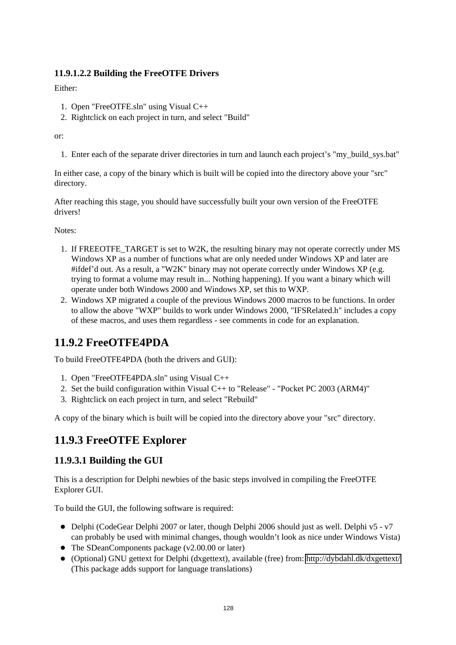#### **11.9.1.2.2 Building the FreeOTFE Drivers**

Either:

- 1. Open "FreeOTFE.sln" using Visual C++
- 2. Rightclick on each project in turn, and select "Build"

#### or:

1. Enter each of the separate driver directories in turn and launch each project's "my\_build\_sys.bat"

In either case, a copy of the binary which is built will be copied into the directory above your "src" directory.

After reaching this stage, you should have successfully built your own version of the FreeOTFE drivers!

Notes:

- 1. If FREEOTFE\_TARGET is set to W2K, the resulting binary may not operate correctly under MS Windows XP as a number of functions what are only needed under Windows XP and later are #ifdef'd out. As a result, a "W2K" binary may not operate correctly under Windows XP (e.g. trying to format a volume may result in... Nothing happening). If you want a binary which will operate under both Windows 2000 and Windows XP, set this to WXP.
- 2. Windows XP migrated a couple of the previous Windows 2000 macros to be functions. In order to allow the above "WXP" builds to work under Windows 2000, "IFSRelated.h" includes a copy of these macros, and uses them regardless - see comments in code for an explanation.

### **11.9.2 FreeOTFE4PDA**

To build FreeOTFE4PDA (both the drivers and GUI):

- 1. Open "FreeOTFE4PDA.sln" using Visual C++
- 2. Set the build configuration within Visual C++ to "Release" "Pocket PC 2003 (ARM4)"
- 3. Rightclick on each project in turn, and select "Rebuild"

A copy of the binary which is built will be copied into the directory above your "src" directory.

### **11.9.3 FreeOTFE Explorer**

#### **11.9.3.1 Building the GUI**

This is a description for Delphi newbies of the basic steps involved in compiling the FreeOTFE Explorer GUI.

To build the GUI, the following software is required:

- $\bullet$  Delphi (CodeGear Delphi 2007 or later, though Delphi 2006 should just as well. Delphi v5 v7 can probably be used with minimal changes, though wouldn't look as nice under Windows Vista)
- The SDeanComponents package (v2.00.00 or later)
- (Optional) GNU gettext for Delphi (dxgettext), available (free) from:<http://dybdahl.dk/dxgettext/> (This package adds support for language translations)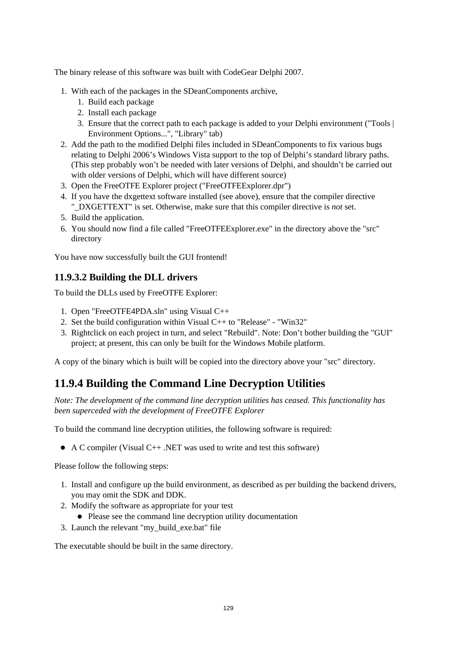The binary release of this software was built with CodeGear Delphi 2007.

- 1. With each of the packages in the SDeanComponents archive,
	- 1. Build each package
	- 2. Install each package
	- 3. Ensure that the correct path to each package is added to your Delphi environment ("Tools | Environment Options...", "Library" tab)
- 2. Add the path to the modified Delphi files included in SDeanComponents to fix various bugs relating to Delphi 2006's Windows Vista support to the top of Delphi's standard library paths. (This step probably won't be needed with later versions of Delphi, and shouldn't be carried out with older versions of Delphi, which will have different source)
- 3. Open the FreeOTFE Explorer project ("FreeOTFEExplorer.dpr")
- 4. If you have the dxgettext software installed (see above), ensure that the compiler directive "\_DXGETTEXT" is set. Otherwise, make sure that this compiler directive is *not* set.
- 5. Build the application.
- 6. You should now find a file called "FreeOTFEExplorer.exe" in the directory above the "src" directory

You have now successfully built the GUI frontend!

#### **11.9.3.2 Building the DLL drivers**

To build the DLLs used by FreeOTFE Explorer:

- 1. Open "FreeOTFE4PDA.sln" using Visual C++
- 2. Set the build configuration within Visual C++ to "Release" "Win32"
- 3. Rightclick on each project in turn, and select "Rebuild". Note: Don't bother building the "GUI" project; at present, this can only be built for the Windows Mobile platform.

A copy of the binary which is built will be copied into the directory above your "src" directory.

### **11.9.4 Building the Command Line Decryption Utilities**

*Note: The development of the command line decryption utilities has ceased. This functionality has been superceded with the development of FreeOTFE Explorer*

To build the command line decryption utilities, the following software is required:

A C compiler (Visual C++ .NET was used to write and test this software)

Please follow the following steps:

- 1. Install and configure up the build environment, as described as per building the backend drivers, you may omit the SDK and DDK.
- 2. Modify the software as appropriate for your test
	- Please see the command line decryption utility documentation
- 3. Launch the relevant "my\_build\_exe.bat" file

The executable should be built in the same directory.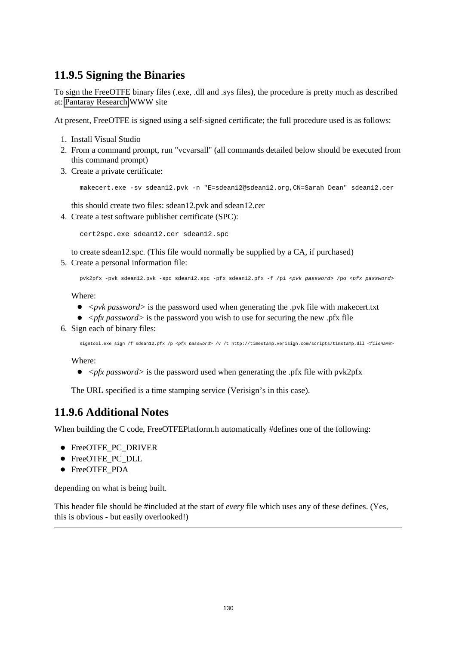### **11.9.5 Signing the Binaries**

To sign the FreeOTFE binary files (.exe, .dll and .sys files), the procedure is pretty much as described at: [Pantaray Research](http://www.pantaray.com/signcode.html#create_SPC) WWW site

At present, FreeOTFE is signed using a self-signed certificate; the full procedure used is as follows:

- 1. Install Visual Studio
- 2. From a command prompt, run "vcvarsall" (all commands detailed below should be executed from this command prompt)
- 3. Create a private certificate:

```
makecert.exe -sv sdean12.pvk -n "E=sdean12@sdean12.org,CN=Sarah Dean" sdean12.cer
```
this should create two files: sdean12.pvk and sdean12.cer

4. Create a test software publisher certificate (SPC):

cert2spc.exe sdean12.cer sdean12.spc

to create sdean12.spc. (This file would normally be supplied by a CA, if purchased)

5. Create a personal information file:

pvk2pfx -pvk sdean12.pvk -spc sdean12.spc -pfx sdean12.pfx -f /pi <pvk password> /po <pfx password>

Where:

- *<pvk password>* is the password used when generating the .pvk file with makecert.txt
- $\bullet$   $\lt$ *pfx password* > is the password you wish to use for securing the new .pfx file
- 6. Sign each of binary files:

signtool.exe sign /f sdean12.pfx /p <pfx password> /v /t http://timestamp.verisign.com/scripts/timstamp.dll <filename>

Where:

 $\bullet$  *<pfx password>* is the password used when generating the .pfx file with pvk2pfx

The URL specified is a time stamping service (Verisign's in this case).

### **11.9.6 Additional Notes**

When building the C code, FreeOTFEPlatform.h automatically #defines one of the following:

- FreeOTFE PC DRIVER
- FreeOTFE PC DLL
- FreeOTFE\_PDA

depending on what is being built.

This header file should be #included at the start of *every* file which uses any of these defines. (Yes, this is obvious - but easily overlooked!)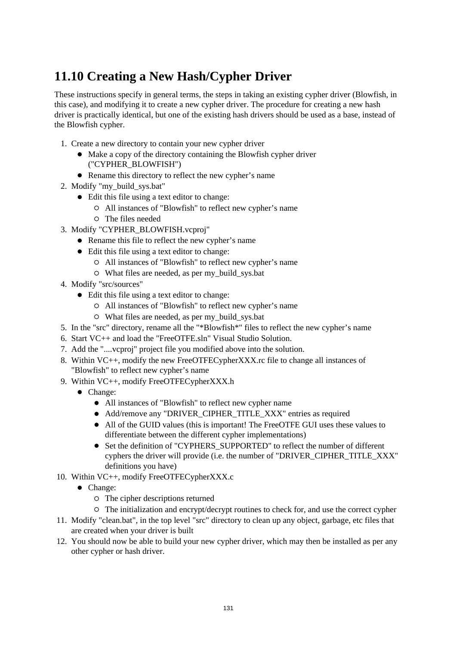# **11.10 Creating a New Hash/Cypher Driver**

These instructions specify in general terms, the steps in taking an existing cypher driver (Blowfish, in this case), and modifying it to create a new cypher driver. The procedure for creating a new hash driver is practically identical, but one of the existing hash drivers should be used as a base, instead of the Blowfish cypher.

- 1. Create a new directory to contain your new cypher driver
	- Make a copy of the directory containing the Blowfish cypher driver ("CYPHER\_BLOWFISH")
	- Rename this directory to reflect the new cypher's name
- 2. Modify "my\_build\_sys.bat"
	- Edit this file using a text editor to change:
		- All instances of "Blowfish" to reflect new cypher's name
		- The files needed
- 3. Modify "CYPHER\_BLOWFISH.vcproj"
	- Rename this file to reflect the new cypher's name
	- Edit this file using a text editor to change:
		- All instances of "Blowfish" to reflect new cypher's name
		- What files are needed, as per my\_build\_sys.bat
- 4. Modify "src/sources"
	- Edit this file using a text editor to change:
		- All instances of "Blowfish" to reflect new cypher's name
		- What files are needed, as per my\_build\_sys.bat
- 5. In the "src" directory, rename all the "\*Blowfish\*" files to reflect the new cypher's name
- 6. Start VC++ and load the "FreeOTFE.sln" Visual Studio Solution.
- 7. Add the "....vcproj" project file you modified above into the solution.
- 8. Within VC++, modify the new FreeOTFECypherXXX.rc file to change all instances of "Blowfish" to reflect new cypher's name
- 9. Within VC++, modify FreeOTFECypherXXX.h
	- Change:
		- All instances of "Blowfish" to reflect new cypher name
		- Add/remove any "DRIVER\_CIPHER\_TITLE\_XXX" entries as required
		- All of the GUID values (this is important! The FreeOTFE GUI uses these values to differentiate between the different cypher implementations)
		- Set the definition of "CYPHERS\_SUPPORTED" to reflect the number of different cyphers the driver will provide (i.e. the number of "DRIVER\_CIPHER\_TITLE\_XXX" definitions you have)
- 10. Within VC++, modify FreeOTFECypherXXX.c
	- Change:
		- The cipher descriptions returned
		- The initialization and encrypt/decrypt routines to check for, and use the correct cypher
- 11. Modify "clean.bat", in the top level "src" directory to clean up any object, garbage, etc files that are created when your driver is built
- 12. You should now be able to build your new cypher driver, which may then be installed as per any other cypher or hash driver.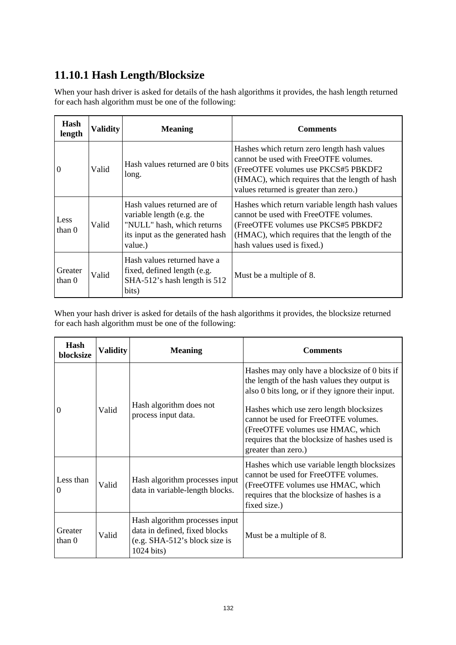# **11.10.1 Hash Length/Blocksize**

When your hash driver is asked for details of the hash algorithms it provides, the hash length returned for each hash algorithm must be one of the following:

| Hash<br>length           | <b>Validity</b> | <b>Meaning</b>                                                                                                                       | <b>Comments</b>                                                                                                                                                                                                          |
|--------------------------|-----------------|--------------------------------------------------------------------------------------------------------------------------------------|--------------------------------------------------------------------------------------------------------------------------------------------------------------------------------------------------------------------------|
| $\Omega$                 | Valid           | Hash values returned are 0 bits<br>long.                                                                                             | Hashes which return zero length hash values<br>cannot be used with FreeOTFE volumes.<br>(FreeOTFE volumes use PKCS#5 PBKDF2)<br>(HMAC), which requires that the length of hash<br>values returned is greater than zero.) |
| Less<br>than $0$         | Valid           | Hash values returned are of<br>variable length (e.g. the<br>"NULL" hash, which returns<br>its input as the generated hash<br>value.) | Hashes which return variable length hash values<br>cannot be used with FreeOTFE volumes.<br>(FreeOTFE volumes use PKCS#5 PBKDF2)<br>(HMAC), which requires that the length of the<br>hash values used is fixed.)         |
| Greater<br>than $\theta$ | Valid           | Hash values returned have a<br>fixed, defined length (e.g.<br>SHA-512's hash length is 512<br>bits)                                  | Must be a multiple of 8.                                                                                                                                                                                                 |

When your hash driver is asked for details of the hash algorithms it provides, the blocksize returned for each hash algorithm must be one of the following:

| Hash<br>blocksize | <b>Validity</b> | <b>Meaning</b>                                                                                                   | <b>Comments</b>                                                                                                                                                                                                                                                                                                                                   |
|-------------------|-----------------|------------------------------------------------------------------------------------------------------------------|---------------------------------------------------------------------------------------------------------------------------------------------------------------------------------------------------------------------------------------------------------------------------------------------------------------------------------------------------|
| 10                | Valid           | Hash algorithm does not<br>process input data.                                                                   | Hashes may only have a blocksize of 0 bits if<br>the length of the hash values they output is<br>also 0 bits long, or if they ignore their input.<br>Hashes which use zero length blocksizes<br>cannot be used for FreeOTFE volumes.<br>(FreeOTFE volumes use HMAC, which<br>requires that the blocksize of hashes used is<br>greater than zero.) |
| Less than<br>10   | Valid           | Hash algorithm processes input<br>data in variable-length blocks.                                                | Hashes which use variable length blocksizes<br>cannot be used for FreeOTFE volumes.<br>(FreeOTFE volumes use HMAC, which<br>requires that the blocksize of hashes is a<br>fixed size.)                                                                                                                                                            |
| Greater<br>than 0 | Valid           | Hash algorithm processes input<br>data in defined, fixed blocks<br>$(e.g. SHA-512's block size is$<br>1024 bits) | Must be a multiple of 8.                                                                                                                                                                                                                                                                                                                          |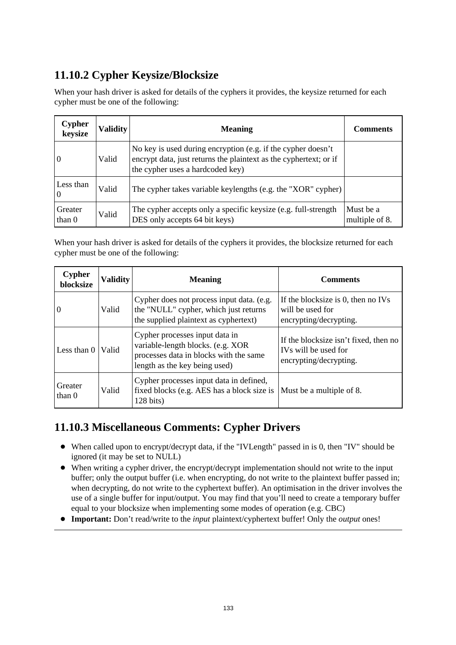# **11.10.2 Cypher Keysize/Blocksize**

When your hash driver is asked for details of the cyphers it provides, the keysize returned for each cypher must be one of the following:

| <b>Cypher</b><br>keysize | <b>Validity</b> | <b>Meaning</b>                                                                                                                                                        | <b>Comments</b>             |
|--------------------------|-----------------|-----------------------------------------------------------------------------------------------------------------------------------------------------------------------|-----------------------------|
| $\boldsymbol{0}$         | Valid           | No key is used during encryption (e.g. if the cypher doesn't<br>encrypt data, just returns the plaintext as the cyphertext; or if<br>the cypher uses a hardcoded key) |                             |
| Less than<br>0           | Valid           | The cypher takes variable keylengths (e.g. the "XOR" cypher)                                                                                                          |                             |
| Greater<br>than $0$      | Valid           | The cypher accepts only a specific keysize (e.g. full-strength<br>DES only accepts 64 bit keys)                                                                       | Must be a<br>multiple of 8. |

When your hash driver is asked for details of the cyphers it provides, the blocksize returned for each cypher must be one of the following:

| <b>Cypher</b><br>blocksize | <b>Validity</b> | <b>Meaning</b>                                                                                                                                 | <b>Comments</b>                                                                         |
|----------------------------|-----------------|------------------------------------------------------------------------------------------------------------------------------------------------|-----------------------------------------------------------------------------------------|
| $\theta$                   | Valid           | Cypher does not process input data. (e.g.<br>the "NULL" cypher, which just returns<br>the supplied plaintext as cyphertext)                    | If the blocksize is 0, then no IVs<br>will be used for<br>encrypting/decrypting.        |
| Less than $0$              | Valid           | Cypher processes input data in<br>variable-length blocks. (e.g. XOR<br>processes data in blocks with the same<br>length as the key being used) | If the blocksize isn't fixed, then no<br>IVs will be used for<br>encrypting/decrypting. |
| Greater<br>than $0$        | Valid           | Cypher processes input data in defined,<br>fixed blocks (e.g. AES has a block size is<br>128 bits)                                             | Must be a multiple of 8.                                                                |

## **11.10.3 Miscellaneous Comments: Cypher Drivers**

- When called upon to encrypt/decrypt data, if the "IVLength" passed in is 0, then "IV" should be ignored (it may be set to NULL)
- When writing a cypher driver, the encrypt/decrypt implementation should not write to the input buffer; only the output buffer (i.e. when encrypting, do not write to the plaintext buffer passed in; when decrypting, do not write to the cyphertext buffer). An optimisation in the driver involves the use of a single buffer for input/output. You may find that you'll need to create a temporary buffer equal to your blocksize when implementing some modes of operation (e.g. CBC)
- **Important:** Don't read/write to the *input* plaintext/cyphertext buffer! Only the *output* ones!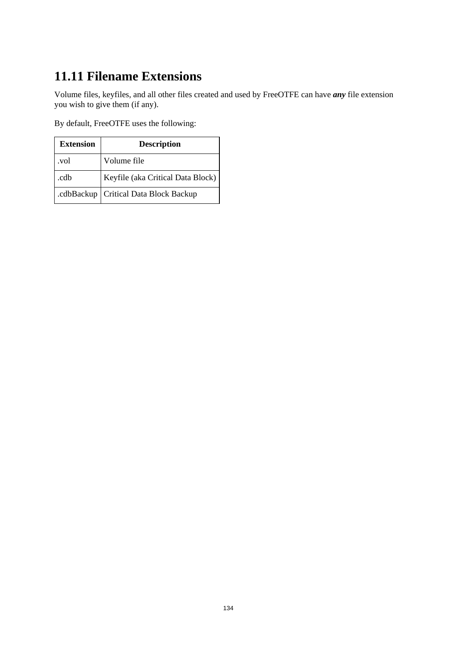# **11.11 Filename Extensions**

Volume files, keyfiles, and all other files created and used by FreeOTFE can have *any* file extension you wish to give them (if any).

By default, FreeOTFE uses the following:

| <b>Extension</b> | <b>Description</b>                      |
|------------------|-----------------------------------------|
| .vol             | Volume file                             |
| .cdb             | Keyfile (aka Critical Data Block)       |
|                  | .cdbBackup   Critical Data Block Backup |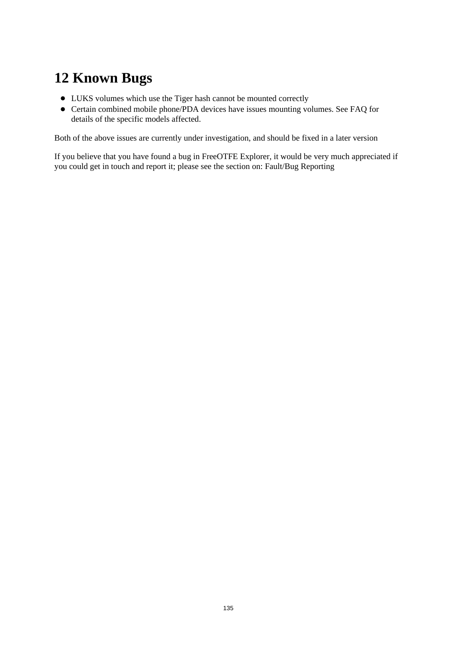# **12 Known Bugs**

- LUKS volumes which use the Tiger hash cannot be mounted correctly
- Certain combined mobile phone/PDA devices have issues mounting volumes. See FAQ for details of the specific models affected.

Both of the above issues are currently under investigation, and should be fixed in a later version

If you believe that you have found a bug in FreeOTFE Explorer, it would be very much appreciated if you could get in touch and report it; please see the section on: Fault/Bug Reporting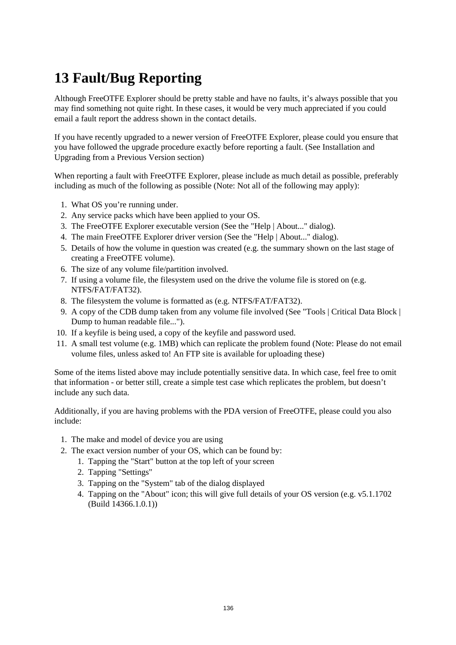# **13 Fault/Bug Reporting**

Although FreeOTFE Explorer should be pretty stable and have no faults, it's always possible that you may find something not quite right. In these cases, it would be very much appreciated if you could email a fault report the address shown in the contact details.

If you have recently upgraded to a newer version of FreeOTFE Explorer, please could you ensure that you have followed the upgrade procedure exactly before reporting a fault. (See Installation and Upgrading from a Previous Version section)

When reporting a fault with FreeOTFE Explorer, please include as much detail as possible, preferably including as much of the following as possible (Note: Not all of the following may apply):

- 1. What OS you're running under.
- 2. Any service packs which have been applied to your OS.
- 3. The FreeOTFE Explorer executable version (See the "Help | About..." dialog).
- 4. The main FreeOTFE Explorer driver version (See the "Help | About..." dialog).
- 5. Details of how the volume in question was created (e.g. the summary shown on the last stage of creating a FreeOTFE volume).
- 6. The size of any volume file/partition involved.
- 7. If using a volume file, the filesystem used on the drive the volume file is stored on (e.g. NTFS/FAT/FAT32).
- 8. The filesystem the volume is formatted as (e.g. NTFS/FAT/FAT32).
- 9. A copy of the CDB dump taken from any volume file involved (See "Tools | Critical Data Block | Dump to human readable file...").
- 10. If a keyfile is being used, a copy of the keyfile and password used.
- 11. A small test volume (e.g. 1MB) which can replicate the problem found (Note: Please do not email volume files, unless asked to! An FTP site is available for uploading these)

Some of the items listed above may include potentially sensitive data. In which case, feel free to omit that information - or better still, create a simple test case which replicates the problem, but doesn't include any such data.

Additionally, if you are having problems with the PDA version of FreeOTFE, please could you also include:

- 1. The make and model of device you are using
- 2. The exact version number of your OS, which can be found by:
	- 1. Tapping the "Start" button at the top left of your screen
	- 2. Tapping "Settings"
	- 3. Tapping on the "System" tab of the dialog displayed
	- 4. Tapping on the "About" icon; this will give full details of your OS version (e.g. v5.1.1702 (Build 14366.1.0.1))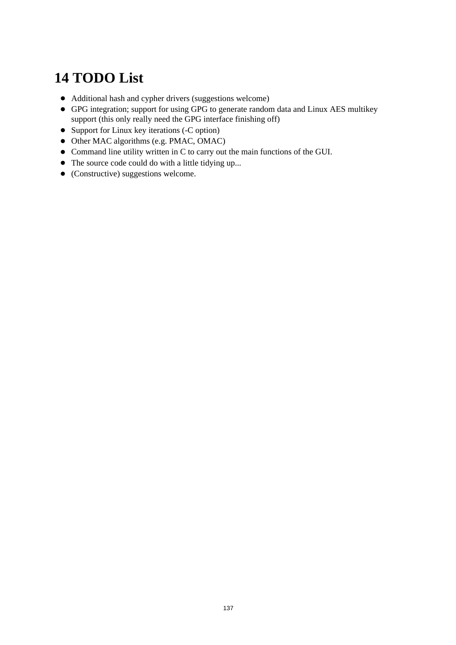# **14 TODO List**

- Additional hash and cypher drivers (suggestions welcome)
- GPG integration; support for using GPG to generate random data and Linux AES multikey support (this only really need the GPG interface finishing off)
- Support for Linux key iterations (-C option)
- Other MAC algorithms (e.g. PMAC, OMAC)
- Command line utility written in C to carry out the main functions of the GUI.
- The source code could do with a little tidying up...
- (Constructive) suggestions welcome.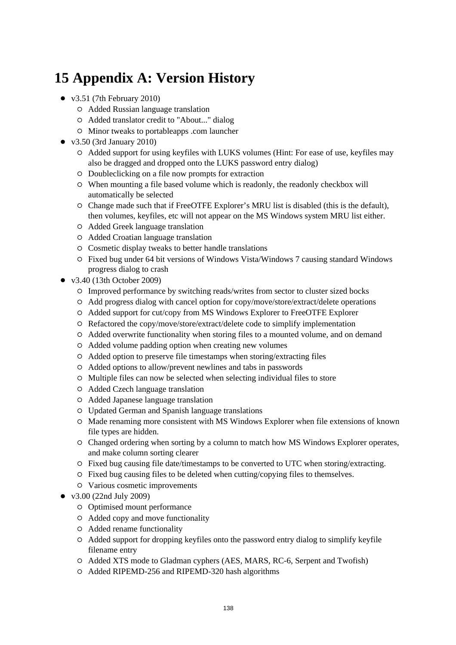# **15 Appendix A: Version History**

- $\bullet$  v3.51 (7th February 2010)
	- Added Russian language translation
	- Added translator credit to "About..." dialog
	- Minor tweaks to portableapps .com launcher
- $\bullet$  v3.50 (3rd January 2010)
	- Added support for using keyfiles with LUKS volumes (Hint: For ease of use, keyfiles may also be dragged and dropped onto the LUKS password entry dialog)
	- Doubleclicking on a file now prompts for extraction
	- When mounting a file based volume which is readonly, the readonly checkbox will automatically be selected
	- Change made such that if FreeOTFE Explorer's MRU list is disabled (this is the default), then volumes, keyfiles, etc will not appear on the MS Windows system MRU list either.
	- Added Greek language translation
	- Added Croatian language translation
	- Cosmetic display tweaks to better handle translations
	- Fixed bug under 64 bit versions of Windows Vista/Windows 7 causing standard Windows progress dialog to crash
- v3.40 (13th October 2009)
	- Improved performance by switching reads/writes from sector to cluster sized bocks
	- Add progress dialog with cancel option for copy/move/store/extract/delete operations
	- Added support for cut/copy from MS Windows Explorer to FreeOTFE Explorer
	- $\circ$  Refactored the copy/move/store/extract/delete code to simplify implementation
	- Added overwrite functionality when storing files to a mounted volume, and on demand
	- Added volume padding option when creating new volumes
	- Added option to preserve file timestamps when storing/extracting files
	- Added options to allow/prevent newlines and tabs in passwords
	- Multiple files can now be selected when selecting individual files to store
	- Added Czech language translation
	- Added Japanese language translation
	- Updated German and Spanish language translations
	- Made renaming more consistent with MS Windows Explorer when file extensions of known file types are hidden.
	- Changed ordering when sorting by a column to match how MS Windows Explorer operates, and make column sorting clearer
	- $\circ$  Fixed bug causing file date/timestamps to be converted to UTC when storing/extracting.
	- Fixed bug causing files to be deleted when cutting/copying files to themselves.
	- Various cosmetic improvements
- v3.00 (22nd July 2009)
	- Optimised mount performance
	- Added copy and move functionality
	- Added rename functionality
	- Added support for dropping keyfiles onto the password entry dialog to simplify keyfile filename entry
	- Added XTS mode to Gladman cyphers (AES, MARS, RC-6, Serpent and Twofish)
	- Added RIPEMD-256 and RIPEMD-320 hash algorithms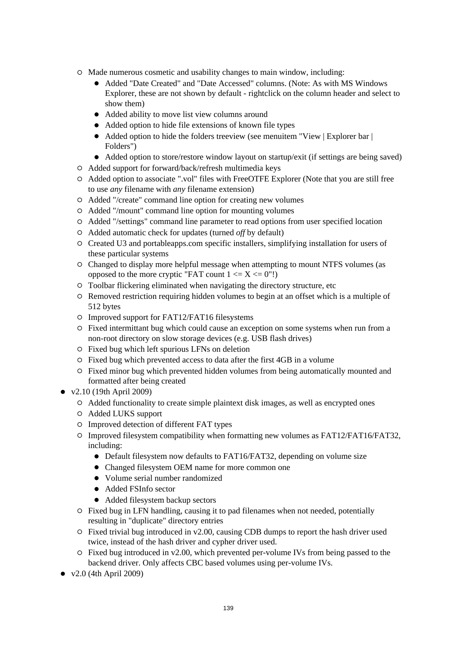- Made numerous cosmetic and usability changes to main window, including:
	- Added "Date Created" and "Date Accessed" columns. (Note: As with MS Windows Explorer, these are not shown by default - rightclick on the column header and select to show them)
	- Added ability to move list view columns around
	- Added option to hide file extensions of known file types
	- Added option to hide the folders treeview (see menuitem "View | Explorer bar | Folders")
	- Added option to store/restore window layout on startup/exit (if settings are being saved)
- Added support for forward/back/refresh multimedia keys
- Added option to associate ".vol" files with FreeOTFE Explorer (Note that you are still free to use *any* filename with *any* filename extension)
- Added "/create" command line option for creating new volumes
- Added "/mount" command line option for mounting volumes
- Added "/settings" command line parameter to read options from user specified location
- Added automatic check for updates (turned *off* by default)
- Created U3 and portableapps.com specific installers, simplifying installation for users of these particular systems
- Changed to display more helpful message when attempting to mount NTFS volumes (as opposed to the more cryptic "FAT count  $1 \le X \le 0$ "!)
- Toolbar flickering eliminated when navigating the directory structure, etc
- Removed restriction requiring hidden volumes to begin at an offset which is a multiple of 512 bytes
- Improved support for FAT12/FAT16 filesystems
- Fixed intermittant bug which could cause an exception on some systems when run from a non-root directory on slow storage devices (e.g. USB flash drives)
- Fixed bug which left spurious LFNs on deletion
- Fixed bug which prevented access to data after the first 4GB in a volume
- Fixed minor bug which prevented hidden volumes from being automatically mounted and formatted after being created
- v2.10 (19th April 2009)
	- Added functionality to create simple plaintext disk images, as well as encrypted ones
	- Added LUKS support
	- Improved detection of different FAT types
	- Improved filesystem compatibility when formatting new volumes as FAT12/FAT16/FAT32, including:
		- Default filesystem now defaults to FAT16/FAT32, depending on volume size
		- Changed filesystem OEM name for more common one
		- Volume serial number randomized
		- Added FSInfo sector
		- Added filesystem backup sectors
	- Fixed bug in LFN handling, causing it to pad filenames when not needed, potentially resulting in "duplicate" directory entries
	- $\circ$  Fixed trivial bug introduced in v2.00, causing CDB dumps to report the hash driver used twice, instead of the hash driver and cypher driver used.
	- $\circ$  Fixed bug introduced in v2.00, which prevented per-volume IVs from being passed to the backend driver. Only affects CBC based volumes using per-volume IVs.
- $\bullet$  v2.0 (4th April 2009)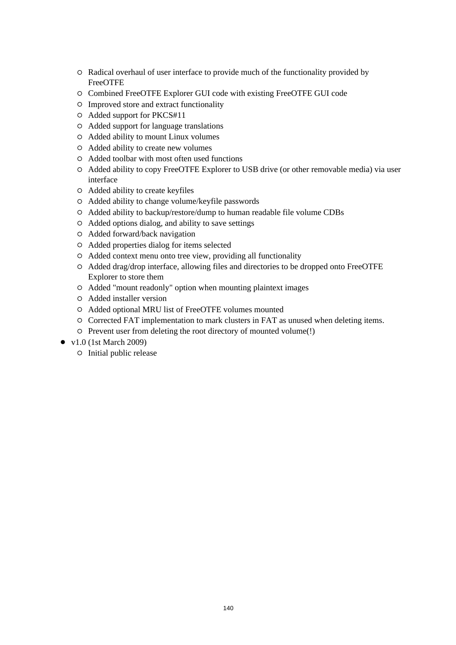- Radical overhaul of user interface to provide much of the functionality provided by FreeOTFE
- Combined FreeOTFE Explorer GUI code with existing FreeOTFE GUI code
- Improved store and extract functionality
- Added support for PKCS#11
- Added support for language translations
- Added ability to mount Linux volumes
- Added ability to create new volumes
- Added toolbar with most often used functions
- Added ability to copy FreeOTFE Explorer to USB drive (or other removable media) via user interface
- Added ability to create keyfiles
- Added ability to change volume/keyfile passwords
- Added ability to backup/restore/dump to human readable file volume CDBs
- Added options dialog, and ability to save settings
- Added forward/back navigation
- Added properties dialog for items selected
- Added context menu onto tree view, providing all functionality
- Added drag/drop interface, allowing files and directories to be dropped onto FreeOTFE Explorer to store them
- Added "mount readonly" option when mounting plaintext images
- Added installer version
- Added optional MRU list of FreeOTFE volumes mounted
- Corrected FAT implementation to mark clusters in FAT as unused when deleting items.
- $\circ$  Prevent user from deleting the root directory of mounted volume $(!)$
- $\bullet$  v1.0 (1st March 2009)
	- $\circ$  Initial public release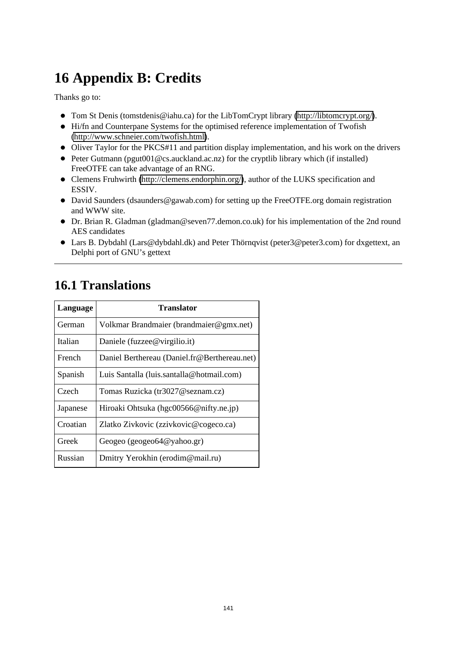# **16 Appendix B: Credits**

Thanks go to:

- Tom St Denis (tomstdenis@iahu.ca) for the LibTomCrypt library [\(http://libtomcrypt.org/\)](http://libtomcrypt.org/).
- Hi/fn and Counterpane Systems for the optimised reference implementation of Twofish [\(http://www.schneier.com/twofish.html\)](http://www.schneier.com/twofish.html).
- Oliver Taylor for the PKCS#11 and partition display implementation, and his work on the drivers
- Peter Gutmann (pgut001@cs.auckland.ac.nz) for the cryptlib library which (if installed) FreeOTFE can take advantage of an RNG.
- Clemens Fruhwirth [\(http://clemens.endorphin.org/\)](http://clemens.endorphin.org/), author of the LUKS specification and ESSIV.
- David Saunders (dsaunders@gawab.com) for setting up the FreeOTFE.org domain registration and WWW site.
- Dr. Brian R. Gladman (gladman@seven77.demon.co.uk) for his implementation of the 2nd round AES candidates
- Lars B. Dybdahl (Lars@dybdahl.dk) and Peter Thörnqvist (peter3@peter3.com) for dxgettext, an Delphi port of GNU's gettext

## **16.1 Translations**

| Language | <b>Translator</b>                            |
|----------|----------------------------------------------|
| German   | Volkmar Brandmaier (brandmaier@gmx.net)      |
| Italian  | Daniele (fuzzee@virgilio.it)                 |
| French   | Daniel Berthereau (Daniel.fr@Berthereau.net) |
| Spanish  | Luis Santalla (luis.santalla@hotmail.com)    |
| Czech    | Tomas Ruzicka (tr3027@seznam.cz)             |
| Japanese | Hiroaki Ohtsuka (hgc00566@nifty.ne.jp)       |
| Croatian | Zlatko Zivkovic (zzivkovic@cogeco.ca)        |
| Greek    | Geogeo (geogeo64@yahoo.gr)                   |
| Russian  | Dmitry Yerokhin (erodim@mail.ru)             |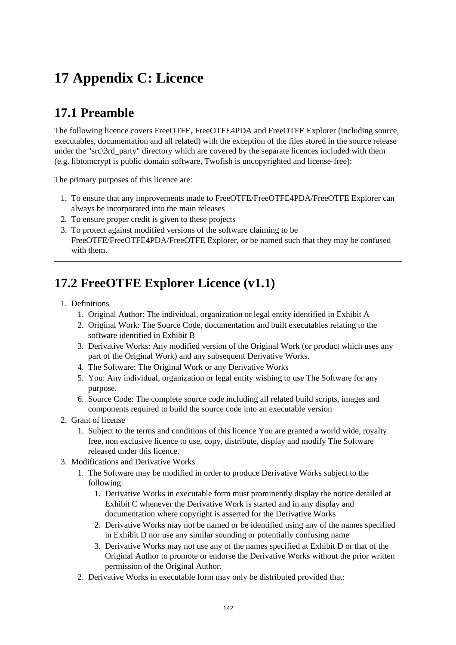# **17 Appendix C: Licence**

## **17.1 Preamble**

The following licence covers FreeOTFE, FreeOTFE4PDA and FreeOTFE Explorer (including source, executables, documentation and all related) with the exception of the files stored in the source release under the "src\3rd\_party" directory which are covered by the separate licences included with them (e.g. libtomcrypt is public domain software, Twofish is uncopyrighted and license-free):

The primary purposes of this licence are:

- 1. To ensure that any improvements made to FreeOTFE/FreeOTFE4PDA/FreeOTFE Explorer can always be incorporated into the main releases
- 2. To ensure proper credit is given to these projects
- 3. To protect against modified versions of the software claiming to be FreeOTFE/FreeOTFE4PDA/FreeOTFE Explorer, or be named such that they may be confused with them.

### **17.2 FreeOTFE Explorer Licence (v1.1)**

- 1. Definitions
	- 1. Original Author: The individual, organization or legal entity identified in Exhibit A
	- 2. Original Work: The Source Code, documentation and built executables relating to the software identified in Exhibit B
	- 3. Derivative Works: Any modified version of the Original Work (or product which uses any part of the Original Work) and any subsequent Derivative Works.
	- 4. The Software: The Original Work or any Derivative Works
	- 5. You: Any individual, organization or legal entity wishing to use The Software for any purpose.
	- 6. Source Code: The complete source code including all related build scripts, images and components required to build the source code into an executable version
- 2. Grant of license
	- 1. Subject to the terms and conditions of this licence You are granted a world wide, royalty free, non exclusive licence to use, copy, distribute, display and modify The Software released under this licence.
- 3. Modifications and Derivative Works
	- 1. The Software may be modified in order to produce Derivative Works subject to the following:
		- 1. Derivative Works in executable form must prominently display the notice detailed at Exhibit C whenever the Derivative Work is started and in any display and documentation where copyright is asserted for the Derivative Works
		- 2. Derivative Works may not be named or be identified using any of the names specified in Exhibit D nor use any similar sounding or potentially confusing name
		- 3. Derivative Works may not use any of the names specified at Exhibit D or that of the Original Author to promote or endorse the Derivative Works without the prior written permission of the Original Author.
	- 2. Derivative Works in executable form may only be distributed provided that: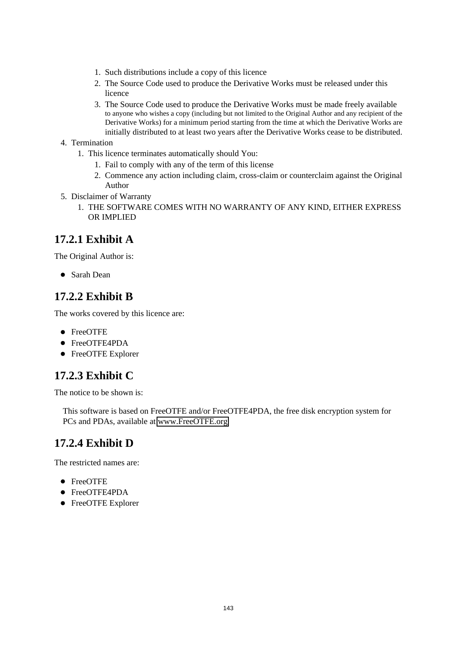- 1. Such distributions include a copy of this licence
- 2. The Source Code used to produce the Derivative Works must be released under this licence
- 3. The Source Code used to produce the Derivative Works must be made freely available to anyone who wishes a copy (including but not limited to the Original Author and any recipient of the Derivative Works) for a minimum period starting from the time at which the Derivative Works are initially distributed to at least two years after the Derivative Works cease to be distributed.

#### 4. Termination

- 1. This licence terminates automatically should You:
	- 1. Fail to comply with any of the term of this license
	- 2. Commence any action including claim, cross-claim or counterclaim against the Original Author
- 5. Disclaimer of Warranty
	- 1. THE SOFTWARE COMES WITH NO WARRANTY OF ANY KIND, EITHER EXPRESS OR IMPLIED

### **17.2.1 Exhibit A**

The Original Author is:

Sarah Dean

### **17.2.2 Exhibit B**

The works covered by this licence are:

- FreeOTFE
- FreeOTFE4PDA
- FreeOTFE Explorer

### **17.2.3 Exhibit C**

The notice to be shown is:

This software is based on FreeOTFE and/or FreeOTFE4PDA, the free disk encryption system for PCs and PDAs, available at [www.FreeOTFE.org](http://www.FreeOTFE.org/)

### **17.2.4 Exhibit D**

The restricted names are:

- FreeOTFE
- FreeOTFE4PDA
- FreeOTFE Explorer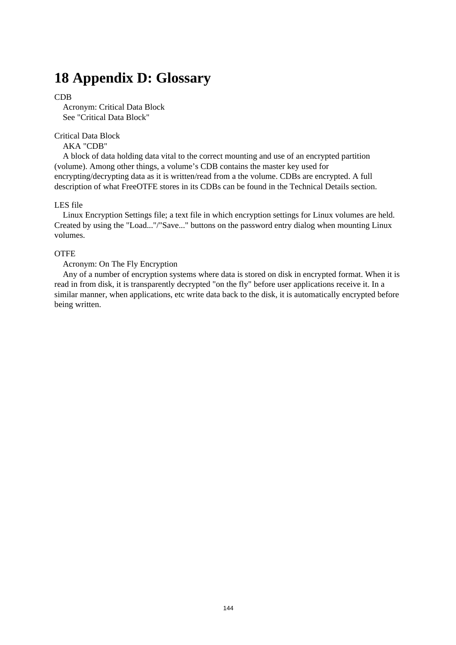## **18 Appendix D: Glossary**

#### CDB

 Acronym: Critical Data Block See "Critical Data Block"

#### Critical Data Block

#### AKA "CDB"

 A block of data holding data vital to the correct mounting and use of an encrypted partition (volume). Among other things, a volume's CDB contains the master key used for encrypting/decrypting data as it is written/read from a the volume. CDBs are encrypted. A full description of what FreeOTFE stores in its CDBs can be found in the Technical Details section.

#### LES file

 Linux Encryption Settings file; a text file in which encryption settings for Linux volumes are held. Created by using the "Load..."/"Save..." buttons on the password entry dialog when mounting Linux volumes.

#### **OTFE**

#### Acronym: On The Fly Encryption

 Any of a number of encryption systems where data is stored on disk in encrypted format. When it is read in from disk, it is transparently decrypted "on the fly" before user applications receive it. In a similar manner, when applications, etc write data back to the disk, it is automatically encrypted before being written.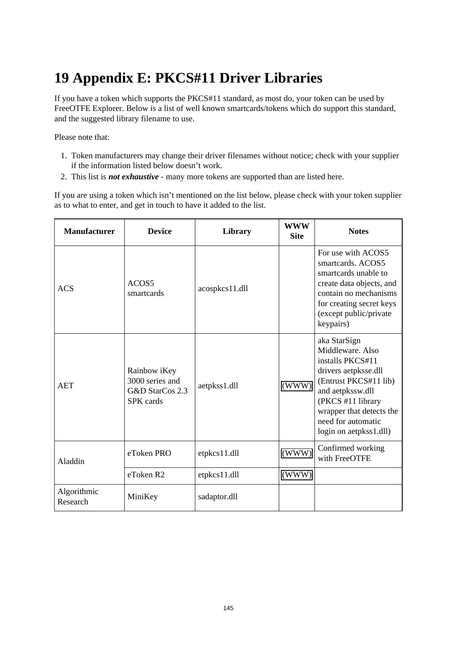# **19 Appendix E: PKCS#11 Driver Libraries**

If you have a token which supports the PKCS#11 standard, as most do, your token can be used by FreeOTFE Explorer. Below is a list of well known smartcards/tokens which do support this standard, and the suggested library filename to use.

Please note that:

- 1. Token manufacturers may change their driver filenames without notice; check with your supplier if the information listed below doesn't work.
- 2. This list is *not exhaustive* many more tokens are supported than are listed here.

If you are using a token which isn't mentioned on the list below, please check with your token supplier as to what to enter, and get in touch to have it added to the list.

| <b>Manufacturer</b>     | <b>Device</b>                                                   | <b>Library</b> | <b>WWW</b><br><b>Site</b> | <b>Notes</b>                                                                                                                                                                                                               |
|-------------------------|-----------------------------------------------------------------|----------------|---------------------------|----------------------------------------------------------------------------------------------------------------------------------------------------------------------------------------------------------------------------|
| <b>ACS</b>              | ACOS5<br>smartcards                                             | acospkcs11.dll |                           | For use with ACOS5<br>smartcards. ACOS5<br>smartcards unable to<br>create data objects, and<br>contain no mechanisms<br>for creating secret keys<br>(except public/private<br>keypairs)                                    |
| AET                     | Rainbow iKey<br>3000 series and<br>G&D StarCos 2.3<br>SPK cards | aetpkss1.dll   | (WWW)                     | aka StarSign<br>Middleware, Also<br>installs PKCS#11<br>drivers aetpksse.dll<br>(Entrust PKCS#11 lib)<br>and aetpkssw.dll<br>(PKCS #11 library<br>wrapper that detects the<br>need for automatic<br>login on aetpkss1.dll) |
| Aladdin                 | eToken PRO                                                      | etpkcs11.dll   | (WWW)                     | Confirmed working<br>with FreeOTFE                                                                                                                                                                                         |
|                         | eToken R2                                                       | etpkcs11.dll   | (WWW)                     |                                                                                                                                                                                                                            |
| Algorithmic<br>Research | MiniKey                                                         | sadaptor.dll   |                           |                                                                                                                                                                                                                            |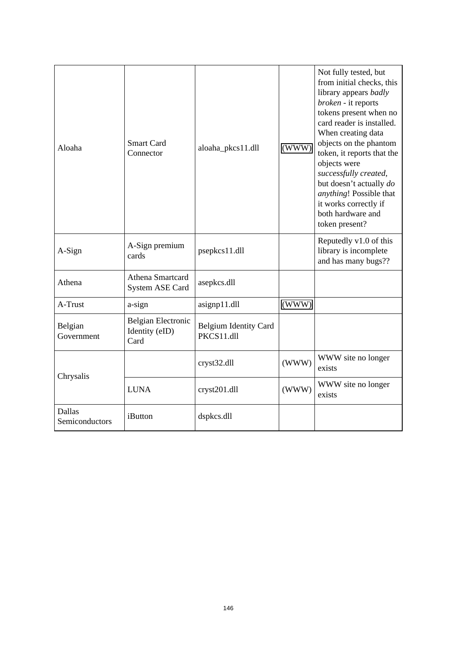| Aloaha                          | <b>Smart Card</b><br>Connector               | aloaha_pkcs11.dll                          | (WWW) | Not fully tested, but<br>from initial checks, this<br>library appears <i>badly</i><br>broken - it reports<br>tokens present when no<br>card reader is installed.<br>When creating data<br>objects on the phantom<br>token, it reports that the<br>objects were<br>successfully created,<br>but doesn't actually do<br>anything! Possible that<br>it works correctly if<br>both hardware and<br>token present? |
|---------------------------------|----------------------------------------------|--------------------------------------------|-------|---------------------------------------------------------------------------------------------------------------------------------------------------------------------------------------------------------------------------------------------------------------------------------------------------------------------------------------------------------------------------------------------------------------|
| A-Sign                          | A-Sign premium<br>cards                      | psepkcs11.dll                              |       | Reputedly v1.0 of this<br>library is incomplete<br>and has many bugs??                                                                                                                                                                                                                                                                                                                                        |
| Athena                          | Athena Smartcard<br><b>System ASE Card</b>   | asepkcs.dll                                |       |                                                                                                                                                                                                                                                                                                                                                                                                               |
| A-Trust                         | a-sign                                       | asignp11.dll                               | (WWW) |                                                                                                                                                                                                                                                                                                                                                                                                               |
| Belgian<br>Government           | Belgian Electronic<br>Identity (eID)<br>Card | <b>Belgium Identity Card</b><br>PKCS11.dll |       |                                                                                                                                                                                                                                                                                                                                                                                                               |
| Chrysalis                       |                                              | cryst32.dll                                | (WWW) | WWW site no longer<br>exists                                                                                                                                                                                                                                                                                                                                                                                  |
|                                 | <b>LUNA</b>                                  | cryst201.dll                               | (WWW) | WWW site no longer<br>exists                                                                                                                                                                                                                                                                                                                                                                                  |
| <b>Dallas</b><br>Semiconductors | iButton                                      | dspkcs.dll                                 |       |                                                                                                                                                                                                                                                                                                                                                                                                               |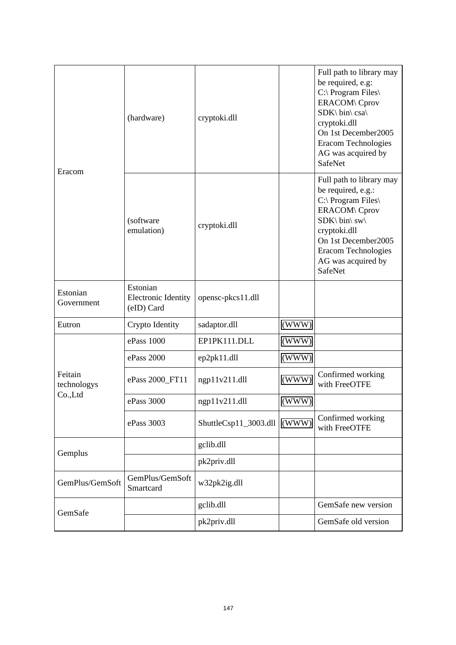| Eracom                 | (hardware)                                           | cryptoki.dll          |       | Full path to library may<br>be required, e.g:<br>C:\ Program Files\<br><b>ERACOM\</b> Cprov<br>SDK\ bin\ csa\<br>cryptoki.dll<br>On 1st December2005<br><b>Eracom Technologies</b><br>AG was acquired by<br><b>SafeNet</b>                              |
|------------------------|------------------------------------------------------|-----------------------|-------|---------------------------------------------------------------------------------------------------------------------------------------------------------------------------------------------------------------------------------------------------------|
|                        | (software<br>emulation)                              | cryptoki.dll          |       | Full path to library may<br>be required, e.g.:<br>C:\ Program Files\<br><b>ERACOM\</b> Cprov<br>$SDK\backslash bin\backslash sw\backslash$<br>cryptoki.dll<br>On 1st December2005<br><b>Eracom Technologies</b><br>AG was acquired by<br><b>SafeNet</b> |
| Estonian<br>Government | Estonian<br><b>Electronic Identity</b><br>(eID) Card | opensc-pkcs11.dll     |       |                                                                                                                                                                                                                                                         |
| Eutron                 | Crypto Identity                                      | sadaptor.dll          | (WWW) |                                                                                                                                                                                                                                                         |
|                        | ePass 1000                                           | EP1PK111.DLL          | (WWW) |                                                                                                                                                                                                                                                         |
|                        | ePass 2000                                           | ep2pk11.dll           | (WWW) |                                                                                                                                                                                                                                                         |
| Feitain<br>technologys | ePass 2000_FT11                                      | ngp11v211.dll         | (WWW) | Confirmed working<br>with FreeOTFE                                                                                                                                                                                                                      |
| Co.,Ltd                | ePass 3000                                           | $ngp11v211$ .dll      | (WWW) |                                                                                                                                                                                                                                                         |
|                        | ePass 3003                                           | ShuttleCsp11_3003.dll | (WWW) | Confirmed working<br>with FreeOTFE                                                                                                                                                                                                                      |
| Gemplus                |                                                      | gclib.dll             |       |                                                                                                                                                                                                                                                         |
|                        |                                                      | pk2priv.dll           |       |                                                                                                                                                                                                                                                         |
| GemPlus/GemSoft        | GemPlus/GemSoft<br>Smartcard                         | w32pk2ig.dll          |       |                                                                                                                                                                                                                                                         |
| GemSafe                |                                                      | gclib.dll             |       | GemSafe new version                                                                                                                                                                                                                                     |
|                        |                                                      | pk2priv.dll           |       | GemSafe old version                                                                                                                                                                                                                                     |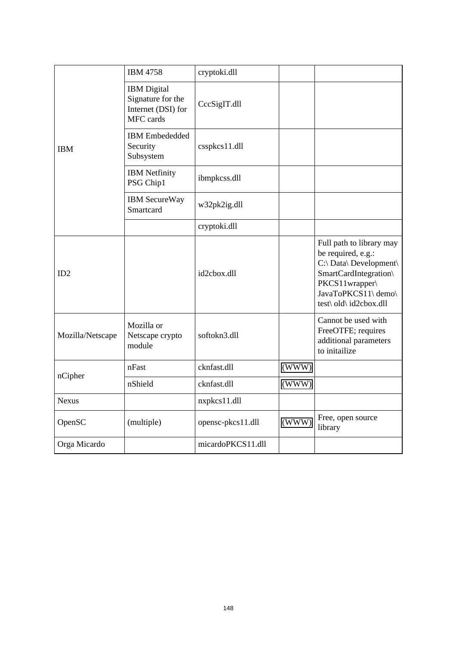| <b>IBM</b>       | <b>IBM 4758</b>                                                            | cryptoki.dll      |       |                                                                                                                                                                      |
|------------------|----------------------------------------------------------------------------|-------------------|-------|----------------------------------------------------------------------------------------------------------------------------------------------------------------------|
|                  | <b>IBM</b> Digital<br>Signature for the<br>Internet (DSI) for<br>MFC cards | CccSigIT.dll      |       |                                                                                                                                                                      |
|                  | <b>IBM</b> Embededded<br>Security<br>Subsystem                             | csspkcs11.dll     |       |                                                                                                                                                                      |
|                  | <b>IBM</b> Netfinity<br>PSG Chip1                                          | ibmpkcss.dll      |       |                                                                                                                                                                      |
|                  | <b>IBM</b> SecureWay<br>Smartcard                                          | w32pk2ig.dll      |       |                                                                                                                                                                      |
|                  |                                                                            | cryptoki.dll      |       |                                                                                                                                                                      |
| ID2              |                                                                            | id2cbox.dll       |       | Full path to library may<br>be required, e.g.:<br>C:\ Data\ Development\<br>SmartCardIntegration\<br>PKCS11wrapper\<br>JavaToPKCS11\ demo\<br>test\ old\ id2cbox.dll |
| Mozilla/Netscape | Mozilla or<br>Netscape crypto<br>module                                    | softokn3.dll      |       | Cannot be used with<br>FreeOTFE; requires<br>additional parameters<br>to initailize                                                                                  |
| nCipher          | nFast                                                                      | cknfast.dll       | (WWW) |                                                                                                                                                                      |
|                  | nShield                                                                    | cknfast.dll       | (WWW) |                                                                                                                                                                      |
| <b>Nexus</b>     |                                                                            | nxpkcs11.dll      |       |                                                                                                                                                                      |
| OpenSC           | (multiple)                                                                 | opensc-pkcs11.dll | (WWW) | Free, open source<br>library                                                                                                                                         |
| Orga Micardo     |                                                                            | micardoPKCS11.dll |       |                                                                                                                                                                      |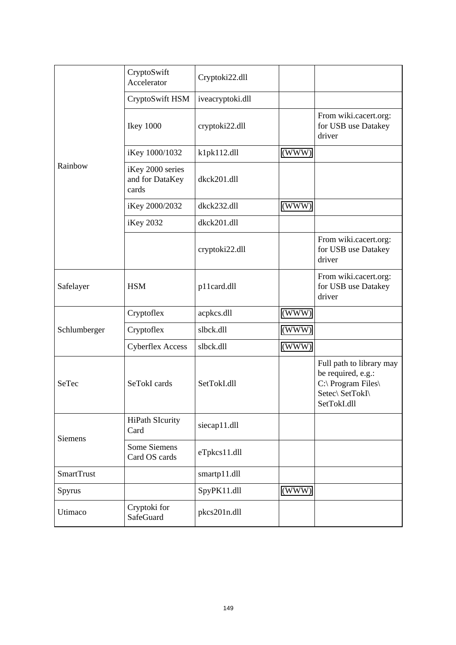|                   | CryptoSwift<br>Accelerator                   | Cryptoki22.dll   |       |                                                                                                        |
|-------------------|----------------------------------------------|------------------|-------|--------------------------------------------------------------------------------------------------------|
|                   | CryptoSwift HSM                              | iveacryptoki.dll |       |                                                                                                        |
|                   | <b>Ikey 1000</b>                             | cryptoki22.dll   |       | From wiki.cacert.org:<br>for USB use Datakey<br>driver                                                 |
|                   | iKey 1000/1032                               | k1pk112.dll      | (WWW) |                                                                                                        |
| Rainbow           | iKey 2000 series<br>and for DataKey<br>cards | dkck201.dll      |       |                                                                                                        |
|                   | iKey 2000/2032                               | dkck232.dll      | (WWW) |                                                                                                        |
|                   | iKey 2032                                    | dkck201.dll      |       |                                                                                                        |
|                   |                                              | cryptoki22.dll   |       | From wiki.cacert.org:<br>for USB use Datakey<br>driver                                                 |
| Safelayer         | <b>HSM</b>                                   | p11card.dll      |       | From wiki.cacert.org:<br>for USB use Datakey<br>driver                                                 |
|                   | Cryptoflex                                   | acpkcs.dll       | (WWW) |                                                                                                        |
| Schlumberger      | Cryptoflex                                   | slbck.dll        | (WWW) |                                                                                                        |
|                   | <b>Cyberflex Access</b>                      | slbck.dll        | (WWW) |                                                                                                        |
| SeTec             | SeTokI cards                                 | SetTokI.dll      |       | Full path to library may<br>be required, e.g.:<br>C:\ Program Files\<br>Setec\ SetTokI\<br>SetTokI.dll |
| Siemens           | <b>HiPath SIcurity</b><br>Card               | siecap11.dll     |       |                                                                                                        |
|                   | Some Siemens<br>Card OS cards                | eTpkcs11.dll     |       |                                                                                                        |
| <b>SmartTrust</b> |                                              | smartp11.dll     |       |                                                                                                        |
| Spyrus            |                                              | SpyPK11.dll      | (WWW) |                                                                                                        |
| Utimaco           | Cryptoki for<br>SafeGuard                    | pkcs201n.dll     |       |                                                                                                        |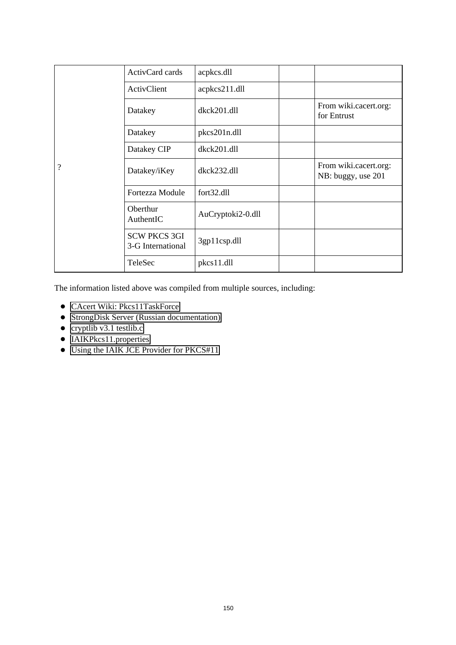|                    | ActivCard cards                          | acpkcs.dll        |                                             |
|--------------------|------------------------------------------|-------------------|---------------------------------------------|
|                    | ActivClient                              | acpkcs211.dll     |                                             |
|                    | Datakey                                  | dkck201.dll       | From wiki.cacert.org:<br>for Entrust        |
|                    | Datakey                                  | pkcs201n.dll      |                                             |
| $\overline{\cdot}$ | Datakey CIP                              | dkck201.dll       |                                             |
|                    | Datakey/iKey                             | $dkck232$ .dll    | From wiki.cacert.org:<br>NB: buggy, use 201 |
|                    | Fortezza Module                          | fort32.dll        |                                             |
|                    | Oberthur<br>AuthentIC                    | AuCryptoki2-0.dll |                                             |
|                    | <b>SCW PKCS 3GI</b><br>3-G International | 3gp11csp.dll      |                                             |
|                    | TeleSec                                  | $pkcs11.$ dll     |                                             |

The information listed above was compiled from multiple sources, including:

- [CAcert Wiki: Pkcs11TaskForce](http://wiki.cacert.org/wiki/Pkcs11TaskForce)
- [StrongDisk Server \(Russian documentation\)](http://209.85.165.104/search?q=cache:-QugArnZ2I8J:www.strongdisk.ru/free/tech/SDSSettings.pdf+eutron+sadaptor.dll&hl=en&ct=clnk&cd=13)
- cryptlib v3.1 testlib.c
- IAIKPkcs11.properties
- Using the IAIK JCE Provider for PKCS#11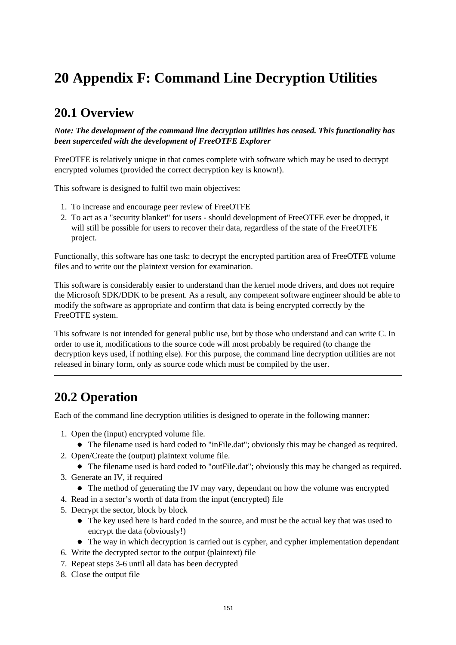## **20.1 Overview**

*Note: The development of the command line decryption utilities has ceased. This functionality has been superceded with the development of FreeOTFE Explorer*

FreeOTFE is relatively unique in that comes complete with software which may be used to decrypt encrypted volumes (provided the correct decryption key is known!).

This software is designed to fulfil two main objectives:

- 1. To increase and encourage peer review of FreeOTFE
- 2. To act as a "security blanket" for users should development of FreeOTFE ever be dropped, it will still be possible for users to recover their data, regardless of the state of the FreeOTFE project.

Functionally, this software has one task: to decrypt the encrypted partition area of FreeOTFE volume files and to write out the plaintext version for examination.

This software is considerably easier to understand than the kernel mode drivers, and does not require the Microsoft SDK/DDK to be present. As a result, any competent software engineer should be able to modify the software as appropriate and confirm that data is being encrypted correctly by the FreeOTFE system.

This software is not intended for general public use, but by those who understand and can write C. In order to use it, modifications to the source code will most probably be required (to change the decryption keys used, if nothing else). For this purpose, the command line decryption utilities are not released in binary form, only as source code which must be compiled by the user.

## **20.2 Operation**

Each of the command line decryption utilities is designed to operate in the following manner:

- 1. Open the (input) encrypted volume file.
	- The filename used is hard coded to "inFile.dat"; obviously this may be changed as required.
- 2. Open/Create the (output) plaintext volume file.
	- The filename used is hard coded to "outFile.dat"; obviously this may be changed as required.
- 3. Generate an IV, if required
	- The method of generating the IV may vary, dependant on how the volume was encrypted
- 4. Read in a sector's worth of data from the input (encrypted) file
- 5. Decrypt the sector, block by block
	- The key used here is hard coded in the source, and must be the actual key that was used to encrypt the data (obviously!)
	- The way in which decryption is carried out is cypher, and cypher implementation dependant
- 6. Write the decrypted sector to the output (plaintext) file
- 7. Repeat steps 3-6 until all data has been decrypted
- 8. Close the output file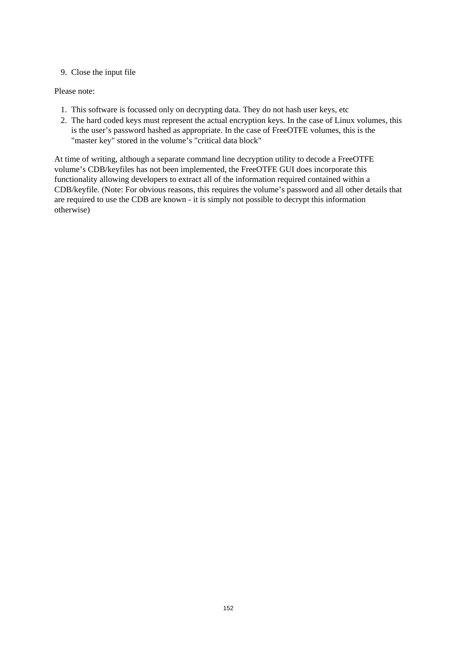#### 9. Close the input file

#### Please note:

- 1. This software is focussed only on decrypting data. They do not hash user keys, etc
- 2. The hard coded keys must represent the actual encryption keys. In the case of Linux volumes, this is the user's password hashed as appropriate. In the case of FreeOTFE volumes, this is the "master key" stored in the volume's "critical data block"

At time of writing, although a separate command line decryption utility to decode a FreeOTFE volume's CDB/keyfiles has not been implemented, the FreeOTFE GUI does incorporate this functionality allowing developers to extract all of the information required contained within a CDB/keyfile. (Note: For obvious reasons, this requires the volume's password and all other details that are required to use the CDB are known - it is simply not possible to decrypt this information otherwise)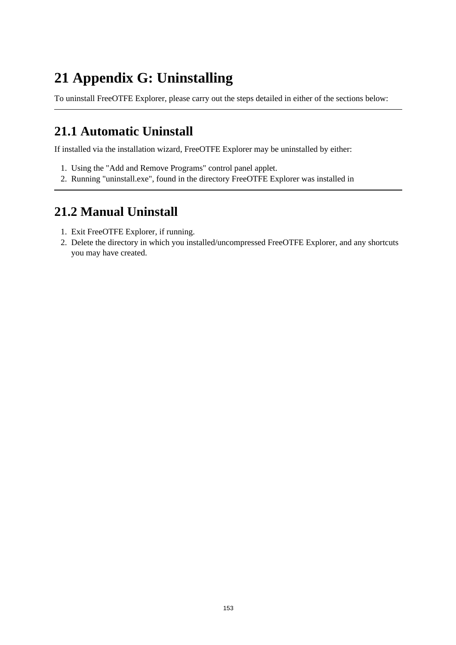# **21 Appendix G: Uninstalling**

To uninstall FreeOTFE Explorer, please carry out the steps detailed in either of the sections below:

## **21.1 Automatic Uninstall**

If installed via the installation wizard, FreeOTFE Explorer may be uninstalled by either:

- 1. Using the "Add and Remove Programs" control panel applet.
- 2. Running "uninstall.exe", found in the directory FreeOTFE Explorer was installed in

### **21.2 Manual Uninstall**

- 1. Exit FreeOTFE Explorer, if running.
- 2. Delete the directory in which you installed/uncompressed FreeOTFE Explorer, and any shortcuts you may have created.